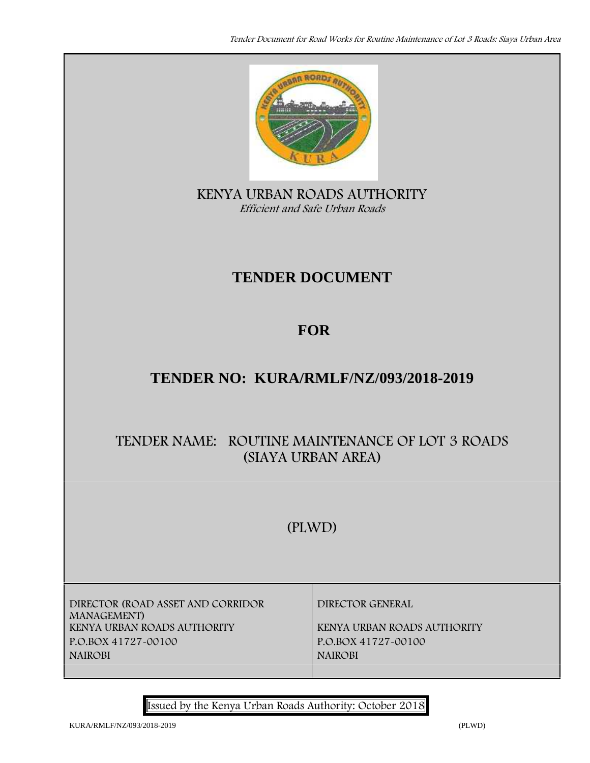

**KENYA URBAN ROADS AUTHORITY** *Efficient and Safe Urban Roads*

# **TENDER DOCUMENT**

# **FOR**

# **TENDER NO: KURA/RMLF/NZ/093/2018-2019**

# **TENDER NAME: ROUTINE MAINTENANCE OF LOT 3 ROADS (SIAYA URBAN AREA)**

# **(PLWD)**

**DIRECTOR (ROAD ASSET AND CORRIDOR MANAGEMENT) P.O.BOX 41727-00100 P.O.BOX 41727-00100 NAIROBI NAIROBI**

**DIRECTOR GENERAL**

**KENYA URBAN ROADS AUTHORITY KENYA URBAN ROADS AUTHORITY**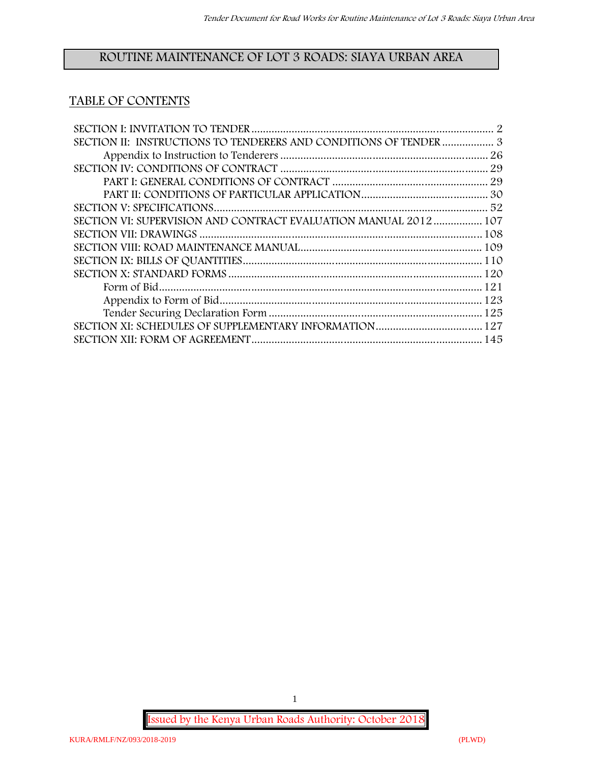## **ROUTINE MAINTENANCE OF LOT 3 ROADS: SIAYA URBAN AREA**

## **TABLE OF CONTENTS**

| SECTION II: INSTRUCTIONS TO TENDERERS AND CONDITIONS OF TENDER  3 |  |
|-------------------------------------------------------------------|--|
|                                                                   |  |
|                                                                   |  |
|                                                                   |  |
|                                                                   |  |
|                                                                   |  |
| SECTION VI: SUPERVISION AND CONTRACT EVALUATION MANUAL 2012 107   |  |
|                                                                   |  |
|                                                                   |  |
|                                                                   |  |
|                                                                   |  |
|                                                                   |  |
|                                                                   |  |
|                                                                   |  |
|                                                                   |  |
|                                                                   |  |

**Issued by the Kenya Urban Roads Authority: October 2018**

1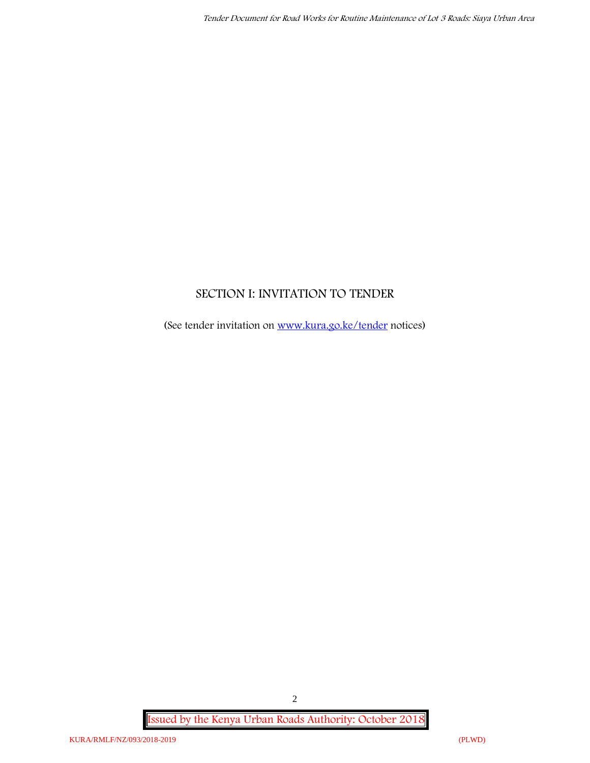## **SECTION I: INVITATION TO TENDER**

(See tender invitation on www.kura.go.ke/tender notices)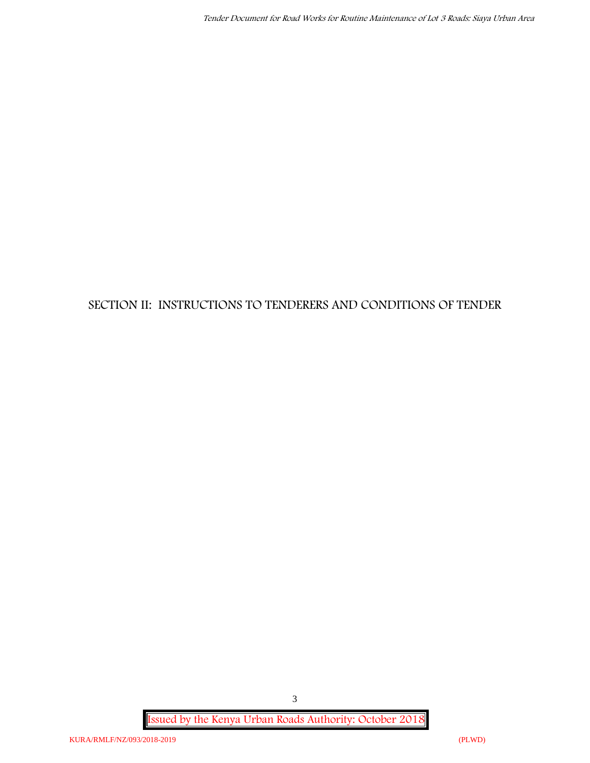## **SECTION II: INSTRUCTIONS TO TENDERERS AND CONDITIONS OF TENDER**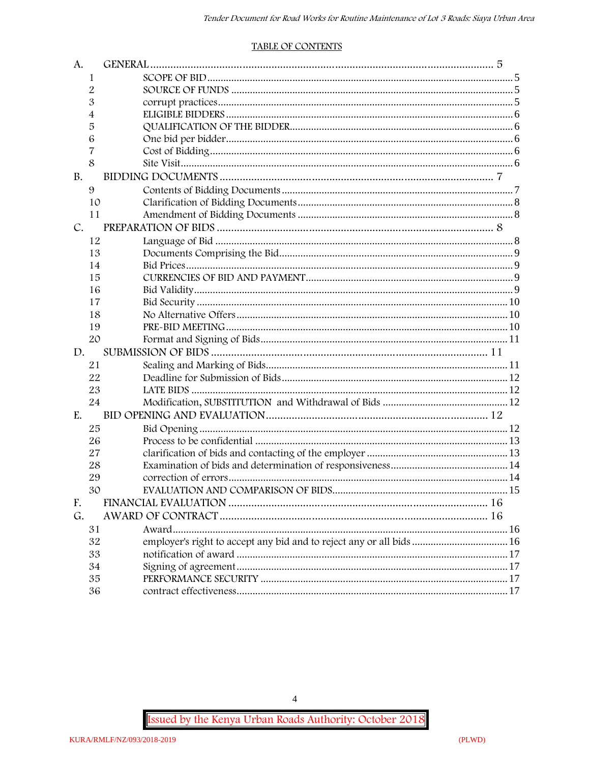#### **TABLE OF CONTENTS**

| A.          |    |                                                                      |  |
|-------------|----|----------------------------------------------------------------------|--|
|             | 1  |                                                                      |  |
|             | 2  |                                                                      |  |
|             | 3  |                                                                      |  |
|             | 4  |                                                                      |  |
|             | 5  |                                                                      |  |
|             | 6  |                                                                      |  |
|             | 7  |                                                                      |  |
|             | 8  |                                                                      |  |
| <b>B.</b>   |    |                                                                      |  |
|             | 9  |                                                                      |  |
|             | 10 |                                                                      |  |
|             | 11 |                                                                      |  |
| $C_{\cdot}$ |    |                                                                      |  |
|             | 12 |                                                                      |  |
|             | 13 |                                                                      |  |
|             | 14 |                                                                      |  |
|             | 15 |                                                                      |  |
|             | 16 |                                                                      |  |
|             | 17 |                                                                      |  |
|             | 18 |                                                                      |  |
|             | 19 |                                                                      |  |
|             | 20 |                                                                      |  |
| D.          |    |                                                                      |  |
|             | 21 |                                                                      |  |
|             | 22 |                                                                      |  |
|             | 23 |                                                                      |  |
|             | 24 |                                                                      |  |
| $E_{\cdot}$ |    |                                                                      |  |
|             | 25 |                                                                      |  |
|             | 26 |                                                                      |  |
|             | 27 |                                                                      |  |
|             | 28 |                                                                      |  |
|             | 29 |                                                                      |  |
|             | 30 |                                                                      |  |
| F.          |    |                                                                      |  |
| G.          |    |                                                                      |  |
|             | 31 |                                                                      |  |
|             | 32 | employer's right to accept any bid and to reject any or all bids  16 |  |
|             | 33 |                                                                      |  |
|             | 34 |                                                                      |  |
|             | 35 |                                                                      |  |
|             | 36 |                                                                      |  |

Issued by the Kenya Urban Roads Authority: October 2018

 $\overline{4}$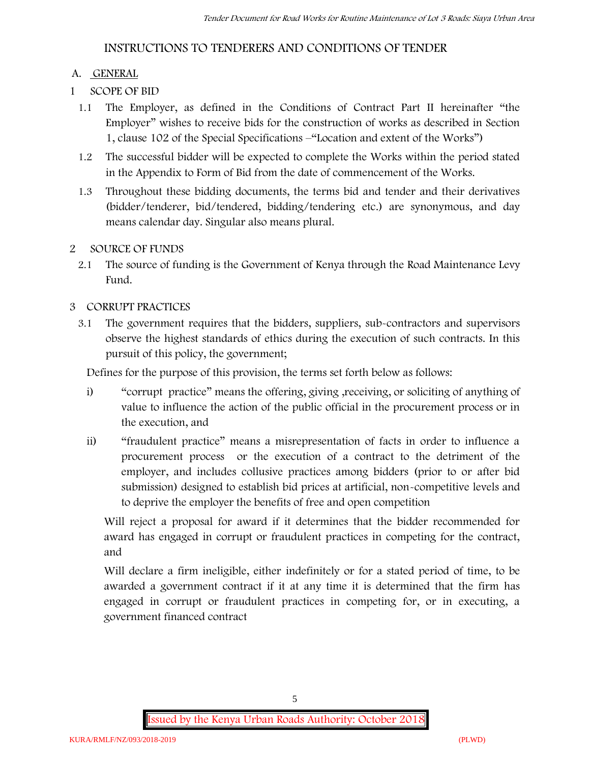## **INSTRUCTIONS TO TENDERERS AND CONDITIONS OF TENDER**

### **A. GENERAL**

- **1 SCOPE OF BID**
	- 1.1 The Employer, as defined in the Conditions of Contract Part II hereinafter "the Employer" wishes to receive bids for the construction of works as described in Section 1, clause 102 of the Special Specifications –"Location and extent of the Works")
	- 1.2 The successful bidder will be expected to complete the Works within the period stated in the Appendix to Form of Bid from the date of commencement of the Works.
	- 1.3 Throughout these bidding documents, the terms bid and tender and their derivatives (bidder/tenderer, bid/tendered, bidding/tendering etc.) are synonymous, and day means calendar day. Singular also means plural.

## **2 SOURCE OF FUNDS**

2.1 The source of funding is the Government of Kenya through the Road Maintenance Levy Fund.

## **3 CORRUPT PRACTICES**

3.1 The government requires that the bidders, suppliers, sub-contractors and supervisors observe the highest standards of ethics during the execution of such contracts. In this pursuit of this policy, the government;

Defines for the purpose of this provision, the terms set forth below as follows:

- i) "corrupt practice" means the offering, giving ,receiving, or soliciting of anything of value to influence the action of the public official in the procurement process or in the execution, and
- ii) "fraudulent practice" means a misrepresentation of facts in order to influence a procurement process or the execution of a contract to the detriment of the employer, and includes collusive practices among bidders (prior to or after bid submission) designed to establish bid prices at artificial, non-competitive levels and to deprive the employer the benefits of free and open competition

Will reject a proposal for award if it determines that the bidder recommended for award has engaged in corrupt or fraudulent practices in competing for the contract, and

Will declare a firm ineligible, either indefinitely or for a stated period of time, to be awarded a government contract if it at any time it is determined that the firm has engaged in corrupt or fraudulent practices in competing for, or in executing, a government financed contract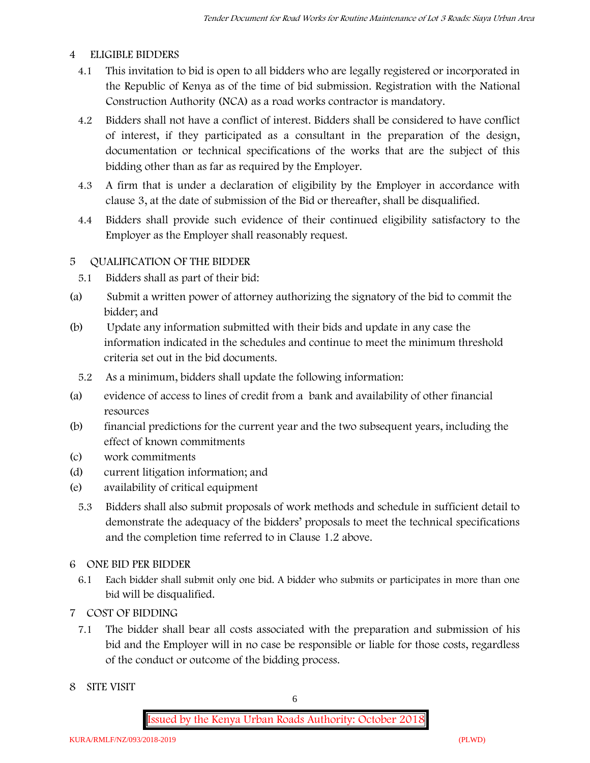#### **4 ELIGIBLE BIDDERS**

- 4.1 This invitation to bid is open to all bidders who are legally registered or incorporated in the Republic of Kenya as of the time of bid submission. Registration with the National Construction Authority (NCA) as a road works contractor is mandatory.
- 4.2 Bidders shall not have a conflict of interest. Bidders shall be considered to have conflict of interest, if they participated as a consultant in the preparation of the design, documentation or technical specifications of the works that are the subject of this bidding other than as far as required by the Employer.
- 4.3 A firm that is under a declaration of eligibility by the Employer in accordance with clause 3, at the date of submission of the Bid or thereafter, shall be disqualified.
- 4.4 Bidders shall provide such evidence of their continued eligibility satisfactory to the Employer as the Employer shall reasonably request.

#### **5 QUALIFICATION OF THE BIDDER**

- 5.1 Bidders shall as part of their bid:
- (a) Submit a written power of attorney authorizing the signatory of the bid to commit the bidder; and
- (b) Update any information submitted with their bids and update in any case the information indicated in the schedules and continue to meet the minimum threshold criteria set out in the bid documents.
	- 5.2 As a minimum, bidders shall update the following information:
- (a) evidence of access to lines of credit from a bank and availability of other financial resources
- (b) financial predictions for the current year and the two subsequent years, including the effect of known commitments
- (c) work commitments
- (d) current litigation information; and
- (e) availability of critical equipment
	- 5.3 Bidders shall also submit proposals of work methods and schedule in sufficient detail to demonstrate the adequacy of the bidders' proposals to meet the technical specifications and the completion time referred to in Clause 1.2 above.
- **6 ONE BID PER BIDDER**
	- 6.1 Each bidder shall submit only one bid. A bidder who submits or participates in more than one bid will be disqualified.
- **7 COST OF BIDDING**
	- 7.1 The bidder shall bear all costs associated with the preparation and submission of his bid and the Employer will in no case be responsible or liable for those costs, regardless of the conduct or outcome of the bidding process.
- **8 SITE VISIT**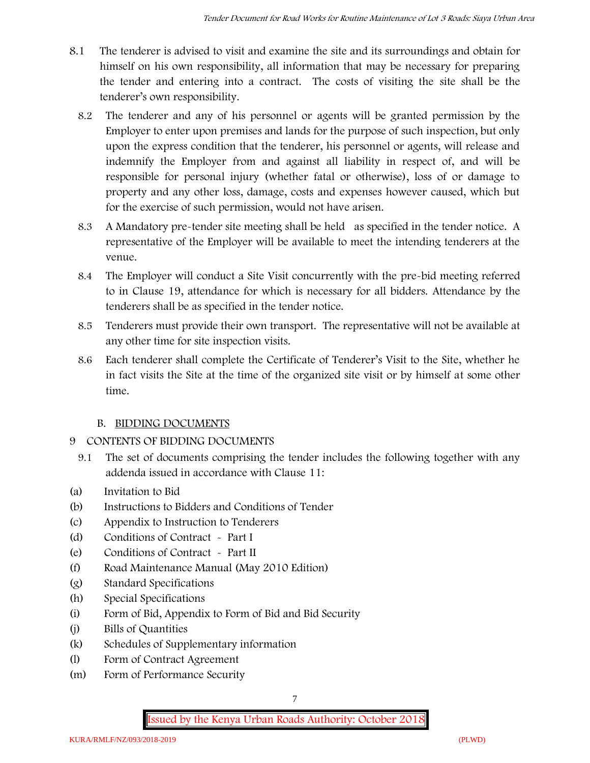- 8.1 The tenderer is advised to visit and examine the site and its surroundings and obtain for himself on his own responsibility, all information that may be necessary for preparing the tender and entering into a contract. The costs of visiting the site shall be the tenderer's own responsibility.
	- 8.2 The tenderer and any of his personnel or agents will be granted permission by the Employer to enter upon premises and lands for the purpose of such inspection, but only upon the express condition that the tenderer, his personnel or agents, will release and indemnify the Employer from and against all liability in respect of, and will be responsible for personal injury (whether fatal or otherwise), loss of or damage to property and any other loss, damage, costs and expenses however caused, which but for the exercise of such permission, would not have arisen.
	- 8.3 A Mandatory pre-tender site meeting shall be held as specified in the tender notice. A representative of the Employer will be available to meet the intending tenderers at the venue.
	- 8.4 The Employer will conduct a Site Visit concurrently with the pre-bid meeting referred to in Clause 19, attendance for which is necessary for all bidders. Attendance by the tenderers shall be as specified in the tender notice.
	- 8.5 Tenderers must provide their own transport. The representative will not be available at any other time for site inspection visits.
	- 8.6 Each tenderer shall complete the Certificate of Tenderer's Visit to the Site, whether he in fact visits the Site at the time of the organized site visit or by himself at some other time.

## **B. BIDDING DOCUMENTS**

- 9 CONTENTS OF BIDDING DOCUMENTS
	- 9.1 The set of documents comprising the tender includes the following together with any addenda issued in accordance with Clause 11:
- (a) Invitation to Bid
- (b) Instructions to Bidders and Conditions of Tender
- (c) Appendix to Instruction to Tenderers
- (d) Conditions of Contract Part I
- (e) Conditions of Contract Part II
- (f) Road Maintenance Manual (May 2010 Edition)
- (g) Standard Specifications
- (h) Special Specifications
- (i) Form of Bid, Appendix to Form of Bid and Bid Security
- (j) Bills of Quantities
- (k) Schedules of Supplementary information
- (l) Form of Contract Agreement
- (m) Form of Performance Security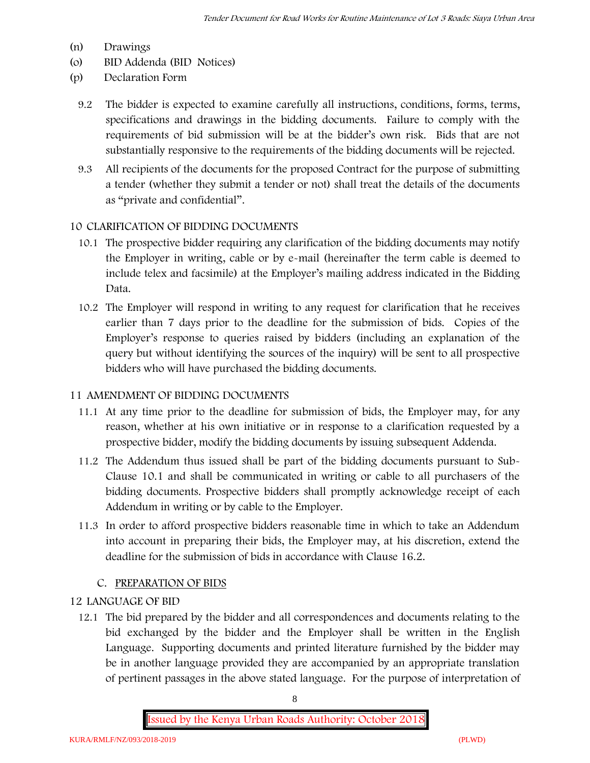- (n) Drawings
- (o) BID Addenda (BID Notices)
- (p) Declaration Form
	- 9.2 The bidder is expected to examine carefully all instructions, conditions, forms, terms, specifications and drawings in the bidding documents. Failure to comply with the requirements of bid submission will be at the bidder's own risk. Bids that are not substantially responsive to the requirements of the bidding documents will be rejected.
	- 9.3 All recipients of the documents for the proposed Contract for the purpose of submitting a tender (whether they submit a tender or not) shall treat the details of the documents as "private and confidential".

#### **10 CLARIFICATION OF BIDDING DOCUMENTS**

- 10.1 The prospective bidder requiring any clarification of the bidding documents may notify the Employer in writing, cable or by e-mail (hereinafter the term cable is deemed to include telex and facsimile) at the Employer's mailing address indicated in the Bidding Data.
- 10.2 The Employer will respond in writing to any request for clarification that he receives earlier than 7 days prior to the deadline for the submission of bids. Copies of the Employer's response to queries raised by bidders (including an explanation of the query but without identifying the sources of the inquiry) will be sent to all prospective bidders who will have purchased the bidding documents.

#### **11 AMENDMENT OF BIDDING DOCUMENTS**

- 11.1 At any time prior to the deadline for submission of bids, the Employer may, for any reason, whether at his own initiative or in response to a clarification requested by a prospective bidder, modify the bidding documents by issuing subsequent Addenda.
- 11.2 The Addendum thus issued shall be part of the bidding documents pursuant to Sub- Clause 10.1 and shall be communicated in writing or cable to all purchasers of the bidding documents. Prospective bidders shall promptly acknowledge receipt of each Addendum in writing or by cable to the Employer.
- 11.3 In order to afford prospective bidders reasonable time in which to take an Addendum into account in preparing their bids, the Employer may, at his discretion, extend the deadline for the submission of bids in accordance with Clause 16.2.

## **C. PREPARATION OF BIDS**

#### **12 LANGUAGE OF BID**

12.1 The bid prepared by the bidder and all correspondences and documents relating to the bid exchanged by the bidder and the Employer shall be written in the English Language. Supporting documents and printed literature furnished by the bidder may be in another language provided they are accompanied by an appropriate translation of pertinent passages in the above stated language. For the purpose of interpretation of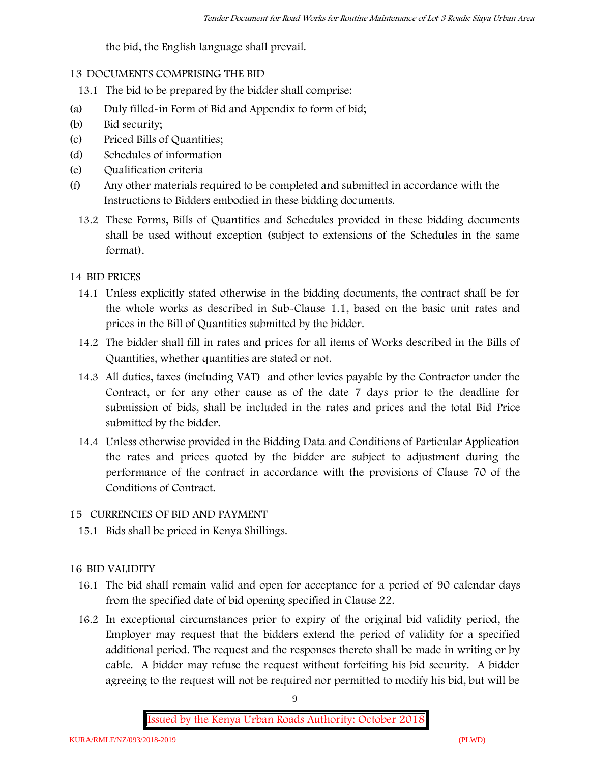the bid, the English language shall prevail.

## **13 DOCUMENTS COMPRISING THE BID**

- 13.1 The bid to be prepared by the bidder shall comprise:
- (a) Duly filled-in Form of Bid and Appendix to form of bid;
- (b) Bid security;
- (c) Priced Bills of Quantities;
- (d) Schedules of information
- (e) Qualification criteria
- (f) Any other materials required to be completed and submitted in accordance with the Instructions to Bidders embodied in these bidding documents.
	- 13.2 These Forms, Bills of Quantities and Schedules provided in these bidding documents shall be used without exception (subject to extensions of the Schedules in the same format).

## **14 BID PRICES**

- 14.1 Unless explicitly stated otherwise in the bidding documents, the contract shall be for the whole works as described in Sub-Clause 1.1, based on the basic unit rates and prices in the Bill of Quantities submitted by the bidder.
- 14.2 The bidder shall fill in rates and prices for all items of Works described in the Bills of Quantities, whether quantities are stated or not.
- 14.3 All duties, taxes (including VAT) and other levies payable by the Contractor under the Contract, or for any other cause as of the date 7 days prior to the deadline for submission of bids, shall be included in the rates and prices and the total Bid Price submitted by the bidder.
- 14.4 Unless otherwise provided in the Bidding Data and Conditions of Particular Application the rates and prices quoted by the bidder are subject to adjustment during the performance of the contract in accordance with the provisions of Clause 70 of the Conditions of Contract.

## **15 CURRENCIES OF BID AND PAYMENT**

15.1 Bids shall be priced in Kenya Shillings.

## **16 BID VALIDITY**

- 16.1 The bid shall remain valid and open for acceptance for a period of 90 calendar days from the specified date of bid opening specified in Clause 22.
- 16.2 In exceptional circumstances prior to expiry of the original bid validity period, the Employer may request that the bidders extend the period of validity for a specified additional period. The request and the responses thereto shall be made in writing or by cable. A bidder may refuse the request without forfeiting his bid security. A bidder agreeing to the request will not be required nor permitted to modify his bid, but will be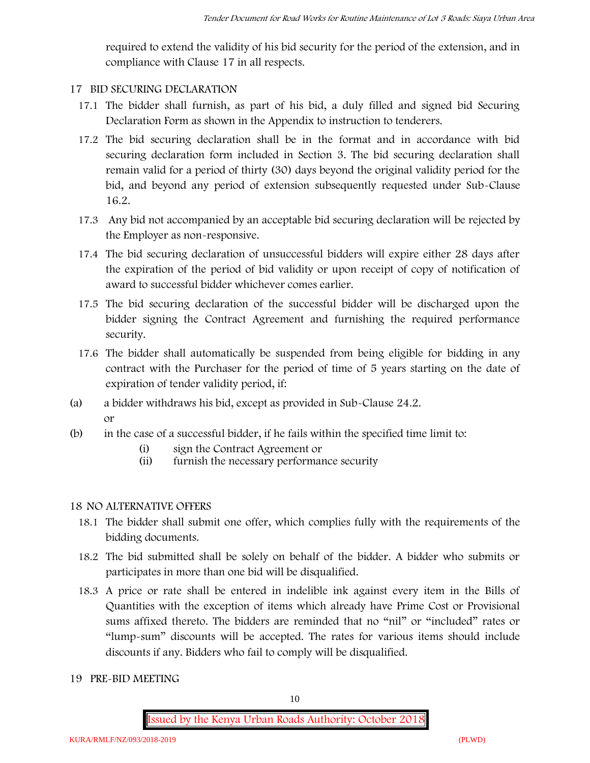required to extend the validity of his bid security for the period of the extension, and in compliance with Clause 17 in all respects.

#### **17 BID SECURING DECLARATION**

- 17.1 The bidder shall furnish, as part of his bid, a duly filled and signed bid Securing Declaration Form as shown in the Appendix to instruction to tenderers.
- 17.2 The bid securing declaration shall be in the format and in accordance with bid securing declaration form included in Section 3. The bid securing declaration shall remain valid for a period of thirty (30) days beyond the original validity period for the bid, and beyond any period of extension subsequently requested under Sub-Clause 16.2.
- 17.3 Any bid not accompanied by an acceptable bid securing declaration will be rejected by the Employer as non-responsive.
- 17.4 The bid securing declaration of unsuccessful bidders will expire either 28 days after the expiration of the period of bid validity or upon receipt of copy of notification of award to successful bidder whichever comes earlier.
- 17.5 The bid securing declaration of the successful bidder will be discharged upon the bidder signing the Contract Agreement and furnishing the required performance security.
- 17.6 The bidder shall automatically be suspended from being eligible for bidding in any contract with the Purchaser for the period of time of 5 years starting on the date of expiration of tender validity period, if:
- (a) a bidder withdraws his bid, except as provided in Sub-Clause 24.2. or
- (b) in the case of a successful bidder, if he fails within the specified time limit to:
	- (i) sign the Contract Agreement or
	- (ii) furnish the necessary performance security

#### **18 NO ALTERNATIVE OFFERS**

- 18.1 The bidder shall submit one offer, which complies fully with the requirements of the bidding documents.
- 18.2 The bid submitted shall be solely on behalf of the bidder. A bidder who submits or participates in more than one bid will be disqualified.
- 18.3 A price or rate shall be entered in indelible ink against every item in the Bills of Quantities with the exception of items which already have Prime Cost or Provisional sums affixed thereto. The bidders are reminded that no "nil" or "included" rates or "lump-sum" discounts will be accepted. The rates for various items should include discounts if any. Bidders who fail to comply will be disqualified.
- **19 PRE-BID MEETING**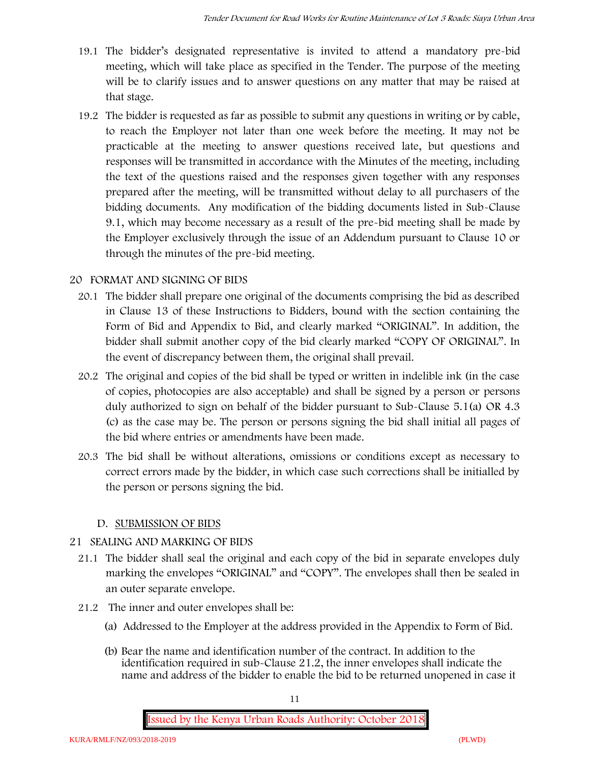- 19.1 The bidder's designated representative is invited to attend a mandatory pre-bid meeting, which will take place as specified in the Tender. The purpose of the meeting will be to clarify issues and to answer questions on any matter that may be raised at that stage.
- 19.2 The bidder is requested as far as possible to submit any questions in writing or by cable, to reach the Employer not later than one week before the meeting. It may not be practicable at the meeting to answer questions received late, but questions and responses will be transmitted in accordance with the Minutes of the meeting, including the text of the questions raised and the responses given together with any responses prepared after the meeting, will be transmitted without delay to all purchasers of the bidding documents. Any modification of the bidding documents listed in Sub-Clause 9.1, which may become necessary as a result of the pre-bid meeting shall be made by the Employer exclusively through the issue of an Addendum pursuant to Clause 10 or through the minutes of the pre-bid meeting.

## **20 FORMAT AND SIGNING OF BIDS**

- 20.1 The bidder shall prepare one original of the documents comprising the bid as described in Clause 13 of these Instructions to Bidders, bound with the section containing the Form of Bid and Appendix to Bid, and clearly marked "ORIGINAL". In addition, the bidder shall submit another copy of the bid clearly marked "COPY OF ORIGINAL". In the event of discrepancy between them, the original shall prevail.
- 20.2 The original and copies of the bid shall be typed or written in indelible ink (in the case of copies, photocopies are also acceptable) and shall be signed by a person or persons duly authorized to sign on behalf of the bidder pursuant to Sub-Clause 5.1(a) OR 4.3 (c) as the case may be. The person or persons signing the bid shall initial all pages of the bid where entries or amendments have been made.
- 20.3 The bid shall be without alterations, omissions or conditions except as necessary to correct errors made by the bidder, in which case such corrections shall be initialled by the person or persons signing the bid.

#### **D. SUBMISSION OF BIDS**

#### **21 SEALING AND MARKING OF BIDS**

- 21.1 The bidder shall seal the original and each copy of the bid in separate envelopes duly marking the envelopes "ORIGINAL" and "COPY". The envelopes shall then be sealed in an outer separate envelope.
- 21.2 The inner and outer envelopes shall be:
	- (a) Addressed to the Employer at the address provided in the Appendix to Form of Bid.
	- (b) Bear the name and identification number of the contract. In addition to the identification required in sub-Clause 21.2, the inner envelopes shall indicate the name and address of the bidder to enable the bid to be returned unopened in case it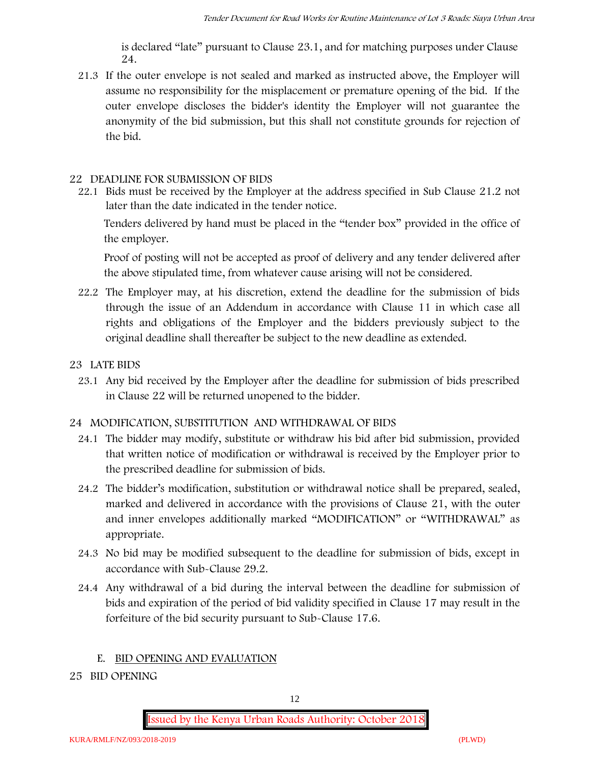is declared "late" pursuant to Clause 23.1, and for matching purposes under Clause 24.

21.3 If the outer envelope is not sealed and marked as instructed above, the Employer will assume no responsibility for the misplacement or premature opening of the bid. If the outer envelope discloses the bidder's identity the Employer will not guarantee the anonymity of the bid submission, but this shall not constitute grounds for rejection of the bid.

#### **22 DEADLINE FOR SUBMISSION OF BIDS**

22.1 Bids must be received by the Employer at the address specified in Sub Clause 21.2 not later than **the date indicated in the tender notice.**

Tenders delivered by hand must be placed in the "tender box" provided in the office of the employer.

Proof of posting will not be accepted as proof of delivery and any tender delivered after the above stipulated time, from whatever cause arising will not be considered.

- 22.2 The Employer may, at his discretion, extend the deadline for the submission of bids through the issue of an Addendum in accordance with Clause 11 in which case all rights and obligations of the Employer and the bidders previously subject to the original deadline shall thereafter be subject to the new deadline as extended.
- **23 LATE BIDS**
	- 23.1 Any bid received by the Employer after the deadline for submission of bids prescribed in Clause 22 will be returned unopened to the bidder.

#### **24 MODIFICATION, SUBSTITUTION AND WITHDRAWAL OF BIDS**

- 24.1 The bidder may modify, substitute or withdraw his bid after bid submission, provided that written notice of modification or withdrawal is received by the Employer prior to the prescribed deadline for submission of bids.
- 24.2 The bidder's modification, substitution or withdrawal notice shall be prepared, sealed, marked and delivered in accordance with the provisions of Clause 21, with the outer and inner envelopes additionally marked "MODIFICATION" or "WITHDRAWAL" as appropriate.
- 24.3 No bid may be modified subsequent to the deadline for submission of bids, except in accordance with Sub-Clause 29.2.
- 24.4 Any withdrawal of a bid during the interval between the deadline for submission of bids and expiration of the period of bid validity specified in Clause 17 may result in the forfeiture of the bid security pursuant to Sub-Clause 17.6.

#### **E. BID OPENING AND EVALUATION**

**25 BID OPENING**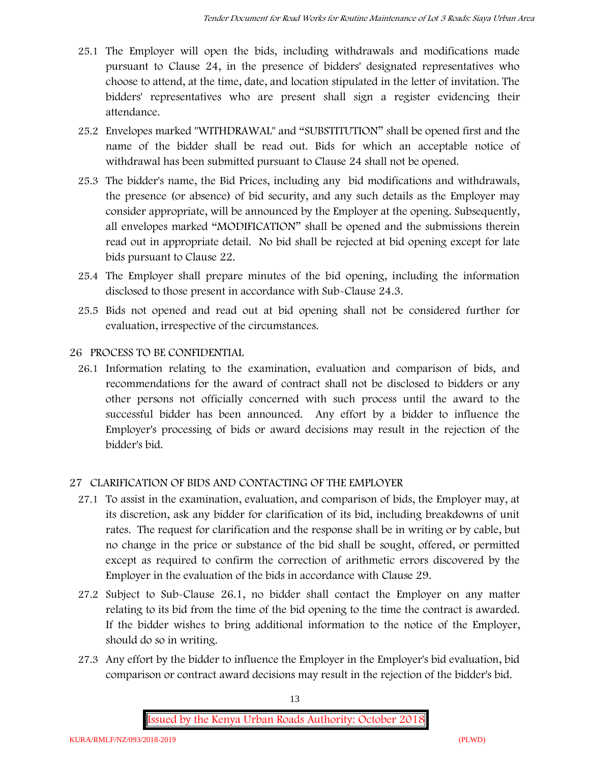- 25.1 The Employer will open the bids, including withdrawals and modifications made pursuant to Clause 24, in the presence of bidders' designated representatives who choose to attend, at the time, date, and location stipulated in the letter of invitation. The bidders' representatives who are present shall sign a register evidencing their attendance.
- 25.2 Envelopes marked "WITHDRAWAL" and "SUBSTITUTION" shall be opened first and the name of the bidder shall be read out. Bids for which an acceptable notice of withdrawal has been submitted pursuant to Clause 24 shall not be opened.
- 25.3 The bidder's name, the Bid Prices, including any bid modifications and withdrawals, the presence (or absence) of bid security, and any such details as the Employer may consider appropriate, will be announced by the Employer at the opening. Subsequently, all envelopes marked "MODIFICATION" shall be opened and the submissions therein read out in appropriate detail. No bid shall be rejected at bid opening except for late bids pursuant to Clause 22.
- 25.4 The Employer shall prepare minutes of the bid opening, including the information disclosed to those present in accordance with Sub-Clause 24.3.
- 25.5 Bids not opened and read out at bid opening shall not be considered further for evaluation, irrespective of the circumstances.

## **26 PROCESS TO BE CONFIDENTIAL**

26.1 Information relating to the examination, evaluation and comparison of bids, and recommendations for the award of contract shall not be disclosed to bidders or any other persons not officially concerned with such process until the award to the successful bidder has been announced. Any effort by a bidder to influence the Employer's processing of bids or award decisions may result in the rejection of the bidder's bid.

## **27 CLARIFICATION OF BIDS AND CONTACTING OF THE EMPLOYER**

- 27.1 To assist in the examination, evaluation, and comparison of bids, the Employer may, at its discretion, ask any bidder for clarification of its bid, including breakdowns of unit rates. The request for clarification and the response shall be in writing or by cable, but no change in the price or substance of the bid shall be sought, offered, or permitted except as required to confirm the correction of arithmetic errors discovered by the Employer in the evaluation of the bids in accordance with Clause 29.
- 27.2 Subject to Sub-Clause 26.1, no bidder shall contact the Employer on any matter relating to its bid from the time of the bid opening to the time the contract is awarded. If the bidder wishes to bring additional information to the notice of the Employer, should do so in writing.
- 27.3 Any effort by the bidder to influence the Employer in the Employer's bid evaluation, bid comparison or contract award decisions may result in the rejection of the bidder's bid.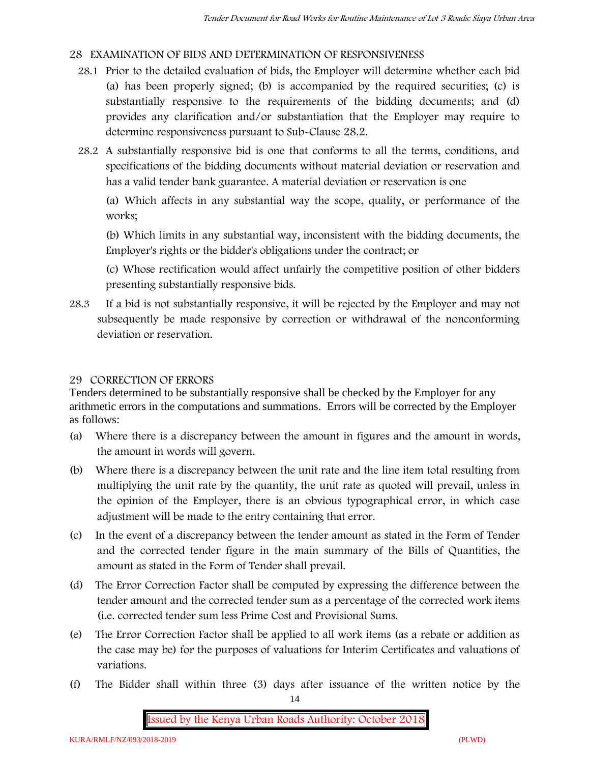## **28 EXAMINATION OF BIDS AND DETERMINATION OF RESPONSIVENESS**

- 28.1 Prior to the detailed evaluation of bids, the Employer will determine whether each bid (a) has been properly signed; (b) is accompanied by the required securities; (c) is substantially responsive to the requirements of the bidding documents; and (d) provides any clarification and/or substantiation that the Employer may require to determine responsiveness pursuant to Sub-Clause 28.2.
- 28.2 A substantially responsive bid is one that conforms to all the terms, conditions, and specifications of the bidding documents without material deviation or reservation and has a valid tender bank guarantee. A material deviation or reservation is one

(a) Which affects in any substantial way the scope, quality, or performance of the works;

(b) Which limits in any substantial way, inconsistent with the bidding documents, the Employer's rights or the bidder's obligations under the contract; or

(c) Whose rectification would affect unfairly the competitive position of other bidders presenting substantially responsive bids.

28.3 If a bid is not substantially responsive, it will be rejected by the Employer and may not subsequently be made responsive by correction or withdrawal of the nonconforming deviation or reservation.

#### **29 CORRECTION OF ERRORS**

Tenders determined to be substantially responsive shall be checked by the Employer for any arithmetic errors in the computations and summations. Errors will be corrected by the Employer as follows:

- (a) Where there is a discrepancy between the amount in figures and the amount in words, the amount in words will govern.
- (b) Where there is a discrepancy between the unit rate and the line item total resulting from multiplying the unit rate by the quantity, the unit rate as quoted will prevail, unless in the opinion of the Employer, there is an obvious typographical error, in which case adjustment will be made to the entry containing that error.
- (c) In the event of a discrepancy between the tender amount as stated in the Form of Tender and the corrected tender figure in the main summary of the Bills of Quantities, the amount as stated in the Form of Tender shall prevail.
- (d) The Error Correction Factor shall be computed by expressing the difference between the tender amount and the corrected tender sum as a percentage of the corrected work items (i.e. corrected tender sum less Prime Cost and Provisional Sums.
- (e) The Error Correction Factor shall be applied to all work items (as a rebate or addition as the case may be) for the purposes of valuations for Interim Certificates and valuations of variations.
- (f) The Bidder shall within three (3) days after issuance of the written notice by the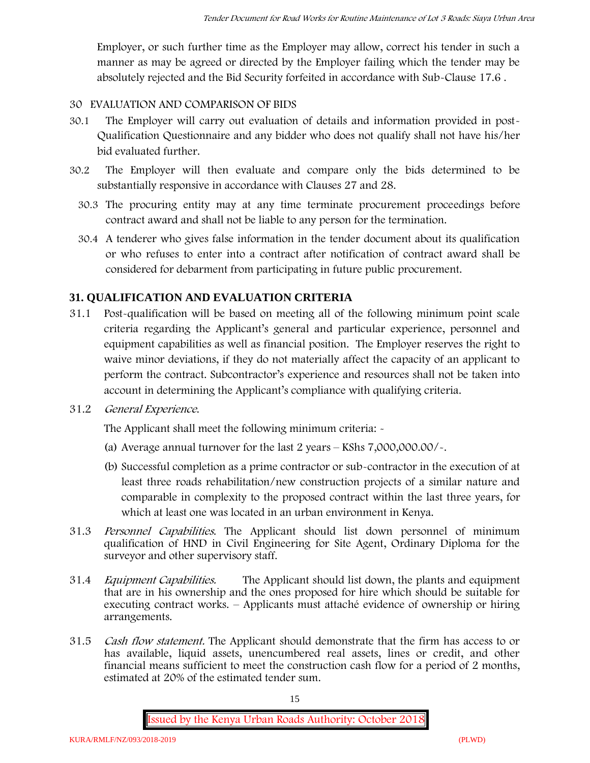Employer, or such further time as the Employer may allow, correct his tender in such a manner as may be agreed or directed by the Employer failing which the tender may be absolutely rejected and the Bid Security forfeited in accordance with Sub-Clause 17.6 .

#### **30 EVALUATION AND COMPARISON OF BIDS**

- 30.1 The Employer will carry out evaluation of details and information provided in post- Qualification Questionnaire and any bidder who does not qualify shall not have his/her bid evaluated further.
- 30.2 The Employer will then evaluate and compare only the bids determined to be substantially responsive in accordance with Clauses 27 and 28.
	- 30.3 The procuring entity may at any time terminate procurement proceedings before contract award and shall not be liable to any person for the termination.
	- 30.4 A tenderer who gives false information in the tender document about its qualification or who refuses to enter into a contract after notification of contract award shall be considered for debarment from participating in future public procurement.

## **31. QUALIFICATION AND EVALUATION CRITERIA**

- 31.1 Post-qualification will be based on meeting all of the following minimum point scale criteria regarding the Applicant's general and particular experience, personnel and equipment capabilities as well as financial position. The Employer reserves the right to waive minor deviations, if they do not materially affect the capacity of an applicant to perform the contract. Subcontractor's experience and resources shall not be taken into account in determining the Applicant's compliance with qualifying criteria.
- **31.2** *General Experience***.**

The Applicant shall meet the following minimum criteria: -

- (a) Average annual turnover for the last 2 years **KShs 7,000,000.00/-.**
- (b) Successful completion as a prime contractor or sub-contractor in the execution of at least three roads rehabilitation/new construction projects of a similar nature and comparable in complexity to the proposed contract within the last three years, for which at least one was located in an urban environment in Kenya.
- 31.3 *Personnel Capabilities***.** The Applicant should list down personnel of minimum qualification of HND in Civil Engineering for Site Agent, Ordinary Diploma for the surveyor and other supervisory staff.
- 31.4 *Equipment Capabilities.* The Applicant should list down, the plants and equipment that are in his ownership and the ones proposed for hire which should be suitable for executing contract works. – Applicants must attaché evidence of ownership or hiring arrangements.
- 31.5 *Cash flow statement.* The Applicant should demonstrate that the firm has access to or has available, liquid assets, unencumbered real assets, lines or credit, and other financial means sufficient to meet the construction cash flow for a period of 2 months, estimated at 20% of the estimated tender sum.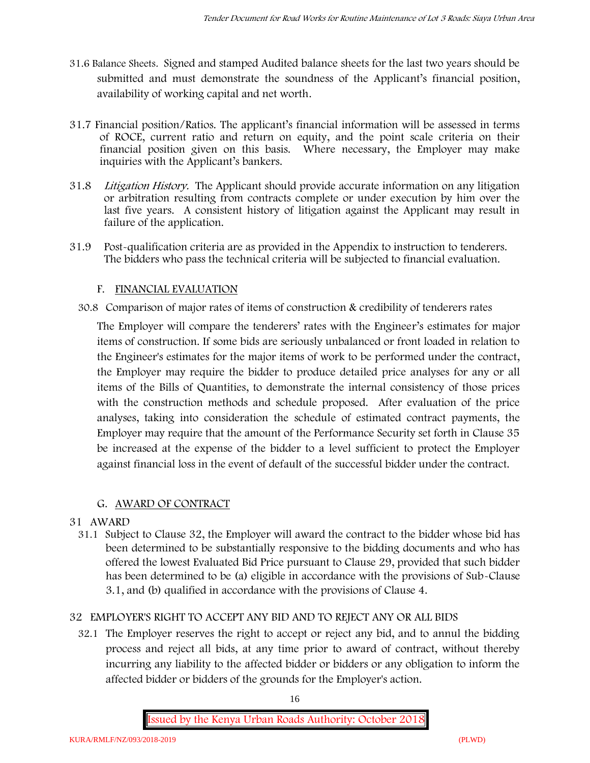- **31.6 Balance Sheets***.* Signed and stamped Audited balance sheets for the last two years should be submitted and must demonstrate the soundness of the Applicant's financial position, availability of working capital and net worth.
- **31.7 Financial position/Ratios.** The applicant's financial information will be assessed in terms of ROCE, current ratio and return on equity, and the point scale criteria on their financial position given on this basis. Where necessary, the Employer may make inquiries with the Applicant's bankers.
- 31.8 *Litigation History.* The Applicant should provide accurate information on any litigation or arbitration resulting from contracts complete or under execution by him over the last five years. A consistent history of litigation against the Applicant may result in failure of the application.
- 31.9 Post-qualification criteria are as provided in the Appendix to instruction to tenderers. The bidders who pass the technical criteria will be subjected to financial evaluation.

## **F. FINANCIAL EVALUATION**

30.8 Comparison of major rates of items of construction & credibility of tenderers rates

The Employer will compare the tenderers' rates with the Engineer's estimates for major items of construction. If some bids are seriously unbalanced or front loaded in relation to the Engineer's estimates for the major items of work to be performed under the contract, the Employer may require the bidder to produce detailed price analyses for any or all items of the Bills of Quantities, to demonstrate the internal consistency of those prices with the construction methods and schedule proposed. After evaluation of the price analyses, taking into consideration the schedule of estimated contract payments, the Employer may require that the amount of the Performance Security set forth in Clause 35 be increased at the expense of the bidder to a level sufficient to protect the Employer against financial loss in the event of default of the successful bidder under the contract.

## **G. AWARD OF CONTRACT**

## **31 AWARD**

31.1 Subject to Clause 32, the Employer will award the contract to the bidder whose bid has been determined to be substantially responsive to the bidding documents and who has offered the lowest Evaluated Bid Price pursuant to Clause 29, provided that such bidder has been determined to be (a) eligible in accordance with the provisions of Sub-Clause 3.1, and (b) qualified in accordance with the provisions of Clause 4.

## **32 EMPLOYER'S RIGHT TO ACCEPT ANY BID AND TO REJECT ANY OR ALL BIDS**

32.1 The Employer reserves the right to accept or reject any bid, and to annul the bidding process and reject all bids, at any time prior to award of contract, without thereby incurring any liability to the affected bidder or bidders or any obligation to inform the affected bidder or bidders of the grounds for the Employer's action.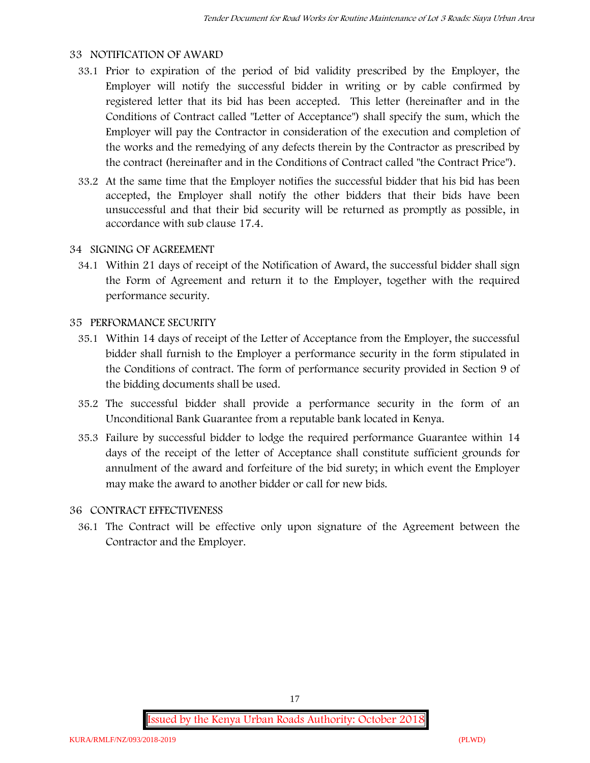#### **33 NOTIFICATION OF AWARD**

- 33.1 Prior to expiration of the period of bid validity prescribed by the Employer, the Employer will notify the successful bidder in writing or by cable confirmed by registered letter that its bid has been accepted. This letter (hereinafter and in the Conditions of Contract called "Letter of Acceptance") shall specify the sum, which the Employer will pay the Contractor in consideration of the execution and completion of the works and the remedying of any defects therein by the Contractor as prescribed by the contract (hereinafter and in the Conditions of Contract called "the Contract Price").
- 33.2 At the same time that the Employer notifies the successful bidder that his bid has been accepted, the Employer shall notify the other bidders that their bids have been unsuccessful and that their bid security will be returned as promptly as possible, in accordance with sub clause 17.4.

#### **34 SIGNING OF AGREEMENT**

34.1 Within 21 days of receipt of the Notification of Award, the successful bidder shall sign the Form of Agreement and return it to the Employer, together with the required performance security.

#### **35 PERFORMANCE SECURITY**

- 35.1 Within 14 days of receipt of the Letter of Acceptance from the Employer, the successful bidder shall furnish to the Employer a performance security in the form stipulated in the Conditions of contract. The form of performance security provided in Section 9 of the bidding documents shall be used.
- 35.2 The successful bidder shall provide a performance security in the form of an Unconditional Bank Guarantee from a reputable bank located in Kenya.
- 35.3 Failure by successful bidder to lodge the required performance Guarantee within 14 days of the receipt of the letter of Acceptance shall constitute sufficient grounds for annulment of the award and forfeiture of the bid surety; in which event the Employer may make the award to another bidder or call for new bids.

#### **36 CONTRACT EFFECTIVENESS**

36.1 The Contract will be effective only upon signature of the Agreement between the Contractor and the Employer.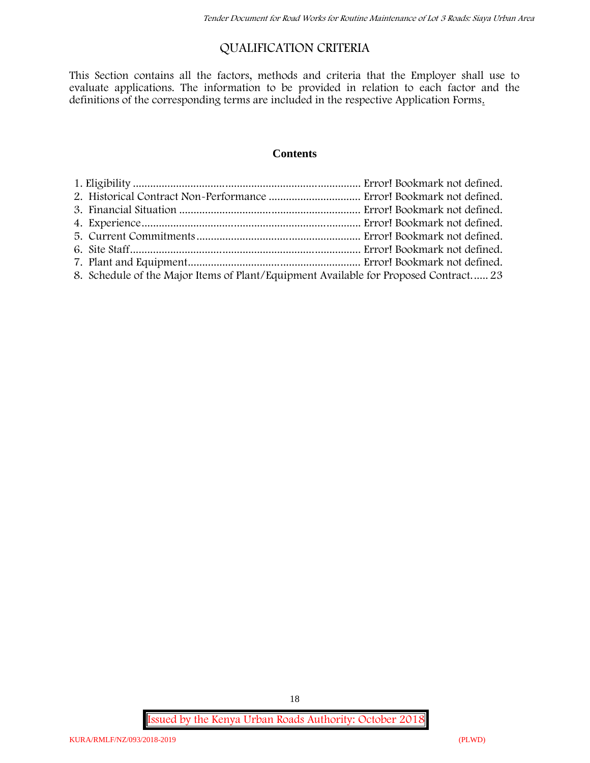## **QUALIFICATION CRITERIA**

This Section contains all the factors, methods and criteria that the Employer shall use to evaluate applications. The information to be provided in relation to each factor and the definitions of the corresponding terms are included in the respective Application Forms.

#### **Contents**

| 8. Schedule of the Major Items of Plant/Equipment Available for Proposed Contract 23 |  |
|--------------------------------------------------------------------------------------|--|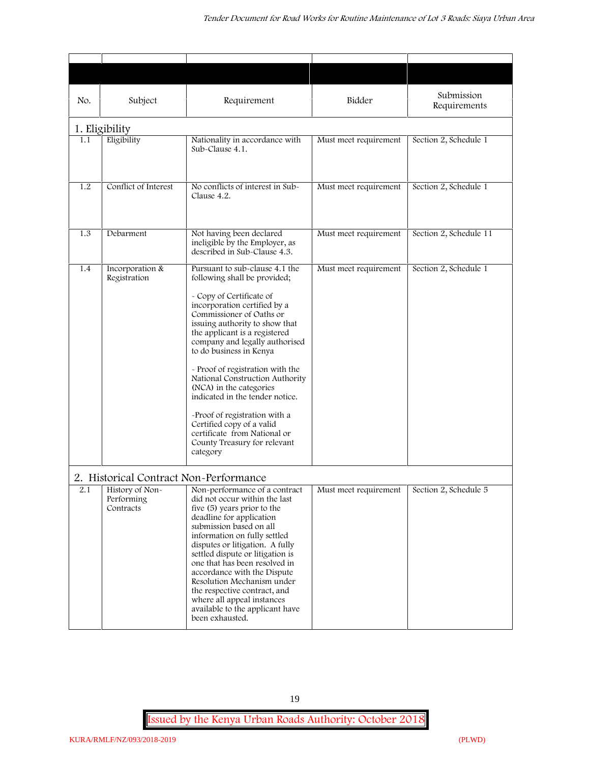| No. | Subject                                                                              | Requirement                                                                                                                                                                                                                                                                                                                                                                                                                                                                                                                                                           | Bidder                | Submission<br>Requirements |
|-----|--------------------------------------------------------------------------------------|-----------------------------------------------------------------------------------------------------------------------------------------------------------------------------------------------------------------------------------------------------------------------------------------------------------------------------------------------------------------------------------------------------------------------------------------------------------------------------------------------------------------------------------------------------------------------|-----------------------|----------------------------|
|     | 1. Eligibility                                                                       |                                                                                                                                                                                                                                                                                                                                                                                                                                                                                                                                                                       |                       |                            |
| 1.1 | Eligibility                                                                          | Nationality in accordance with<br>Sub-Clause 4.1.                                                                                                                                                                                                                                                                                                                                                                                                                                                                                                                     | Must meet requirement | Section 2, Schedule 1      |
| 1.2 | Conflict of Interest                                                                 | No conflicts of interest in Sub-<br>Clause 4.2.                                                                                                                                                                                                                                                                                                                                                                                                                                                                                                                       | Must meet requirement | Section 2, Schedule 1      |
| 1.3 | Debarment                                                                            | Not having been declared<br>ineligible by the Employer, as<br>described in Sub-Clause 4.3.                                                                                                                                                                                                                                                                                                                                                                                                                                                                            | Must meet requirement | Section 2, Schedule 11     |
| 1.4 | Incorporation &<br>Registration                                                      | Pursuant to sub-clause 4.1 the<br>following shall be provided;<br>- Copy of Certificate of<br>incorporation certified by a<br>Commissioner of Oaths or<br>issuing authority to show that<br>the applicant is a registered<br>company and legally authorised<br>to do business in Kenya<br>- Proof of registration with the<br>National Construction Authority<br>(NCA) in the categories<br>indicated in the tender notice.<br>-Proof of registration with a<br>Certified copy of a valid<br>certificate from National or<br>County Treasury for relevant<br>category | Must meet requirement | Section 2, Schedule 1      |
| 2.1 | 2. Historical Contract Non-Performance<br>History of Non-<br>Performing<br>Contracts | Non-performance of a contract<br>did not occur within the last<br>five (5) years prior to the<br>deadline for application<br>submission based on all<br>information on fully settled<br>disputes or litigation. A fully<br>settled dispute or litigation is<br>one that has been resolved in<br>accordance with the Dispute<br>Resolution Mechanism under<br>the respective contract, and<br>where all appeal instances<br>available to the applicant have<br>been exhausted.                                                                                         | Must meet requirement | Section 2, Schedule 5      |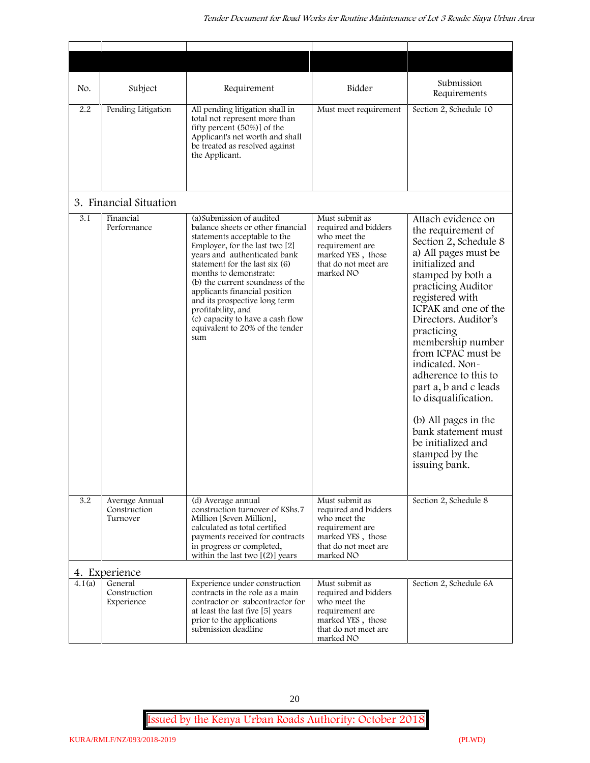| No.    | Subject                                    | Requirement                                                                                                                                                                                                                                                                                                                                                                                                                            | Bidder                                                                                                                              | Submission<br>Requirements                                                                                                                                                                                                                                                                                                                                                                                                                                                              |
|--------|--------------------------------------------|----------------------------------------------------------------------------------------------------------------------------------------------------------------------------------------------------------------------------------------------------------------------------------------------------------------------------------------------------------------------------------------------------------------------------------------|-------------------------------------------------------------------------------------------------------------------------------------|-----------------------------------------------------------------------------------------------------------------------------------------------------------------------------------------------------------------------------------------------------------------------------------------------------------------------------------------------------------------------------------------------------------------------------------------------------------------------------------------|
| 2.2    | Pending Litigation                         | All pending litigation shall in<br>total not represent more than<br>fifty percent (50%)] of the<br>Applicant's net worth and shall<br>be treated as resolved against<br>the Applicant.                                                                                                                                                                                                                                                 | Must meet requirement                                                                                                               | Section 2, Schedule 10                                                                                                                                                                                                                                                                                                                                                                                                                                                                  |
|        | 3. Financial Situation                     |                                                                                                                                                                                                                                                                                                                                                                                                                                        |                                                                                                                                     |                                                                                                                                                                                                                                                                                                                                                                                                                                                                                         |
| 3.1    | Financial<br>Performance                   | (a) Submission of audited<br>balance sheets or other financial<br>statements acceptable to the<br>Employer, for the last two [2]<br>years and authenticated bank<br>statement for the last six (6)<br>months to demonstrate:<br>(b) the current soundness of the<br>applicants financial position<br>and its prospective long term<br>profitability, and<br>(c) capacity to have a cash flow<br>equivalent to 20% of the tender<br>sum | Must submit as<br>required and bidders<br>who meet the<br>requirement are<br>marked YES, those<br>that do not meet are<br>marked NO | Attach evidence on<br>the requirement of<br>Section 2, Schedule 8<br>a) All pages must be<br>initialized and<br>stamped by both a<br>practicing Auditor<br>registered with<br>ICPAK and one of the<br>Directors. Auditor's<br>practicing<br>membership number<br>from ICPAC must be<br>indicated. Non-<br>adherence to this to<br>part a, b and c leads<br>to disqualification.<br>(b) All pages in the<br>bank statement must<br>be initialized and<br>stamped by the<br>issuing bank. |
| 3.2    | Average Annual<br>Construction<br>Turnover | (d) Average annual<br>construction turnover of KShs.7<br>Million [Seven Million],<br>calculated as total certified<br>payments received for contracts<br>in progress or completed,<br>within the last two $[(2)]$ years                                                                                                                                                                                                                | Must submit as<br>required and bidders<br>who meet the<br>requirement are<br>marked YES, those<br>that do not meet are<br>marked NO | Section 2, Schedule 8                                                                                                                                                                                                                                                                                                                                                                                                                                                                   |
|        | 4. Experience                              |                                                                                                                                                                                                                                                                                                                                                                                                                                        |                                                                                                                                     |                                                                                                                                                                                                                                                                                                                                                                                                                                                                                         |
| 4.1(a) | General<br>Construction<br>Experience      | Experience under construction<br>contracts in the role as a main<br>contractor or subcontractor for<br>at least the last five [5] years<br>prior to the applications<br>submission deadline                                                                                                                                                                                                                                            | Must submit as<br>required and bidders<br>who meet the<br>requirement are<br>marked YES, those<br>that do not meet are<br>marked NO | Section 2, Schedule 6A                                                                                                                                                                                                                                                                                                                                                                                                                                                                  |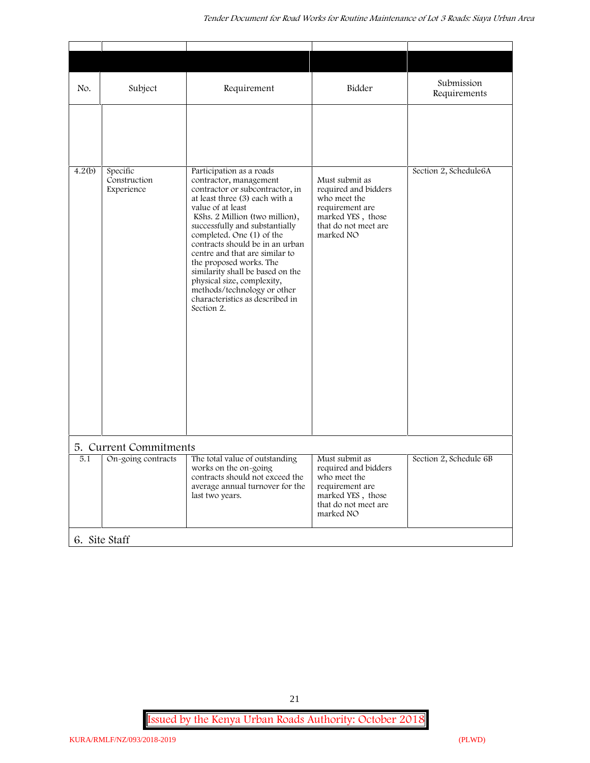| No.    | Subject                                | Requirement                                                                                                                                                                                                                                                                                                                                                                                                                                                                                     | Bidder                                                                                                                              | Submission<br>Requirements |
|--------|----------------------------------------|-------------------------------------------------------------------------------------------------------------------------------------------------------------------------------------------------------------------------------------------------------------------------------------------------------------------------------------------------------------------------------------------------------------------------------------------------------------------------------------------------|-------------------------------------------------------------------------------------------------------------------------------------|----------------------------|
|        |                                        |                                                                                                                                                                                                                                                                                                                                                                                                                                                                                                 |                                                                                                                                     |                            |
| 4.2(b) | Specific<br>Construction<br>Experience | Participation as a roads<br>contractor, management<br>contractor or subcontractor, in<br>at least three (3) each with a<br>value of at least<br>KShs. 2 Million (two million),<br>successfully and substantially<br>completed. One (1) of the<br>contracts should be in an urban<br>centre and that are similar to<br>the proposed works. The<br>similarity shall be based on the<br>physical size, complexity,<br>methods/technology or other<br>characteristics as described in<br>Section 2. | Must submit as<br>required and bidders<br>who meet the<br>requirement are<br>marked YES, those<br>that do not meet are<br>marked NO | Section 2, Schedule6A      |
|        | 5. Current Commitments                 |                                                                                                                                                                                                                                                                                                                                                                                                                                                                                                 |                                                                                                                                     |                            |
| 5.1    | On-going contracts                     | The total value of outstanding<br>works on the on-going<br>contracts should not exceed the<br>average annual turnover for the<br>last two years.                                                                                                                                                                                                                                                                                                                                                | Must submit as<br>required and bidders<br>who meet the<br>requirement are<br>marked YES, those<br>that do not meet are<br>marked NO | Section 2, Schedule 6B     |
|        | 6. Site Staff                          |                                                                                                                                                                                                                                                                                                                                                                                                                                                                                                 |                                                                                                                                     |                            |

21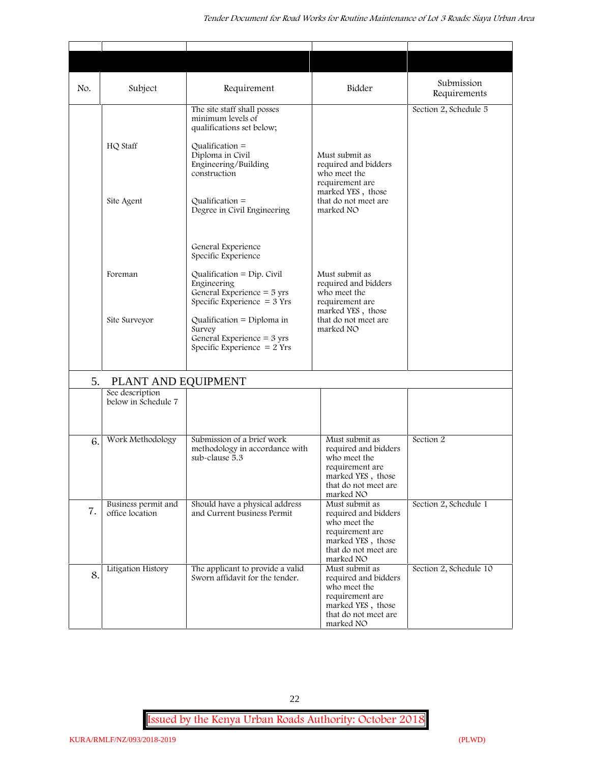| No. | Subject                                | Requirement                                                                                                   | Bidder                                                                                                                              | Submission                            |
|-----|----------------------------------------|---------------------------------------------------------------------------------------------------------------|-------------------------------------------------------------------------------------------------------------------------------------|---------------------------------------|
|     |                                        | The site staff shall posses<br>minimum levels of<br>qualifications set below;                                 |                                                                                                                                     | Requirements<br>Section 2, Schedule 5 |
|     | HQ Staff                               | Qualification $=$<br>Diploma in Civil<br>Engineering/Building<br>construction                                 | Must submit as<br>required and bidders<br>who meet the<br>requirement are                                                           |                                       |
|     | Site Agent                             | $Qualification =$<br>Degree in Civil Engineering                                                              | marked YES, those<br>that do not meet are<br>marked NO                                                                              |                                       |
|     | Foreman                                | General Experience<br>Specific Experience                                                                     | Must submit as                                                                                                                      |                                       |
|     |                                        | Qualification = $Dip$ . Civil<br>Engineering<br>General Experience $=$ 5 yrs<br>Specific Experience $=$ 3 Yrs | required and bidders<br>who meet the<br>requirement are<br>marked YES, those                                                        |                                       |
|     | Site Surveyor                          | Qualification = Diploma in<br>Survey<br>General Experience $=$ 3 yrs<br>Specific Experience $= 2$ Yrs         | that do not meet are<br>marked NO                                                                                                   |                                       |
| 5.  | PLANT AND EQUIPMENT                    |                                                                                                               |                                                                                                                                     |                                       |
|     | See description<br>below in Schedule 7 |                                                                                                               |                                                                                                                                     |                                       |
| 6.  | Work Methodology                       | Submission of a brief work<br>methodology in accordance with<br>sub-clause 5.3                                | Must submit as<br>required and bidders<br>who meet the<br>requirement are<br>marked YES, those<br>that do not meet are<br>marked NO | Section 2                             |
| 7.  | Business permit and<br>office location | Should have a physical address<br>and Current business Permit                                                 | Must submit as<br>required and bidders<br>who meet the<br>requirement are<br>marked YES, those<br>that do not meet are<br>marked NO | Section 2, Schedule 1                 |
| 8.  | Litigation History                     | The applicant to provide a valid<br>Sworn affidavit for the tender.                                           | Must submit as<br>required and bidders<br>who meet the<br>requirement are<br>marked YES, those<br>that do not meet are<br>marked NO | Section 2, Schedule 10                |

22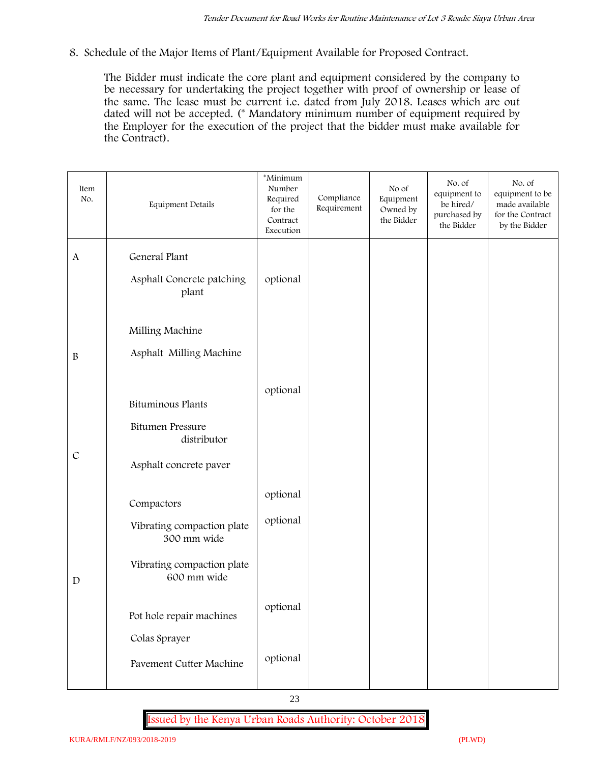**8. Schedule of the Major Items of Plant/Equipment Available for Proposed Contract.**

The Bidder must indicate the core plant and equipment considered by the company to be necessary for undertaking the project together with proof of ownership or lease of the same. The lease must be current i.e. dated from July 2018. Leases which are out dated will not be accepted. (\* Mandatory minimum number of equipment required by the Employer for the execution of the project that the bidder must make available for the Contract).

| Item<br>No.      | Equipment Details                                                                                    | *Minimum<br>Number<br>Required<br>for the<br>Contract<br>Execution | Compliance<br>Requirement | No of<br>Equipment<br>Owned by<br>the Bidder | No. of<br>equipment to<br>be hired/<br>purchased by<br>the Bidder | No. of<br>equipment to be<br>made available<br>for the Contract<br>by the Bidder |
|------------------|------------------------------------------------------------------------------------------------------|--------------------------------------------------------------------|---------------------------|----------------------------------------------|-------------------------------------------------------------------|----------------------------------------------------------------------------------|
| $\mathbf{A}$     | General Plant<br>Asphalt Concrete patching<br>plant                                                  | optional                                                           |                           |                                              |                                                                   |                                                                                  |
| $\boldsymbol{B}$ | Milling Machine<br>Asphalt Milling Machine                                                           |                                                                    |                           |                                              |                                                                   |                                                                                  |
| $\mathcal{C}$    | Bituminous Plants<br><b>Bitumen Pressure</b><br>distributor<br>Asphalt concrete paver                | optional                                                           |                           |                                              |                                                                   |                                                                                  |
| $\mathbf D$      | Compactors<br>Vibrating compaction plate<br>300 mm wide<br>Vibrating compaction plate<br>600 mm wide | optional<br>optional                                               |                           |                                              |                                                                   |                                                                                  |
|                  | Pot hole repair machines<br>Colas Sprayer<br><b>Pavement Cutter Machine</b>                          | optional<br>optional                                               |                           |                                              |                                                                   |                                                                                  |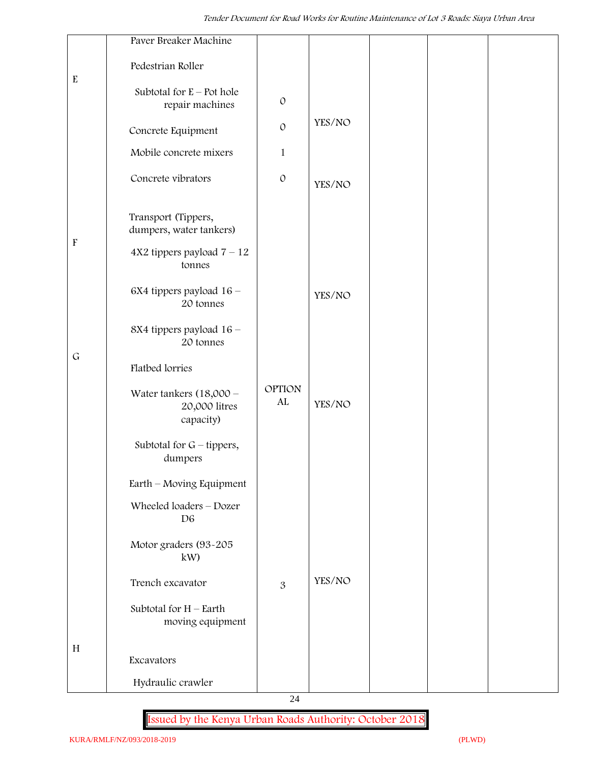|                           | Paver Breaker Machine                                   |                     |        |  |  |
|---------------------------|---------------------------------------------------------|---------------------|--------|--|--|
| $\rm E$                   | Pedestrian Roller                                       |                     |        |  |  |
|                           | Subtotal for $E -$ Pot hole<br>repair machines          | $\mathcal{O}$       |        |  |  |
|                           | Concrete Equipment                                      | $\mathcal{O}$       | YES/NO |  |  |
|                           | Mobile concrete mixers                                  | $\mathbf{1}$        |        |  |  |
|                           | Concrete vibrators                                      | $\mathcal O$        | YES/NO |  |  |
|                           | Transport (Tippers,<br>dumpers, water tankers)          |                     |        |  |  |
| $\boldsymbol{\mathrm{F}}$ | $4X2$ tippers payload $7 - 12$<br>tonnes                |                     |        |  |  |
|                           | 6X4 tippers payload 16 -<br>20 tonnes                   |                     | YES/NO |  |  |
|                           | 8X4 tippers payload 16 -<br>20 tonnes                   |                     |        |  |  |
| $\mathsf G$               | Flatbed lorries                                         |                     |        |  |  |
|                           | Water tankers $(18,000 -$<br>20,000 litres<br>capacity) | <b>OPTION</b><br>AL | YES/NO |  |  |
|                           | Subtotal for $G$ – tippers,<br>dumpers                  |                     |        |  |  |
|                           | Earth – Moving Equipment                                |                     |        |  |  |
|                           | Wheeled loaders - Dozer<br>D <sub>6</sub>               |                     |        |  |  |
|                           | Motor graders (93-205<br>kW)                            |                     |        |  |  |
|                           | Trench excavator                                        | 3                   | YES/NO |  |  |
|                           | Subtotal for $H$ – Earth<br>moving equipment            |                     |        |  |  |
| H                         | Excavators                                              |                     |        |  |  |
|                           | Hydraulic crawler                                       |                     |        |  |  |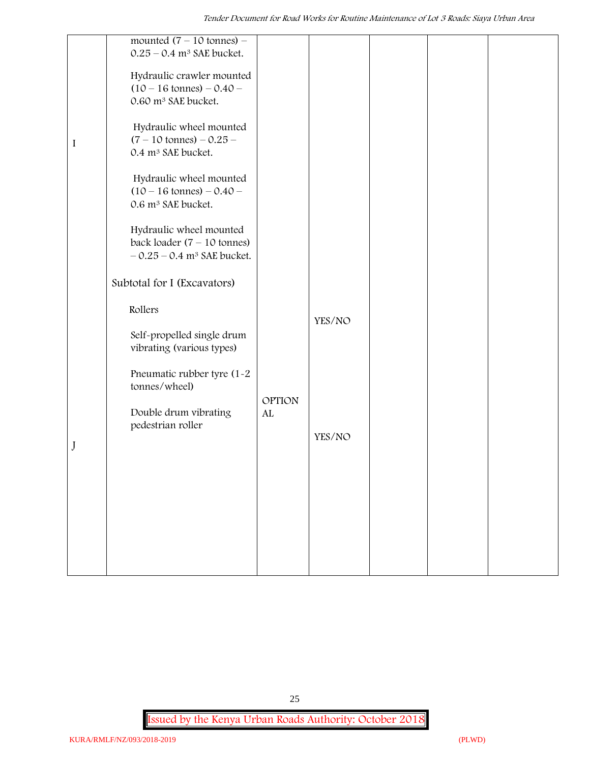|             | mounted $(7 - 10 \text{ tonnes})$ –      |               |        |  |  |
|-------------|------------------------------------------|---------------|--------|--|--|
|             | $0.25 - 0.4$ m <sup>3</sup> SAE bucket.  |               |        |  |  |
|             |                                          |               |        |  |  |
|             | Hydraulic crawler mounted                |               |        |  |  |
|             | $(10 - 16 \text{ tonnes}) - 0.40 -$      |               |        |  |  |
|             | 0.60 m <sup>3</sup> SAE bucket.          |               |        |  |  |
|             |                                          |               |        |  |  |
|             | Hydraulic wheel mounted                  |               |        |  |  |
| $\mathbf I$ | $(7 - 10 \text{ tonnes}) - 0.25 -$       |               |        |  |  |
|             | 0.4 m <sup>3</sup> SAE bucket.           |               |        |  |  |
|             | Hydraulic wheel mounted                  |               |        |  |  |
|             | $(10 - 16 \text{ tonnes}) - 0.40 -$      |               |        |  |  |
|             | 0.6 m <sup>3</sup> SAE bucket.           |               |        |  |  |
|             |                                          |               |        |  |  |
|             | Hydraulic wheel mounted                  |               |        |  |  |
|             | back loader $(7 - 10$ tonnes)            |               |        |  |  |
|             | $-0.25 - 0.4$ m <sup>3</sup> SAE bucket. |               |        |  |  |
|             |                                          |               |        |  |  |
|             | Subtotal for I (Excavators)              |               |        |  |  |
|             |                                          |               |        |  |  |
|             | Rollers                                  |               |        |  |  |
|             |                                          |               | YES/NO |  |  |
|             | Self-propelled single drum               |               |        |  |  |
|             | vibrating (various types)                |               |        |  |  |
|             |                                          |               |        |  |  |
|             | Pneumatic rubber tyre (1-2               |               |        |  |  |
|             | tonnes/wheel)                            |               |        |  |  |
|             |                                          | <b>OPTION</b> |        |  |  |
|             | Double drum vibrating                    | ${\rm AL}$    |        |  |  |
|             | pedestrian roller                        |               |        |  |  |
|             |                                          |               | YES/NO |  |  |
| J           |                                          |               |        |  |  |
|             |                                          |               |        |  |  |
|             |                                          |               |        |  |  |
|             |                                          |               |        |  |  |
|             |                                          |               |        |  |  |
|             |                                          |               |        |  |  |
|             |                                          |               |        |  |  |
|             |                                          |               |        |  |  |
|             |                                          |               |        |  |  |
|             |                                          |               |        |  |  |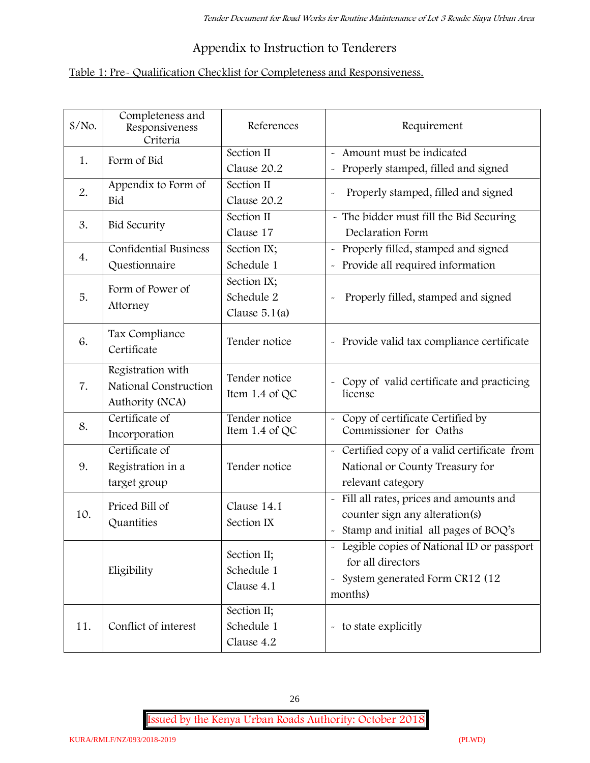## **Appendix to Instruction to Tenderers**

## **Table 1: Pre- Qualification Checklist for Completeness and Responsiveness.**

| S/No. | Completeness and<br>Responsiveness<br>Criteria                | References                                   | Requirement                                                                                                                                |
|-------|---------------------------------------------------------------|----------------------------------------------|--------------------------------------------------------------------------------------------------------------------------------------------|
| 1.    | Form of Bid                                                   | Section II<br>Clause 20.2                    | Amount must be indicated<br>Properly stamped, filled and signed<br>$\tilde{\phantom{a}}$                                                   |
| 2.    | Appendix to Form of<br>Bid                                    | Section II<br>Clause 20.2                    | Properly stamped, filled and signed                                                                                                        |
| 3.    | <b>Bid Security</b>                                           | Section II<br>Clause 17                      | - The bidder must fill the Bid Securing<br>Declaration Form                                                                                |
| 4.    | <b>Confidential Business</b><br>Questionnaire                 | Section IX;<br>Schedule 1                    | Properly filled, stamped and signed<br>Provide all required information                                                                    |
| 5.    | Form of Power of<br>Attorney                                  | Section IX;<br>Schedule 2<br>Clause $5.1(a)$ | Properly filled, stamped and signed                                                                                                        |
| 6.    | Tax Compliance<br>Certificate                                 | Tender notice                                | - Provide valid tax compliance certificate                                                                                                 |
| 7.    | Registration with<br>National Construction<br>Authority (NCA) | Tender notice<br>Item 1.4 of QC              | - Copy of valid certificate and practicing<br>license                                                                                      |
| 8.    | Certificate of<br>Incorporation                               | Tender notice<br>Item $1.4$ of QC            | Copy of certificate Certified by<br>Commissioner for Oaths                                                                                 |
| 9.    | Certificate of<br>Registration in a<br>target group           | Tender notice                                | Certified copy of a valid certificate from<br>$\tilde{\phantom{a}}$<br>National or County Treasury for<br>relevant category                |
| 10.   | Priced Bill of<br>Quantities                                  | Clause 14.1<br>Section IX                    | Fill all rates, prices and amounts and<br>counter sign any alteration(s)<br>Stamp and initial all pages of BOQ's                           |
|       | Eligibility                                                   | Section II;<br>Schedule 1<br>Clause 4.1      | - Legible copies of National ID or passport<br>for all directors<br>System generated Form CR12 (12<br>$\widetilde{\phantom{m}}$<br>months) |
| 11.   | Conflict of interest                                          | Section II;<br>Schedule 1<br>Clause 4.2      | - to state explicitly                                                                                                                      |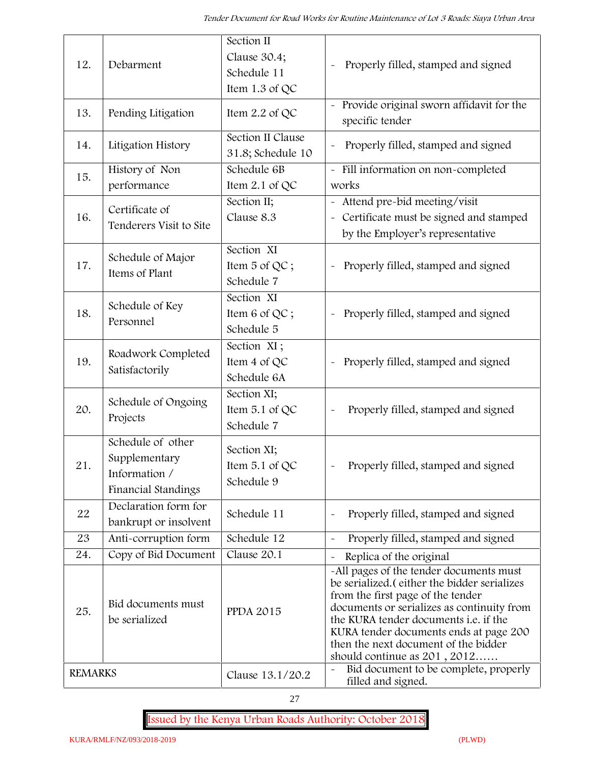| 12.            | Debarment                                                                  | Section II<br>Clause 30.4;<br>Schedule 11<br>Item 1.3 of QC | Properly filled, stamped and signed                                                                                                                                                                                                                                                                                                            |
|----------------|----------------------------------------------------------------------------|-------------------------------------------------------------|------------------------------------------------------------------------------------------------------------------------------------------------------------------------------------------------------------------------------------------------------------------------------------------------------------------------------------------------|
| 13.            | Pending Litigation                                                         | Item $2.2$ of QC                                            | Provide original sworn affidavit for the<br>specific tender                                                                                                                                                                                                                                                                                    |
| 14.            | Litigation History                                                         | Section II Clause<br>31.8; Schedule 10                      | Properly filled, stamped and signed                                                                                                                                                                                                                                                                                                            |
| 15.            | History of Non<br>performance                                              | Schedule 6B<br>Item 2.1 of QC                               | - Fill information on non-completed<br>works                                                                                                                                                                                                                                                                                                   |
| 16.            | Certificate of<br>Tenderers Visit to Site                                  | Section II;<br>Clause 8.3                                   | Attend pre-bid meeting/visit<br>Certificate must be signed and stamped<br>by the Employer's representative                                                                                                                                                                                                                                     |
| 17.            | Schedule of Major<br>Items of Plant                                        | Section XI<br>Item 5 of QC;<br>Schedule 7                   | Properly filled, stamped and signed                                                                                                                                                                                                                                                                                                            |
| 18.            | Schedule of Key<br>Personnel                                               | Section XI<br>Item 6 of QC;<br>Schedule 5                   | Properly filled, stamped and signed<br>$\tilde{\phantom{a}}$                                                                                                                                                                                                                                                                                   |
| 19.            | Roadwork Completed<br>Satisfactorily                                       | Section XI;<br>Item 4 of QC<br>Schedule 6A                  | Properly filled, stamped and signed                                                                                                                                                                                                                                                                                                            |
| 20.            | Schedule of Ongoing<br>Projects                                            | Section XI;<br>Item 5.1 of QC<br>Schedule 7                 | Properly filled, stamped and signed                                                                                                                                                                                                                                                                                                            |
| 21.            | Schedule of other<br>Supplementary<br>Information /<br>Financial Standings | Section XI;<br>Item $5.1$ of QC<br>Schedule 9               | Properly filled, stamped and signed                                                                                                                                                                                                                                                                                                            |
| 22             | Declaration form for<br>bankrupt or insolvent                              | Schedule 11                                                 | Properly filled, stamped and signed                                                                                                                                                                                                                                                                                                            |
| 23             | Anti-corruption form                                                       | Schedule 12                                                 | Properly filled, stamped and signed<br>$\sim$                                                                                                                                                                                                                                                                                                  |
| 24.            | Copy of Bid Document                                                       | Clause 20.1                                                 | Replica of the original                                                                                                                                                                                                                                                                                                                        |
| 25.            | Bid documents must<br>be serialized                                        | <b>PPDA 2015</b>                                            | -All pages of the tender documents must<br>be serialized. (either the bidder serializes<br>from the first page of the tender<br>documents or serializes as continuity from<br>the KURA tender documents <i>i.e.</i> if the<br>KURA tender documents ends at page 200<br>then the next document of the bidder<br>should continue as $201, 2012$ |
| <b>REMARKS</b> |                                                                            | Clause 13.1/20.2                                            | Bid document to be complete, properly<br>filled and signed.                                                                                                                                                                                                                                                                                    |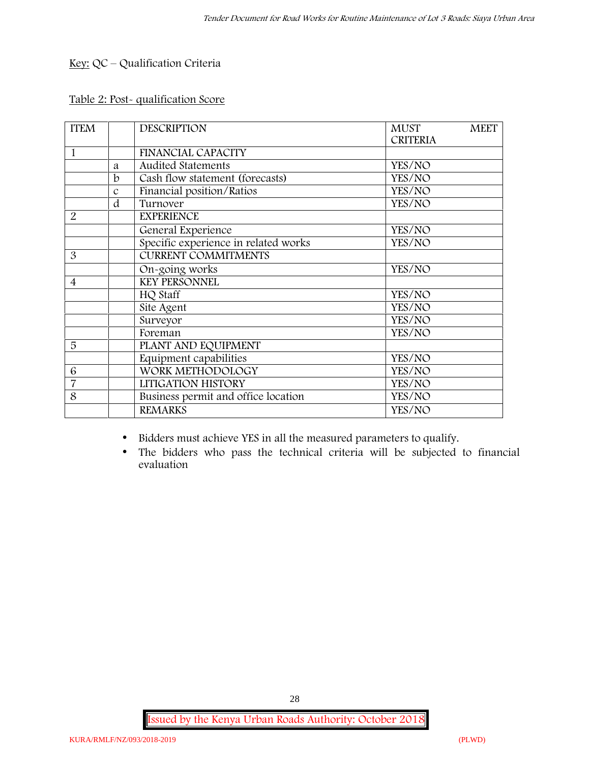## **Key:** QC – Qualification Criteria

#### **Table 2: Post- qualification Score**

| <b>FINANCIAL CAPACITY</b><br><b>Audited Statements</b><br>YES/NO<br>a<br>Cash flow statement (forecasts)<br>$\mathbf b$<br>YES/NO<br>Financial position/Ratios<br>YES/NO<br>$\mathcal{C}$<br>d<br>Turnover<br>YES/NO<br><b>EXPERIENCE</b><br>General Experience<br>YES/NO<br>Specific experience in related works<br>YES/NO<br><b>CURRENT COMMITMENTS</b><br>YES/NO<br>On-going works<br><b>KEY PERSONNEL</b><br>HQ Staff<br>YES/NO<br>Site Agent<br>YES/NO<br>Surveyor<br>YES/NO<br>Foreman<br>YES/NO<br>PLANT AND EQUIPMENT<br>Equipment capabilities<br>YES/NO<br>WORK METHODOLOGY<br>YES/NO<br>LITIGATION HISTORY<br>YES/NO<br>Business permit and office location<br>YES/NO<br><b>REMARKS</b><br>YES/NO | <b>ITEM</b>    | <b>DESCRIPTION</b> | <b>MUST</b><br><b>MEET</b><br><b>CRITERIA</b> |
|--------------------------------------------------------------------------------------------------------------------------------------------------------------------------------------------------------------------------------------------------------------------------------------------------------------------------------------------------------------------------------------------------------------------------------------------------------------------------------------------------------------------------------------------------------------------------------------------------------------------------------------------------------------------------------------------------------------|----------------|--------------------|-----------------------------------------------|
|                                                                                                                                                                                                                                                                                                                                                                                                                                                                                                                                                                                                                                                                                                              | 1              |                    |                                               |
|                                                                                                                                                                                                                                                                                                                                                                                                                                                                                                                                                                                                                                                                                                              |                |                    |                                               |
|                                                                                                                                                                                                                                                                                                                                                                                                                                                                                                                                                                                                                                                                                                              |                |                    |                                               |
|                                                                                                                                                                                                                                                                                                                                                                                                                                                                                                                                                                                                                                                                                                              |                |                    |                                               |
|                                                                                                                                                                                                                                                                                                                                                                                                                                                                                                                                                                                                                                                                                                              |                |                    |                                               |
|                                                                                                                                                                                                                                                                                                                                                                                                                                                                                                                                                                                                                                                                                                              | 2              |                    |                                               |
|                                                                                                                                                                                                                                                                                                                                                                                                                                                                                                                                                                                                                                                                                                              |                |                    |                                               |
|                                                                                                                                                                                                                                                                                                                                                                                                                                                                                                                                                                                                                                                                                                              |                |                    |                                               |
|                                                                                                                                                                                                                                                                                                                                                                                                                                                                                                                                                                                                                                                                                                              | 3              |                    |                                               |
|                                                                                                                                                                                                                                                                                                                                                                                                                                                                                                                                                                                                                                                                                                              |                |                    |                                               |
|                                                                                                                                                                                                                                                                                                                                                                                                                                                                                                                                                                                                                                                                                                              | $\overline{4}$ |                    |                                               |
|                                                                                                                                                                                                                                                                                                                                                                                                                                                                                                                                                                                                                                                                                                              |                |                    |                                               |
|                                                                                                                                                                                                                                                                                                                                                                                                                                                                                                                                                                                                                                                                                                              |                |                    |                                               |
|                                                                                                                                                                                                                                                                                                                                                                                                                                                                                                                                                                                                                                                                                                              |                |                    |                                               |
|                                                                                                                                                                                                                                                                                                                                                                                                                                                                                                                                                                                                                                                                                                              |                |                    |                                               |
|                                                                                                                                                                                                                                                                                                                                                                                                                                                                                                                                                                                                                                                                                                              | 5              |                    |                                               |
|                                                                                                                                                                                                                                                                                                                                                                                                                                                                                                                                                                                                                                                                                                              |                |                    |                                               |
|                                                                                                                                                                                                                                                                                                                                                                                                                                                                                                                                                                                                                                                                                                              | 6              |                    |                                               |
|                                                                                                                                                                                                                                                                                                                                                                                                                                                                                                                                                                                                                                                                                                              | 7              |                    |                                               |
|                                                                                                                                                                                                                                                                                                                                                                                                                                                                                                                                                                                                                                                                                                              | 8              |                    |                                               |
|                                                                                                                                                                                                                                                                                                                                                                                                                                                                                                                                                                                                                                                                                                              |                |                    |                                               |

Bidders must achieve YES in all the measured parameters to qualify.

 The bidders who pass the technical criteria will be subjected to financial evaluation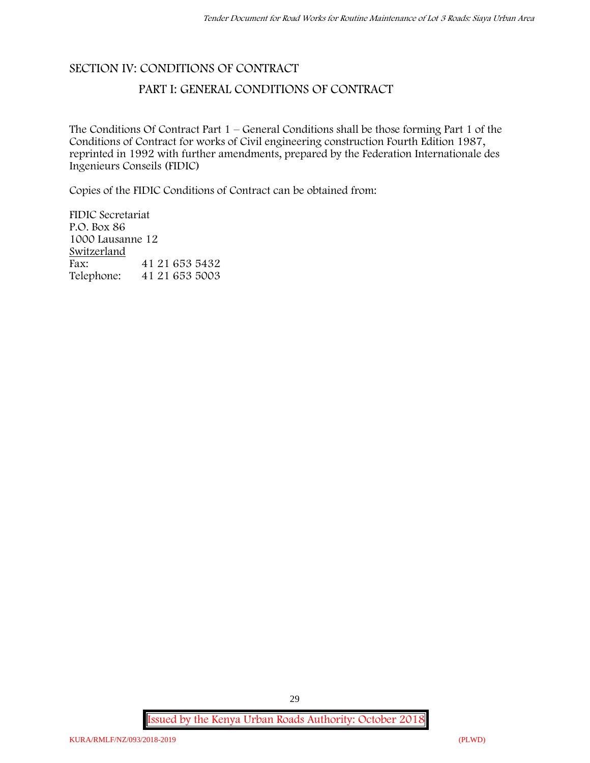## **SECTION IV: CONDITIONS OF CONTRACT PART I: GENERAL CONDITIONS OF CONTRACT**

The Conditions Of Contract Part 1 – General Conditions shall be those forming Part 1 of the Conditions of Contract for works of Civil engineering construction Fourth Edition 1987, reprinted in 1992 with further amendments, prepared by the Federation Internationale des Ingenieurs Conseils (FIDIC)

Copies of the FIDIC Conditions of Contract can be obtained from:

FIDIC Secretariat P.O. Box 86 1000 Lausanne 12 **Switzerland** Fax: 41 21 653 5432 Telephone: 41 21 653 5003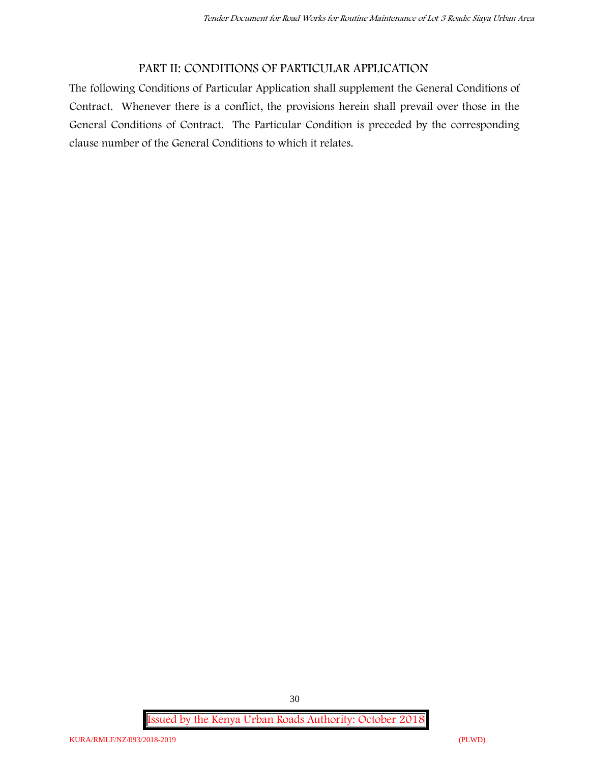## **PART II: CONDITIONS OF PARTICULAR APPLICATION**

The following Conditions of Particular Application shall supplement the General Conditions of Contract. Whenever there is a conflict, the provisions herein shall prevail over those in the General Conditions of Contract. The Particular Condition is preceded by the corresponding clause number of the General Conditions to which it relates.

**Issued by the Kenya Urban Roads Authority: October 2018**

30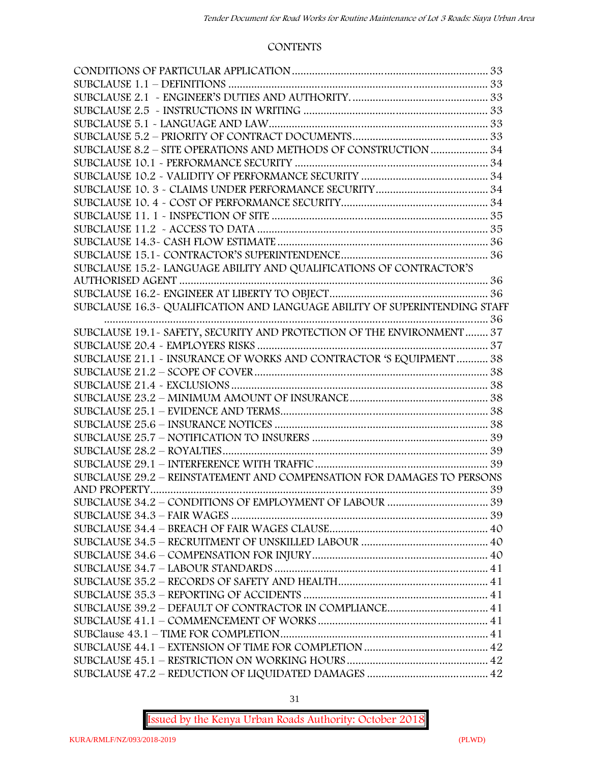#### **CONTENTS**

| SUBCLAUSE 8.2 - SITE OPERATIONS AND METHODS OF CONSTRUCTION  34        |  |
|------------------------------------------------------------------------|--|
|                                                                        |  |
|                                                                        |  |
|                                                                        |  |
|                                                                        |  |
|                                                                        |  |
|                                                                        |  |
|                                                                        |  |
|                                                                        |  |
| SUBCLAUSE 15.2-LANGUAGE ABILITY AND QUALIFICATIONS OF CONTRACTOR'S     |  |
|                                                                        |  |
|                                                                        |  |
|                                                                        |  |
|                                                                        |  |
| SUBCLAUSE 19.1 - SAFETY, SECURITY AND PROTECTION OF THE ENVIRONMENT 37 |  |
|                                                                        |  |
| SUBCLAUSE 21.1 - INSURANCE OF WORKS AND CONTRACTOR 'S EQUIPMENT  38    |  |
|                                                                        |  |
|                                                                        |  |
|                                                                        |  |
|                                                                        |  |
|                                                                        |  |
|                                                                        |  |
|                                                                        |  |
|                                                                        |  |
| SUBCLAUSE 29.2 - REINSTATEMENT AND COMPENSATION FOR DAMAGES TO PERSONS |  |
|                                                                        |  |
|                                                                        |  |
|                                                                        |  |
|                                                                        |  |
|                                                                        |  |
|                                                                        |  |
|                                                                        |  |
|                                                                        |  |
|                                                                        |  |
|                                                                        |  |
|                                                                        |  |
|                                                                        |  |
|                                                                        |  |
|                                                                        |  |
|                                                                        |  |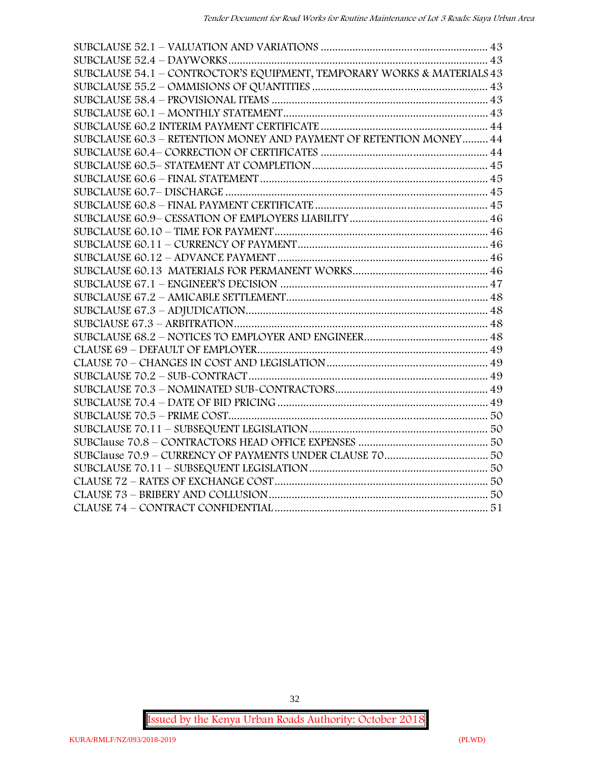| SUBCLAUSE 54.1 - CONTROCTOR'S EQUIPMENT, TEMPORARY WORKS & MATERIALS 43 |  |
|-------------------------------------------------------------------------|--|
|                                                                         |  |
|                                                                         |  |
|                                                                         |  |
|                                                                         |  |
| SUBCLAUSE 60.3 - RETENTION MONEY AND PAYMENT OF RETENTION MONEY 44      |  |
|                                                                         |  |
|                                                                         |  |
|                                                                         |  |
|                                                                         |  |
|                                                                         |  |
|                                                                         |  |
|                                                                         |  |
|                                                                         |  |
|                                                                         |  |
|                                                                         |  |
|                                                                         |  |
|                                                                         |  |
|                                                                         |  |
|                                                                         |  |
|                                                                         |  |
|                                                                         |  |
|                                                                         |  |
|                                                                         |  |
|                                                                         |  |
|                                                                         |  |
|                                                                         |  |
|                                                                         |  |
|                                                                         |  |
|                                                                         |  |
|                                                                         |  |
|                                                                         |  |
|                                                                         |  |
|                                                                         |  |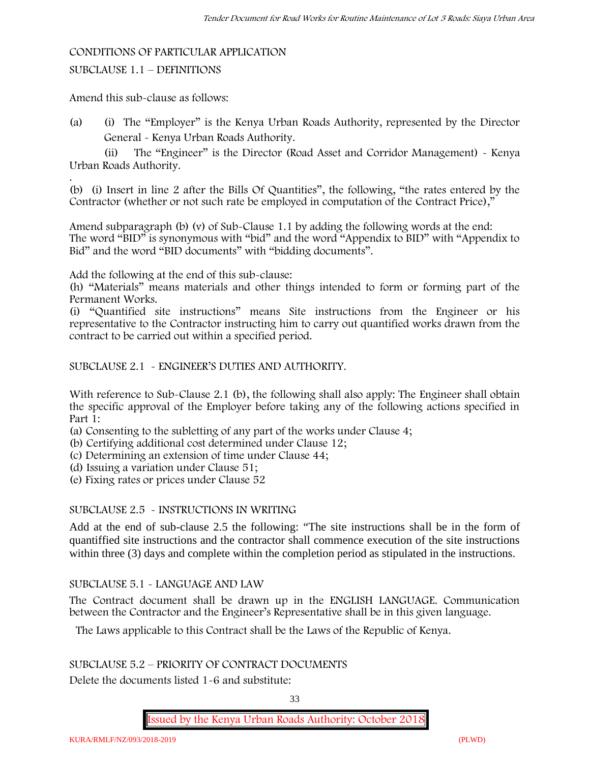#### **CONDITIONS OF PARTICULAR APPLICATION**

#### SUBCLAUSE 1.1 – DEFINITIONS

Amend this sub-clause as follows:

(a) (i) The "Employer" is the Kenya Urban Roads Authority, represented by the Director General - Kenya Urban Roads Authority.

(ii) The "Engineer" is the Director (Road Asset and Corridor Management) - Kenya Urban Roads Authority.

.(b) (i) Insert in line 2 after the Bills Of Quantities", the following, "the rates entered by the Contractor (whether or not such rate be employed in computation of the Contract Price),"

Amend subparagraph (b) (v) of Sub-Clause 1.1 by adding the following words at the end: The word "BID" is synonymous with "bid" and the word "Appendix to BID" with "Appendix to Bid" and the word "BID documents" with "bidding documents".

Add the following at the end of this sub-clause:

(h) "Materials" means materials and other things intended to form or forming part of the Permanent Works.

(i) "Quantified site instructions" means Site instructions from the Engineer or his representative to the Contractor instructing him to carry out quantified works drawn from the contract to be carried out within a specified period.

SUBCLAUSE 2.1 - ENGINEER'S DUTIES AND AUTHORITY.

With reference to Sub-Clause 2.1 (b), the following shall also apply: The Engineer shall obtain the specific approval of the Employer before taking any of the following actions specified in Part 1:

(a) Consenting to the subletting of any part of the works under Clause 4;

(b) Certifying additional cost determined under Clause 12;

(c) Determining an extension of time under Clause 44;

(d) Issuing a variation under Clause 51;

(e) Fixing rates or prices under Clause 52

#### SUBCLAUSE 2.5 - INSTRUCTIONS IN WRITING

Add at the end of sub-clause 2.5 the following: "The site instructions shall be in the form of quantiffied site instructions and the contractor shall commence execution of the site instructions within three (3) days and complete within the completion period as stipulated in the instructions.

### SUBCLAUSE 5.1 - LANGUAGE AND LAW

The Contract document shall be drawn up in the ENGLISH LANGUAGE. Communication between the Contractor and the Engineer's Representative shall be in this given language.

The Laws applicable to this Contract shall be the Laws of the Republic of Kenya.

SUBCLAUSE 5.2 – PRIORITY OF CONTRACT DOCUMENTS

Delete the documents listed 1-6 and substitute:

33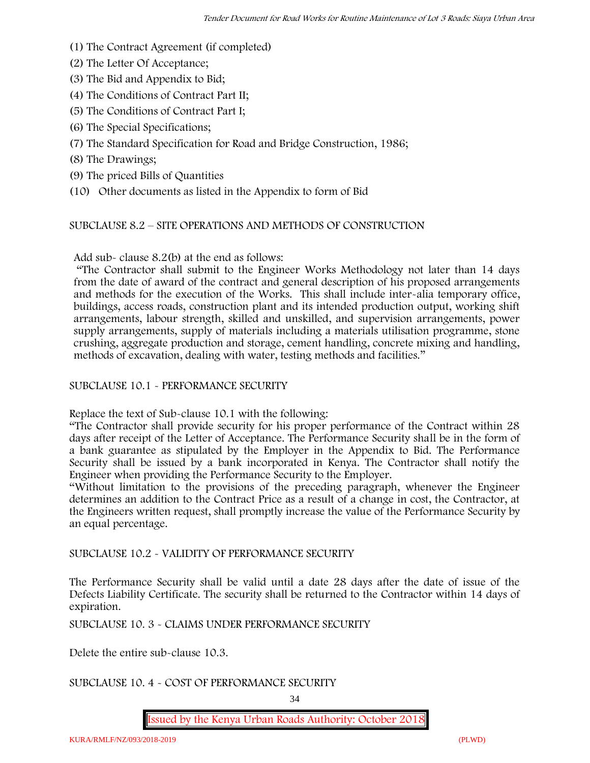- (1) The Contract Agreement (if completed)
- (2) The Letter Of Acceptance;
- (3) The Bid and Appendix to Bid;
- (4) The Conditions of Contract Part II;
- (5) The Conditions of Contract Part I;
- (6) The Special Specifications;
- (7) The Standard Specification for Road and Bridge Construction, 1986;
- (8) The Drawings;
- (9) The priced Bills of Quantities
- (10) Other documents as listed in the Appendix to form of Bid

#### SUBCLAUSE 8.2 – SITE OPERATIONS AND METHODS OF CONSTRUCTION

Add sub- clause 8.2(b) at the end as follows:

"The Contractor shall submit to the Engineer Works Methodology not later than 14 days from the date of award of the contract and general description of his proposed arrangements and methods for the execution of the Works. This shall include inter-alia temporary office, buildings, access roads, construction plant and its intended production output, working shift arrangements, labour strength, skilled and unskilled, and supervision arrangements, power supply arrangements, supply of materials including a materials utilisation programme, stone crushing, aggregate production and storage, cement handling, concrete mixing and handling, methods of excavation, dealing with water, testing methods and facilities."

#### SUBCLAUSE 10.1 - PERFORMANCE SECURITY

Replace the text of Sub-clause 10.1 with the following:

"The Contractor shall provide security for his proper performance of the Contract within 28 days after receipt of the Letter of Acceptance. The Performance Security shall be in the form of a bank guarantee as stipulated by the Employer in the Appendix to Bid. The Performance Security shall be issued by a bank incorporated in Kenya. The Contractor shall notify the Engineer when providing the Performance Security to the Employer.

"Without limitation to the provisions of the preceding paragraph, whenever the Engineer determines an addition to the Contract Price as a result of a change in cost, the Contractor, at the Engineers written request, shall promptly increase the value of the Performance Security by an equal percentage.

SUBCLAUSE 10.2 - VALIDITY OF PERFORMANCE SECURITY

The Performance Security shall be valid until a date 28 days after the date of issue of the Defects Liability Certificate. The security shall be returned to the Contractor within 14 days of expiration.

SUBCLAUSE 10. 3 - CLAIMS UNDER PERFORMANCE SECURITY

Delete the entire sub-clause 10.3.

#### SUBCLAUSE 10. 4 - COST OF PERFORMANCE SECURITY

34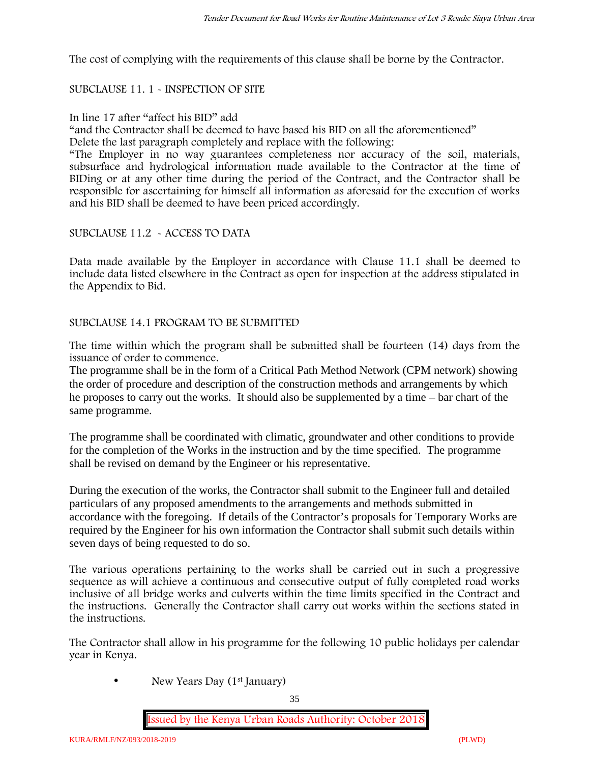The cost of complying with the requirements of this clause shall be borne by the Contractor.

#### SUBCLAUSE 11. 1 - INSPECTION OF SITE

#### In line 17 after "affect his BID" add

"and the Contractor shall be deemed to have based his BID on all the aforementioned"

Delete the last paragraph completely and replace with the following:

"The Employer in no way guarantees completeness nor accuracy of the soil, materials, subsurface and hydrological information made available to the Contractor at the time of BIDing or at any other time during the period of the Contract, and the Contractor shall be responsible for ascertaining for himself all information as aforesaid for the execution of works and his BID shall be deemed to have been priced accordingly.

#### SUBCLAUSE 11.2 - ACCESS TO DATA

Data made available by the Employer in accordance with Clause 11.1 shall be deemed to include data listed elsewhere in the Contract as open for inspection at the address stipulated in the Appendix to Bid.

#### SUBCLAUSE 14.1 PROGRAM TO BE SUBMITTED

The time within which the program shall be submitted shall be fourteen (14) days from the issuance of order to commence**.**

The programme shall be in the form of a Critical Path Method Network (CPM network) showing the order of procedure and description of the construction methods and arrangements by which he proposes to carry out the works. It should also be supplemented by a time – bar chart of the same programme.

The programme shall be coordinated with climatic, groundwater and other conditions to provide for the completion of the Works in the instruction and by the time specified. The programme shall be revised on demand by the Engineer or his representative.

During the execution of the works, the Contractor shall submit to the Engineer full and detailed particulars of any proposed amendments to the arrangements and methods submitted in accordance with the foregoing. If details of the Contractor's proposals for Temporary Works are required by the Engineer for his own information the Contractor shall submit such details within seven days of being requested to do so.

The various operations pertaining to the works shall be carried out in such a progressive sequence as will achieve a continuous and consecutive output of fully completed road works inclusive of all bridge works and culverts within the time limits specified in the Contract and the instructions. Generally the Contractor shall carry out works within the sections stated in the instructions.

The Contractor shall allow in his programme for the following 10 public holidays per calendar year in Kenya.

• New Years Day (1<sup>st</sup> January)

35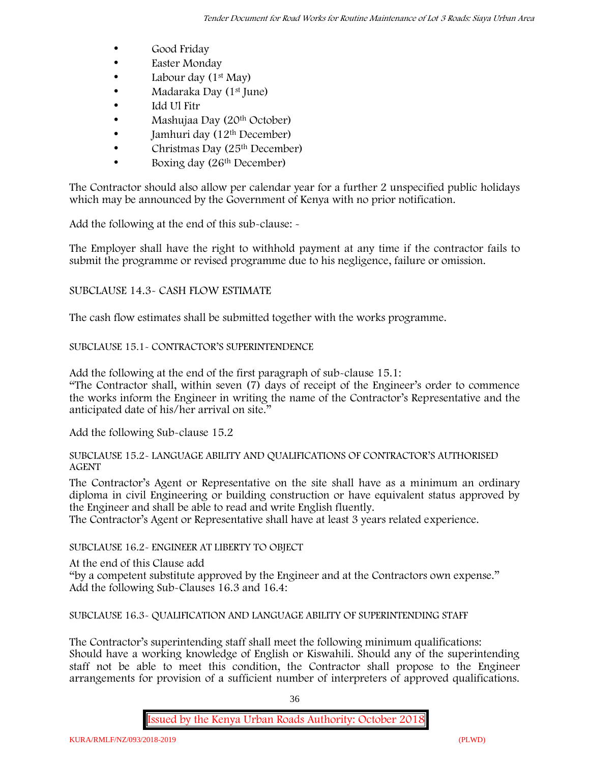- Good Friday
- **Easter Monday**
- Labour day  $(1<sup>st</sup>$  May)
- Madaraka Day (1st June)
- Idd Ul Fitr
- Mashujaa Day (20th October)
- $\bullet$  Jamhuri day (12<sup>th</sup> December)
- $\bullet$  Christmas Day (25<sup>th</sup> December)
- Boxing day (26<sup>th</sup> December)

The Contractor should also allow per calendar year for a further 2 unspecified public holidays which may be announced by the Government of Kenya with no prior notification.

Add the following at the end of this sub-clause: -

The Employer shall have the right to withhold payment at any time if the contractor fails to submit the programme or revised programme due to his negligence, failure or omission.

### SUBCLAUSE 14.3- CASH FLOW ESTIMATE

The cash flow estimates shall be submitted together with the works programme.

### SUBCLAUSE 15.1- CONTRACTOR'S SUPERINTENDENCE

Add the following at the end of the first paragraph of sub-clause 15.1:

"The Contractor shall, within seven (7) days of receipt of the Engineer's order to commence the works inform the Engineer in writing the name of the Contractor's Representative and the anticipated date of his/her arrival on site."

Add the following Sub-clause 15.2

#### SUBCLAUSE 15.2- LANGUAGE ABILITY AND QUALIFICATIONS OF CONTRACTOR'S AUTHORISED AGENT

The Contractor's Agent or Representative on the site shall have as a minimum an ordinary diploma in civil Engineering or building construction or have equivalent status approved by the Engineer and shall be able to read and write English fluently.

The Contractor's Agent or Representative shall have at least 3 years related experience.

# SUBCLAUSE 16.2- ENGINEER AT LIBERTY TO OBJECT

At the end of this Clause add

"by a competent substitute approved by the Engineer and at the Contractors own expense." Add the following Sub-Clauses 16.3 and 16.4:

SUBCLAUSE 16.3- QUALIFICATION AND LANGUAGE ABILITY OF SUPERINTENDING STAFF

The Contractor's superintending staff shall meet the following minimum qualifications: Should have a working knowledge of English or Kiswahili. Should any of the superintending staff not be able to meet this condition, the Contractor shall propose to the Engineer arrangements for provision of a sufficient number of interpreters of approved qualifications.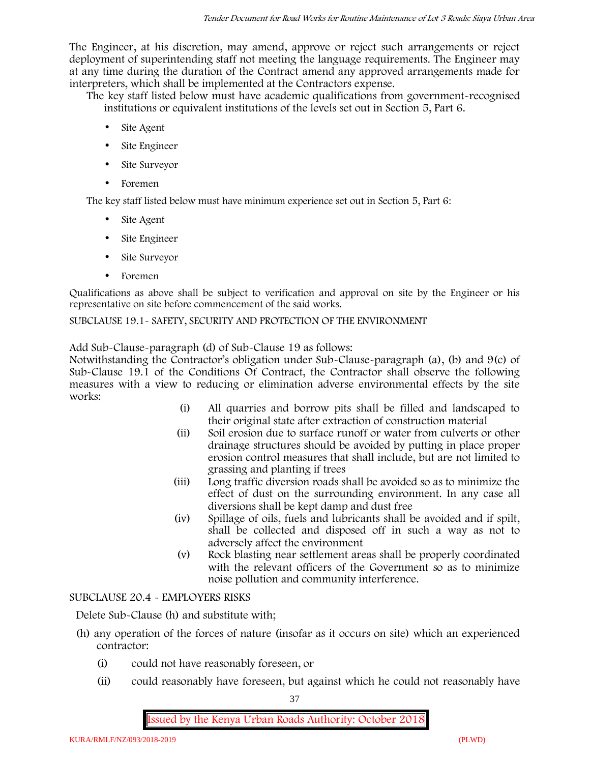The Engineer, at his discretion, may amend, approve or reject such arrangements or reject deployment of superintending staff not meeting the language requirements. The Engineer may at any time during the duration of the Contract amend any approved arrangements made for interpreters, which shall be implemented at the Contractors expense.

The key staff listed below must have academic qualifications from government-recognised institutions or equivalent institutions of the levels set out in Section 5, Part 6.

- Site Agent
- Site Engineer
- Site Surveyor
- Foremen

The key staff listed below must have minimum experience set out in Section 5, Part 6:

- Site Agent
- Site Engineer
- Site Surveyor
- Foremen

Qualifications as above shall be subject to verification and approval on site by the Engineer or his representative on site before commencement of the said works.

SUBCLAUSE 19.1- SAFETY, SECURITY AND PROTECTION OF THE ENVIRONMENT

Add Sub-Clause-paragraph (d) of Sub-Clause 19 as follows:

Notwithstanding the Contractor's obligation under Sub-Clause-paragraph (a), (b) and 9(c) of Sub-Clause 19.1 of the Conditions Of Contract, the Contractor shall observe the following measures with a view to reducing or elimination adverse environmental effects by the site works:

- (i) All quarries and borrow pits shall be filled and landscaped to their original state after extraction of construction material
- (ii) Soil erosion due to surface runoff or water from culverts or other drainage structures should be avoided by putting in place proper erosion control measures that shall include, but are not limited to grassing and planting if trees
- (iii) Long traffic diversion roads shall be avoided so as to minimize the effect of dust on the surrounding environment. In any case all diversions shall be kept damp and dust free
- (iv) Spillage of oils, fuels and lubricants shall be avoided and if spilt, shall be collected and disposed off in such a way as not to adversely affect the environment
- (v) Rock blasting near settlement areas shall be properly coordinated with the relevant officers of the Government so as to minimize noise pollution and community interference.

### SUBCLAUSE 20.4 - EMPLOYERS RISKS

Delete Sub-Clause (h) and substitute with;

- (h) any operation of the forces of nature (insofar as it occurs on site) which an experienced contractor:
	- (i) could not have reasonably foreseen, or
	- (ii) could reasonably have foreseen, but against which he could not reasonably have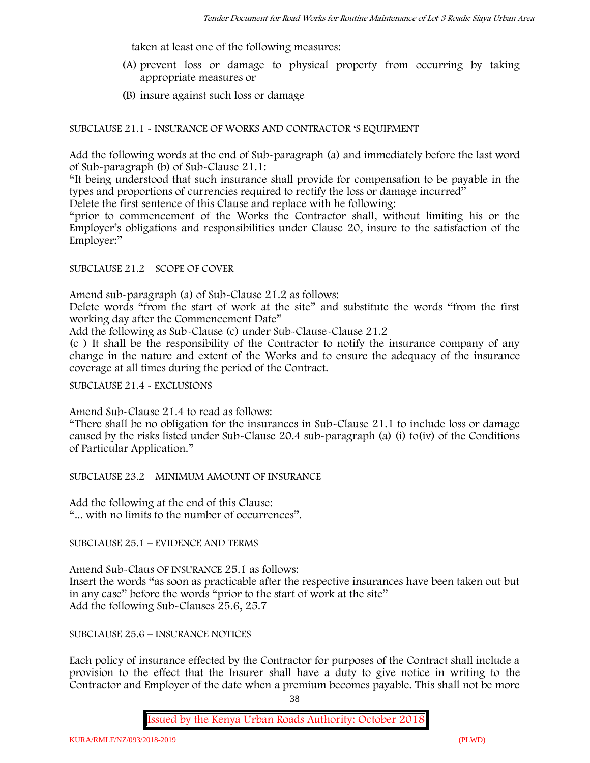taken at least one of the following measures:

- (A) prevent loss or damage to physical property from occurring by taking appropriate measures or
- (B) insure against such loss or damage

SUBCLAUSE 21.1 - INSURANCE OF WORKS AND CONTRACTOR 'S EQUIPMENT

Add the following words at the end of Sub-paragraph (a) and immediately before the last word of Sub-paragraph (b) of Sub-Clause 21.1:

"It being understood that such insurance shall provide for compensation to be payable in the types and proportions of currencies required to rectify the loss or damage incurred"

Delete the first sentence of this Clause and replace with he following:

"prior to commencement of the Works the Contractor shall, without limiting his or the Employer's obligations and responsibilities under Clause 20, insure to the satisfaction of the Employer:"

### SUBCLAUSE 21.2 – SCOPE OF COVER

Amend sub-paragraph (a) of Sub-Clause 21.2 as follows:

Delete words "from the start of work at the site" and substitute the words "from the first working day after the Commencement Date"

Add the following as Sub-Clause (c) under Sub-Clause-Clause 21.2

(c ) It shall be the responsibility of the Contractor to notify the insurance company of any change in the nature and extent of the Works and to ensure the adequacy of the insurance coverage at all times during the period of the Contract.

SUBCLAUSE 21.4 - EXCLUSIONS

Amend Sub-Clause 21.4 to read as follows:

"There shall be no obligation for the insurances in Sub-Clause 21.1 to include loss or damage caused by the risks listed under Sub-Clause 20.4 sub-paragraph (a) (i) to(iv) of the Conditions of Particular Application."

SUBCLAUSE 23.2 – MINIMUM AMOUNT OF INSURANCE

Add the following at the end of this Clause: "... with no limits to the number of occurrences".

SUBCLAUSE 25.1 – EVIDENCE AND TERMS

Amend Sub-Claus OF INSURANCE 25.1 as follows: Insert the words "as soon as practicable after the respective insurances have been taken out but in any case" before the words "prior to the start of work at the site" Add the following Sub-Clauses 25.6, 25.7

SUBCLAUSE 25.6 – INSURANCE NOTICES

Each policy of insurance effected by the Contractor for purposes of the Contract shall include a provision to the effect that the Insurer shall have a duty to give notice in writing to the Contractor and Employer of the date when a premium becomes payable. This shall not be more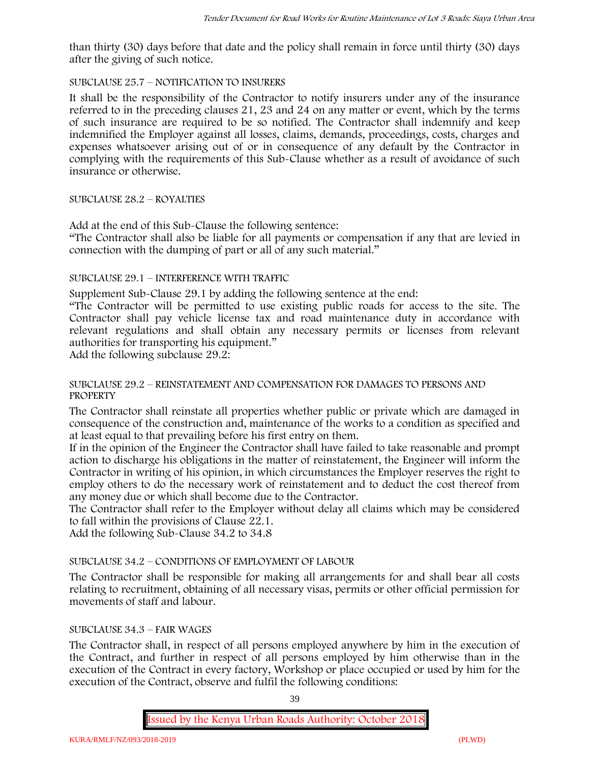than thirty (30) days before that date and the policy shall remain in force until thirty (30) days after the giving of such notice.

### SUBCLAUSE 25.7 – NOTIFICATION TO INSURERS

It shall be the responsibility of the Contractor to notify insurers under any of the insurance referred to in the preceding clauses 21, 23 and 24 on any matter or event, which by the terms of such insurance are required to be so notified. The Contractor shall indemnify and keep indemnified the Employer against all losses, claims, demands, proceedings, costs, charges and expenses whatsoever arising out of or in consequence of any default by the Contractor in complying with the requirements of this Sub-Clause whether as a result of avoidance of such insurance or otherwise.

### SUBCLAUSE 28.2 – ROYALTIES

Add at the end of this Sub-Clause the following sentence:

"The Contractor shall also be liable for all payments or compensation if any that are levied in connection with the dumping of part or all of any such material."

### SUBCLAUSE 29.1 – INTERFERENCE WITH TRAFFIC

Supplement Sub-Clause 29.1 by adding the following sentence at the end:

"The Contractor will be permitted to use existing public roads for access to the site. The Contractor shall pay vehicle license tax and road maintenance duty in accordance with relevant regulations and shall obtain any necessary permits or licenses from relevant authorities for transporting his equipment."

Add the following subclause 29.2:

### SUBCLAUSE 29.2 – REINSTATEMENT AND COMPENSATION FOR DAMAGES TO PERSONS AND **PROPERTY**

The Contractor shall reinstate all properties whether public or private which are damaged in consequence of the construction and, maintenance of the works to a condition as specified and at least equal to that prevailing before his first entry on them.

If in the opinion of the Engineer the Contractor shall have failed to take reasonable and prompt action to discharge his obligations in the matter of reinstatement, the Engineer will inform the Contractor in writing of his opinion, in which circumstances the Employer reserves the right to employ others to do the necessary work of reinstatement and to deduct the cost thereof from any money due or which shall become due to the Contractor.

The Contractor shall refer to the Employer without delay all claims which may be considered to fall within the provisions of Clause 22.1.

Add the following Sub-Clause 34.2 to 34.8

# SUBCLAUSE 34.2 – CONDITIONS OF EMPLOYMENT OF LABOUR

The Contractor shall be responsible for making all arrangements for and shall bear all costs relating to recruitment, obtaining of all necessary visas, permits or other official permission for movements of staff and labour.

### SUBCLAUSE 34.3 – FAIR WAGES

The Contractor shall, in respect of all persons employed anywhere by him in the execution of the Contract, and further in respect of all persons employed by him otherwise than in the execution of the Contract in every factory, Workshop or place occupied or used by him for the execution of the Contract, observe and fulfil the following conditions:

39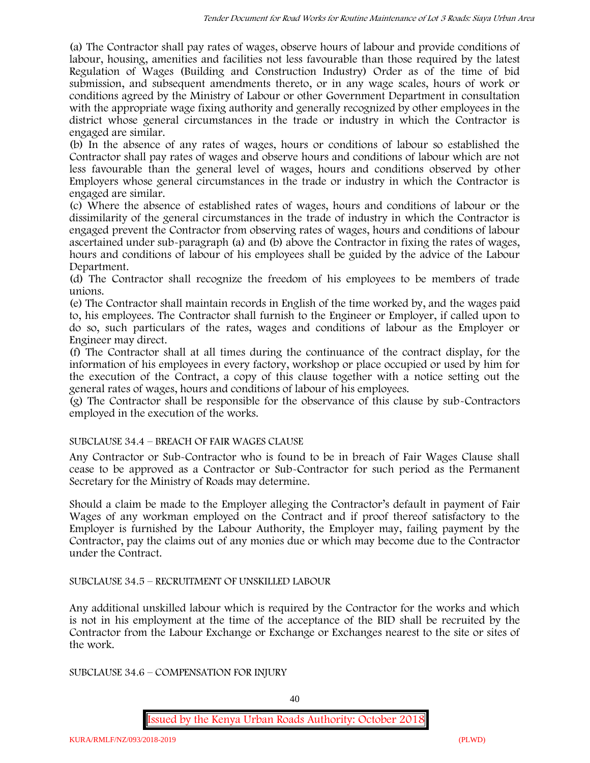(a) The Contractor shall pay rates of wages, observe hours of labour and provide conditions of labour, housing, amenities and facilities not less favourable than those required by the latest Regulation of Wages (Building and Construction Industry) Order as of the time of bid submission, and subsequent amendments thereto, or in any wage scales, hours of work or conditions agreed by the Ministry of Labour or other Government Department in consultation with the appropriate wage fixing authority and generally recognized by other employees in the district whose general circumstances in the trade or industry in which the Contractor is engaged are similar.

(b) In the absence of any rates of wages, hours or conditions of labour so established the Contractor shall pay rates of wages and observe hours and conditions of labour which are not less favourable than the general level of wages, hours and conditions observed by other Employers whose general circumstances in the trade or industry in which the Contractor is engaged are similar.

(c) Where the absence of established rates of wages, hours and conditions of labour or the dissimilarity of the general circumstances in the trade of industry in which the Contractor is engaged prevent the Contractor from observing rates of wages, hours and conditions of labour ascertained under sub-paragraph (a) and (b) above the Contractor in fixing the rates of wages, hours and conditions of labour of his employees shall be guided by the advice of the Labour Department.

(d) The Contractor shall recognize the freedom of his employees to be members of trade unions.

(e) The Contractor shall maintain records in English of the time worked by, and the wages paid to, his employees. The Contractor shall furnish to the Engineer or Employer, if called upon to do so, such particulars of the rates, wages and conditions of labour as the Employer or Engineer may direct.

(f) The Contractor shall at all times during the continuance of the contract display, for the information of his employees in every factory, workshop or place occupied or used by him for the execution of the Contract, a copy of this clause together with a notice setting out the general rates of wages, hours and conditions of labour of his employees.

(g) The Contractor shall be responsible for the observance of this clause by sub-Contractors employed in the execution of the works.

# SUBCLAUSE 34.4 – BREACH OF FAIR WAGES CLAUSE

Any Contractor or Sub-Contractor who is found to be in breach of Fair Wages Clause shall cease to be approved as a Contractor or Sub-Contractor for such period as the Permanent Secretary for the Ministry of Roads may determine.

Should a claim be made to the Employer alleging the Contractor's default in payment of Fair Wages of any workman employed on the Contract and if proof thereof satisfactory to the Employer is furnished by the Labour Authority, the Employer may, failing payment by the Contractor, pay the claims out of any monies due or which may become due to the Contractor under the Contract.

# SUBCLAUSE 34.5 – RECRUITMENT OF UNSKILLED LABOUR

Any additional unskilled labour which is required by the Contractor for the works and which is not in his employment at the time of the acceptance of the BID shall be recruited by the Contractor from the Labour Exchange or Exchange or Exchanges nearest to the site or sites of the work.

SUBCLAUSE 34.6 – COMPENSATION FOR INJURY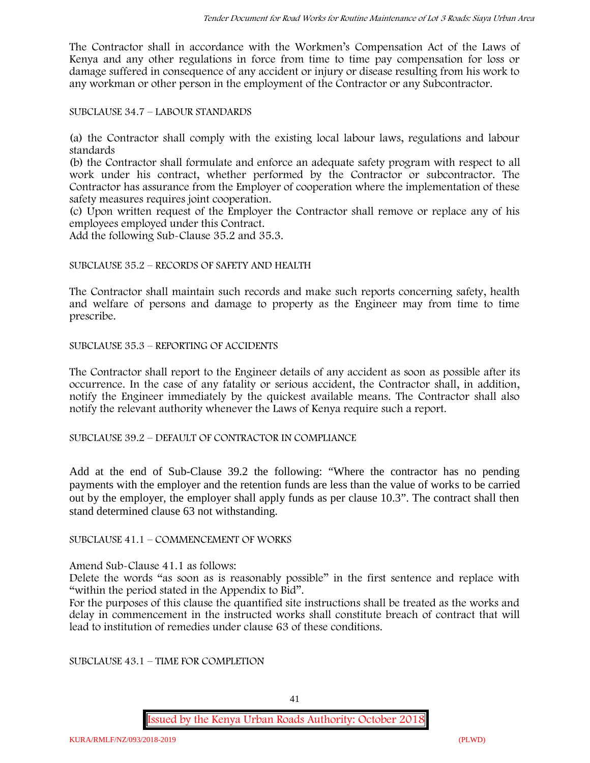The Contractor shall in accordance with the Workmen's Compensation Act of the Laws of Kenya and any other regulations in force from time to time pay compensation for loss or damage suffered in consequence of any accident or injury or disease resulting from his work to any workman or other person in the employment of the Contractor or any Subcontractor.

SUBCLAUSE 34.7 – LABOUR STANDARDS

(a) the Contractor shall comply with the existing local labour laws, regulations and labour standards

(b) the Contractor shall formulate and enforce an adequate safety program with respect to all work under his contract, whether performed by the Contractor or subcontractor. The Contractor has assurance from the Employer of cooperation where the implementation of these safety measures requires joint cooperation.

(c) Upon written request of the Employer the Contractor shall remove or replace any of his employees employed under this Contract.

Add the following Sub-Clause 35.2 and 35.3.

### SUBCLAUSE 35.2 – RECORDS OF SAFETY AND HEALTH

The Contractor shall maintain such records and make such reports concerning safety, health and welfare of persons and damage to property as the Engineer may from time to time prescribe.

SUBCLAUSE 35.3 – REPORTING OF ACCIDENTS

The Contractor shall report to the Engineer details of any accident as soon as possible after its occurrence. In the case of any fatality or serious accident, the Contractor shall, in addition, notify the Engineer immediately by the quickest available means. The Contractor shall also notify the relevant authority whenever the Laws of Kenya require such a report.

SUBCLAUSE 39.2 – DEFAULT OF CONTRACTOR IN COMPLIANCE

Add at the end of Sub-Clause 39.2 the following: "Where the contractor has no pending payments with the employer and the retention funds are less than the value of works to be carried out by the employer, the employer shall apply funds as per clause 10.3". The contract shall then stand determined clause 63 not withstanding.

SUBCLAUSE 41.1 – COMMENCEMENT OF WORKS

Amend Sub-Clause 41.1 as follows:

Delete the words "as soon as is reasonably possible" in the first sentence and replace with "within the period stated in the Appendix to Bid".

For the purposes of this clause the quantified site instructions shall be treated as the works and delay in commencement in the instructed works shall constitute breach of contract that will lead to institution of remedies under clause 63 of these conditions.

SUBCLAUSE 43.1 – TIME FOR COMPLETION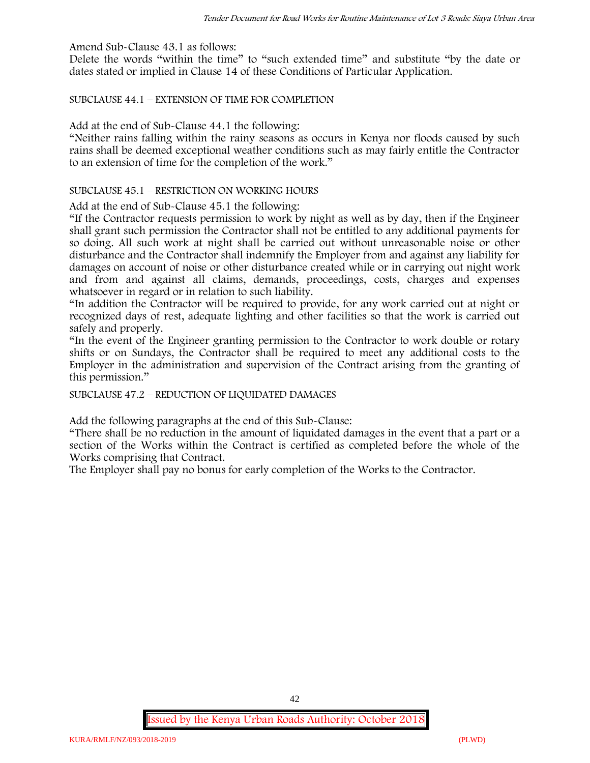Amend Sub-Clause 43.1 as follows:

Delete the words "within the time" to "such extended time" and substitute "by the date or dates stated or implied in Clause 14 of these Conditions of Particular Application.

SUBCLAUSE 44.1 – EXTENSION OF TIME FOR COMPLETION

Add at the end of Sub-Clause 44.1 the following:

"Neither rains falling within the rainy seasons as occurs in Kenya nor floods caused by such rains shall be deemed exceptional weather conditions such as may fairly entitle the Contractor to an extension of time for the completion of the work."

#### SUBCLAUSE 45.1 – RESTRICTION ON WORKING HOURS

Add at the end of Sub-Clause 45.1 the following:

"If the Contractor requests permission to work by night as well as by day, then if the Engineer shall grant such permission the Contractor shall not be entitled to any additional payments for so doing. All such work at night shall be carried out without unreasonable noise or other disturbance and the Contractor shall indemnify the Employer from and against any liability for damages on account of noise or other disturbance created while or in carrying out night work and from and against all claims, demands, proceedings, costs, charges and expenses whatsoever in regard or in relation to such liability.

"In addition the Contractor will be required to provide, for any work carried out at night or recognized days of rest, adequate lighting and other facilities so that the work is carried out safely and properly.

"In the event of the Engineer granting permission to the Contractor to work double or rotary shifts or on Sundays, the Contractor shall be required to meet any additional costs to the Employer in the administration and supervision of the Contract arising from the granting of this permission."

SUBCLAUSE 47.2 – REDUCTION OF LIQUIDATED DAMAGES

Add the following paragraphs at the end of this Sub-Clause:

"There shall be no reduction in the amount of liquidated damages in the event that a part or a section of the Works within the Contract is certified as completed before the whole of the Works comprising that Contract.

The Employer shall pay no bonus for early completion of the Works to the Contractor.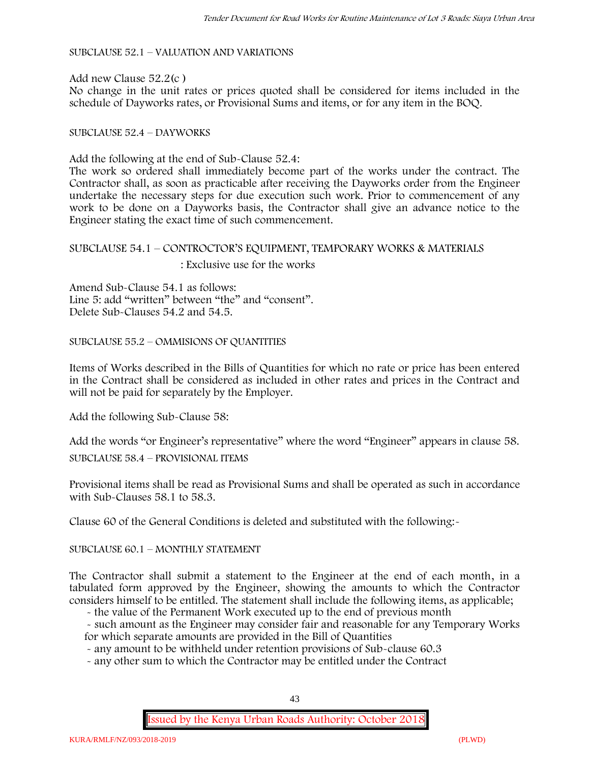SUBCLAUSE 52.1 – VALUATION AND VARIATIONS

Add new Clause 52.2(c ) No change in the unit rates or prices quoted shall be considered for items included in the schedule of Dayworks rates, or Provisional Sums and items, or for any item in the BOQ.

#### SUBCLAUSE 52.4 – DAYWORKS

Add the following at the end of Sub-Clause 52.4:

The work so ordered shall immediately become part of the works under the contract. The Contractor shall, as soon as practicable after receiving the Dayworks order from the Engineer undertake the necessary steps for due execution such work. Prior to commencement of any work to be done on a Dayworks basis, the Contractor shall give an advance notice to the Engineer stating the exact time of such commencement.

# SUBCLAUSE 54.1 – CONTROCTOR'S EQUIPMENT, TEMPORARY WORKS & MATERIALS : Exclusive use for the works

Amend Sub-Clause 54.1 as follows: Line 5: add "written" between "the" and "consent". Delete Sub-Clauses 54.2 and 54.5.

SUBCLAUSE 55.2 – OMMISIONS OF QUANTITIES

Items of Works described in the Bills of Quantities for which no rate or price has been entered in the Contract shall be considered as included in other rates and prices in the Contract and will not be paid for separately by the Employer.

Add the following Sub-Clause 58:

Add the words "or Engineer's representative" where the word "Engineer" appears in clause 58.

SUBCLAUSE 58.4 – PROVISIONAL ITEMS

Provisional items shall be read as Provisional Sums and shall be operated as such in accordance with Sub-Clauses 58.1 to 58.3.

Clause 60 of the General Conditions is deleted and substituted with the following:-

SUBCLAUSE 60.1 – MONTHLY STATEMENT

The Contractor shall submit a statement to the Engineer at the end of each month, in a tabulated form approved by the Engineer, showing the amounts to which the Contractor considers himself to be entitled. The statement shall include the following items, as applicable;

- the value of the Permanent Work executed up to the end of previous month

- such amount as the Engineer may consider fair and reasonable for any Temporary Works for which separate amounts are provided in the Bill of Quantities

- any amount to be withheld under retention provisions of Sub-clause 60.3

- any other sum to which the Contractor may be entitled under the Contract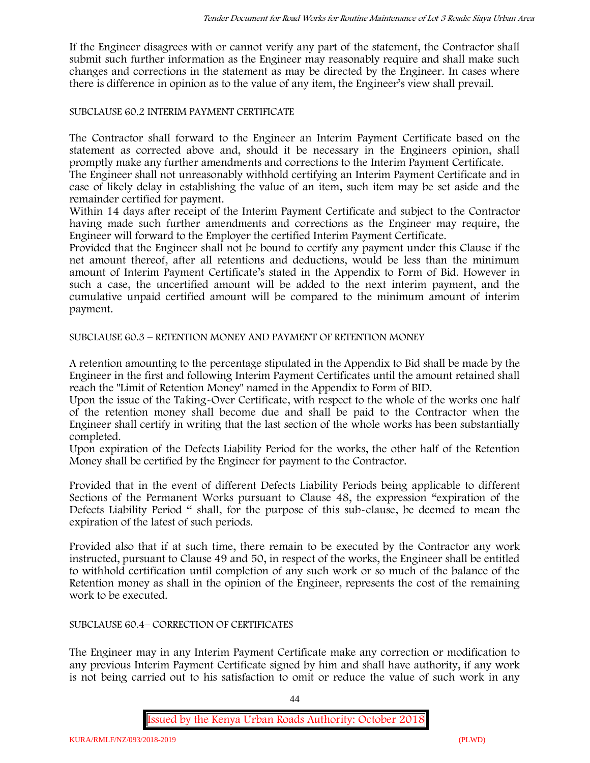If the Engineer disagrees with or cannot verify any part of the statement, the Contractor shall submit such further information as the Engineer may reasonably require and shall make such changes and corrections in the statement as may be directed by the Engineer. In cases where there is difference in opinion as to the value of any item, the Engineer's view shall prevail.

### SUBCLAUSE 60.2 INTERIM PAYMENT CERTIFICATE

The Contractor shall forward to the Engineer an Interim Payment Certificate based on the statement as corrected above and, should it be necessary in the Engineers opinion, shall promptly make any further amendments and corrections to the Interim Payment Certificate.

The Engineer shall not unreasonably withhold certifying an Interim Payment Certificate and in case of likely delay in establishing the value of an item, such item may be set aside and the remainder certified for payment.

Within 14 days after receipt of the Interim Payment Certificate and subject to the Contractor having made such further amendments and corrections as the Engineer may require, the Engineer will forward to the Employer the certified Interim Payment Certificate.

Provided that the Engineer shall not be bound to certify any payment under this Clause if the net amount thereof, after all retentions and deductions, would be less than the minimum amount of Interim Payment Certificate's stated in the Appendix to Form of Bid. However in such a case, the uncertified amount will be added to the next interim payment, and the cumulative unpaid certified amount will be compared to the minimum amount of interim payment.

SUBCLAUSE 60.3 – RETENTION MONEY AND PAYMENT OF RETENTION MONEY

A retention amounting to the percentage stipulated in the Appendix to Bid shall be made by the Engineer in the first and following Interim Payment Certificates until the amount retained shall reach the "Limit of Retention Money" named in the Appendix to Form of BID.

Upon the issue of the Taking-Over Certificate, with respect to the whole of the works one half of the retention money shall become due and shall be paid to the Contractor when the Engineer shall certify in writing that the last section of the whole works has been substantially completed.

Upon expiration of the Defects Liability Period for the works, the other half of the Retention Money shall be certified by the Engineer for payment to the Contractor.

Provided that in the event of different Defects Liability Periods being applicable to different Sections of the Permanent Works pursuant to Clause 48, the expression "expiration of the Defects Liability Period " shall, for the purpose of this sub-clause, be deemed to mean the expiration of the latest of such periods.

Provided also that if at such time, there remain to be executed by the Contractor any work instructed, pursuant to Clause 49 and 50, in respect of the works, the Engineer shall be entitled to withhold certification until completion of any such work or so much of the balance of the Retention money as shall in the opinion of the Engineer, represents the cost of the remaining work to be executed.

#### SUBCLAUSE 60.4– CORRECTION OF CERTIFICATES

The Engineer may in any Interim Payment Certificate make any correction or modification to any previous Interim Payment Certificate signed by him and shall have authority, if any work is not being carried out to his satisfaction to omit or reduce the value of such work in any

44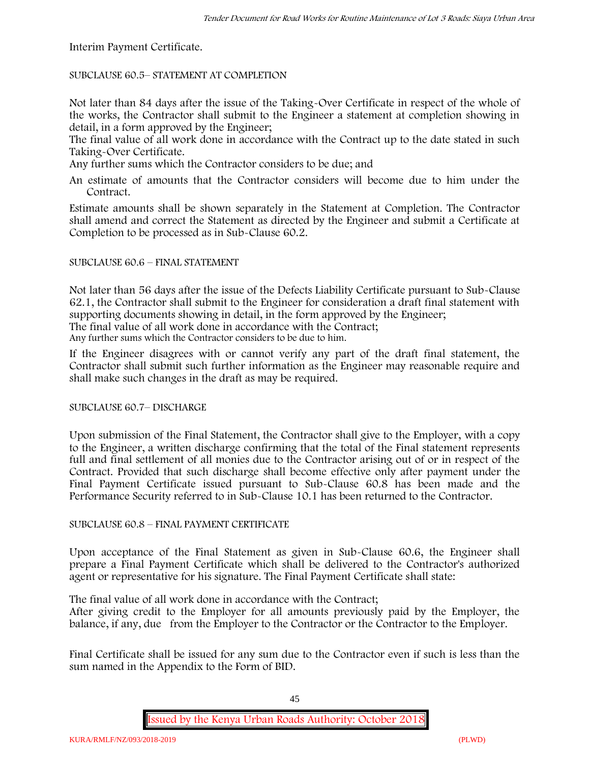Interim Payment Certificate.

SUBCLAUSE 60.5– STATEMENT AT COMPLETION

Not later than 84 days after the issue of the Taking-Over Certificate in respect of the whole of the works, the Contractor shall submit to the Engineer a statement at completion showing in detail, in a form approved by the Engineer;

The final value of all work done in accordance with the Contract up to the date stated in such Taking-Over Certificate.

Any further sums which the Contractor considers to be due; and

An estimate of amounts that the Contractor considers will become due to him under the Contract.

Estimate amounts shall be shown separately in the Statement at Completion. The Contractor shall amend and correct the Statement as directed by the Engineer and submit a Certificate at Completion to be processed as in Sub-Clause 60.2.

### SUBCLAUSE 60.6 – FINAL STATEMENT

Not later than 56 days after the issue of the Defects Liability Certificate pursuant to Sub-Clause 62.1, the Contractor shall submit to the Engineer for consideration a draft final statement with supporting documents showing in detail, in the form approved by the Engineer; The final value of all work done in accordance with the Contract;

Any further sums which the Contractor considers to be due to him.

If the Engineer disagrees with or cannot verify any part of the draft final statement, the Contractor shall submit such further information as the Engineer may reasonable require and shall make such changes in the draft as may be required.

SUBCLAUSE 60.7– DISCHARGE

Upon submission of the Final Statement, the Contractor shall give to the Employer, with a copy to the Engineer, a written discharge confirming that the total of the Final statement represents full and final settlement of all monies due to the Contractor arising out of or in respect of the Contract. Provided that such discharge shall become effective only after payment under the Final Payment Certificate issued pursuant to Sub-Clause 60.8 has been made and the Performance Security referred to in Sub-Clause 10.1 has been returned to the Contractor.

# SUBCLAUSE 60.8 – FINAL PAYMENT CERTIFICATE

Upon acceptance of the Final Statement as given in Sub-Clause 60.6, the Engineer shall prepare a Final Payment Certificate which shall be delivered to the Contractor's authorized agent or representative for his signature. The Final Payment Certificate shall state:

The final value of all work done in accordance with the Contract;

After giving credit to the Employer for all amounts previously paid by the Employer, the balance, if any, due from the Employer to the Contractor or the Contractor to the Employer.

Final Certificate shall be issued for any sum due to the Contractor even if such is less than the sum named in the Appendix to the Form of BID.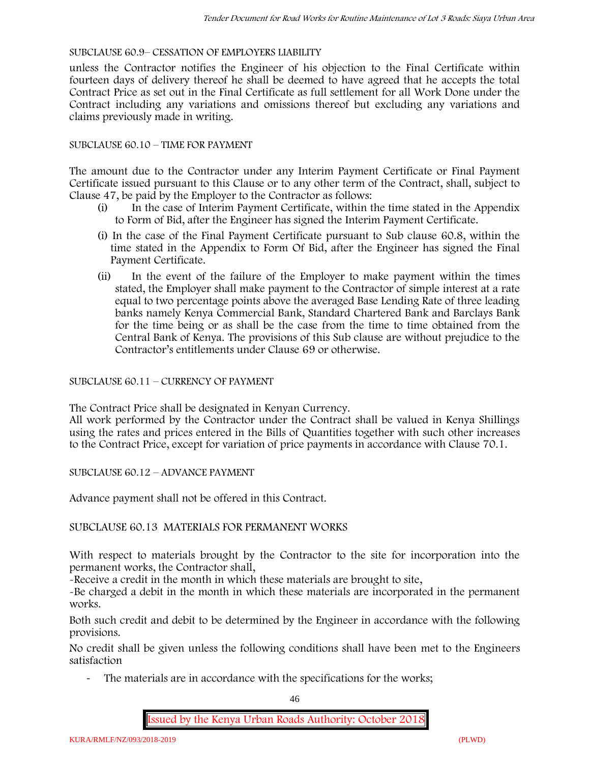### SUBCLAUSE 60.9– CESSATION OF EMPLOYERS LIABILITY

unless the Contractor notifies the Engineer of his objection to the Final Certificate within fourteen days of delivery thereof he shall be deemed to have agreed that he accepts the total Contract Price as set out in the Final Certificate as full settlement for all Work Done under the Contract including any variations and omissions thereof but excluding any variations and claims previously made in writing.

### SUBCLAUSE 60.10 – TIME FOR PAYMENT

The amount due to the Contractor under any Interim Payment Certificate or Final Payment Certificate issued pursuant to this Clause or to any other term of the Contract, shall, subject to Clause 47, be paid by the Employer to the Contractor as follows:

- (i) In the case of Interim Payment Certificate, within the time stated in the Appendix to Form of Bid, after the Engineer has signed the Interim Payment Certificate.
- (i) In the case of the Final Payment Certificate pursuant to Sub clause 60.8, within the time stated in the Appendix to Form Of Bid, after the Engineer has signed the Final Payment Certificate.
- (ii) In the event of the failure of the Employer to make payment within the times stated, the Employer shall make payment to the Contractor of simple interest at a rate equal to two percentage points above the averaged Base Lending Rate of three leading banks namely Kenya Commercial Bank, Standard Chartered Bank and Barclays Bank for the time being or as shall be the case from the time to time obtained from the Central Bank of Kenya. The provisions of this Sub clause are without prejudice to the Contractor's entitlements under Clause 69 or otherwise.

### SUBCLAUSE 60.11 – CURRENCY OF PAYMENT

The Contract Price shall be designated in Kenyan Currency.

All work performed by the Contractor under the Contract shall be valued in Kenya Shillings using the rates and prices entered in the Bills of Quantities together with such other increases to the Contract Price, except for variation of price payments in accordance with Clause 70.1.

SUBCLAUSE 60.12 – ADVANCE PAYMENT

Advance payment shall not be offered in this Contract.

# SUBCLAUSE 60.13 MATERIALS FOR PERMANENT WORKS

With respect to materials brought by the Contractor to the site for incorporation into the permanent works, the Contractor shall,

-Receive a credit in the month in which these materials are brought to site,

-Be charged a debit in the month in which these materials are incorporated in the permanent works.

Both such credit and debit to be determined by the Engineer in accordance with the following provisions.

No credit shall be given unless the following conditions shall have been met to the Engineers satisfaction

The materials are in accordance with the specifications for the works;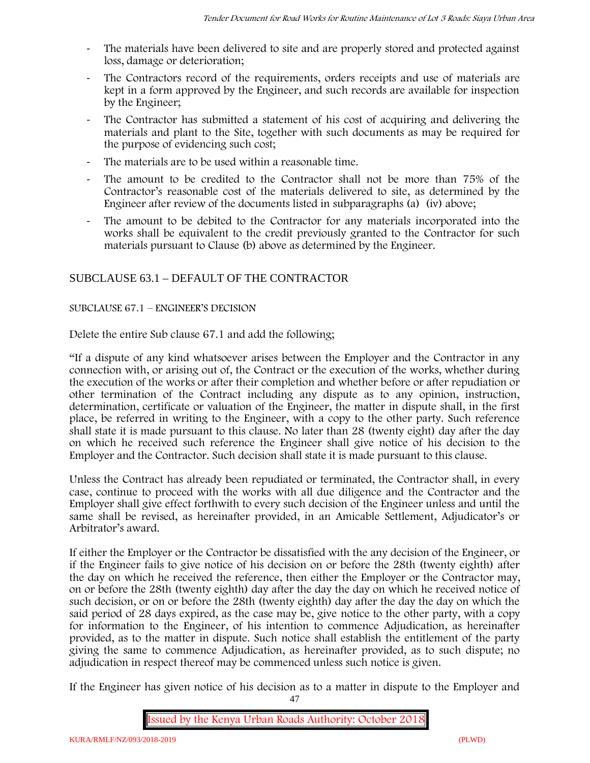- The materials have been delivered to site and are properly stored and protected against loss, damage or deterioration;
- The Contractors record of the requirements, orders receipts and use of materials are kept in a form approved by the Engineer, and such records are available for inspection by the Engineer;
- The Contractor has submitted a statement of his cost of acquiring and delivering the materials and plant to the Site, together with such documents as may be required for the purpose of evidencing such cost;
- The materials are to be used within a reasonable time.
- The amount to be credited to the Contractor shall not be more than 75% of the Contractor's reasonable cost of the materials delivered to site, as determined by the Engineer after review of the documents listed in subparagraphs (a) (iv) above;
- The amount to be debited to the Contractor for any materials incorporated into the works shall be equivalent to the credit previously granted to the Contractor for such materials pursuant to Clause (b) above as determined by the Engineer.

# SUBCLAUSE 63.1 – DEFAULT OF THE CONTRACTOR

### SUBCLAUSE 67.1 – ENGINEER'S DECISION

Delete the entire Sub clause 67.1 and add the following;

"If a dispute of any kind whatsoever arises between the Employer and the Contractor in any connection with, or arising out of, the Contract or the execution of the works, whether during the execution of the works or after their completion and whether before or after repudiation or other termination of the Contract including any dispute as to any opinion, instruction, determination, certificate or valuation of the Engineer, the matter in dispute shall, in the first place, be referred in writing to the Engineer, with a copy to the other party. Such reference shall state it is made pursuant to this clause. No later than 28 (twenty eight) day after the day on which he received such reference the Engineer shall give notice of his decision to the Employer and the Contractor. Such decision shall state it is made pursuant to this clause.

Unless the Contract has already been repudiated or terminated, the Contractor shall, in every case, continue to proceed with the works with all due diligence and the Contractor and the Employer shall give effect forthwith to every such decision of the Engineer unless and until the same shall be revised, as hereinafter provided, in an Amicable Settlement, Adjudicator's or Arbitrator's award.

If either the Employer or the Contractor be dissatisfied with the any decision of the Engineer, or if the Engineer fails to give notice of his decision on or before the 28th (twenty eighth) after the day on which he received the reference, then either the Employer or the Contractor may, on or before the 28th (twenty eighth) day after the day the day on which he received notice of such decision, or on or before the 28th (twenty eighth) day after the day the day on which the said period of 28 days expired, as the case may be, give notice to the other party, with a copy for information to the Engineer, of his intention to commence Adjudication, as hereinafter provided, as to the matter in dispute. Such notice shall establish the entitlement of the party giving the same to commence Adjudication, as hereinafter provided, as to such dispute; no adjudication in respect thereof may be commenced unless such notice is given.

If the Engineer has given notice of his decision as to a matter in dispute to the Employer and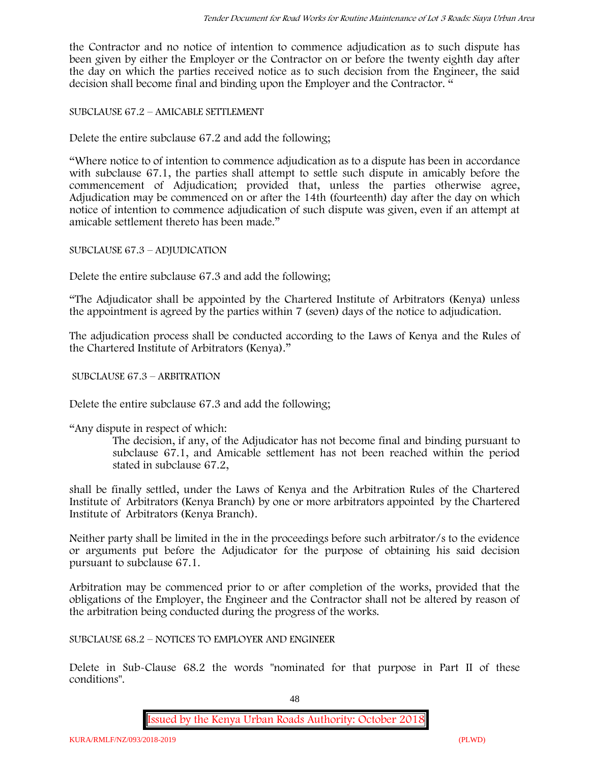the Contractor and no notice of intention to commence adjudication as to such dispute has been given by either the Employer or the Contractor on or before the twenty eighth day after the day on which the parties received notice as to such decision from the Engineer, the said decision shall become final and binding upon the Employer and the Contractor. "

SUBCLAUSE 67.2 – AMICABLE SETTLEMENT

Delete the entire subclause 67.2 and add the following;

"Where notice to of intention to commence adjudication as to a dispute has been in accordance with subclause 67.1, the parties shall attempt to settle such dispute in amicably before the commencement of Adjudication; provided that, unless the parties otherwise agree, Adjudication may be commenced on or after the 14th (fourteenth) day after the day on which notice of intention to commence adjudication of such dispute was given, even if an attempt at amicable settlement thereto has been made."

SUBCLAUSE 67.3 – ADJUDICATION

Delete the entire subclause 67.3 and add the following;

"The Adjudicator shall be appointed by the Chartered Institute of Arbitrators (Kenya) unless the appointment is agreed by the parties within 7 (seven) days of the notice to adjudication.

The adjudication process shall be conducted according to the Laws of Kenya and the Rules of the Chartered Institute of Arbitrators (Kenya)."

SUBCLAUSE 67.3 – ARBITRATION

Delete the entire subclause 67.3 and add the following;

"Any dispute in respect of which:

The decision, if any, of the Adjudicator has not become final and binding pursuant to subclause 67.1, and Amicable settlement has not been reached within the period stated in subclause 67.2,

shall be finally settled, under the Laws of Kenya and the Arbitration Rules of the Chartered Institute of Arbitrators (Kenya Branch) by one or more arbitrators appointed by the Chartered Institute of Arbitrators (Kenya Branch).

Neither party shall be limited in the in the proceedings before such arbitrator/s to the evidence or arguments put before the Adjudicator for the purpose of obtaining his said decision pursuant to subclause 67.1.

Arbitration may be commenced prior to or after completion of the works, provided that the obligations of the Employer, the Engineer and the Contractor shall not be altered by reason of the arbitration being conducted during the progress of the works.

SUBCLAUSE 68.2 – NOTICES TO EMPLOYER AND ENGINEER

Delete in Sub-Clause 68.2 the words "nominated for that purpose in Part II of these conditions".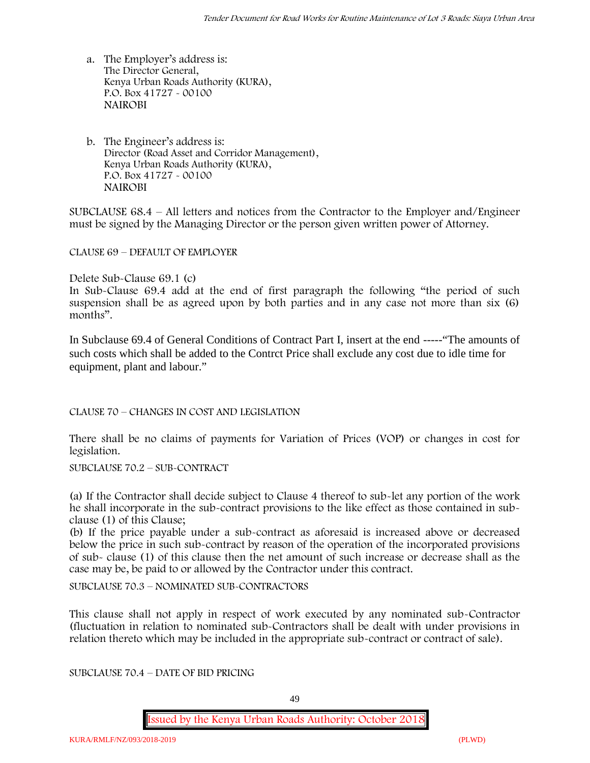- a. The Employer's address is: The Director General, Kenya Urban Roads Authority (KURA), P.O. Box 41727 - 00100 **NAIROBI**
- b. The Engineer's address is: Director (Road Asset and Corridor Management), Kenya Urban Roads Authority (KURA), P.O. Box 41727 - 00100 **NAIROBI**

SUBCLAUSE 68.4 – All letters and notices from the Contractor to the Employer and/Engineer must be signed by the Managing Director or the person given written power of Attorney.

CLAUSE 69 – DEFAULT OF EMPLOYER

Delete Sub-Clause 69.1 (c)

In Sub-Clause 69.4 add at the end of first paragraph the following "the period of such suspension shall be as agreed upon by both parties and in any case not more than six (6) months".

In Subclause 69.4 of General Conditions of Contract Part I, insert at the end -----"The amounts of such costs which shall be added to the Contrct Price shall exclude any cost due to idle time for equipment, plant and labour."

CLAUSE 70 – CHANGES IN COST AND LEGISLATION

There shall be no claims of payments for Variation of Prices (VOP) or changes in cost for legislation.

SUBCLAUSE 70.2 – SUB-CONTRACT

(a) If the Contractor shall decide subject to Clause 4 thereof to sub-let any portion of the work he shall incorporate in the sub-contract provisions to the like effect as those contained in subclause (1) of this Clause;

(b) If the price payable under a sub-contract as aforesaid is increased above or decreased below the price in such sub-contract by reason of the operation of the incorporated provisions of sub- clause (1) of this clause then the net amount of such increase or decrease shall as the case may be, be paid to or allowed by the Contractor under this contract.

SUBCLAUSE 70.3 – NOMINATED SUB-CONTRACTORS

This clause shall not apply in respect of work executed by any nominated sub-Contractor (fluctuation in relation to nominated sub-Contractors shall be dealt with under provisions in relation thereto which may be included in the appropriate sub-contract or contract of sale).

SUBCLAUSE 70.4 – DATE OF BID PRICING

49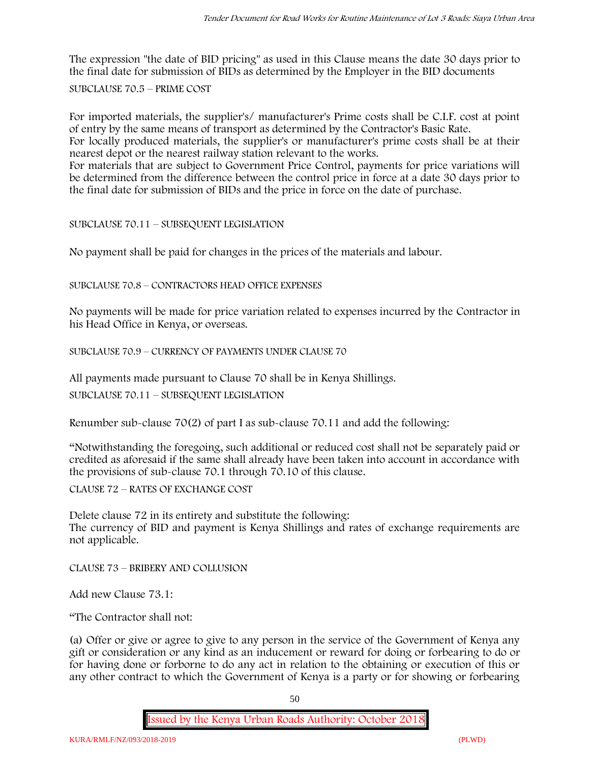The expression "the date of BID pricing" as used in this Clause means the date 30 days prior to the final date for submission of BIDs as determined by the Employer in the BID documents

SUBCLAUSE 70.5 – PRIME COST

For imported materials, the supplier's/ manufacturer's Prime costs shall be C.I.F. cost at point of entry by the same means of transport as determined by the Contractor's Basic Rate.

For locally produced materials, the supplier's or manufacturer's prime costs shall be at their nearest depot or the nearest railway station relevant to the works.

For materials that are subject to Government Price Control, payments for price variations will be determined from the difference between the control price in force at a date 30 days prior to the final date for submission of BIDs and the price in force on the date of purchase.

SUBCLAUSE 70.11 – SUBSEQUENT LEGISLATION

No payment shall be paid for changes in the prices of the materials and labour.

SUBCLAUSE 70.8 – CONTRACTORS HEAD OFFICE EXPENSES

No payments will be made for price variation related to expenses incurred by the Contractor in his Head Office in Kenya, or overseas.

SUBCLAUSE 70.9 – CURRENCY OF PAYMENTS UNDER CLAUSE 70

All payments made pursuant to Clause 70 shall be in Kenya Shillings.

SUBCLAUSE 70.11 – SUBSEQUENT LEGISLATION

Renumber sub-clause 70(2) of part I as sub-clause 70.11 and add the following:

"Notwithstanding the foregoing, such additional or reduced cost shall not be separately paid or credited as aforesaid if the same shall already have been taken into account in accordance with the provisions of sub-clause 70.1 through 70.10 of this clause.

CLAUSE 72 – RATES OF EXCHANGE COST

Delete clause 72 in its entirety and substitute the following: The currency of BID and payment is Kenya Shillings and rates of exchange requirements are not applicable.

CLAUSE 73 – BRIBERY AND COLLUSION

Add new Clause 73.1:

"The Contractor shall not:

(a) Offer or give or agree to give to any person in the service of the Government of Kenya any gift or consideration or any kind as an inducement or reward for doing or forbearing to do or for having done or forborne to do any act in relation to the obtaining or execution of this or any other contract to which the Government of Kenya is a party or for showing or forbearing

50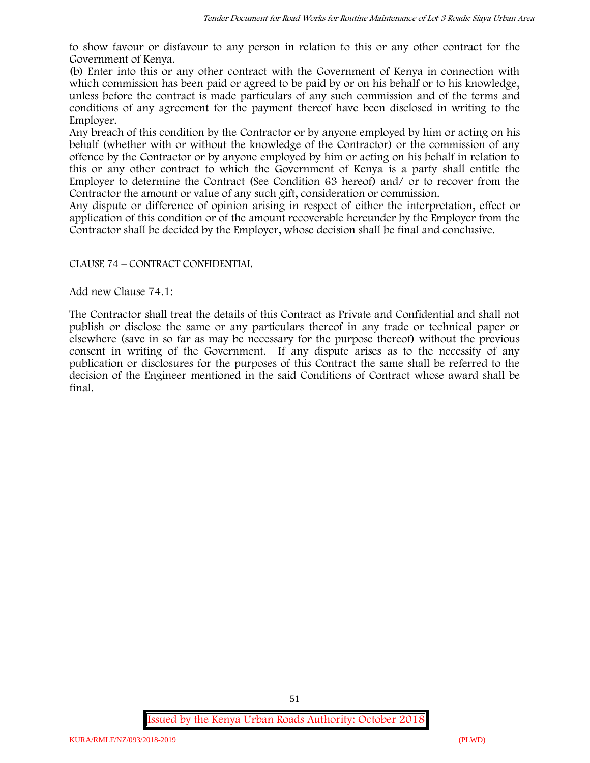to show favour or disfavour to any person in relation to this or any other contract for the Government of Kenya.

(b) Enter into this or any other contract with the Government of Kenya in connection with which commission has been paid or agreed to be paid by or on his behalf or to his knowledge, unless before the contract is made particulars of any such commission and of the terms and conditions of any agreement for the payment thereof have been disclosed in writing to the Employer.

Any breach of this condition by the Contractor or by anyone employed by him or acting on his behalf (whether with or without the knowledge of the Contractor) or the commission of any offence by the Contractor or by anyone employed by him or acting on his behalf in relation to this or any other contract to which the Government of Kenya is a party shall entitle the Employer to determine the Contract (See Condition 63 hereof) and/ or to recover from the Contractor the amount or value of any such gift, consideration or commission.

Any dispute or difference of opinion arising in respect of either the interpretation, effect or application of this condition or of the amount recoverable hereunder by the Employer from the Contractor shall be decided by the Employer, whose decision shall be final and conclusive.

### CLAUSE 74 – CONTRACT CONFIDENTIAL

Add new Clause 74.1:

The Contractor shall treat the details of this Contract as Private and Confidential and shall not publish or disclose the same or any particulars thereof in any trade or technical paper or elsewhere (save in so far as may be necessary for the purpose thereof) without the previous consent in writing of the Government. If any dispute arises as to the necessity of any publication or disclosures for the purposes of this Contract the same shall be referred to the decision of the Engineer mentioned in the said Conditions of Contract whose award shall be final.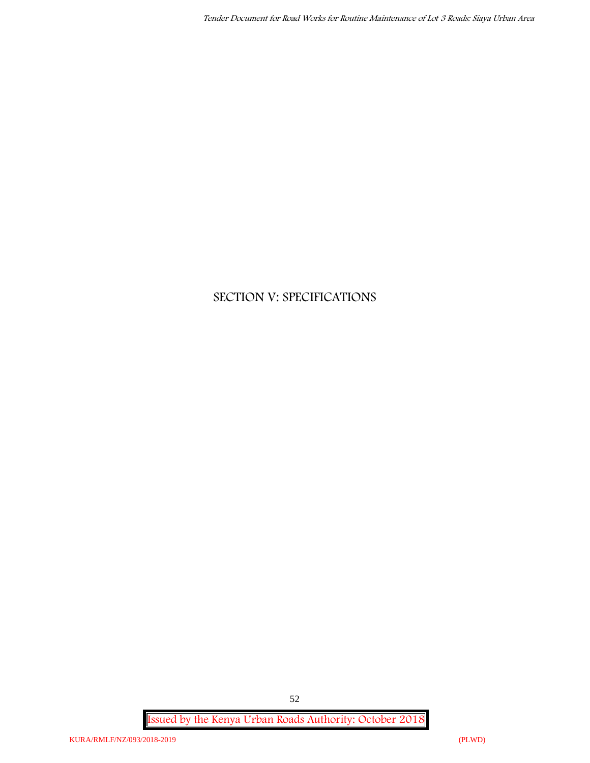# **SECTION V: SPECIFICATIONS**

**Issued by the Kenya Urban Roads Authority: October 2018**

52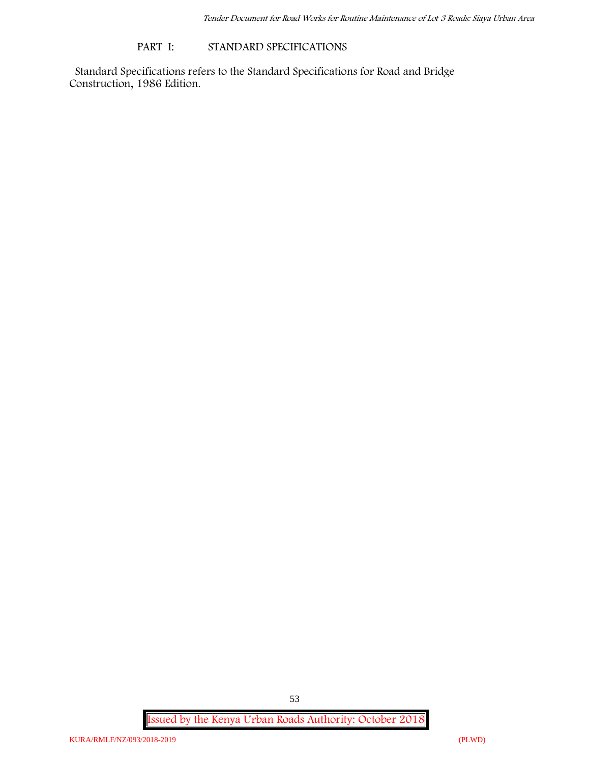#### **PART I: STANDARD SPECIFICATIONS**

Standard Specifications refers to the Standard Specifications for Road and Bridge Construction, 1986 Edition.

**Issued by the Kenya Urban Roads Authority: October 2018**

53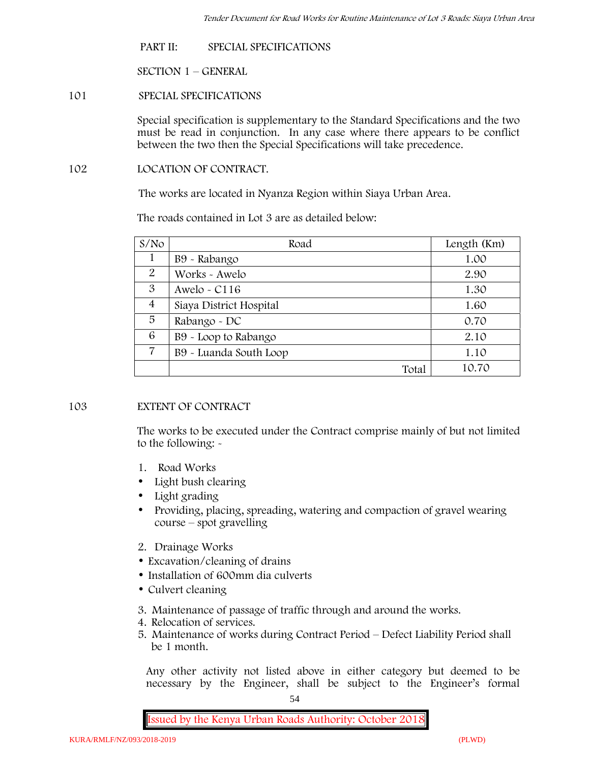**PART II: SPECIAL SPECIFICATIONS**

**SECTION 1 – GENERAL**

**101 SPECIAL SPECIFICATIONS**

Special specification is supplementary to the Standard Specifications and the two must be read in conjunction. In any case where there appears to be conflict between the two then the Special Specifications will take precedence.

**102 LOCATION OF CONTRACT.**

The works are located in Nyanza Region within Siaya Urban Area.

The roads contained in Lot 3 are as detailed below:

| S/N <sub>O</sub> | Road                    | Length (Km) |
|------------------|-------------------------|-------------|
|                  | B9 - Rabango            | 1.00        |
| 2                | Works - Awelo           | 2.90        |
| 3                | Awelo - $C116$          | 1.30        |
| $\overline{4}$   | Siaya District Hospital | 1.60        |
| 5                | Rabango - DC            | 0.70        |
| 6                | B9 - Loop to Rabango    | 2.10        |
| 7                | B9 - Luanda South Loop  | 1.10        |
|                  | Total                   | 10.70       |

### **103 EXTENT OF CONTRACT**

The works to be executed under the Contract comprise mainly of but not limited to the following: -

- **1. Road Works**
- Light bush clearing
- Light grading
- Providing, placing, spreading, watering and compaction of gravel wearing course – spot gravelling
- **2. Drainage Works**
- Excavation/cleaning of drains
- Installation of 600mm dia culverts
- Culvert cleaning
- **3. Maintenance of passage of traffic through and around the works.**
- **4. Relocation of services.**
- **5. Maintenance of works during Contract Period – Defect Liability Period shall be 1 month.**

Any other activity not listed above in either category but deemed to be necessary by the Engineer, shall be subject to the Engineer's formal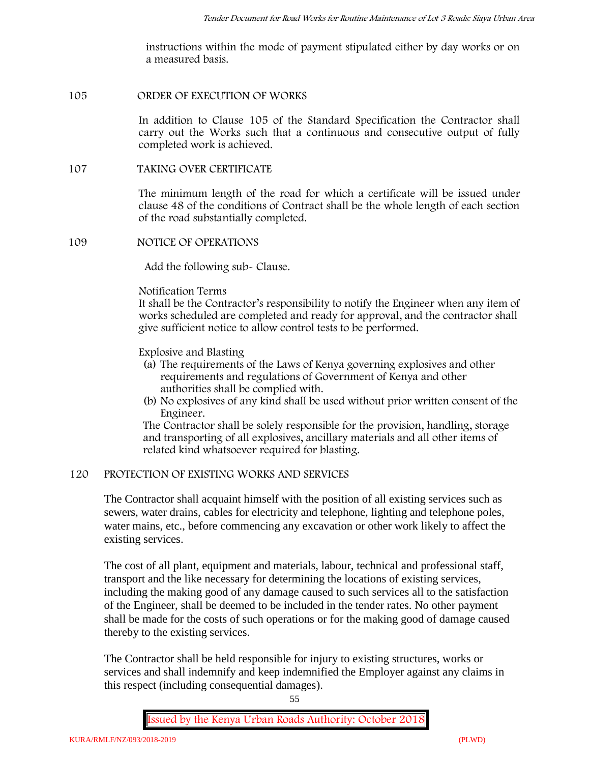instructions within the mode of payment stipulated either by day works or on a measured basis.

#### **105 ORDER OF EXECUTION OF WORKS**

In addition to Clause 105 of the Standard Specification the Contractor shall carry out the Works such that a continuous and consecutive output of fully completed work is achieved.

### **107 TAKING OVER CERTIFICATE**

The minimum length of the road for which a certificate will be issued under clause 48 of the conditions of Contract shall be the whole length of each section of the road substantially completed.

#### **109 NOTICE OF OPERATIONS**

Add the following sub- Clause.

#### Notification Terms

It shall be the Contractor's responsibility to notify the Engineer when any item of works scheduled are completed and ready for approval, and the contractor shall give sufficient notice to allow control tests to be performed.

### Explosive and Blasting

- (a) The requirements of the Laws of Kenya governing explosives and other requirements and regulations of Government of Kenya and other authorities shall be complied with.
- (b) No explosives of any kind shall be used without prior written consent of the Engineer.

The Contractor shall be solely responsible for the provision, handling, storage and transporting of all explosives, ancillary materials and all other items of related kind whatsoever required for blasting.

### **120 PROTECTION OF EXISTING WORKS AND SERVICES**

The Contractor shall acquaint himself with the position of all existing services such as sewers, water drains, cables for electricity and telephone, lighting and telephone poles, water mains, etc., before commencing any excavation or other work likely to affect the existing services.

The cost of all plant, equipment and materials, labour, technical and professional staff, transport and the like necessary for determining the locations of existing services, including the making good of any damage caused to such services all to the satisfaction of the Engineer, shall be deemed to be included in the tender rates. No other payment shall be made for the costs of such operations or for the making good of damage caused thereby to the existing services.

The Contractor shall be held responsible for injury to existing structures, works or services and shall indemnify and keep indemnified the Employer against any claims in this respect (including consequential damages).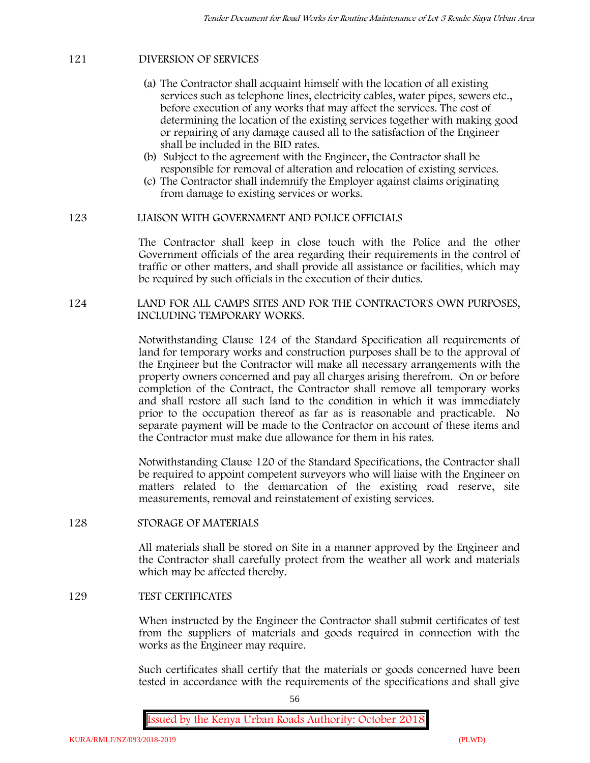### **121 DIVERSION OF SERVICES**

- (a) The Contractor shall acquaint himself with the location of all existing services such as telephone lines, electricity cables, water pipes, sewers etc., before execution of any works that may affect the services. The cost of determining the location of the existing services together with making good or repairing of any damage caused all to the satisfaction of the Engineer shall be included in the BID rates.
- (b) Subject to the agreement with the Engineer, the Contractor shall be responsible for removal of alteration and relocation of existing services.
- (c) The Contractor shall indemnify the Employer against claims originating from damage to existing services or works.

#### **123 LIAISON WITH GOVERNMENT AND POLICE OFFICIALS**

The Contractor shall keep in close touch with the Police and the other Government officials of the area regarding their requirements in the control of traffic or other matters, and shall provide all assistance or facilities, which may be required by such officials in the execution of their duties.

**124 LAND FOR ALL CAMPS SITES AND FOR THE CONTRACTOR'S OWN PURPOSES, INCLUDING TEMPORARY WORKS.**

> Notwithstanding Clause 124 of the Standard Specification all requirements of land for temporary works and construction purposes shall be to the approval of the Engineer but the Contractor will make all necessary arrangements with the property owners concerned and pay all charges arising therefrom. On or before completion of the Contract, the Contractor shall remove all temporary works and shall restore all such land to the condition in which it was immediately prior to the occupation thereof as far as is reasonable and practicable. No separate payment will be made to the Contractor on account of these items and the Contractor must make due allowance for them in his rates.

> Notwithstanding Clause 120 of the Standard Specifications, the Contractor shall be required to appoint competent surveyors who will liaise with the Engineer on matters related to the demarcation of the existing road reserve, site measurements, removal and reinstatement of existing services.

#### **128 STORAGE OF MATERIALS**

All materials shall be stored on Site in a manner approved by the Engineer and the Contractor shall carefully protect from the weather all work and materials which may be affected thereby.

#### **129 TEST CERTIFICATES**

When instructed by the Engineer the Contractor shall submit certificates of test from the suppliers of materials and goods required in connection with the works as the Engineer may require.

Such certificates shall certify that the materials or goods concerned have been tested in accordance with the requirements of the specifications and shall give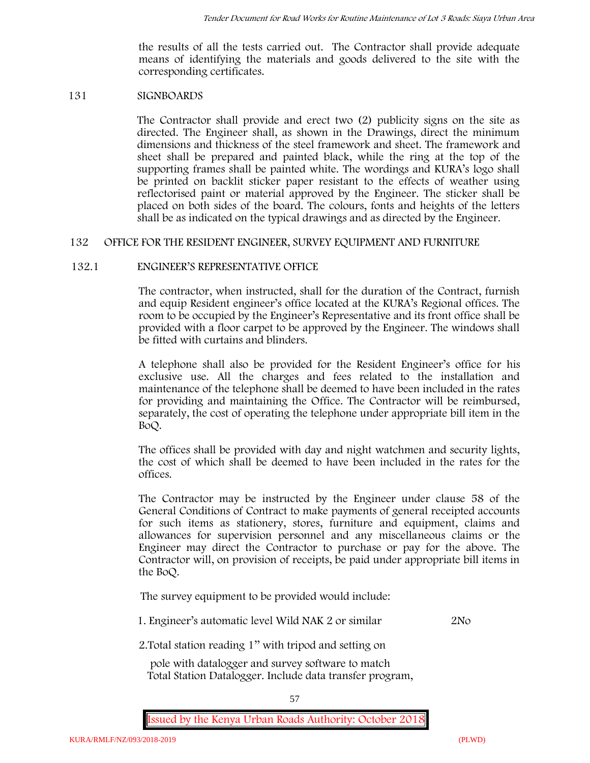the results of all the tests carried out. The Contractor shall provide adequate means of identifying the materials and goods delivered to the site with the corresponding certificates.

#### **131 SIGNBOARDS**

The Contractor shall provide and erect two (2) publicity signs on the site as directed. The Engineer shall, as shown in the Drawings, direct the minimum dimensions and thickness of the steel framework and sheet. The framework and sheet shall be prepared and painted black, while the ring at the top of the supporting frames shall be painted white. The wordings and KURA's logo shall be printed on backlit sticker paper resistant to the effects of weather using reflectorised paint or material approved by the Engineer. The sticker shall be placed on both sides of the board. The colours, fonts and heights of the letters shall be as indicated on the typical drawings and as directed by the Engineer.

#### **132 OFFICE FOR THE RESIDENT ENGINEER, SURVEY EQUIPMENT AND FURNITURE**

#### **132.1 ENGINEER'S REPRESENTATIVE OFFICE**

The contractor, when instructed, shall for the duration of the Contract, furnish and equip Resident engineer's office located at the KURA's Regional offices. The room to be occupied by the Engineer's Representative and its front office shall be provided with a floor carpet to be approved by the Engineer. The windows shall be fitted with curtains and blinders.

A telephone shall also be provided for the Resident Engineer's office for his exclusive use. All the charges and fees related to the installation and maintenance of the telephone shall be deemed to have been included in the rates for providing and maintaining the Office. The Contractor will be reimbursed, separately, the cost of operating the telephone under appropriate bill item in the BoQ.

The offices shall be provided with day and night watchmen and security lights, the cost of which shall be deemed to have been included in the rates for the offices.

The Contractor may be instructed by the Engineer under clause 58 of the General Conditions of Contract to make payments of general receipted accounts for such items as stationery, stores, furniture and equipment, claims and allowances for supervision personnel and any miscellaneous claims or the Engineer may direct the Contractor to purchase or pay for the above. The Contractor will, on provision of receipts, be paid under appropriate bill items in the BoQ.

**The survey equipment to be provided would include:**

1. Engineer's automatic level Wild NAK 2 or similar 2No

2.Total station reading 1'' with tripod and setting on

pole with datalogger and survey software to match Total Station Datalogger. Include data transfer program,

57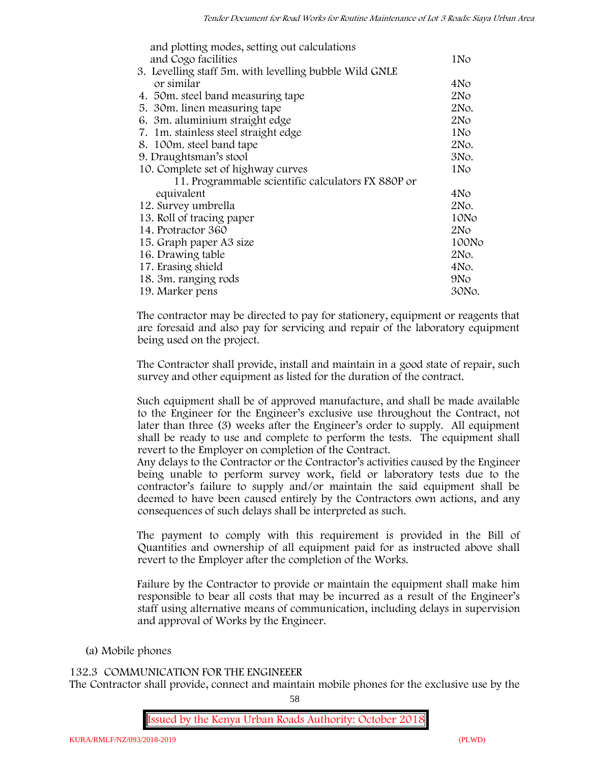| and plotting modes, setting out calculations           |                 |
|--------------------------------------------------------|-----------------|
| and Cogo facilities                                    | 1N <sub>o</sub> |
| 3. Levelling staff 5m. with levelling bubble Wild GNLE |                 |
| or similar                                             | 4No             |
| 4. 50 m. steel band measuring tape                     | 2N <sub>O</sub> |
| 5. 30m. linen measuring tape                           | 2No.            |
| 6. 3m. aluminium straight edge                         | 2No             |
| 7. 1m. stainless steel straight edge                   | 1No             |
| 8. 100m. steel band tape                               | 2No.            |
| 9. Draughtsman's stool                                 | 3No.            |
| 10. Complete set of highway curves                     | 1No             |
| 11. Programmable scientific calculators FX 880P or     |                 |
| equivalent                                             | 4No             |
| 12. Survey umbrella                                    | 2No.            |
| 13. Roll of tracing paper                              | 10No            |
| 14. Protractor 360                                     | 2N <sub>O</sub> |
| 15. Graph paper A3 size                                | 100No           |
| 16. Drawing table                                      | 2No.            |
| 17. Erasing shield                                     | 4No.            |
| 18. 3m. ranging rods                                   | 9No             |
| 19. Marker pens                                        | 30No.           |

The contractor may be directed to pay for stationery, equipment or reagents that are foresaid and also pay for servicing and repair of the laboratory equipment being used on the project.

The Contractor shall provide, install and maintain in a good state of repair, such survey and other equipment as listed for the duration of the contract.

Such equipment shall be of approved manufacture, and shall be made available to the Engineer for the Engineer's exclusive use throughout the Contract, not later than three (3) weeks after the Engineer's order to supply. All equipment shall be ready to use and complete to perform the tests. The equipment shall revert to the Employer on completion of the Contract.

Any delays to the Contractor or the Contractor's activities caused by the Engineer being unable to perform survey work, field or laboratory tests due to the contractor's failure to supply and/or maintain the said equipment shall be deemed to have been caused entirely by the Contractors own actions, and any consequences of such delays shall be interpreted as such.

The payment to comply with this requirement is provided in the Bill of Quantities and ownership of all equipment paid for as instructed above shall revert to the Employer after the completion of the Works.

Failure by the Contractor to provide or maintain the equipment shall make him responsible to bear all costs that may be incurred as a result of the Engineer's staff using alternative means of communication, including delays in supervision and approval of Works by the Engineer.

# **(a) Mobile phones**

### **132.3 COMMUNICATION FOR THE ENGINEEER**

The Contractor shall provide, connect and maintain mobile phones for the exclusive use by the

58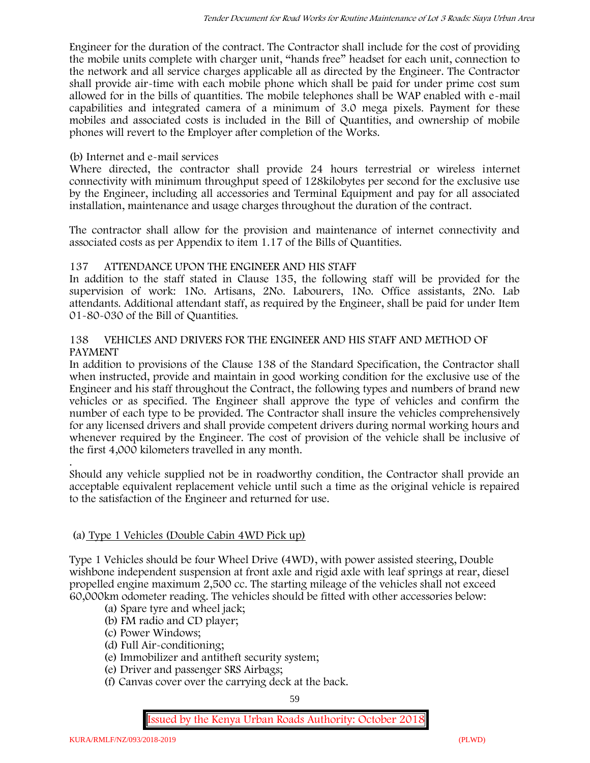Engineer for the duration of the contract. The Contractor shall include for the cost of providing the mobile units complete with charger unit, "hands free" headset for each unit, connection to the network and all service charges applicable all as directed by the Engineer. The Contractor shall provide air-time with each mobile phone which shall be paid for under prime cost sum allowed for in the bills of quantities. The mobile telephones shall be WAP enabled with e-mail capabilities and integrated camera of a minimum of 3.0 mega pixels. Payment for these mobiles and associated costs is included in the Bill of Quantities, and ownership of mobile phones will revert to the Employer after completion of the Works.

### **(b) Internet and e-mail services**

Where directed, the contractor shall provide 24 hours terrestrial or wireless internet connectivity with minimum throughput speed of 128kilobytes per second for the exclusive use by the Engineer, including all accessories and Terminal Equipment and pay for all associated installation, maintenance and usage charges throughout the duration of the contract.

The contractor shall allow for the provision and maintenance of internet connectivity and associated costs as per Appendix to item 1.17 of the Bills of Quantities.

### **137 ATTENDANCE UPON THE ENGINEER AND HIS STAFF**

In addition to the staff stated in Clause 135, the following staff will be provided for the supervision of work: 1No. Artisans, 2No. Labourers, 1No. Office assistants, 2No. Lab attendants. Additional attendant staff, as required by the Engineer, shall be paid for under Item 01-80-030 of the Bill of Quantities.

### **138 VEHICLES AND DRIVERS FOR THE ENGINEER AND HIS STAFF AND METHOD OF PAYMENT**

In addition to provisions of the Clause 138 of the Standard Specification, the Contractor shall when instructed, provide and maintain in good working condition for the exclusive use of the Engineer and his staff throughout the Contract, the following types and numbers of brand new vehicles or as specified. The Engineer shall approve the type of vehicles and confirm the number of each type to be provided. The Contractor shall insure the vehicles comprehensively for any licensed drivers and shall provide competent drivers during normal working hours and whenever required by the Engineer. The cost of provision of the vehicle shall be inclusive of the first 4,000 kilometers travelled in any month.

.Should any vehicle supplied not be in roadworthy condition, the Contractor shall provide an acceptable equivalent replacement vehicle until such a time as the original vehicle is repaired to the satisfaction of the Engineer and returned for use.

### **(a) Type 1 Vehicles (Double Cabin 4WD Pick up)**

Type 1 Vehicles should be four Wheel Drive (4WD), with power assisted steering, Double wishbone independent suspension at front axle and rigid axle with leaf springs at rear, diesel propelled engine maximum 2,500 cc. The starting mileage of the vehicles shall not exceed 60,000km odometer reading. The vehicles should be fitted with other accessories below:

- (a) Spare tyre and wheel jack;
- (b) FM radio and CD player;
- (c) Power Windows;
- (d) Full Air-conditioning;
- (e) Immobilizer and antitheft security system;
- (e) Driver and passenger SRS Airbags;
- (f) Canvas cover over the carrying deck at the back.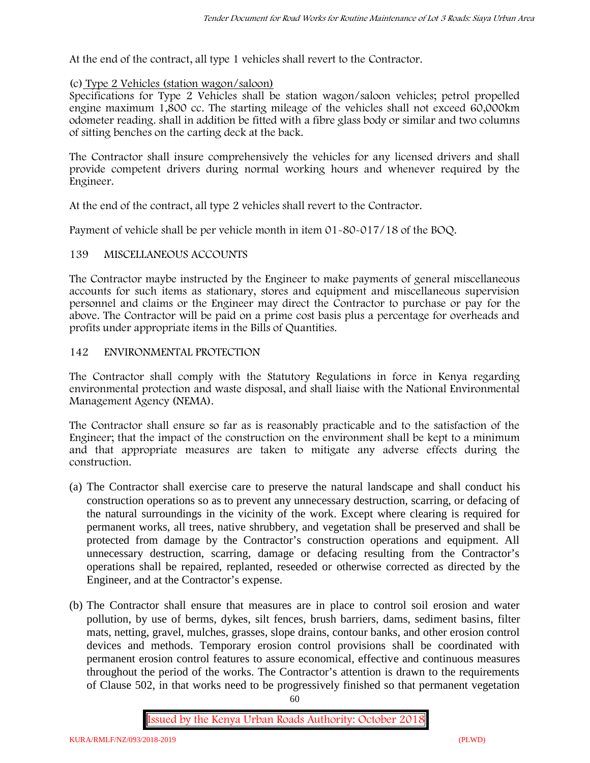At the end of the contract, all type 1 vehicles shall revert to the Contractor.

### **(c) Type 2 Vehicles (station wagon/saloon)**

Specifications for Type 2 Vehicles shall be station wagon/saloon vehicles; petrol propelled engine maximum 1,800 cc. The starting mileage of the vehicles shall not exceed 60,000km odometer reading. shall in addition be fitted with a fibre glass body or similar and two columns of sitting benches on the carting deck at the back.

The Contractor shall insure comprehensively the vehicles for any licensed drivers and shall provide competent drivers during normal working hours and whenever required by the Engineer.

At the end of the contract, all type 2 vehicles shall revert to the Contractor.

Payment of vehicle shall be per vehicle month in item 01-80-017/18 of the BOQ.

### **139 MISCELLANEOUS ACCOUNTS**

The Contractor maybe instructed by the Engineer to make payments of general miscellaneous accounts for such items as stationary, stores and equipment and miscellaneous supervision personnel and claims or the Engineer may direct the Contractor to purchase or pay for the above. The Contractor will be paid on a prime cost basis plus a percentage for overheads and profits under appropriate items in the Bills of Quantities.

### **142 ENVIRONMENTAL PROTECTION**

The Contractor shall comply with the Statutory Regulations in force in Kenya regarding environmental protection and waste disposal, and shall liaise with the National Environmental Management Agency (NEMA).

The Contractor shall ensure so far as is reasonably practicable and to the satisfaction of the Engineer; that the impact of the construction on the environment shall be kept to a minimum and that appropriate measures are taken to mitigate any adverse effects during the construction.

- (a) The Contractor shall exercise care to preserve the natural landscape and shall conduct his construction operations so as to prevent any unnecessary destruction, scarring, or defacing of the natural surroundings in the vicinity of the work. Except where clearing is required for permanent works, all trees, native shrubbery, and vegetation shall be preserved and shall be protected from damage by the Contractor's construction operations and equipment. All unnecessary destruction, scarring, damage or defacing resulting from the Contractor's operations shall be repaired, replanted, reseeded or otherwise corrected as directed by the Engineer, and at the Contractor's expense.
- (b) The Contractor shall ensure that measures are in place to control soil erosion and water pollution, by use of berms, dykes, silt fences, brush barriers, dams, sediment basins, filter mats, netting, gravel, mulches, grasses, slope drains, contour banks, and other erosion control devices and methods. Temporary erosion control provisions shall be coordinated with permanent erosion control features to assure economical, effective and continuous measures throughout the period of the works. The Contractor's attention is drawn to the requirements of Clause 502, in that works need to be progressively finished so that permanent vegetation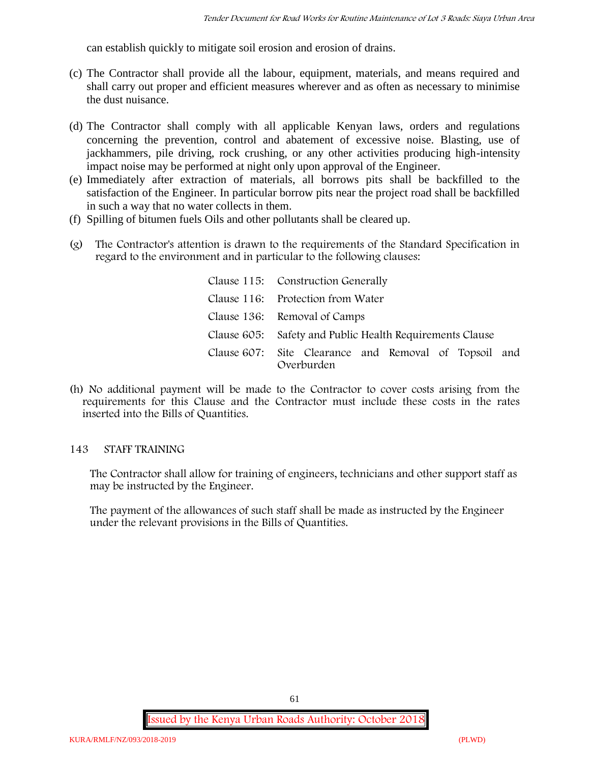can establish quickly to mitigate soil erosion and erosion of drains.

- (c) The Contractor shall provide all the labour, equipment, materials, and means required and shall carry out proper and efficient measures wherever and as often as necessary to minimise the dust nuisance.
- (d) The Contractor shall comply with all applicable Kenyan laws, orders and regulations concerning the prevention, control and abatement of excessive noise. Blasting, use of jackhammers, pile driving, rock crushing, or any other activities producing high-intensity impact noise may be performed at night only upon approval of the Engineer.
- (e) Immediately after extraction of materials, all borrows pits shall be backfilled to the satisfaction of the Engineer. In particular borrow pits near the project road shall be backfilled in such a way that no water collects in them.
- (f) Spilling of bitumen fuels Oils and other pollutants shall be cleared up.
- (g) The Contractor's attention is drawn to the requirements of the Standard Specification in regard to the environment and in particular to the following clauses:

| Clause 115: Construction Generally                                  |
|---------------------------------------------------------------------|
| Clause 116: Protection from Water                                   |
| Clause 136: Removal of Camps                                        |
| Clause 605: Safety and Public Health Requirements Clause            |
| Clause 607: Site Clearance and Removal of Topsoil and<br>Overburden |

(h) No additional payment will be made to the Contractor to cover costs arising from the requirements for this Clause and the Contractor must include these costs in the rates inserted into the Bills of Quantities.

### **143 STAFF TRAINING**

The Contractor shall allow for training of engineers, technicians and other support staff as may be instructed by the Engineer.

The payment of the allowances of such staff shall be made as instructed by the Engineer under the relevant provisions in the Bills of Quantities.

61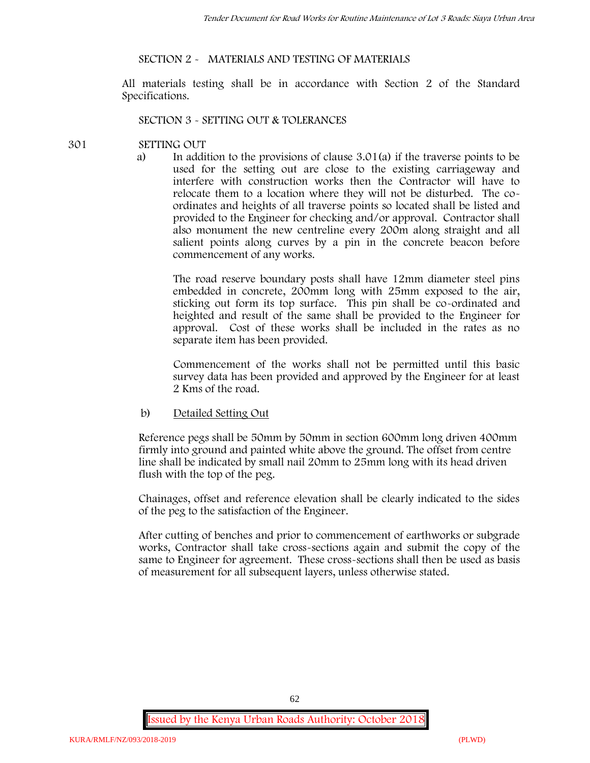#### **SECTION 2 - MATERIALS AND TESTING OF MATERIALS**

All materials testing shall be in accordance with Section 2 of the Standard Specifications.

#### **SECTION 3 - SETTING OUT & TOLERANCES**

#### **301 SETTING OUT**

a) In addition to the provisions of clause 3.01(a) if the traverse points to be used for the setting out are close to the existing carriageway and interfere with construction works then the Contractor will have to relocate them to a location where they will not be disturbed. The co ordinates and heights of all traverse points so located shall be listed and provided to the Engineer for checking and/or approval. Contractor shall also monument the new centreline every 200m along straight and all salient points along curves by a pin in the concrete beacon before commencement of any works.

The road reserve boundary posts shall have 12mm diameter steel pins embedded in concrete, 200mm long with 25mm exposed to the air, sticking out form its top surface. This pin shall be co-ordinated and heighted and result of the same shall be provided to the Engineer for approval. Cost of these works shall be included in the rates as no separate item has been provided.

Commencement of the works shall not be permitted until this basic survey data has been provided and approved by the Engineer for at least 2 Kms of the road.

b) Detailed Setting Out

Reference pegs shall be 50mm by 50mm in section 600mm long driven 400mm firmly into ground and painted white above the ground. The offset from centre line shall be indicated by small nail 20mm to 25mm long with its head driven flush with the top of the peg.

Chainages, offset and reference elevation shall be clearly indicated to the sides of the peg to the satisfaction of the Engineer.

After cutting of benches and prior to commencement of earthworks or subgrade works, Contractor shall take cross-sections again and submit the copy of the same to Engineer for agreement. These cross-sections shall then be used as basis of measurement for all subsequent layers, unless otherwise stated.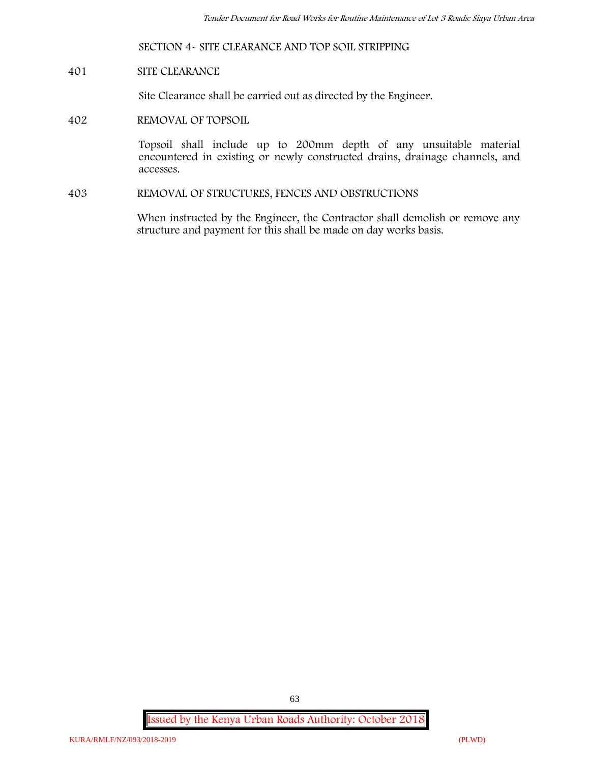#### **SECTION 4- SITE CLEARANCE AND TOP SOIL STRIPPING**

#### **401 SITE CLEARANCE**

Site Clearance shall be carried out as directed by the Engineer.

#### **402 REMOVAL OF TOPSOIL**

Topsoil shall include up to 200mm depth of any unsuitable material encountered in existing or newly constructed drains, drainage channels, and accesses.

**403 REMOVAL OF STRUCTURES, FENCES AND OBSTRUCTIONS**

When instructed by the Engineer, the Contractor shall demolish or remove any structure and payment for this shall be made on day works basis.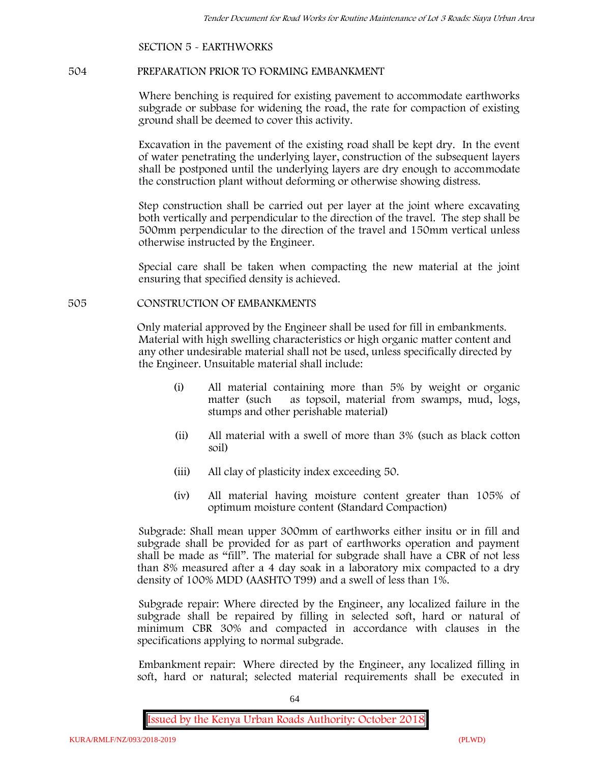### **SECTION 5 - EARTHWORKS**

#### **504 PREPARATION PRIOR TO FORMING EMBANKMENT**

Where benching is required for existing pavement to accommodate earthworks subgrade or subbase for widening the road, the rate for compaction of existing ground shall be deemed to cover this activity.

Excavation in the pavement of the existing road shall be kept dry. In the event of water penetrating the underlying layer, construction of the subsequent layers shall be postponed until the underlying layers are dry enough to accommodate the construction plant without deforming or otherwise showing distress.

Step construction shall be carried out per layer at the joint where excavating both vertically and perpendicular to the direction of the travel. The step shall be 500mm perpendicular to the direction of the travel and 150mm vertical unless otherwise instructed by the Engineer.

Special care shall be taken when compacting the new material at the joint ensuring that specified density is achieved.

#### **505 CONSTRUCTION OF EMBANKMENTS**

Only material approved by the Engineer shall be used for fill in embankments. Material with high swelling characteristics or high organic matter content and any other undesirable material shall not be used, unless specifically directed by the Engineer. Unsuitable material shall include:

- (i) All material containing more than 5% by weight or organic matter (such as topsoil, material from swamps, mud, logs, stumps and other perishable material)
- (ii) All material with a swell of more than 3% (such as black cotton soil)
- (iii) All clay of plasticity index exceeding 50.
- (iv) All material having moisture content greater than 105% of optimum moisture content (Standard Compaction)

Subgrade: Shall mean upper 300mm of earthworks either insitu or in fill and subgrade shall be provided for as part of earthworks operation and payment shall be made as "fill". The material for subgrade shall have a CBR of not less than 8% measured after a 4 day soak in a laboratory mix compacted to a dry density of 100% MDD (AASHTO T99) and a swell of less than 1%.

Subgrade repair: Where directed by the Engineer, any localized failure in the subgrade shall be repaired by filling in selected soft, hard or natural of minimum CBR 30% and compacted in accordance with clauses in the specifications applying to normal subgrade.

Embankment repair: Where directed by the Engineer, any localized filling in soft, hard or natural; selected material requirements shall be executed in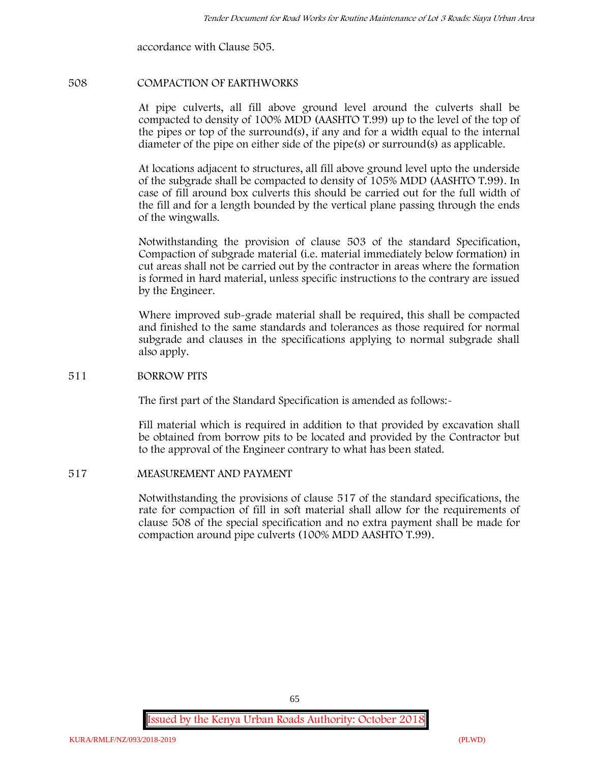accordance with Clause 505.

#### **508 COMPACTION OF EARTHWORKS**

At pipe culverts, all fill above ground level around the culverts shall be compacted to density of 100% MDD (AASHTO T.99) up to the level of the top of the pipes or top of the surround(s), if any and for a width equal to the internal diameter of the pipe on either side of the pipe(s) or surround(s) as applicable.

At locations adjacent to structures, all fill above ground level upto the underside of the subgrade shall be compacted to density of 105% MDD (AASHTO T.99). In case of fill around box culverts this should be carried out for the full width of the fill and for a length bounded by the vertical plane passing through the ends of the wingwalls.

Notwithstanding the provision of clause 503 of the standard Specification, Compaction of subgrade material (i.e. material immediately below formation) in cut areas shall not be carried out by the contractor in areas where the formation is formed in hard material, unless specific instructions to the contrary are issued by the Engineer.

Where improved sub-grade material shall be required, this shall be compacted and finished to the same standards and tolerances as those required for normal subgrade and clauses in the specifications applying to normal subgrade shall also apply.

#### **511 BORROW PITS**

The first part of the Standard Specification is amended as follows:-

Fill material which is required in addition to that provided by excavation shall be obtained from borrow pits to be located and provided by the Contractor but to the approval of the Engineer contrary to what has been stated.

#### **517 MEASUREMENT AND PAYMENT**

Notwithstanding the provisions of clause 517 of the standard specifications, the rate for compaction of fill in soft material shall allow for the requirements of clause 508 of the special specification and no extra payment shall be made for compaction around pipe culverts (100% MDD AASHTO T.99).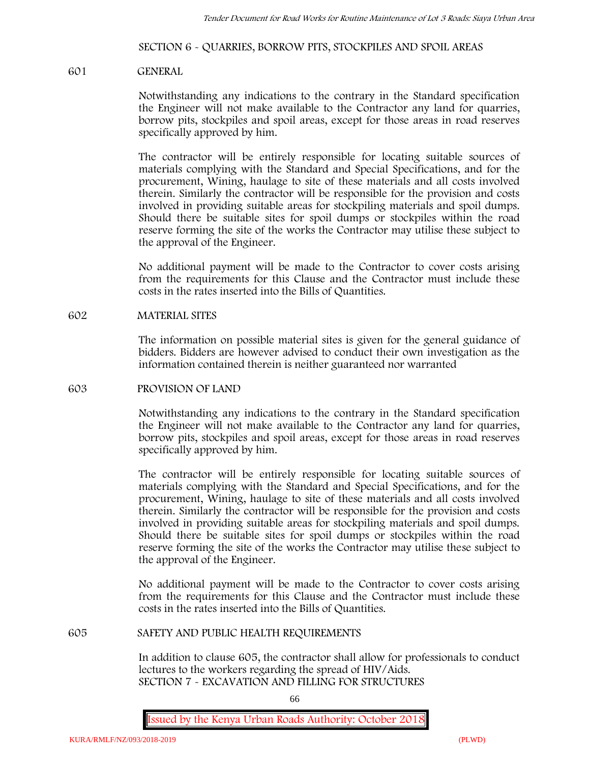### **SECTION 6 - QUARRIES, BORROW PITS, STOCKPILES AND SPOIL AREAS**

#### **601 GENERAL**

Notwithstanding any indications to the contrary in the Standard specification the Engineer will not make available to the Contractor any land for quarries, borrow pits, stockpiles and spoil areas, except for those areas in road reserves specifically approved by him.

The contractor will be entirely responsible for locating suitable sources of materials complying with the Standard and Special Specifications, and for the procurement, Wining, haulage to site of these materials and all costs involved therein. Similarly the contractor will be responsible for the provision and costs involved in providing suitable areas for stockpiling materials and spoil dumps. Should there be suitable sites for spoil dumps or stockpiles within the road reserve forming the site of the works the Contractor may utilise these subject to the approval of the Engineer.

No additional payment will be made to the Contractor to cover costs arising from the requirements for this Clause and the Contractor must include these costs in the rates inserted into the Bills of Quantities.

#### **602 MATERIAL SITES**

The information on possible material sites is given for the general guidance of bidders. Bidders are however advised to conduct their own investigation as the information contained therein is neither guaranteed nor warranted

#### **603 PROVISION OF LAND**

Notwithstanding any indications to the contrary in the Standard specification the Engineer will not make available to the Contractor any land for quarries, borrow pits, stockpiles and spoil areas, except for those areas in road reserves specifically approved by him.

The contractor will be entirely responsible for locating suitable sources of materials complying with the Standard and Special Specifications, and for the procurement, Wining, haulage to site of these materials and all costs involved therein. Similarly the contractor will be responsible for the provision and costs involved in providing suitable areas for stockpiling materials and spoil dumps. Should there be suitable sites for spoil dumps or stockpiles within the road reserve forming the site of the works the Contractor may utilise these subject to the approval of the Engineer.

No additional payment will be made to the Contractor to cover costs arising from the requirements for this Clause and the Contractor must include these costs in the rates inserted into the Bills of Quantities.

#### **605 SAFETY AND PUBLIC HEALTH REQUIREMENTS**

In addition to clause 605, the contractor shall allow for professionals to conduct lectures to the workers regarding the spread of HIV/Aids. **SECTION 7 - EXCAVATION AND FILLING FOR STRUCTURES**

66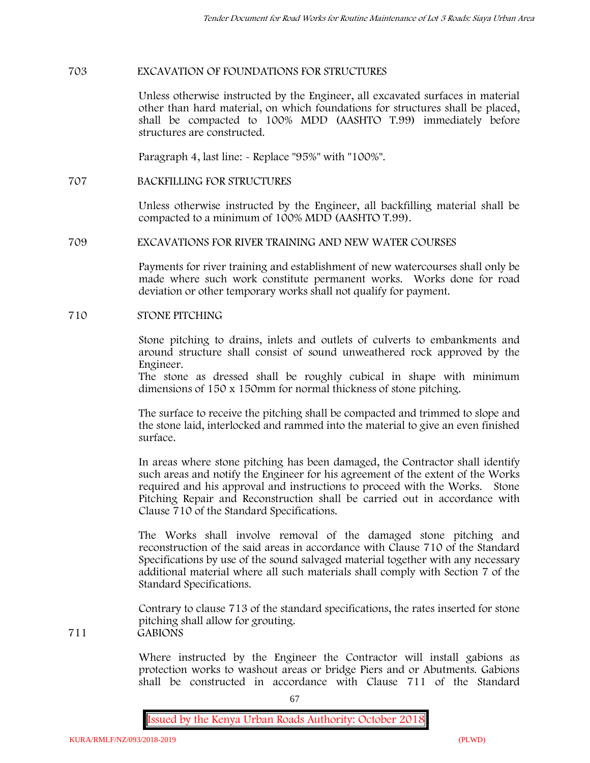#### **703 EXCAVATION OF FOUNDATIONS FOR STRUCTURES**

Unless otherwise instructed by the Engineer, all excavated surfaces in material other than hard material, on which foundations for structures shall be placed, shall be compacted to 100% MDD (AASHTO T.99) immediately before structures are constructed.

Paragraph 4, last line: - Replace "95%" with "100%".

**707 BACKFILLING FOR STRUCTURES**

Unless otherwise instructed by the Engineer, all backfilling material shall be compacted to a minimum of 100% MDD (AASHTO T.99).

#### **709 EXCAVATIONS FOR RIVER TRAINING AND NEW WATER COURSES**

Payments for river training and establishment of new watercourses shall only be made where such work constitute permanent works. Works done for road deviation or other temporary works shall not qualify for payment.

#### **710 STONE PITCHING**

Stone pitching to drains, inlets and outlets of culverts to embankments and around structure shall consist of sound unweathered rock approved by the Engineer.

The stone as dressed shall be roughly cubical in shape with minimum dimensions of 150 x 150mm for normal thickness of stone pitching.

The surface to receive the pitching shall be compacted and trimmed to slope and the stone laid, interlocked and rammed into the material to give an even finished surface.

In areas where stone pitching has been damaged, the Contractor shall identify such areas and notify the Engineer for his agreement of the extent of the Works required and his approval and instructions to proceed with the Works. Stone Pitching Repair and Reconstruction shall be carried out in accordance with Clause 710 of the Standard Specifications.

The Works shall involve removal of the damaged stone pitching and reconstruction of the said areas in accordance with Clause 710 of the Standard Specifications by use of the sound salvaged material together with any necessary additional material where all such materials shall comply with Section 7 of the Standard Specifications.

Contrary to clause 713 of the standard specifications, the rates inserted for stone pitching shall allow for grouting. **711 GABIONS**

> Where instructed by the Engineer the Contractor will install gabions as protection works to washout areas or bridge Piers and or Abutments. Gabions shall be constructed in accordance with Clause 711 of the Standard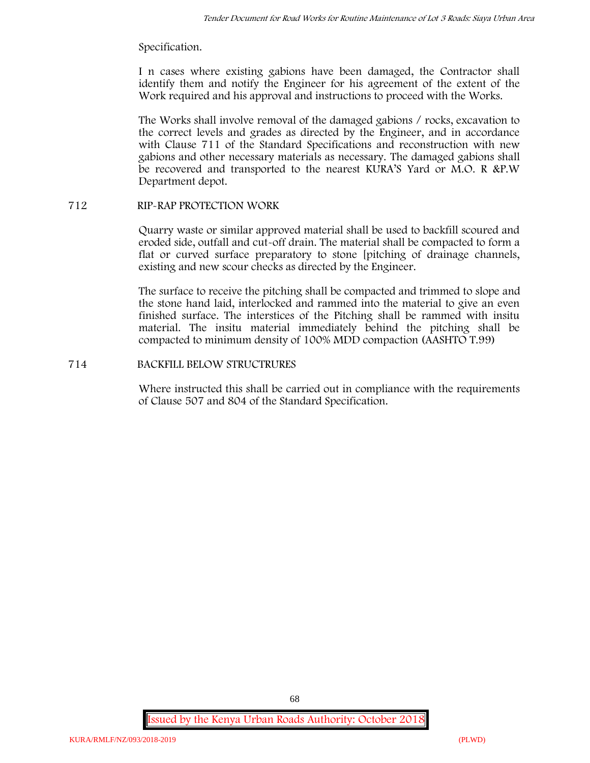#### Specification.

I n cases where existing gabions have been damaged, the Contractor shall identify them and notify the Engineer for his agreement of the extent of the Work required and his approval and instructions to proceed with the Works.

The Works shall involve removal of the damaged gabions / rocks, excavation to the correct levels and grades as directed by the Engineer, and in accordance with Clause 711 of the Standard Specifications and reconstruction with new gabions and other necessary materials as necessary. The damaged gabions shall be recovered and transported to the nearest KURA'S Yard or M.O. R &P.W Department depot.

### **712 RIP-RAP PROTECTION WORK**

Quarry waste or similar approved material shall be used to backfill scoured and eroded side, outfall and cut-off drain. The material shall be compacted to form a flat or curved surface preparatory to stone [pitching of drainage channels, existing and new scour checks as directed by the Engineer.

The surface to receive the pitching shall be compacted and trimmed to slope and the stone hand laid, interlocked and rammed into the material to give an even finished surface. The interstices of the Pitching shall be rammed with insitu material. The insitu material immediately behind the pitching shall be compacted to minimum density of 100% MDD compaction (AASHTO T.99)

### **714 BACKFILL BELOW STRUCTRURES**

Where instructed this shall be carried out in compliance with the requirements of Clause 507 and 804 of the Standard Specification.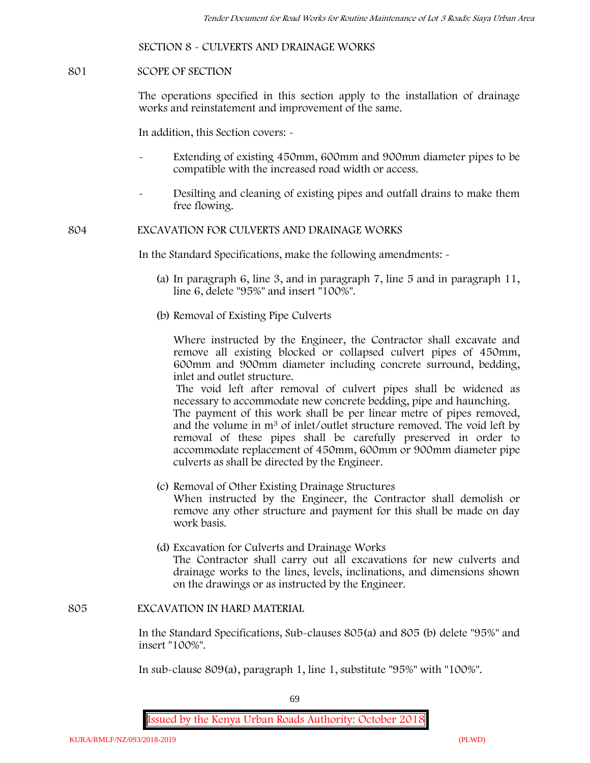### **SECTION 8 - CULVERTS AND DRAINAGE WORKS**

#### **801 SCOPE OF SECTION**

The operations specified in this section apply to the installation of drainage works and reinstatement and improvement of the same.

In addition, this Section covers: -

- Extending of existing 450mm, 600mm and 900mm diameter pipes to be compatible with the increased road width or access.
- Desilting and cleaning of existing pipes and outfall drains to make them free flowing.

**804 EXCAVATION FOR CULVERTS AND DRAINAGE WORKS**

In the Standard Specifications, make the following amendments: -

- (a) In paragraph 6, line 3, and in paragraph 7, line 5 and in paragraph 11, line 6, delete "95%" and insert "100%".
- (b) Removal of Existing Pipe Culverts

Where instructed by the Engineer, the Contractor shall excavate and remove all existing blocked or collapsed culvert pipes of 450mm, 600mm and 900mm diameter including concrete surround, bedding, inlet and outlet structure.

The void left after removal of culvert pipes shall be widened as necessary to accommodate new concrete bedding, pipe and haunching. The payment of this work shall be per linear metre of pipes removed,

and the volume in m<sup>3</sup> of inlet/outlet structure removed. The void left by removal of these pipes shall be carefully preserved in order to accommodate replacement of 450mm, 600mm or 900mm diameter pipe culverts as shall be directed by the Engineer.

- (c) Removal of Other Existing Drainage Structures When instructed by the Engineer, the Contractor shall demolish or remove any other structure and payment for this shall be made on day work basis.
- (d) Excavation for Culverts and Drainage Works The Contractor shall carry out all excavations for new culverts and drainage works to the lines, levels, inclinations, and dimensions shown on the drawings or as instructed by the Engineer.

#### **805 EXCAVATION IN HARD MATERIAL**

In the Standard Specifications, Sub-clauses 805(a) and 805 (b) delete "95%" and insert "100%".

In sub-clause 809(a), paragraph 1, line 1, substitute "95%" with "100%".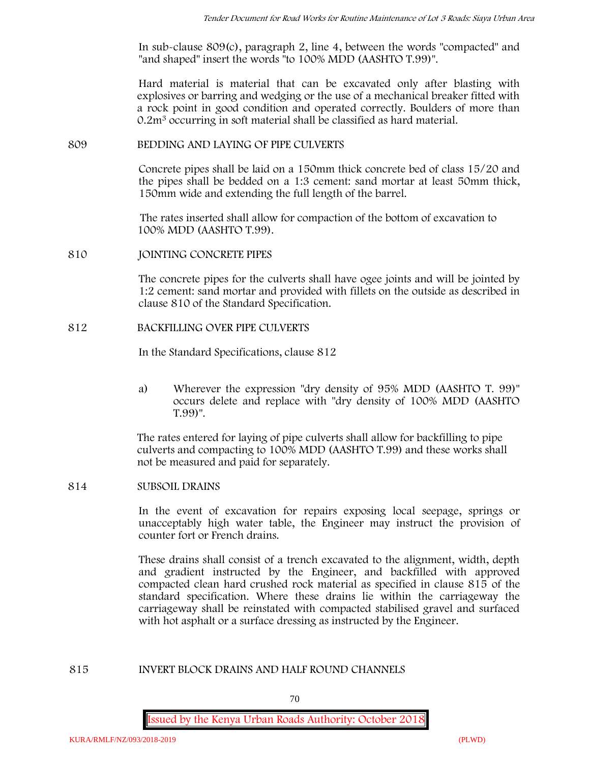In sub-clause 809(c), paragraph 2, line 4, between the words "compacted" and "and shaped" insert the words "to 100% MDD (AASHTO T.99)".

Hard material is material that can be excavated only after blasting with explosives or barring and wedging or the use of a mechanical breaker fitted with a rock point in good condition and operated correctly. Boulders of more than 0.2m<sup>3</sup> occurring in soft material shall be classified as hard material.

#### **809 BEDDING AND LAYING OF PIPE CULVERTS**

Concrete pipes shall be laid on a 150mm thick concrete bed of class 15/20 and the pipes shall be bedded on a 1:3 cement: sand mortar at least 50mm thick, 150mm wide and extending the full length of the barrel.

The rates inserted shall allow for compaction of the bottom of excavation to 100% MDD (AASHTO T.99).

**810 JOINTING CONCRETE PIPES**

The concrete pipes for the culverts shall have ogee joints and will be jointed by 1:2 cement: sand mortar and provided with fillets on the outside as described in clause 810 of the Standard Specification.

#### **812 BACKFILLING OVER PIPE CULVERTS**

In the Standard Specifications, clause 812

a) Wherever the expression "dry density of 95% MDD (AASHTO T. 99)" occurs delete and replace with "dry density of 100% MDD (AASHTO T.99)".

The rates entered for laying of pipe culverts shall allow for backfilling to pipe culverts and compacting to 100% MDD (AASHTO T.99) and these works shall not be measured and paid for separately.

#### **814 SUBSOIL DRAINS**

In the event of excavation for repairs exposing local seepage, springs or unacceptably high water table, the Engineer may instruct the provision of counter fort or French drains.

These drains shall consist of a trench excavated to the alignment, width, depth and gradient instructed by the Engineer, and backfilled with approved compacted clean hard crushed rock material as specified in clause 815 of the standard specification. Where these drains lie within the carriageway the carriageway shall be reinstated with compacted stabilised gravel and surfaced with hot asphalt or a surface dressing as instructed by the Engineer.

### **815 INVERT BLOCK DRAINS AND HALF ROUND CHANNELS**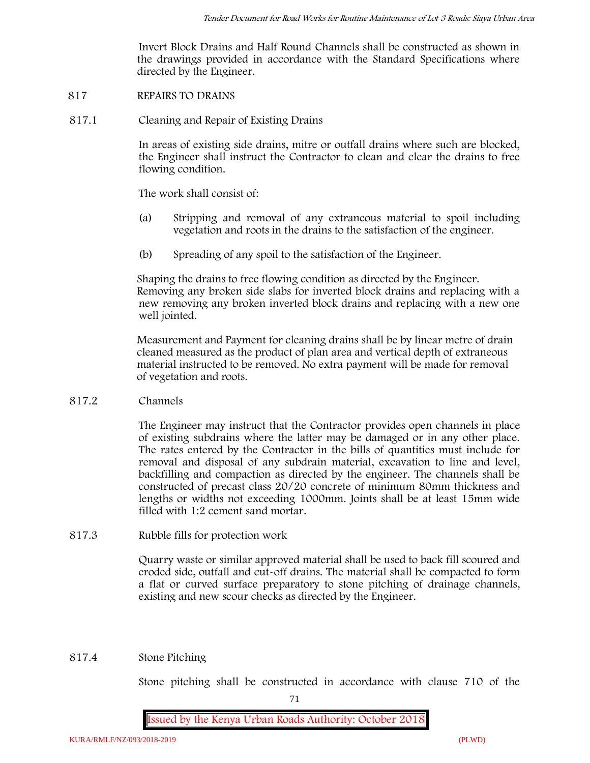Invert Block Drains and Half Round Channels shall be constructed as shown in the drawings provided in accordance with the Standard Specifications where directed by the Engineer.

- **817 REPAIRS TO DRAINS**
- **817.1 Cleaning and Repair of Existing Drains**

In areas of existing side drains, mitre or outfall drains where such are blocked, the Engineer shall instruct the Contractor to clean and clear the drains to free flowing condition.

The work shall consist of:

- (a) Stripping and removal of any extraneous material to spoil including vegetation and roots in the drains to the satisfaction of the engineer.
- (b) Spreading of any spoil to the satisfaction of the Engineer.

Shaping the drains to free flowing condition as directed by the Engineer. Removing any broken side slabs for inverted block drains and replacing with a new removing any broken inverted block drains and replacing with a new one well jointed.

Measurement and Payment for cleaning drains shall be by linear metre of drain cleaned measured as the product of plan area and vertical depth of extraneous material instructed to be removed. No extra payment will be made for removal of vegetation and roots.

**817.2 Channels**

The Engineer may instruct that the Contractor provides open channels in place of existing subdrains where the latter may be damaged or in any other place. The rates entered by the Contractor in the bills of quantities must include for removal and disposal of any subdrain material, excavation to line and level, backfilling and compaction as directed by the engineer. The channels shall be constructed of precast class 20/20 concrete of minimum 80mm thickness and lengths or widths not exceeding 1000mm. Joints shall be at least 15mm wide filled with 1:2 cement sand mortar.

**817.3 Rubble fills for protection work**

Quarry waste or similar approved material shall be used to back fill scoured and eroded side, outfall and cut-off drains. The material shall be compacted to form a flat or curved surface preparatory to stone pitching of drainage channels, existing and new scour checks as directed by the Engineer.

### **817.4 Stone Pitching**

Stone pitching shall be constructed in accordance with clause 710 of the

71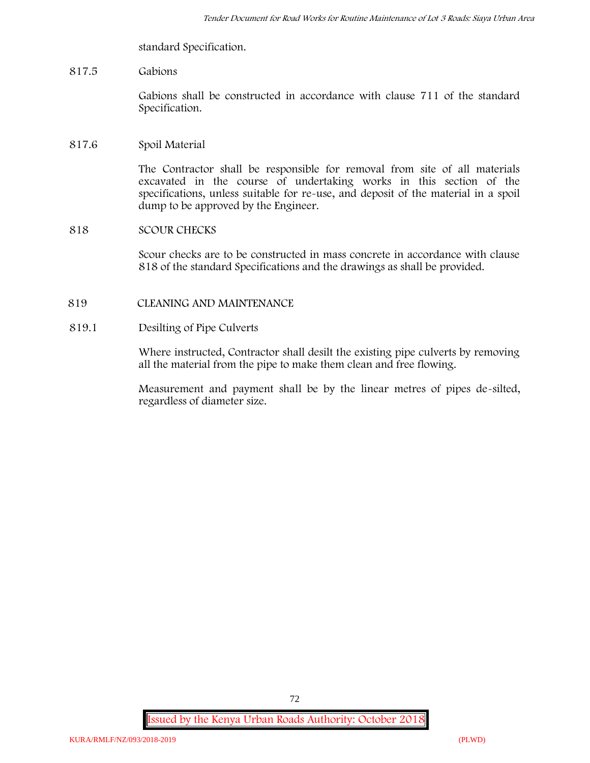standard Specification.

# **817.5 Gabions**

Gabions shall be constructed in accordance with clause 711 of the standard Specification.

# **817.6 Spoil Material**

The Contractor shall be responsible for removal from site of all materials excavated in the course of undertaking works in this section of the specifications, unless suitable for re-use, and deposit of the material in a spoil dump to be approved by the Engineer.

# **818 SCOUR CHECKS**

Scour checks are to be constructed in mass concrete in accordance with clause 818 of the standard Specifications and the drawings as shall be provided.

# **819 CLEANING AND MAINTENANCE**

# **819.1 Desilting of Pipe Culverts**

Where instructed, Contractor shall desilt the existing pipe culverts by removing all the material from the pipe to make them clean and free flowing.

Measurement and payment shall be by the linear metres of pipes de-silted, regardless of diameter size.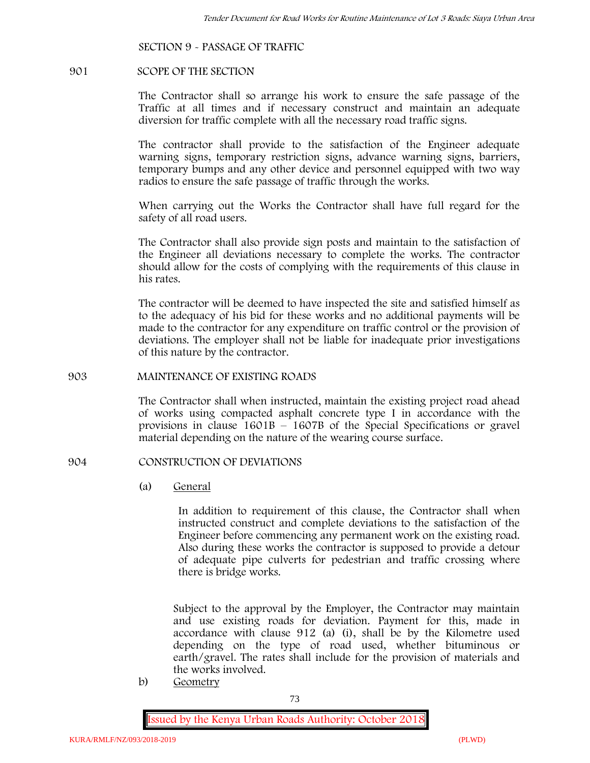# **SECTION 9 - PASSAGE OF TRAFFIC**

#### **901 SCOPE OF THE SECTION**

The Contractor shall so arrange his work to ensure the safe passage of the Traffic at all times and if necessary construct and maintain an adequate diversion for traffic complete with all the necessary road traffic signs.

The contractor shall provide to the satisfaction of the Engineer adequate warning signs, temporary restriction signs, advance warning signs, barriers, temporary bumps and any other device and personnel equipped with two way radios to ensure the safe passage of traffic through the works.

When carrying out the Works the Contractor shall have full regard for the safety of all road users.

The Contractor shall also provide sign posts and maintain to the satisfaction of the Engineer all deviations necessary to complete the works. The contractor should allow for the costs of complying with the requirements of this clause in his rates.

The contractor will be deemed to have inspected the site and satisfied himself as to the adequacy of his bid for these works and no additional payments will be made to the contractor for any expenditure on traffic control or the provision of deviations. The employer shall not be liable for inadequate prior investigations of this nature by the contractor.

### **903 MAINTENANCE OF EXISTING ROADS**

The Contractor shall when instructed, maintain the existing project road ahead of works using compacted asphalt concrete type I in accordance with the provisions in clause 1601B – 1607B of the Special Specifications or gravel material depending on the nature of the wearing course surface.

### **904 CONSTRUCTION OF DEVIATIONS**

(a) **General**

In addition to requirement of this clause, the Contractor shall when instructed construct and complete deviations to the satisfaction of the Engineer before commencing any permanent work on the existing road. Also during these works the contractor is supposed to provide a detour of adequate pipe culverts for pedestrian and traffic crossing where there is bridge works.

Subject to the approval by the Employer, the Contractor may maintain and use existing roads for deviation. Payment for this, made in accordance with clause 912 (a) (i), shall be by the Kilometre used depending on the type of road used, whether bituminous or earth/gravel. The rates shall include for the provision of materials and the works involved.

b) **Geometry**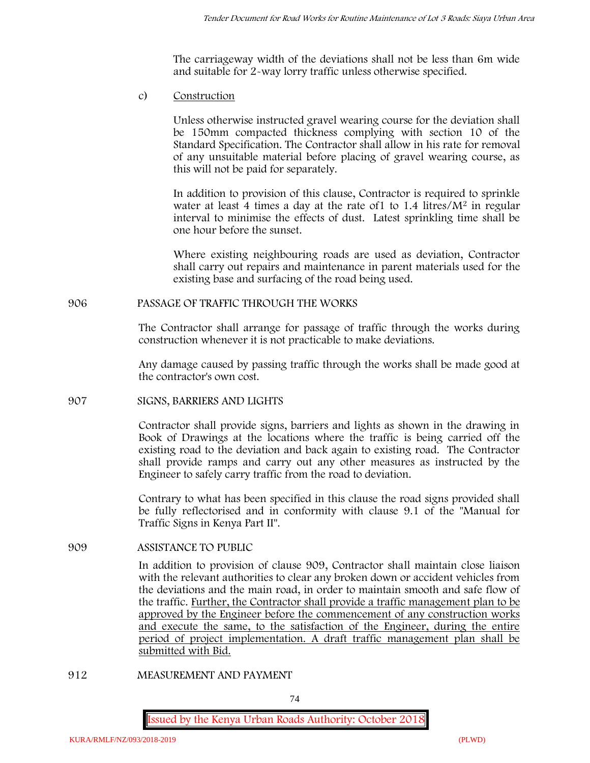The carriageway width of the deviations shall not be less than 6m wide and suitable for 2-way lorry traffic unless otherwise specified.

c) **Construction**

Unless otherwise instructed gravel wearing course for the deviation shall be 150mm compacted thickness complying with section 10 of the Standard Specification. The Contractor shall allow in his rate for removal of any unsuitable material before placing of gravel wearing course, as this will not be paid for separately.

In addition to provision of this clause, Contractor is required to sprinkle water at least 4 times a day at the rate of  $1$  to  $1.4$  litres/ $M<sup>2</sup>$  in regular interval to minimise the effects of dust. Latest sprinkling time shall be one hour before the sunset.

Where existing neighbouring roads are used as deviation, Contractor shall carry out repairs and maintenance in parent materials used for the existing base and surfacing of the road being used.

### **906 PASSAGE OF TRAFFIC THROUGH THE WORKS**

The Contractor shall arrange for passage of traffic through the works during construction whenever it is not practicable to make deviations.

Any damage caused by passing traffic through the works shall be made good at the contractor's own cost.

#### **907 SIGNS, BARRIERS AND LIGHTS**

Contractor shall provide signs, barriers and lights as shown in the drawing in Book of Drawings at the locations where the traffic is being carried off the existing road to the deviation and back again to existing road. The Contractor shall provide ramps and carry out any other measures as instructed by the Engineer to safely carry traffic from the road to deviation.

Contrary to what has been specified in this clause the road signs provided shall be fully reflectorised and in conformity with clause 9.1 of the "Manual for Traffic Signs in Kenya Part II".

### **909 ASSISTANCE TO PUBLIC**

In addition to provision of clause 909, Contractor shall maintain close liaison with the relevant authorities to clear any broken down or accident vehicles from the deviations and the main road, in order to maintain smooth and safe flow of the traffic. Further, the Contractor shall provide a traffic management plan to be approved by the Engineer before the commencement of any construction works and execute the same, to the satisfaction of the Engineer, during the entire period of project implementation. A draft traffic management plan shall be submitted with Bid.

**912 MEASUREMENT AND PAYMENT**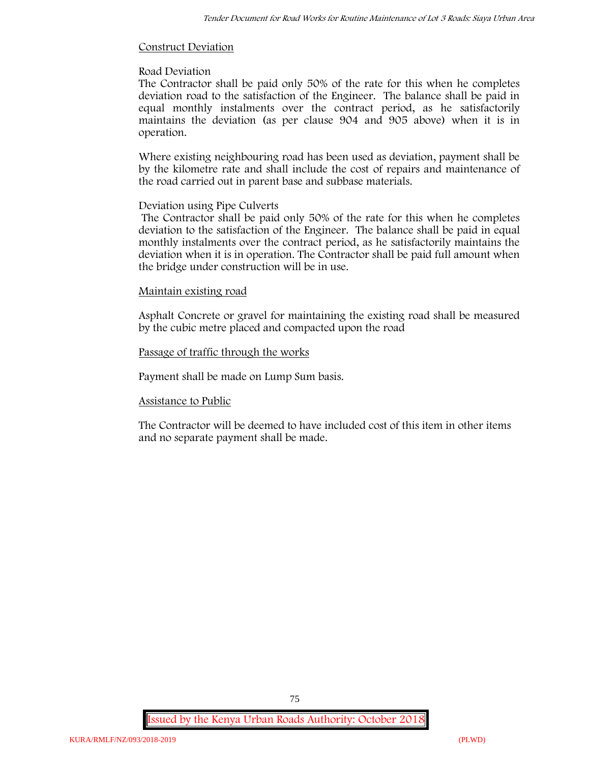### **Construct Deviation**

# **Road Deviation**

The Contractor shall be paid only 50% of the rate for this when he completes deviation road to the satisfaction of the Engineer. The balance shall be paid in equal monthly instalments over the contract period, as he satisfactorily maintains the deviation (as per clause 904 and 905 above) when it is in operation.

Where existing neighbouring road has been used as deviation, payment shall be by the kilometre rate and shall include the cost of repairs and maintenance of the road carried out in parent base and subbase materials.

# **Deviation using Pipe Culverts**

The Contractor shall be paid only 50% of the rate for this when he completes deviation to the satisfaction of the Engineer. The balance shall be paid in equal monthly instalments over the contract period, as he satisfactorily maintains the deviation when it is in operation. The Contractor shall be paid full amount when the bridge under construction will be in use.

### **Maintain existing road**

Asphalt Concrete or gravel for maintaining the existing road shall be measured by the cubic metre placed and compacted upon the road

### **Passage of traffic through the works**

Payment shall be made on Lump Sum basis.

# **Assistance to Public**

The Contractor will be deemed to have included cost of this item in other items and no separate payment shall be made.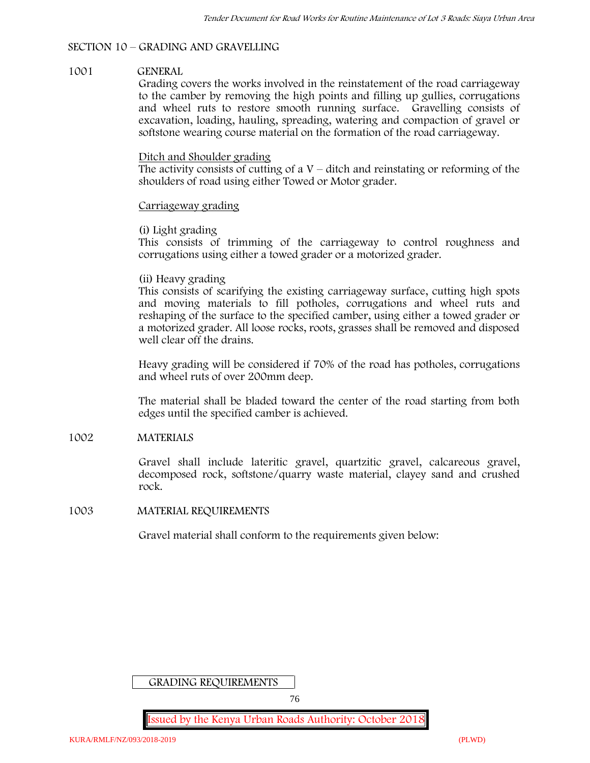# **SECTION 10 – GRADING AND GRAVELLING**

# **1001 GENERAL**

Grading covers the works involved in the reinstatement of the road carriageway to the camber by removing the high points and filling up gullies, corrugations and wheel ruts to restore smooth running surface. Gravelling consists of excavation, loading, hauling, spreading, watering and compaction of gravel or softstone wearing course material on the formation of the road carriageway.

### Ditch and Shoulder grading

The activity consists of cutting of a  $V$  – ditch and reinstating or reforming of the shoulders of road using either Towed or Motor grader.

### Carriageway grading

# **(i) Light grading**

This consists of trimming of the carriageway to control roughness and corrugations using either a towed grader or a motorized grader.

### **(ii) Heavy grading**

This consists of scarifying the existing carriageway surface, cutting high spots and moving materials to fill potholes, corrugations and wheel ruts and reshaping of the surface to the specified camber, using either a towed grader or a motorized grader. All loose rocks, roots, grasses shall be removed and disposed well clear off the drains.

Heavy grading will be considered if 70% of the road has potholes, corrugations and wheel ruts of over 200mm deep.

The material shall be bladed toward the center of the road starting from both edges until the specified camber is achieved.

# **1002 MATERIALS**

Gravel shall include lateritic gravel, quartzitic gravel, calcareous gravel, decomposed rock, softstone/quarry waste material, clayey sand and crushed rock.

# **1003 MATERIAL REQUIREMENTS**

Gravel material shall conform to the requirements given below:

GRADING REQUIREMENTS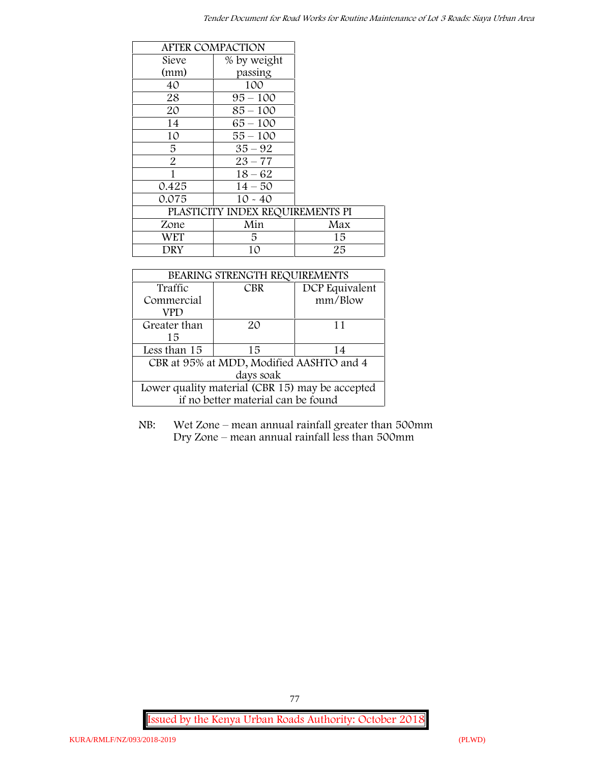|                | <b>AFTER COMPACTION</b>          |     |
|----------------|----------------------------------|-----|
| Sieve          | % by weight                      |     |
| (mm)           | passing                          |     |
| 40             | 100                              |     |
| 28             | $95 - 100$                       |     |
| 20             | $85 - 100$                       |     |
| 14             | $65 - 100$                       |     |
| 10             | $55 - 100$                       |     |
| 5              | $35 - 92$                        |     |
| $\overline{2}$ | $23 - 77$                        |     |
| 1              | $18 - 62$                        |     |
| 0.425          | $14 - 50$                        |     |
| 0.075          | $10 - 40$                        |     |
|                | PLASTICITY INDEX REQUIREMENTS PI |     |
| Zone           | Min                              | Max |
| <b>WET</b>     | 5                                | 15  |
| DRY            | 10                               | 25  |

| BEARING STRENGTH REQUIREMENTS                   |            |                |
|-------------------------------------------------|------------|----------------|
| Traffic                                         | <b>CBR</b> | DCP Equivalent |
| Commercial                                      |            | mm/Blow        |
| VPD                                             |            |                |
| Greater than                                    | $2\Omega$  | 11             |
| 15                                              |            |                |
| Less than 15                                    | 15         | 14             |
| CBR at 95% at MDD, Modified AASHTO and 4        |            |                |
| days soak                                       |            |                |
| Lower quality material (CBR 15) may be accepted |            |                |
| if no better material can be found              |            |                |

NB: Wet Zone – mean annual rainfall greater than 500mm Dry Zone – mean annual rainfall less than 500mm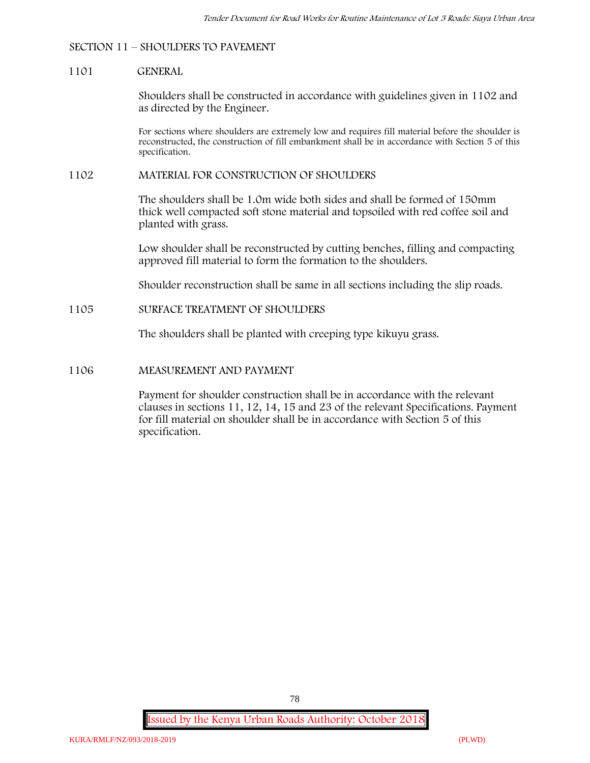# **SECTION 11 – SHOULDERS TO PAVEMENT**

#### **1101 GENERAL**

Shoulders shall be constructed in accordance with guidelines given in 1102 and as directed by the Engineer.

For sections where shoulders are extremely low and requires fill material before the shoulder is reconstructed, the construction of fill embankment shall be in accordance with Section 5 of this specification.

#### **1102 MATERIAL FOR CONSTRUCTION OF SHOULDERS**

The shoulders shall be 1.0m wide both sides and shall be formed of 150mm thick well compacted soft stone material and topsoiled with red coffee soil and planted with grass.

Low shoulder shall be reconstructed by cutting benches, filling and compacting approved fill material to form the formation to the shoulders.

Shoulder reconstruction shall be same in all sections including the slip roads.

### **1105 SURFACE TREATMENT OF SHOULDERS**

The shoulders shall be planted with creeping type kikuyu grass.

# **1106 MEASUREMENT AND PAYMENT**

Payment for shoulder construction shall be in accordance with the relevant clauses in sections 11, 12, 14, 15 and 23 of the relevant Specifications. Payment for fill material on shoulder shall be in accordance with Section 5 of this specification.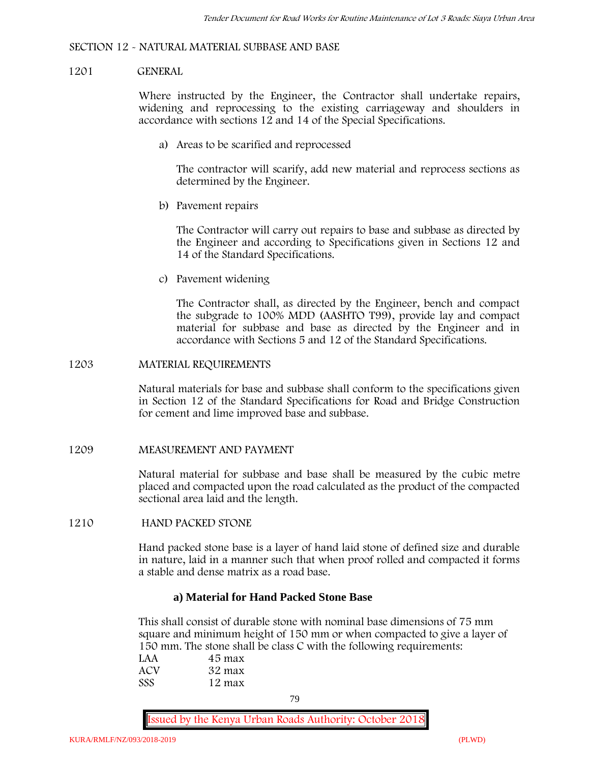### **SECTION 12 - NATURAL MATERIAL SUBBASE AND BASE**

#### **1201 GENERAL**

Where instructed by the Engineer, the Contractor shall undertake repairs, widening and reprocessing to the existing carriageway and shoulders in accordance with sections 12 and 14 of the Special Specifications.

**a) Areas to be scarified and reprocessed**

The contractor will scarify, add new material and reprocess sections as determined by the Engineer.

**b) Pavement repairs**

The Contractor will carry out repairs to base and subbase as directed by the Engineer and according to Specifications given in Sections 12 and 14 of the Standard Specifications.

**c) Pavement widening**

The Contractor shall, as directed by the Engineer, bench and compact the subgrade to 100% MDD (AASHTO T99), provide lay and compact material for subbase and base as directed by the Engineer and in accordance with Sections 5 and 12 of the Standard Specifications.

#### **1203 MATERIAL REQUIREMENTS**

Natural materials for base and subbase shall conform to the specifications given in Section 12 of the Standard Specifications for Road and Bridge Construction for cement and lime improved base and subbase.

### **1209 MEASUREMENT AND PAYMENT**

Natural material for subbase and base shall be measured by the cubic metre placed and compacted upon the road calculated as the product of the compacted sectional area laid and the length.

### **1210 HAND PACKED STONE**

Hand packed stone base is a layer of hand laid stone of defined size and durable in nature, laid in a manner such that when proof rolled and compacted it forms a stable and dense matrix as a road base.

# **a) Material for Hand Packed Stone Base**

This shall consist of durable stone with nominal base dimensions of 75 mm square and minimum height of 150 mm or when compacted to give a layer of 150 mm. The stone shall be class C with the following requirements:

| LAA        | 45 max |  |
|------------|--------|--|
| ACV        | 32 max |  |
| <b>SSS</b> | 12 max |  |

79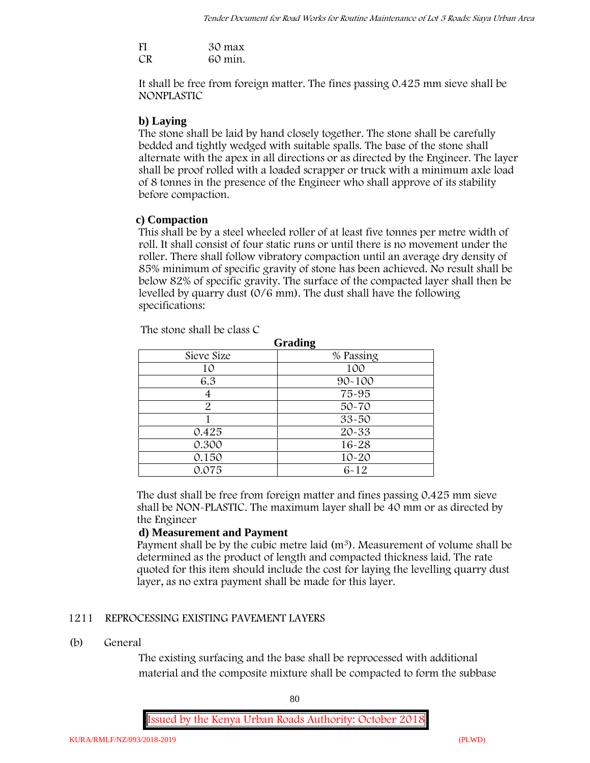| FI | 30 max  |
|----|---------|
| CR | 60 min. |

It shall be free from foreign matter. The fines passing 0.425 mm sieve shall be **NONPLASTIC**

### **b) Laying**

The stone shall be laid by hand closely together. The stone shall be carefully bedded and tightly wedged with suitable spalls. The base of the stone shall alternate with the apex in all directions or as directed by the Engineer. The layer shall be proof rolled with a loaded scrapper or truck with a minimum axle load of 8 tonnes in the presence of the Engineer who shall approve of its stability before compaction.

### **c) Compaction**

This shall be by a steel wheeled roller of at least five tonnes per metre width of roll. It shall consist of four static runs or until there is no movement under the roller. There shall follow vibratory compaction until an average dry density of 85% minimum of specific gravity of stone has been achieved. No result shall be below 82% of specific gravity. The surface of the compacted layer shall then be levelled by quarry dust (0/6 mm). The dust shall have the following specifications:

| Grading       |            |
|---------------|------------|
| Sieve Size    | % Passing  |
| 10            | 100        |
| 6.3           | $90 - 100$ |
|               | 75-95      |
| $\mathcal{P}$ | $50 - 70$  |
|               | $33 - 50$  |
| 0.425         | 20-33      |
| 0.300         | 16-28      |
| 0.150         | $10 - 20$  |
| 0.075         | $6 - 12$   |

The stone shall be class C

The dust shall be free from foreign matter and fines passing 0.425 mm sieve shall be **NON-PLASTIC**. The maximum layer shall be 40 mm or as directed by the Engineer

### **d) Measurement and Payment**

Payment shall be by the cubic metre laid (m<sup>3</sup>). Measurement of volume shall be determined as the product of length and compacted thickness laid. The rate quoted for this item should include the cost for laying the levelling quarry dust layer, as no extra payment shall be made for this layer.

#### **1211 REPROCESSING EXISTING PAVEMENT LAYERS**

### **(b) General**

The existing surfacing and the base shall be reprocessed with additional material and the composite mixture shall be compacted to form the subbase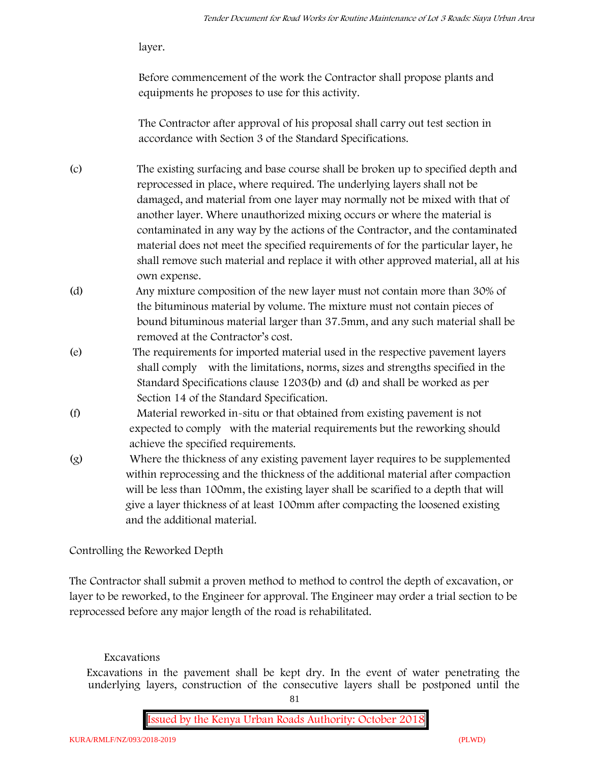layer.

Before commencement of the work the Contractor shall propose plants and equipments he proposes to use for this activity.

The Contractor after approval of his proposal shall carry out test section in accordance with Section 3 of the Standard Specifications.

- (c) The existing surfacing and base course shall be broken up to specified depth and reprocessed in place, where required. The underlying layers shall not be damaged, and material from one layer may normally not be mixed with that of another layer. Where unauthorized mixing occurs or where the material is contaminated in any way by the actions of the Contractor, and the contaminated material does not meet the specified requirements of for the particular layer, he shall remove such material and replace it with other approved material, all at his own expense.
- (d) Any mixture composition of the new layer must not contain more than 30% of the bituminous material by volume. The mixture must not contain pieces of bound bituminous material larger than 37.5mm, and any such material shall be removed at the Contractor's cost.
- (e) The requirements for imported material used in the respective pavement layers shall comply with the limitations, norms, sizes and strengths specified in the Standard Specifications clause 1203(b) and (d) and shall be worked as per Section 14 of the Standard Specification.
- (f) Material reworked in-situ or that obtained from existing pavement is not expected to comply with the material requirements but the reworking should achieve the specified requirements.
- (g) Where the thickness of any existing pavement layer requires to be supplemented within reprocessing and the thickness of the additional material after compaction will be less than 100mm, the existing layer shall be scarified to a depth that will give a layer thickness of at least 100mm after compacting the loosened existing and the additional material.

# **Controlling the Reworked Depth**

The Contractor shall submit a proven method to method to control the depth of excavation, or layer to be reworked, to the Engineer for approval. The Engineer may order a trial section to be reprocessed before any major length of the road is rehabilitated.

# **Excavations**

Excavations in the pavement shall be kept dry. In the event of water penetrating the underlying layers, construction of the consecutive layers shall be postponed until the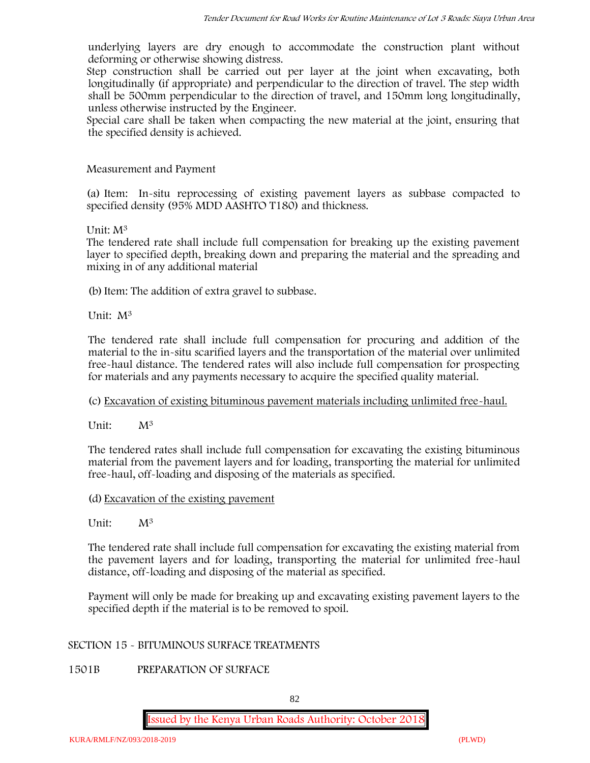underlying layers are dry enough to accommodate the construction plant without deforming or otherwise showing distress.

Step construction shall be carried out per layer at the joint when excavating, both longitudinally (if appropriate) and perpendicular to the direction of travel. The step width shall be 500mm perpendicular to the direction of travel, and 150mm long longitudinally, unless otherwise instructed by the Engineer.

Special care shall be taken when compacting the new material at the joint, ensuring that the specified density is achieved.

# **Measurement and Payment**

(a) Item: In-situ reprocessing of existing pavement layers as subbase compacted to specified density (95% MDD AASHTO T180) and thickness.

# Unit: M<sup>3</sup>

The tendered rate shall include full compensation for breaking up the existing pavement layer to specified depth, breaking down and preparing the material and the spreading and mixing in of any additional material

(b) Item: The addition of extra gravel to subbase.

Unit: M<sup>3</sup>

The tendered rate shall include full compensation for procuring and addition of the material to the in-situ scarified layers and the transportation of the material over unlimited free-haul distance. The tendered rates will also include full compensation for prospecting for materials and any payments necessary to acquire the specified quality material.

# (c) Excavation of existing bituminous pavement materials including unlimited free-haul.

Unit:  $M^3$ 

The tendered rates shall include full compensation for excavating the existing bituminous material from the pavement layers and for loading, transporting the material for unlimited free-haul, off-loading and disposing of the materials as specified.

# (d) Excavation of the existing pavement

Unit:  $M^3$ 

The tendered rate shall include full compensation for excavating the existing material from the pavement layers and for loading, transporting the material for unlimited free-haul distance, off-loading and disposing of the material as specified.

Payment will only be made for breaking up and excavating existing pavement layers to the specified depth if the material is to be removed to spoil.

# **SECTION 15 - BITUMINOUS SURFACE TREATMENTS**

**1501B PREPARATION OF SURFACE**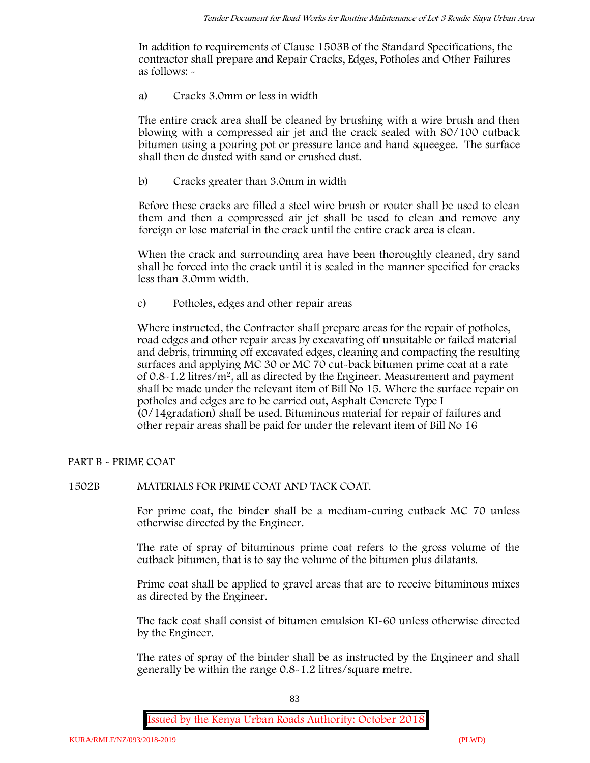In addition to requirements of Clause 1503B of the Standard Specifications, the contractor shall prepare and Repair Cracks, Edges, Potholes and Other Failures as follows: **-**

a) **Cracks 3.0mm or less in width**

The entire crack area shall be cleaned by brushing with a wire brush and then blowing with a compressed air jet and the crack sealed with 80/100 cutback bitumen using a pouring pot or pressure lance and hand squeegee. The surface shall then de dusted with sand or crushed dust.

b) **Cracks greater than 3.0mm in width**

Before these cracks are filled a steel wire brush or router shall be used to clean them and then a compressed air jet shall be used to clean and remove any foreign or lose material in the crack until the entire crack area is clean.

When the crack and surrounding area have been thoroughly cleaned, dry sand shall be forced into the crack until it is sealed in the manner specified for cracks less than 3.0mm width.

c) **Potholes, edges and other repair areas**

Where instructed, the Contractor shall prepare areas for the repair of potholes, road edges and other repair areas by excavating off unsuitable or failed material and debris, trimming off excavated edges, cleaning and compacting the resulting surfaces and applying MC 30 or MC 70 cut-back bitumen prime coat at a rate of 0.8-1.2 litres/m2, all as directed by the Engineer. Measurement and payment shall be made under the relevant item of Bill No 15. Where the surface repair on potholes and edges are to be carried out, Asphalt Concrete Type I (0/14gradation) shall be used. Bituminous material for repair of failures and other repair areas shall be paid for under the relevant item of Bill No 16

# **PART B - PRIME COAT**

# **1502B MATERIALS FOR PRIME COAT AND TACK COAT.**

For prime coat, the binder shall be a medium-curing cutback MC 70 unless otherwise directed by the Engineer.

The rate of spray of bituminous prime coat refers to the gross volume of the cutback bitumen, that is to say the volume of the bitumen plus dilatants.

Prime coat shall be applied to gravel areas that are to receive bituminous mixes as directed by the Engineer.

The tack coat shall consist of bitumen emulsion KI-60 unless otherwise directed by the Engineer.

The rates of spray of the binder shall be as instructed by the Engineer and shall generally be within the range 0.8-1.2 litres/square metre.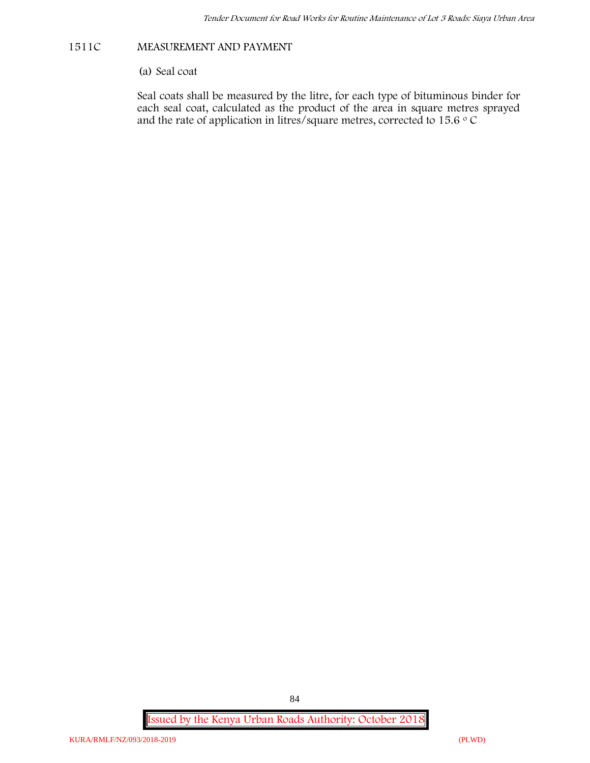# **1511C MEASUREMENT AND PAYMENT**

(a) Seal coat

Seal coats shall be measured by the litre, for each type of bituminous binder for each seal coat, calculated as the product of the area in square metres sprayed and the rate of application in litres/square metres, corrected to 15.6  $\circ$  C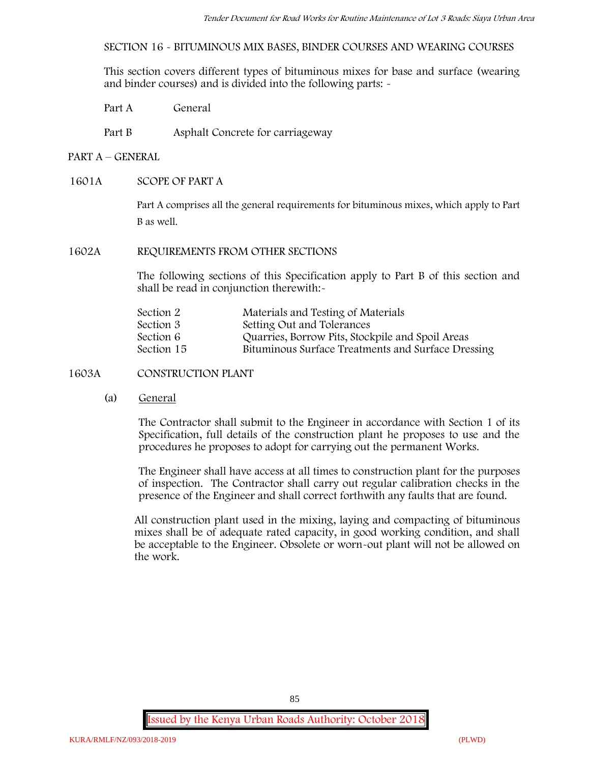**SECTION 16 - BITUMINOUS MIX BASES, BINDER COURSES AND WEARING COURSES**

This section covers different types of bituminous mixes for base and surface (wearing and binder courses) and is divided into the following parts: -

- Part A General
- Part B Asphalt Concrete for carriageway

# **PART A –GENERAL**

# **1601A SCOPE OF PART A**

Part A comprises all the general requirements for bituminous mixes, which apply to Part B as well.

# **1602A REQUIREMENTS FROM OTHER SECTIONS**

The following sections of this Specification apply to Part B of this section and shall be read in conjunction therewith:-

| Section 2  | Materials and Testing of Materials                 |
|------------|----------------------------------------------------|
| Section 3  | Setting Out and Tolerances                         |
| Section 6  | Quarries, Borrow Pits, Stockpile and Spoil Areas   |
| Section 15 | Bituminous Surface Treatments and Surface Dressing |

# **1603A CONSTRUCTION PLANT**

(a) **General**

The Contractor shall submit to the Engineer in accordance with Section 1 of its Specification, full details of the construction plant he proposes to use and the procedures he proposes to adopt for carrying out the permanent Works.

The Engineer shall have access at all times to construction plant for the purposes of inspection. The Contractor shall carry out regular calibration checks in the presence of the Engineer and shall correct forthwith any faults that are found.

All construction plant used in the mixing, laying and compacting of bituminous mixes shall be of adequate rated capacity, in good working condition, and shall be acceptable to the Engineer. Obsolete or worn-out plant will not be allowed on the work.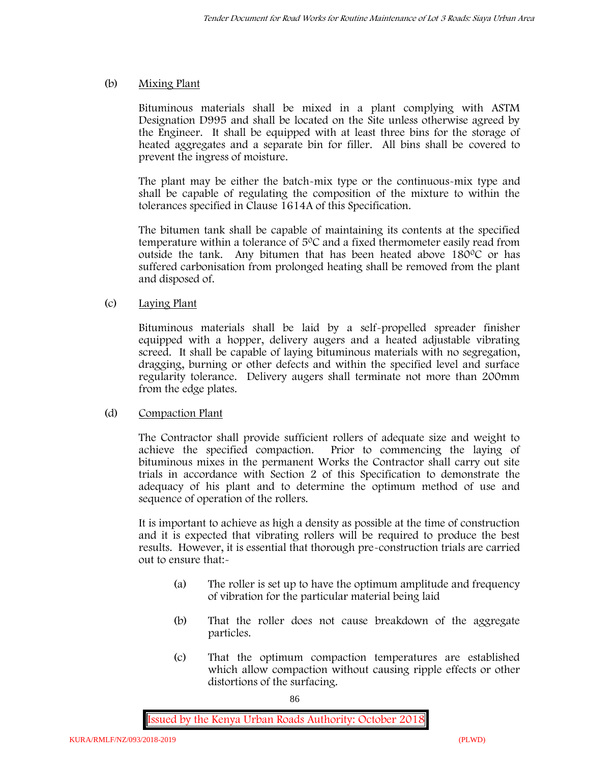# (b) **Mixing Plant**

Bituminous materials shall be mixed in a plant complying with ASTM Designation D995 and shall be located on the Site unless otherwise agreed by the Engineer. It shall be equipped with at least three bins for the storage of heated aggregates and a separate bin for filler. All bins shall be covered to prevent the ingress of moisture.

The plant may be either the batch-mix type or the continuous-mix type and shall be capable of regulating the composition of the mixture to within the tolerances specified in Clause 1614A of this Specification.

The bitumen tank shall be capable of maintaining its contents at the specified temperature within a tolerance of  $5^{\circ}$ C and a fixed thermometer easily read from outside the tank. Any bitumen that has been heated above  $180^{\circ}$ C or has suffered carbonisation from prolonged heating shall be removed from the plant and disposed of.

# (c) **Laying Plant**

Bituminous materials shall be laid by a self-propelled spreader finisher equipped with a hopper, delivery augers and a heated adjustable vibrating screed. It shall be capable of laying bituminous materials with no segregation, dragging, burning or other defects and within the specified level and surface regularity tolerance. Delivery augers shall terminate not more than 200mm from the edge plates.

# (d) **Compaction Plant**

The Contractor shall provide sufficient rollers of adequate size and weight to achieve the specified compaction. Prior to commencing the laying of bituminous mixes in the permanent Works the Contractor shall carry out site trials in accordance with Section 2 of this Specification to demonstrate the adequacy of his plant and to determine the optimum method of use and sequence of operation of the rollers.

It is important to achieve as high a density as possible at the time of construction and it is expected that vibrating rollers will be required to produce the best results. However, it is essential that thorough pre-construction trials are carried out to ensure that:-

- (a) The roller is set up to have the optimum amplitude and frequency of vibration for the particular material being laid
- (b) That the roller does not cause breakdown of the aggregate particles.
- (c) That the optimum compaction temperatures are established which allow compaction without causing ripple effects or other distortions of the surfacing.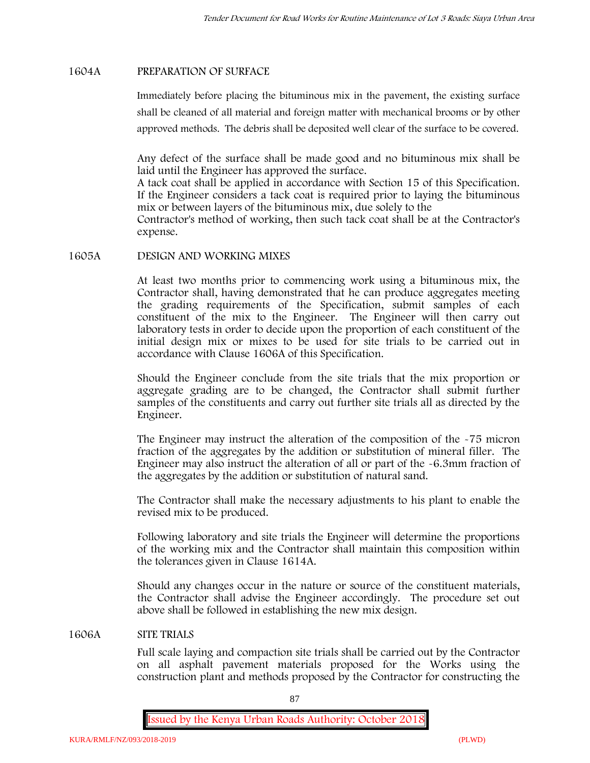### **1604A PREPARATION OF SURFACE**

Immediately before placing the bituminous mix in the pavement, the existing surface shall be cleaned of all material and foreign matter with mechanical brooms or by other approved methods. The debris shall be deposited well clear of the surface to be covered.

Any defect of the surface shall be made good and no bituminous mix shall be laid until the Engineer has approved the surface.

A tack coat shall be applied in accordance with Section 15 of this Specification. If the Engineer considers a tack coat is required prior to laying the bituminous mix or between layers of the bituminous mix, due solely to the

Contractor's method of working, then such tack coat shall be at the Contractor's expense.

#### **1605A DESIGN AND WORKING MIXES**

At least two months prior to commencing work using a bituminous mix, the Contractor shall, having demonstrated that he can produce aggregates meeting the grading requirements of the Specification, submit samples of each constituent of the mix to the Engineer. The Engineer will then carry out laboratory tests in order to decide upon the proportion of each constituent of the initial design mix or mixes to be used for site trials to be carried out in accordance with Clause 1606A of this Specification.

Should the Engineer conclude from the site trials that the mix proportion or aggregate grading are to be changed, the Contractor shall submit further samples of the constituents and carry out further site trials all as directed by the Engineer.

The Engineer may instruct the alteration of the composition of the -75 micron fraction of the aggregates by the addition or substitution of mineral filler. The Engineer may also instruct the alteration of all or part of the -6.3mm fraction of the aggregates by the addition or substitution of natural sand.

The Contractor shall make the necessary adjustments to his plant to enable the revised mix to be produced.

Following laboratory and site trials the Engineer will determine the proportions of the working mix and the Contractor shall maintain this composition within the tolerances given in Clause 1614A.

Should any changes occur in the nature or source of the constituent materials, the Contractor shall advise the Engineer accordingly. The procedure set out above shall be followed in establishing the new mix design.

#### **1606A SITE TRIALS**

Full scale laying and compaction site trials shall be carried out by the Contractor on all asphalt pavement materials proposed for the Works using the construction plant and methods proposed by the Contractor for constructing the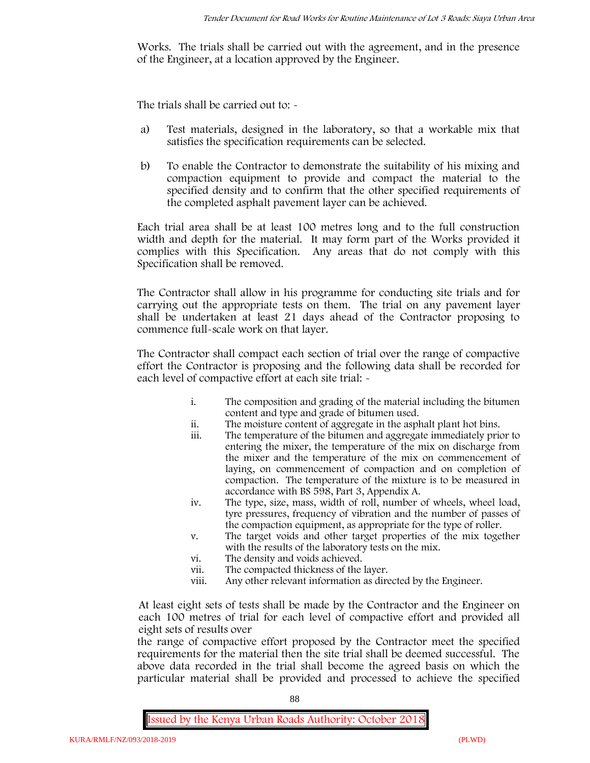Works. The trials shall be carried out with the agreement, and in the presence of the Engineer, at a location approved by the Engineer.

The trials shall be carried out to: -

- a) Test materials, designed in the laboratory, so that a workable mix that satisfies the specification requirements can be selected.
- b) To enable the Contractor to demonstrate the suitability of his mixing and compaction equipment to provide and compact the material to the specified density and to confirm that the other specified requirements of the completed asphalt pavement layer can be achieved.

Each trial area shall be at least 100 metres long and to the full construction width and depth for the material. It may form part of the Works provided it complies with this Specification. Any areas that do not comply with this Specification shall be removed.

The Contractor shall allow in his programme for conducting site trials and for carrying out the appropriate tests on them. The trial on any pavement layer shall be undertaken at least 21 days ahead of the Contractor proposing to commence full-scale work on that layer.

The Contractor shall compact each section of trial over the range of compactive effort the Contractor is proposing and the following data shall be recorded for each level of compactive effort at each site trial:  $\sim$ 

- i. The composition and grading of the material including the bitumen content and type and grade of bitumen used.
- ii. The moisture content of aggregate in the asphalt plant hot bins.
- iii. The temperature of the bitumen and aggregate immediately prior to entering the mixer, the temperature of the mix on discharge from the mixer and the temperature of the mix on commencement of laying, on commencement of compaction and on completion of compaction. The temperature of the mixture is to be measured in accordance with BS 598, Part 3, Appendix A.
- iv. The type, size, mass, width of roll, number of wheels, wheel load, tyre pressures, frequency of vibration and the number of passes of the compaction equipment, as appropriate for the type of roller.
- v. The target voids and other target properties of the mix together with the results of the laboratory tests on the mix.
- vi. The density and voids achieved.
- vii. The compacted thickness of the layer.
- viii. Any other relevant information as directed by the Engineer.

At least eight sets of tests shall be made by the Contractor and the Engineer on each 100 metres of trial for each level of compactive effort and provided all eight sets of results over

the range of compactive effort proposed by the Contractor meet the specified requirements for the material then the site trial shall be deemed successful. The above data recorded in the trial shall become the agreed basis on which the particular material shall be provided and processed to achieve the specified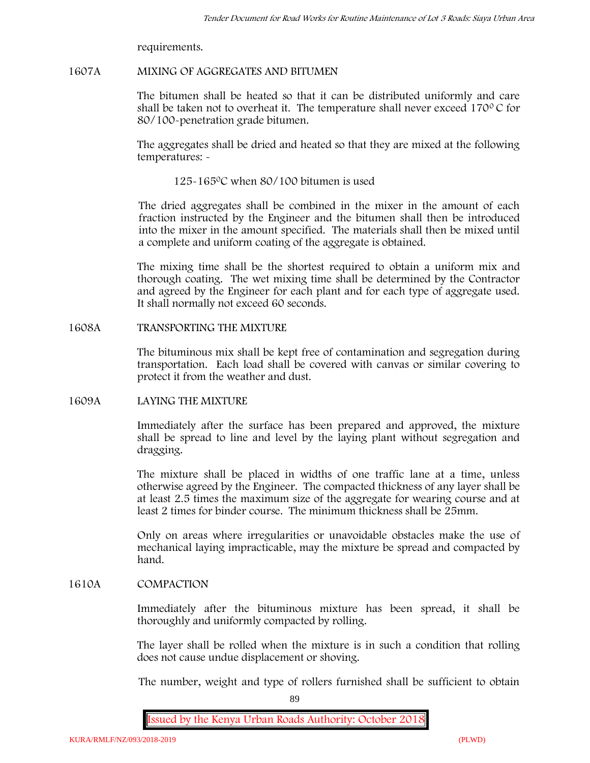requirements.

### **1607A MIXING OF AGGREGATES AND BITUMEN**

The bitumen shall be heated so that it can be distributed uniformly and care shall be taken not to overheat it. The temperature shall never exceed  $170^{\circ}$ C for 80/100-penetration grade bitumen.

The aggregates shall be dried and heated so that they are mixed at the following temperatures: -

125-1650C when 80/100 bitumen is used

The dried aggregates shall be combined in the mixer in the amount of each fraction instructed by the Engineer and the bitumen shall then be introduced into the mixer in the amount specified. The materials shall then be mixed until a complete and uniform coating of the aggregate is obtained.

The mixing time shall be the shortest required to obtain a uniform mix and thorough coating. The wet mixing time shall be determined by the Contractor and agreed by the Engineer for each plant and for each type of aggregate used. It shall normally not exceed 60 seconds.

### **1608A TRANSPORTING THE MIXTURE**

The bituminous mix shall be kept free of contamination and segregation during transportation. Each load shall be covered with canvas or similar covering to protect it from the weather and dust.

# **1609A LAYING THE MIXTURE**

Immediately after the surface has been prepared and approved, the mixture shall be spread to line and level by the laying plant without segregation and dragging.

The mixture shall be placed in widths of one traffic lane at a time, unless otherwise agreed by the Engineer. The compacted thickness of any layer shall be at least 2.5 times the maximum size of the aggregate for wearing course and at least 2 times for binder course. The minimum thickness shall be 25mm.

Only on areas where irregularities or unavoidable obstacles make the use of mechanical laying impracticable, may the mixture be spread and compacted by hand.

# **1610A COMPACTION**

Immediately after the bituminous mixture has been spread, it shall be thoroughly and uniformly compacted by rolling.

The layer shall be rolled when the mixture is in such a condition that rolling does not cause undue displacement or shoving.

The number, weight and type of rollers furnished shall be sufficient to obtain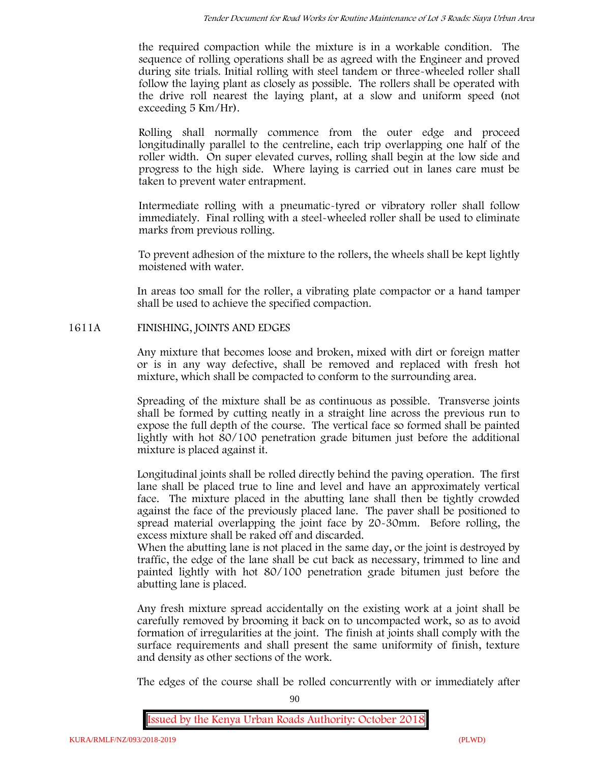the required compaction while the mixture is in a workable condition. The sequence of rolling operations shall be as agreed with the Engineer and proved during site trials. Initial rolling with steel tandem or three-wheeled roller shall follow the laying plant as closely as possible. The rollers shall be operated with the drive roll nearest the laying plant, at a slow and uniform speed (not exceeding 5 Km/Hr).

Rolling shall normally commence from the outer edge and proceed longitudinally parallel to the centreline, each trip overlapping one half of the roller width. On super elevated curves, rolling shall begin at the low side and progress to the high side. Where laying is carried out in lanes care must be taken to prevent water entrapment.

Intermediate rolling with a pneumatic-tyred or vibratory roller shall follow immediately. Final rolling with a steel-wheeled roller shall be used to eliminate marks from previous rolling.

To prevent adhesion of the mixture to the rollers, the wheels shall be kept lightly moistened with water.

In areas too small for the roller, a vibrating plate compactor or a hand tamper shall be used to achieve the specified compaction.

# **1611A FINISHING, JOINTS AND EDGES**

Any mixture that becomes loose and broken, mixed with dirt or foreign matter or is in any way defective, shall be removed and replaced with fresh hot mixture, which shall be compacted to conform to the surrounding area.

Spreading of the mixture shall be as continuous as possible. Transverse joints shall be formed by cutting neatly in a straight line across the previous run to expose the full depth of the course. The vertical face so formed shall be painted lightly with hot 80/100 penetration grade bitumen just before the additional mixture is placed against it.

Longitudinal joints shall be rolled directly behind the paving operation. The first lane shall be placed true to line and level and have an approximately vertical face. The mixture placed in the abutting lane shall then be tightly crowded against the face of the previously placed lane. The paver shall be positioned to spread material overlapping the joint face by 20-30mm. Before rolling, the excess mixture shall be raked off and discarded.

When the abutting lane is not placed in the same day, or the joint is destroyed by traffic, the edge of the lane shall be cut back as necessary, trimmed to line and painted lightly with hot 80/100 penetration grade bitumen just before the abutting lane is placed.

Any fresh mixture spread accidentally on the existing work at a joint shall be carefully removed by brooming it back on to uncompacted work, so as to avoid formation of irregularities at the joint. The finish at joints shall comply with the surface requirements and shall present the same uniformity of finish, texture and density as other sections of the work.

The edges of the course shall be rolled concurrently with or immediately after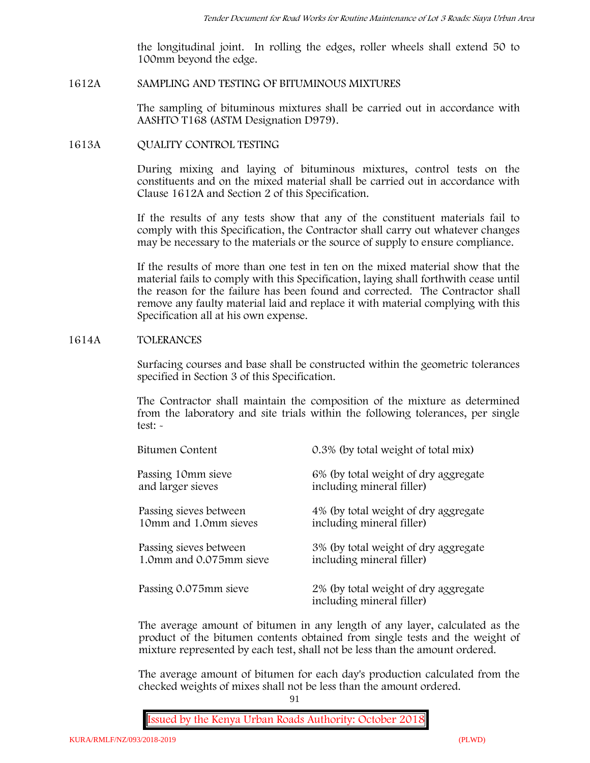the longitudinal joint. In rolling the edges, roller wheels shall extend 50 to 100mm beyond the edge.

#### **1612A SAMPLING AND TESTING OF BITUMINOUS MIXTURES**

The sampling of bituminous mixtures shall be carried out in accordance with AASHTO T168 (ASTM Designation D979).

#### **1613A QUALITY CONTROL TESTING**

During mixing and laying of bituminous mixtures, control tests on the constituents and on the mixed material shall be carried out in accordance with Clause 1612A and Section 2 of this Specification.

If the results of any tests show that any of the constituent materials fail to comply with this Specification, the Contractor shall carry out whatever changes may be necessary to the materials or the source of supply to ensure compliance.

If the results of more than one test in ten on the mixed material show that the material fails to comply with this Specification, laying shall forthwith cease until the reason for the failure has been found and corrected. The Contractor shall remove any faulty material laid and replace it with material complying with this Specification all at his own expense.

### **1614A TOLERANCES**

Surfacing courses and base shall be constructed within the geometric tolerances specified in Section 3 of this Specification.

The Contractor shall maintain the composition of the mixture as determined from the laboratory and site trials within the following tolerances, per single test: -

| Bitumen Content         | 0.3% (by total weight of total mix)                               |
|-------------------------|-------------------------------------------------------------------|
| Passing 10mm sieve      | 6% (by total weight of dry aggregate                              |
| and larger sieves       | including mineral filler)                                         |
| Passing sieves between  | 4% (by total weight of dry aggregate                              |
| 10mm and 1.0mm sieves   | including mineral filler)                                         |
| Passing sieves between  | 3% (by total weight of dry aggregate                              |
| 1.0mm and 0.075mm sieve | including mineral filler)                                         |
| Passing 0.075mm sieve   | 2% (by total weight of dry aggregate<br>including mineral filler) |

The average amount of bitumen in any length of any layer, calculated as the product of the bitumen contents obtained from single tests and the weight of mixture represented by each test, shall not be less than the amount ordered.

The average amount of bitumen for each day's production calculated from the checked weights of mixes shall not be less than the amount ordered.

91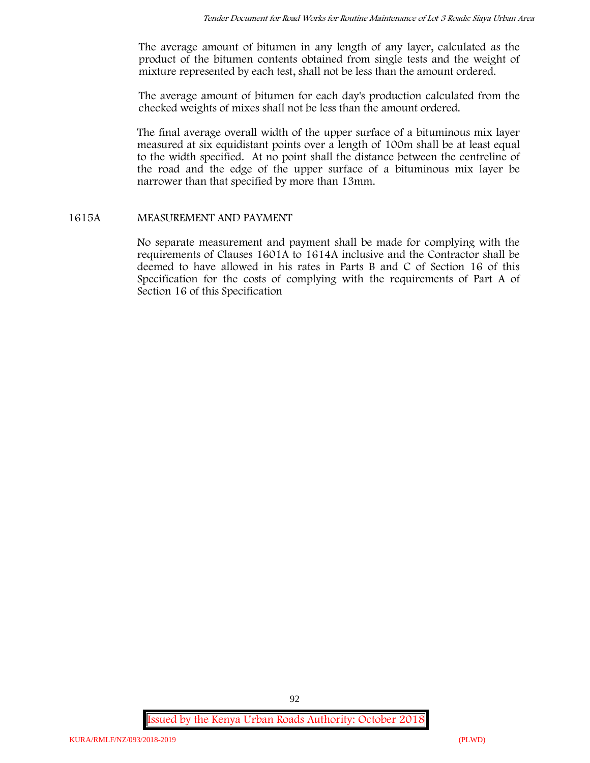The average amount of bitumen in any length of any layer, calculated as the product of the bitumen contents obtained from single tests and the weight of mixture represented by each test, shall not be less than the amount ordered.

The average amount of bitumen for each day's production calculated from the checked weights of mixes shall not be less than the amount ordered.

The final average overall width of the upper surface of a bituminous mix layer measured at six equidistant points over a length of 100m shall be at least equal to the width specified. At no point shall the distance between the centreline of the road and the edge of the upper surface of a bituminous mix layer be narrower than that specified by more than 13mm.

### **1615A MEASUREMENT AND PAYMENT**

No separate measurement and payment shall be made for complying with the requirements of Clauses 1601A to 1614A inclusive and the Contractor shall be deemed to have allowed in his rates in Parts B and C of Section 16 of this Specification for the costs of complying with the requirements of Part A of Section 16 of this Specification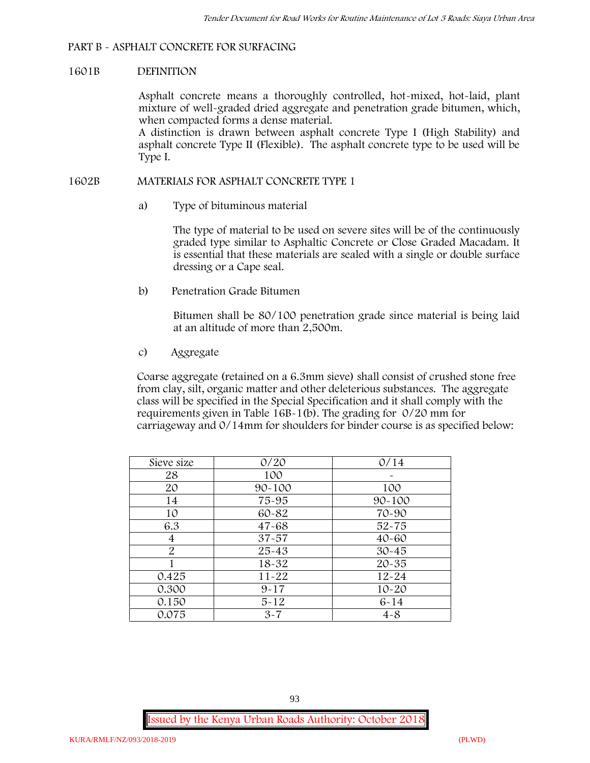### **PART B - ASPHALT CONCRETE FOR SURFACING**

#### **1601B DEFINITION**

Asphalt concrete means a thoroughly controlled, hot-mixed, hot-laid, plant mixture of well-graded dried aggregate and penetration grade bitumen, which, when compacted forms a dense material.

A distinction is drawn between asphalt concrete Type I (High Stability) and asphalt concrete Type II (Flexible). The asphalt concrete type to be used will be Type I.

### **1602B MATERIALS FOR ASPHALT CONCRETE TYPE 1**

a) **Type of bituminous material**

The type of material to be used on severe sites will be of the continuously graded type similar to Asphaltic Concrete or Close Graded Macadam. It is essential that these materials are sealed with a single or double surface dressing or a Cape seal.

b) **Penetration Grade Bitumen**

Bitumen shall be 80/100 penetration grade since material is being laid at an altitude of more than 2,500m.

c) **Aggregate**

Coarse aggregate (retained on a 6.3mm sieve) shall consist of crushed stone free from clay, silt, organic matter and other deleterious substances. The aggregate class will be specified in the Special Specification and it shall comply with the requirements given in Table 16B-1(b). The grading for 0/20 mm for carriageway and 0/14mm for shoulders for binder course is as specified below:

| Sieve size | 0/20       | 0/14       |
|------------|------------|------------|
| 28         | 100        |            |
| 20         | $90 - 100$ | 100        |
| 14         | 75-95      | $90 - 100$ |
| 10         | 60-82      | 70-90      |
| 6.3        | $47 - 68$  | $52 - 75$  |
| 4          | $37 - 57$  | $40 - 60$  |
| 2          | $25 - 43$  | $30 - 45$  |
|            | 18-32      | $20 - 35$  |
| 0.425      | $11 - 22$  | $12 - 24$  |
| 0.300      | $9 - 17$   | $10 - 20$  |
| 0.150      | $5 - 12$   | $6 - 14$   |
| 0.075      | $3 - 7$    | $4 - 8$    |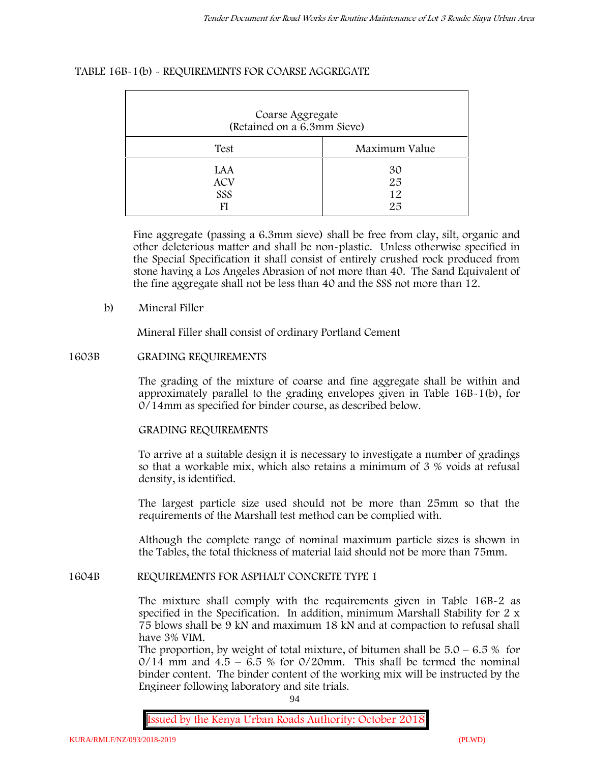# **TABLE 16B-1(b) - REQUIREMENTS FOR COARSE AGGREGATE**

| Coarse Aggregate<br>(Retained on a 6.3mm Sieve) |                      |
|-------------------------------------------------|----------------------|
| Test                                            | Maximum Value        |
| LAA<br><b>ACV</b><br>SSS                        | 30<br>25<br>12<br>25 |

Fine aggregate (passing a 6.3mm sieve) shall be free from clay, silt, organic and other deleterious matter and shall be non-plastic. Unless otherwise specified in the Special Specification it shall consist of entirely crushed rock produced from stone having a Los Angeles Abrasion of not more than 40. The Sand Equivalent of the fine aggregate shall not be less than 40 and the SSS not more than 12.

# **b) Mineral Filler**

Mineral Filler shall consist of ordinary Portland Cement

### **1603B GRADING REQUIREMENTS**

The grading of the mixture of coarse and fine aggregate shall be within and approximately parallel to the grading envelopes given in Table 16B-1(b), for 0/14mm as specified for binder course, as described below.

# **GRADING REQUIREMENTS**

To arrive at a suitable design it is necessary to investigate a number of gradings so that a workable mix, which also retains a minimum of 3 % voids at refusal density, is identified.

The largest particle size used should not be more than 25mm so that the requirements of the Marshall test method can be complied with.

Although the complete range of nominal maximum particle sizes is shown in the Tables, the total thickness of material laid should not be more than 75mm.

#### **1604B REQUIREMENTS FOR ASPHALT CONCRETE TYPE 1**

The mixture shall comply with the requirements given in Table 16B-2 as specified in the Specification. In addition, minimum Marshall Stability for 2 x 75 blows shall be 9 kN and maximum 18 kN and at compaction to refusal shall have 3% VIM.

The proportion, by weight of total mixture, of bitumen shall be  $5.0 - 6.5 %$  for  $0/14$  mm and  $4.5 - 6.5$  % for  $0/20$ mm. This shall be termed the nominal binder content. The binder content of the working mix will be instructed by the Engineer following laboratory and site trials.

94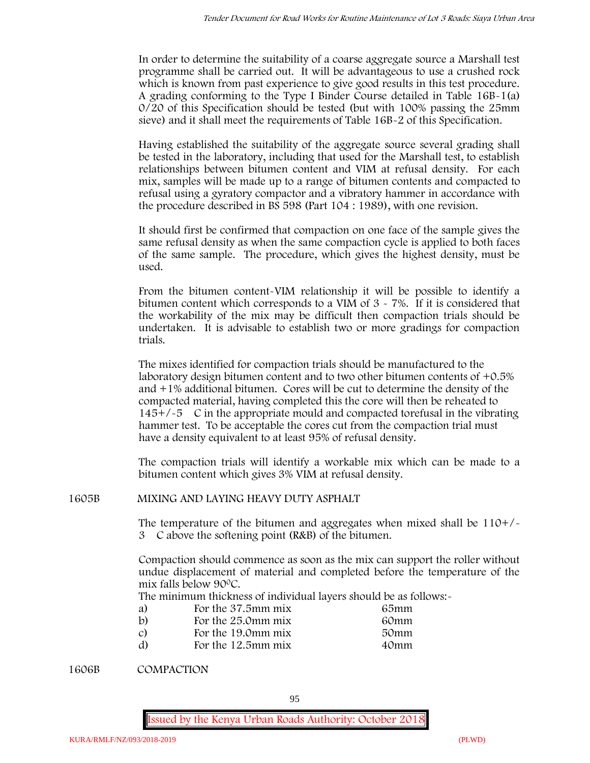In order to determine the suitability of a coarse aggregate source a Marshall test programme shall be carried out. It will be advantageous to use a crushed rock which is known from past experience to give good results in this test procedure. A grading conforming to the Type I Binder Course detailed in Table 16B-1(a) 0/20 of this Specification should be tested (but with 100% passing the 25mm sieve) and it shall meet the requirements of Table 16B-2 of this Specification.

Having established the suitability of the aggregate source several grading shall be tested in the laboratory, including that used for the Marshall test, to establish relationships between bitumen content and VIM at refusal density. For each mix, samples will be made up to a range of bitumen contents and compacted to refusal using a gyratory compactor and a vibratory hammer in accordance with the procedure described in BS 598 (Part 104 : 1989), with one revision.

It should first be confirmed that compaction on one face of the sample gives the same refusal density as when the same compaction cycle is applied to both faces of the same sample. The procedure, which gives the highest density, must be used.

From the bitumen content-VIM relationship it will be possible to identify a bitumen content which corresponds to a VIM of 3 - 7%. If it is considered that the workability of the mix may be difficult then compaction trials should be undertaken. It is advisable to establish two or more gradings for compaction trials.

The mixes identified for compaction trials should be manufactured to the laboratory design bitumen content and to two other bitumen contents of +0.5% and +1% additional bitumen. Cores will be cut to determine the density of the compacted material, having completed this the core will then be reheated to  $145+/-5$  C in the appropriate mould and compacted torefusal in the vibrating hammer test. To be acceptable the cores cut from the compaction trial must have a density equivalent to at least 95% of refusal density.

The compaction trials will identify a workable mix which can be made to a bitumen content which gives 3% VIM at refusal density.

**1605B MIXING AND LAYING HEAVY DUTY ASPHALT**

The temperature of the bitumen and aggregates when mixed shall be  $110+/$ 3C above the softening point (R&B) of the bitumen.

Compaction should commence as soon as the mix can support the roller without undue displacement of material and completed before the temperature of the mix falls below 900C.

The minimum thickness of individual layers should be as follows:-

| a) | For the 37.5mm mix | 65mm |  |
|----|--------------------|------|--|
| b) | For the 25.0mm mix | 60mm |  |
| C) | For the 19.0mm mix | 50mm |  |
| d) | For the 12.5mm mix | 40mm |  |

**1606B COMPACTION**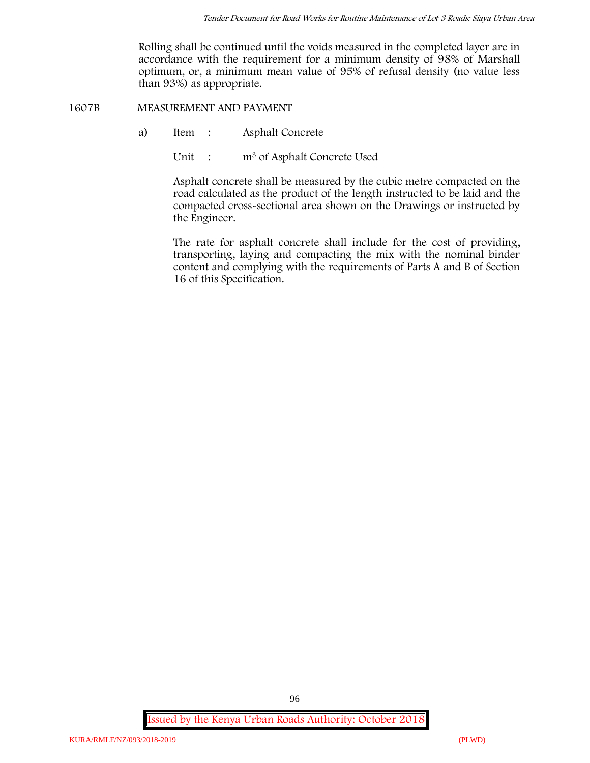Rolling shall be continued until the voids measured in the completed layer are in accordance with the requirement for a minimum density of 98% of Marshall optimum, or, a minimum mean value of 95% of refusal density (no value less than 93%) as appropriate.

**1607B MEASUREMENT AND PAYMENT**

- a) Item : Asphalt Concrete
	- Unit : m<sup>3</sup> of Asphalt Concrete Used

Asphalt concrete shall be measured by the cubic metre compacted on the road calculated as the product of the length instructed to be laid and the compacted cross-sectional area shown on the Drawings or instructed by the Engineer.

The rate for asphalt concrete shall include for the cost of providing, transporting, laying and compacting the mix with the nominal binder content and complying with the requirements of Parts A and B of Section 16 of this Specification.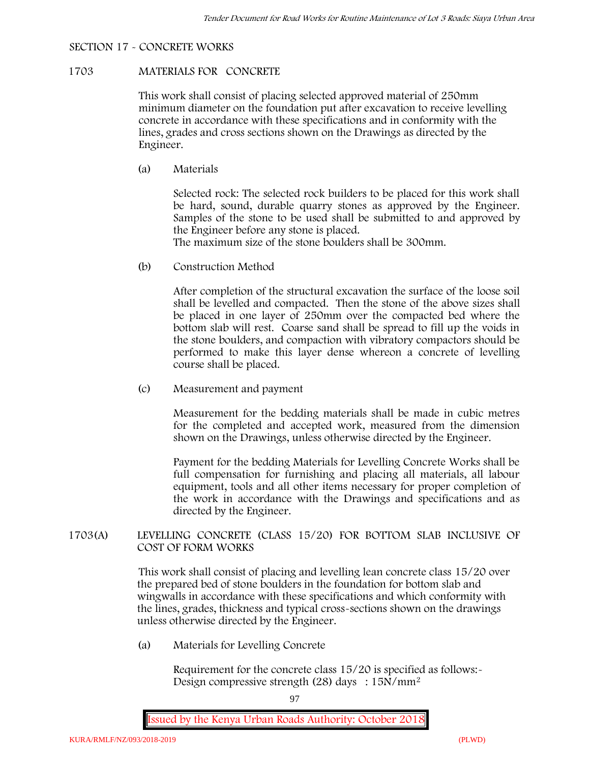# **SECTION 17 - CONCRETE WORKS**

### **1703 MATERIALS FOR CONCRETE**

This work shall consist of placing selected approved material of 250mm minimum diameter on the foundation put after excavation to receive levelling concrete in accordance with these specifications and in conformity with the lines, grades and cross sections shown on the Drawings as directed by the Engineer.

(a) **Materials**

Selected rock: The selected rock builders to be placed for this work shall be hard, sound, durable quarry stones as approved by the Engineer. Samples of the stone to be used shall be submitted to and approved by the Engineer before any stone is placed.

The maximum size of the stone boulders shall be 300mm.

(b) **Construction Method**

After completion of the structural excavation the surface of the loose soil shall be levelled and compacted. Then the stone of the above sizes shall be placed in one layer of 250mm over the compacted bed where the bottom slab will rest. Coarse sand shall be spread to fill up the voids in the stone boulders, and compaction with vibratory compactors should be performed to make this layer dense whereon a concrete of levelling course shall be placed.

(c) **Measurement and payment**

Measurement for the bedding materials shall be made in cubic metres for the completed and accepted work, measured from the dimension shown on the Drawings, unless otherwise directed by the Engineer.

Payment for the bedding Materials for Levelling Concrete Works shall be full compensation for furnishing and placing all materials, all labour equipment, tools and all other items necessary for proper completion of the work in accordance with the Drawings and specifications and as directed by the Engineer.

# **1703(A) LEVELLING CONCRETE (CLASS 15/20) FOR BOTTOM SLAB INCLUSIVE OF COST OF FORM WORKS**

This work shall consist of placing and levelling lean concrete class 15/20 over the prepared bed of stone boulders in the foundation for bottom slab and wingwalls in accordance with these specifications and which conformity with the lines, grades, thickness and typical cross-sections shown on the drawings unless otherwise directed by the Engineer.

(a) **Materials for Levelling Concrete**

Requirement for the concrete class 15/20 is specified as follows:- Design compressive strength (28) days :  $15N/mm^2$ 

97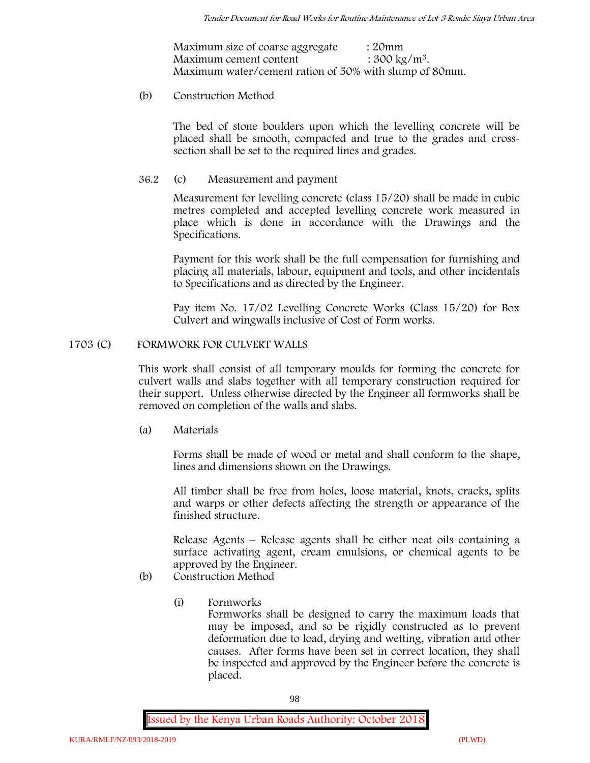| Maximum size of coarse aggregate                       | : 20mm                   |
|--------------------------------------------------------|--------------------------|
| Maximum cement content                                 | : $300 \text{ kg/m}^3$ . |
| Maximum water/cement ration of 50% with slump of 80mm. |                          |

# (b) **Construction Method**

The bed of stone boulders upon which the levelling concrete will be placed shall be smooth, compacted and true to the grades and crosssection shall be set to the required lines and grades.

# **36.2** (c) **Measurement and payment**

Measurement for levelling concrete (class 15/20) shall be made in cubic metres completed and accepted levelling concrete work measured in place which is done in accordance with the Drawings and the Specifications.

Payment for this work shall be the full compensation for furnishing and placing all materials, labour, equipment and tools, and other incidentals to Specifications and as directed by the Engineer.

Pay item No. 17/02 Levelling Concrete Works (Class 15/20) for Box Culvert and wingwalls inclusive of Cost of Form works.

# **1703 (C) FORMWORK FOR CULVERT WALLS**

This work shall consist of all temporary moulds for forming the concrete for culvert walls and slabs together with all temporary construction required for their support. Unless otherwise directed by the Engineer all formworks shall be removed on completion of the walls and slabs.

(a) **Materials**

Forms shall be made of wood or metal and shall conform to the shape, lines and dimensions shown on the Drawings.

All timber shall be free from holes, loose material, knots, cracks, splits and warps or other defects affecting the strength or appearance of the finished structure.

Release Agents – Release agents shall be either neat oils containing a surface activating agent, cream emulsions, or chemical agents to be approved by the Engineer.

- (b) **Construction Method**
	- (i) **Formworks**

Formworks shall be designed to carry the maximum loads that may be imposed, and so be rigidly constructed as to prevent deformation due to load, drying and wetting, vibration and other causes. After forms have been set in correct location, they shall be inspected and approved by the Engineer before the concrete is placed.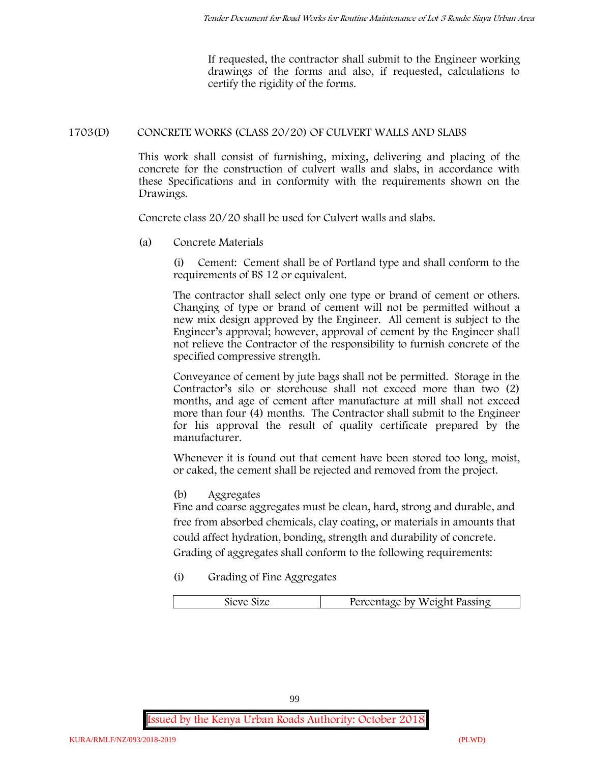If requested, the contractor shall submit to the Engineer working drawings of the forms and also, if requested, calculations to certify the rigidity of the forms.

# **1703(D) CONCRETE WORKS (CLASS 20/20) OF CULVERT WALLS AND SLABS**

This work shall consist of furnishing, mixing, delivering and placing of the concrete for the construction of culvert walls and slabs, in accordance with these Specifications and in conformity with the requirements shown on the Drawings.

Concrete class 20/20 shall be used for Culvert walls and slabs.

**(a) Concrete Materials**

(i) Cement: Cement shall be of Portland type and shall conform to the requirements of BS 12 or equivalent.

The contractor shall select only one type or brand of cement or others. Changing of type or brand of cement will not be permitted without a new mix design approved by the Engineer. All cement is subject to the Engineer's approval; however, approval of cement by the Engineer shall not relieve the Contractor of the responsibility to furnish concrete of the specified compressive strength.

Conveyance of cement by jute bags shall not be permitted. Storage in the Contractor's silo or storehouse shall not exceed more than two (2) months, and age of cement after manufacture at mill shall not exceed more than four (4) months. The Contractor shall submit to the Engineer for his approval the result of quality certificate prepared by the manufacturer.

Whenever it is found out that cement have been stored too long, moist, or caked, the cement shall be rejected and removed from the project.

**(b) Aggregates**

Fine and coarse aggregates must be clean, hard, strong and durable, and free from absorbed chemicals, clay coating, or materials in amounts that could affect hydration, bonding, strength and durability of concrete. Grading of aggregates shall conform to the following requirements:

**(i) Grading of Fine Aggregates**

| Percentage by Weight Passing |
|------------------------------|
|                              |

99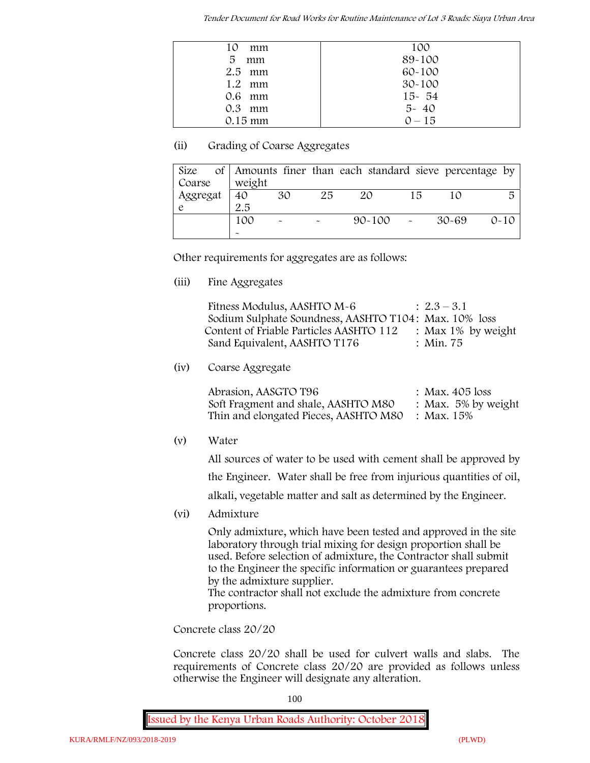| 10<br>mm       | 100        |
|----------------|------------|
| 5<br>mm        | 89-100     |
| $2.5$ mm       | 60-100     |
| $1.2 \cdot mm$ | $30 - 100$ |
| $0.6$ mm       | $15 - 54$  |
| $0.3$ mm       | $5 - 40$   |
| $0.15$ mm      | $0 - 15$   |

# **(ii) Grading of Coarse Aggregates**

| Size     |                       |                           |    | of Amounts finer than each standard sieve percentage by |    |       |          |
|----------|-----------------------|---------------------------|----|---------------------------------------------------------|----|-------|----------|
| Coarse   | weight                |                           |    |                                                         |    |       |          |
| Aggregat | 40                    | 30                        | 25 | 20                                                      | 15 |       | 局        |
|          | 2.5                   |                           |    |                                                         |    |       |          |
|          | 100                   | $\widetilde{\phantom{m}}$ |    | $90 - 100$ -                                            |    | 30-69 | $0 - 10$ |
|          | $\tilde{\phantom{a}}$ |                           |    |                                                         |    |       |          |

Other requirements for aggregates are as follows:

**(iii) Fine Aggregates**

| Fitness Modulus, AASHTO M-6                           | $: 2.3 - 3.1$         |
|-------------------------------------------------------|-----------------------|
| Sodium Sulphate Soundness, AASHTO T104: Max. 10% loss |                       |
| Content of Friable Particles AASHTO 112               | : Max $1\%$ by weight |
| Sand Equivalent, AASHTO T176                          | : Min. 75             |

**(iv) Coarse Aggregate**

Abrasion, AASGTO T96 : Max. 405 loss Soft Fragment and shale, AASHTO M80 : Max. 5% by weight Thin and elongated Pieces, AASHTO M80 : Max. 15%

**(v) Water**

All sources of water to be used with cement shall be approved by

the Engineer. Water shall be free from injurious quantities of oil,

alkali, vegetable matter and salt as determined by the Engineer.

**(vi) Admixture**

Only admixture, which have been tested and approved in the site laboratory through trial mixing for design proportion shall be used. Before selection of admixture, the Contractor shall submit to the Engineer the specific information or guarantees prepared by the admixture supplier.

The contractor shall not exclude the admixture from concrete proportions.

**Concrete class 20/20**

Concrete class 20/20 shall be used for culvert walls and slabs. The requirements of Concrete class 20/20 are provided as follows unless otherwise the Engineer will designate any alteration.

100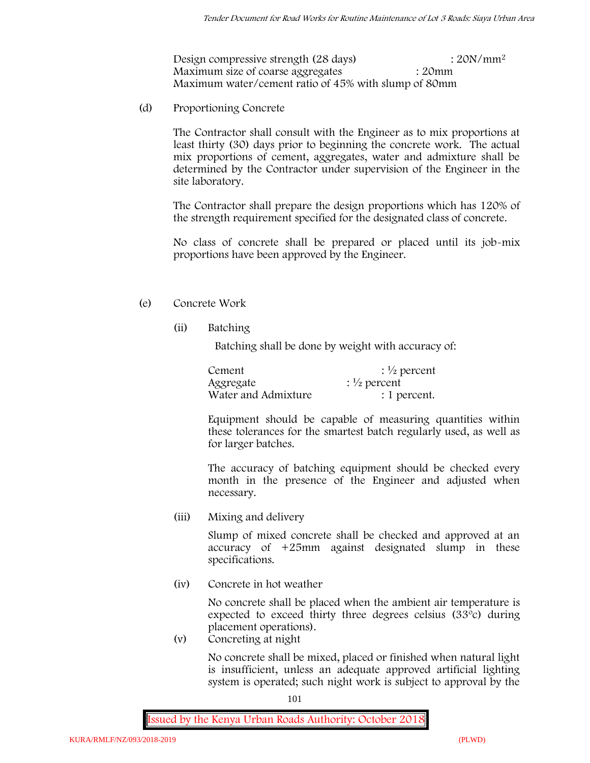Design compressive strength (28 days) : 20N/mm<sup>2</sup> Maximum size of coarse aggregates : 20mm Maximum water/cement ratio of 45% with slump of 80mm

(d) **Proportioning Concrete**

The Contractor shall consult with the Engineer as to mix proportions at least thirty (30) days prior to beginning the concrete work. The actual mix proportions of cement, aggregates, water and admixture shall be determined by the Contractor under supervision of the Engineer in the site laboratory.

The Contractor shall prepare the design proportions which has 120% of the strength requirement specified for the designated class of concrete.

No class of concrete shall be prepared or placed until its job-mix proportions have been approved by the Engineer.

# (e) **Concrete Work**

**(ii) Batching**

Batching shall be done by weight with accuracy of:

| Cement              | $\frac{1}{2}$ percent |
|---------------------|-----------------------|
| Aggregate           | $\frac{1}{2}$ percent |
| Water and Admixture | : 1 percent.          |

Equipment should be capable of measuring quantities within these tolerances for the smartest batch regularly used, as well as for larger batches.

The accuracy of batching equipment should be checked every month in the presence of the Engineer and adjusted when necessary.

**(iii) Mixing and delivery**

Slump of mixed concrete shall be checked and approved at an accuracy of +25mm against designated slump in these specifications.

**(iv) Concrete in hot weather**

No concrete shall be placed when the ambient air temperature is expected to exceed thirty three degrees celsius (33ºc) during placement operations).

**(v) Concreting at night**

No concrete shall be mixed, placed or finished when natural light is insufficient, unless an adequate approved artificial lighting system is operated; such night work is subject to approval by the

101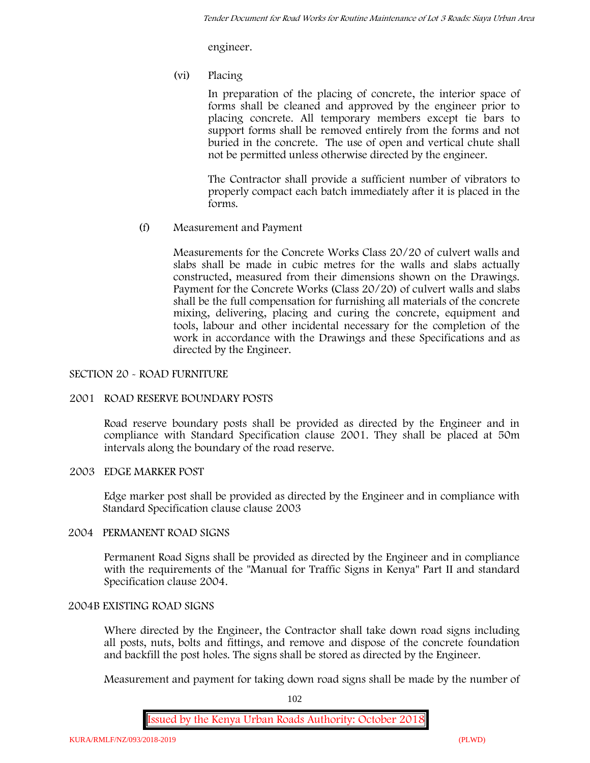engineer.

**(vi) Placing**

In preparation of the placing of concrete, the interior space of forms shall be cleaned and approved by the engineer prior to placing concrete. All temporary members except tie bars to support forms shall be removed entirely from the forms and not buried in the concrete. The use of open and vertical chute shall not be permitted unless otherwise directed by the engineer.

The Contractor shall provide a sufficient number of vibrators to properly compact each batch immediately after it is placed in the forms.

(f) **Measurement and Payment**

Measurements for the Concrete Works Class 20/20 of culvert walls and slabs shall be made in cubic metres for the walls and slabs actually constructed, measured from their dimensions shown on the Drawings. Payment for the Concrete Works (Class 20/20) of culvert walls and slabs shall be the full compensation for furnishing all materials of the concrete mixing, delivering, placing and curing the concrete, equipment and tools, labour and other incidental necessary for the completion of the work in accordance with the Drawings and these Specifications and as directed by the Engineer.

# **SECTION 20 - ROAD FURNITURE**

# **2001 ROAD RESERVE BOUNDARY POSTS**

Road reserve boundary posts shall be provided as directed by the Engineer and in compliance with Standard Specification clause 2001. They shall be placed at 50m intervals along the boundary of the road reserve.

# **2003 EDGE MARKER POST**

Edge marker post shall be provided as directed by the Engineer and in compliance with Standard Specification clause clause 2003

# **2004 PERMANENT ROAD SIGNS**

Permanent Road Signs shall be provided as directed by the Engineer and in compliance with the requirements of the "Manual for Traffic Signs in Kenya" Part II and standard Specification clause 2004.

# **2004B EXISTING ROAD SIGNS**

Where directed by the Engineer, the Contractor shall take down road signs including all posts, nuts, bolts and fittings, and remove and dispose of the concrete foundation and backfill the post holes. The signs shall be stored as directed by the Engineer.

Measurement and payment for taking down road signs shall be made by the number of

102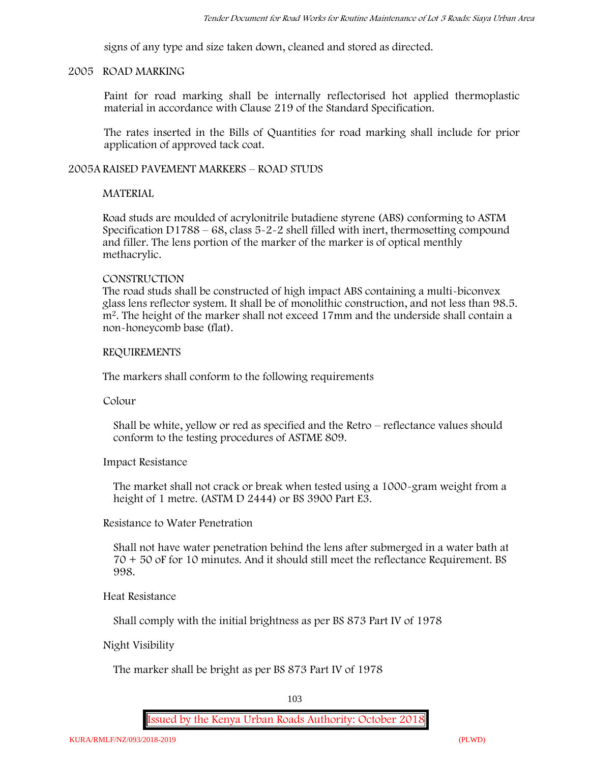signs of any type and size taken down, cleaned and stored as directed.

### **2005 ROAD MARKING**

Paint for road marking shall be internally reflectorised hot applied thermoplastic material in accordance with Clause 219 of the Standard Specification.

The rates inserted in the Bills of Quantities for road marking shall include for prior application of approved tack coat.

# **2005A RAISED PAVEMENT MARKERS – ROAD STUDS**

# **MATERIAL**

Road studs are moulded of acrylonitrile butadiene styrene (ABS) conforming to ASTM Specification D1788 – 68, class 5-2-2 shell filled with inert, thermosetting compound and filler. The lens portion of the marker of the marker is of optical menthly methacrylic.

# **CONSTRUCTION**

The road studs shall be constructed of high impact ABS containing a multi-biconvex glass lens reflector system. It shall be of monolithic construction, and not less than 98.5. m2. The height of the marker shall not exceed 17mm and the underside shall contain a non-honeycomb base (flat).

# **REQUIREMENTS**

The markers shall conform to the following requirements

**Colour**

Shall be white, yellow or red as specified and the Retro – reflectance values should conform to the testing procedures of ASTME 809.

**Impact Resistance**

The market shall not crack or break when tested using a 1000**-**gram weight from a height of 1 metre. (ASTM D 2444) or BS 3900 Part E3.

**Resistance to Water Penetration**

Shall not have water penetration behind the lens after submerged in a water bath at 70 + 50 oF for 10 minutes. And it should still meet the reflectance Requirement. BS 998.

**Heat Resistance**

Shall comply with the initial brightness as per BS 873 Part IV of 1978

# **Night Visibility**

The marker shall be bright as per BS 873 Part IV of 1978

103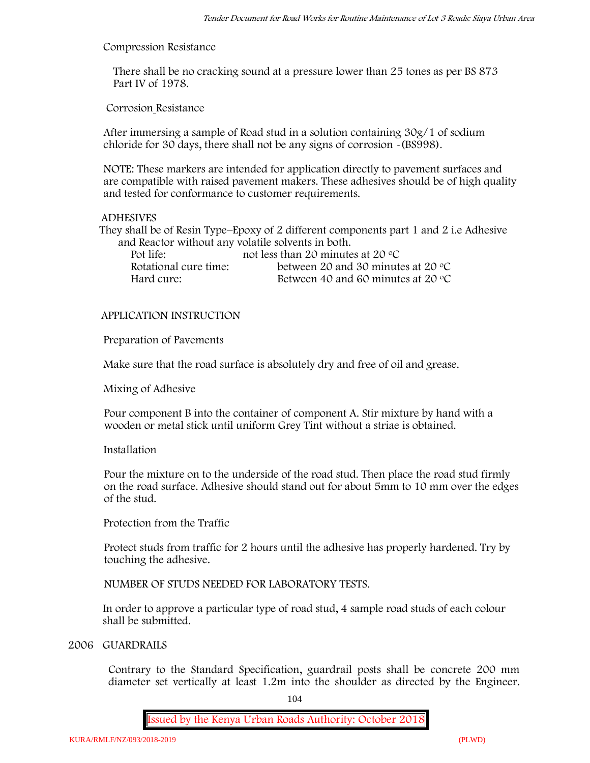#### **Compression Resistance**

There shall be no cracking sound at a pressure lower than 25 tones as per BS 873 Part IV of 1978.

**Corrosion Resistance**

After immersing a sample of Road stud in a solution containing 30g/1 of sodium chloride for 30 days, there shall not be any signs of corrosion **-**(BS998).

**NOTE**: These markers are intended for application directly to pavement surfaces and are compatible with raised pavement makers. These adhesives should be of high quality and tested for conformance to customer requirements.

### **ADHESIVES**

They shall be of Resin Type–Epoxy of 2 different components part 1 and 2 i.e Adhesive and Reactor without any volatile solvents in both.

| Pot life:             | not less than 20 minutes at 20 $\degree$ C  |
|-----------------------|---------------------------------------------|
| Rotational cure time: | between 20 and 30 minutes at 20 $\degree$ C |
| Hard cure:            | Between 40 and 60 minutes at 20 $\degree$ C |

# **APPLICATION INSTRUCTION**

**Preparation of Pavements**

Make sure that the road surface is absolutely dry and free of oil and grease**.**

**Mixing of Adhesive**

Pour component B into the container of component A. Stir mixture by hand with a wooden or metal stick until uniform Grey Tint without a striae is obtained.

### **Installation**

Pour the mixture on to the underside of the road stud. Then place the road stud firmly on the road surface. Adhesive should stand out for about 5mm to 10 mm over the edges of the stud.

**Protection from the Traffic**

Protect studs from traffic for 2 hours until the adhesive has properly hardened. Try by touching the adhesive.

**NUMBER OF STUDS NEEDED FOR LABORATORY TESTS.**

In order to approve a particular type of road stud, 4 sample road studs of each colour shall be submitted.

### **2006 GUARDRAILS**

Contrary to the Standard Specification, guardrail posts shall be concrete 200 mm diameter set vertically at least 1.2m into the shoulder as directed by the Engineer.

104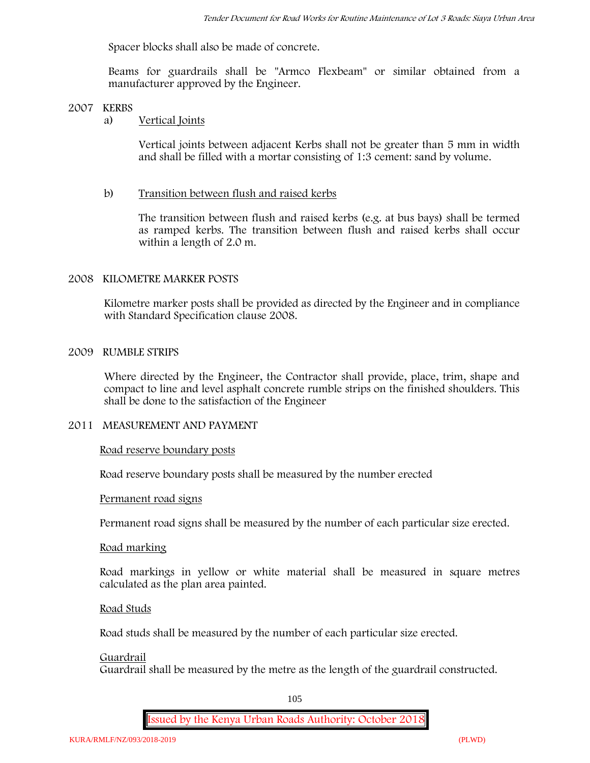Spacer blocks shall also be made of concrete.

Beams for guardrails shall be "Armco Flexbeam" or similar obtained from a manufacturer approved by the Engineer.

### **2007 KERBS**

# a) **Vertical Joints**

Vertical joints between adjacent Kerbs shall not be greater than 5 mm in width and shall be filled with a mortar consisting of 1:3 cement: sand by volume.

### b) **Transition between flush and raised kerbs**

The transition between flush and raised kerbs (e.g. at bus bays) shall be termed as ramped kerbs. The transition between flush and raised kerbs shall occur within a length of 2.0 m.

### **2008 KILOMETRE MARKER POSTS**

Kilometre marker posts shall be provided as directed by the Engineer and in compliance with Standard Specification clause 2008.

### **2009 RUMBLE STRIPS**

Where directed by the Engineer, the Contractor shall provide, place, trim, shape and compact to line and level asphalt concrete rumble strips on the finished shoulders. This shall be done to the satisfaction of the Engineer

# **2011 MEASUREMENT AND PAYMENT**

#### **Road reserve boundary posts**

Road reserve boundary posts shall be measured by the number erected

### **Permanent road signs**

Permanent road signs shall be measured by the number of each particular size erected.

### **Road marking**

Road markings in yellow or white material shall be measured in square metres calculated as the plan area painted.

#### **Road Studs**

Road studs shall be measured by the number of each particular size erected.

#### **Guardrail**

Guardrail shall be measured by the metre as the length of the guardrail constructed.

105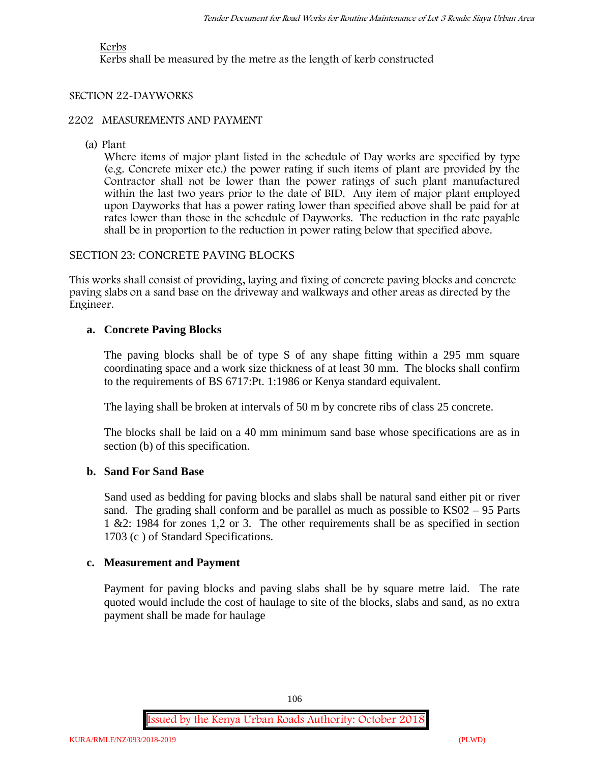# **Kerbs**

Kerbs shall be measured by the metre as the length of kerb constructed

# **SECTION 22-DAYWORKS**

### **2202 MEASUREMENTS AND PAYMENT**

(a) Plant

Where items of major plant listed in the schedule of Day works are specified by type (e.g. Concrete mixer etc.) the power rating if such items of plant are provided by the Contractor shall not be lower than the power ratings of such plant manufactured within the last two years prior to the date of BID. Any item of major plant employed upon Dayworks that has a power rating lower than specified above shall be paid for at rates lower than those in the schedule of Dayworks. The reduction in the rate payable shall be in proportion to the reduction in power rating below that specified above.

# SECTION 23: CONCRETE PAVING BLOCKS

This works shall consist of providing, laying and fixing of concrete paving blocks and concrete paving slabs on a sand base on the driveway and walkways and other areas as directed by the Engineer.

# **a. Concrete Paving Blocks**

The paving blocks shall be of type S of any shape fitting within a 295 mm square coordinating space and a work size thickness of at least 30 mm. The blocks shall confirm to the requirements of BS 6717:Pt. 1:1986 or Kenya standard equivalent.

The laying shall be broken at intervals of 50 m by concrete ribs of class 25 concrete.

The blocks shall be laid on a 40 mm minimum sand base whose specifications are as in section (b) of this specification.

# **b. Sand For Sand Base**

Sand used as bedding for paving blocks and slabs shall be natural sand either pit or river sand. The grading shall conform and be parallel as much as possible to KS02 – 95 Parts 1 &2: 1984 for zones 1,2 or 3. The other requirements shall be as specified in section 1703 (c ) of Standard Specifications.

# **c. Measurement and Payment**

Payment for paving blocks and paving slabs shall be by square metre laid. The rate quoted would include the cost of haulage to site of the blocks, slabs and sand, as no extra payment shall be made for haulage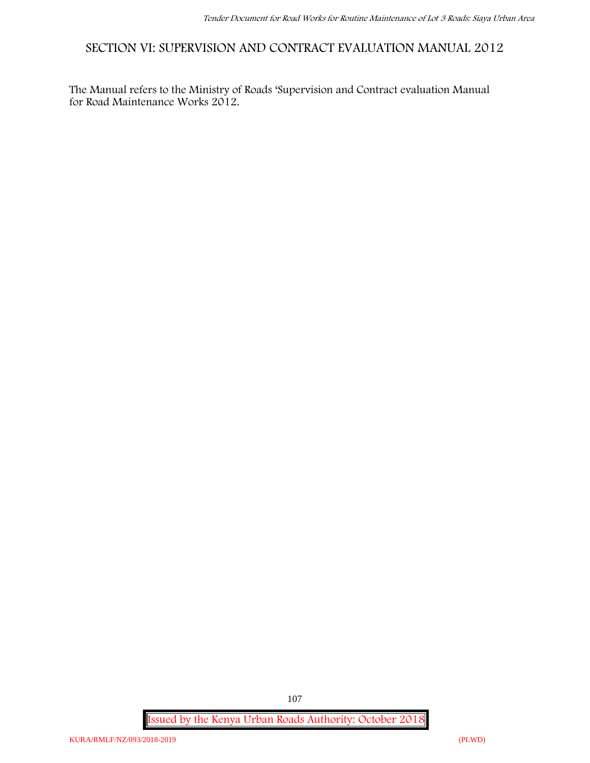**SECTION VI: SUPERVISION AND CONTRACT EVALUATION MANUAL 2012**

The Manual refers to the Ministry of Roads 'Supervision and Contract evaluation Manual for Road Maintenance Works 2012.

**Issued by the Kenya Urban Roads Authority: October 2018**

107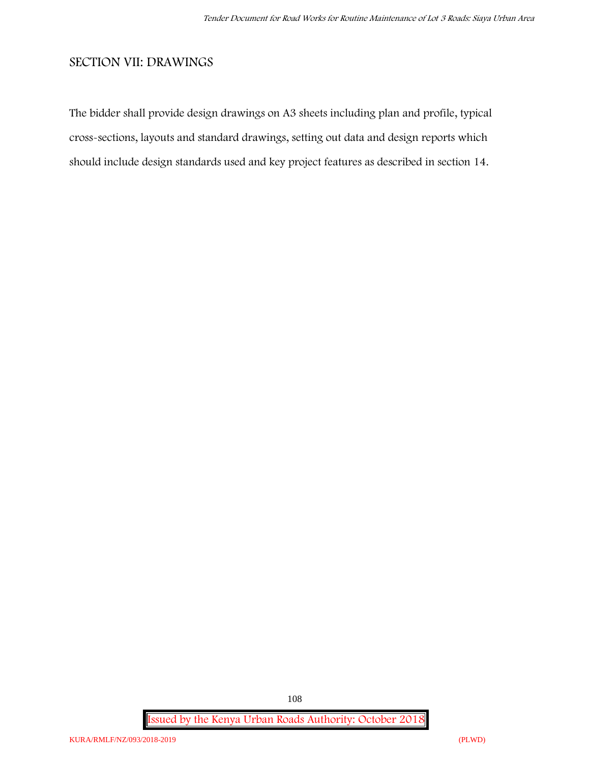# **SECTION VII: DRAWINGS**

The bidder shall provide design drawings on A3 sheets including plan and profile, typical cross-sections, layouts and standard drawings, setting out data and design reports which should include design standards used and key project features as described in section 14.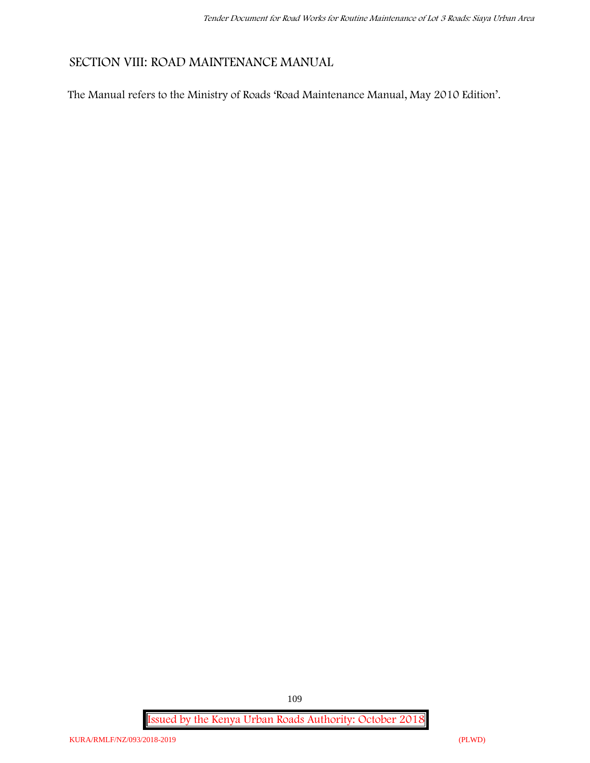# **SECTION VIII: ROAD MAINTENANCE MANUAL**

The Manual refers to the Ministry of Roads 'Road Maintenance Manual, May 2010 Edition'.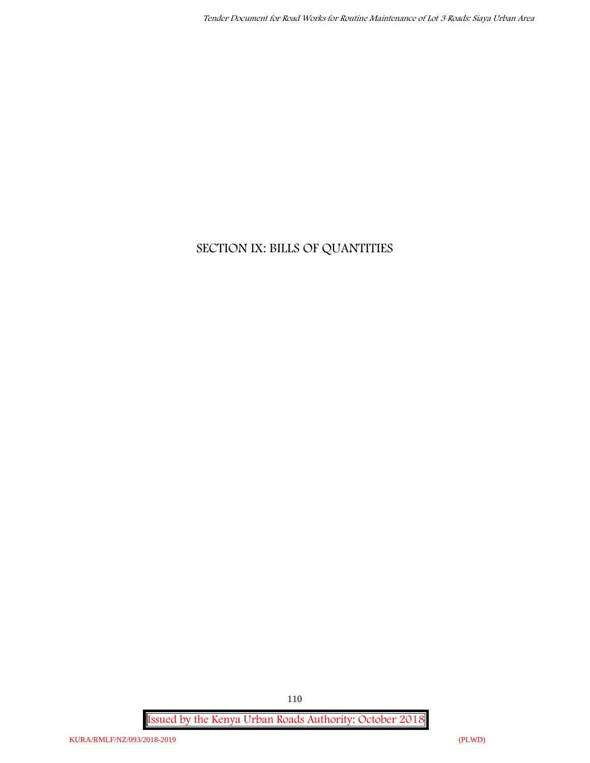# **SECTION IX: BILLS OF QUANTITIES**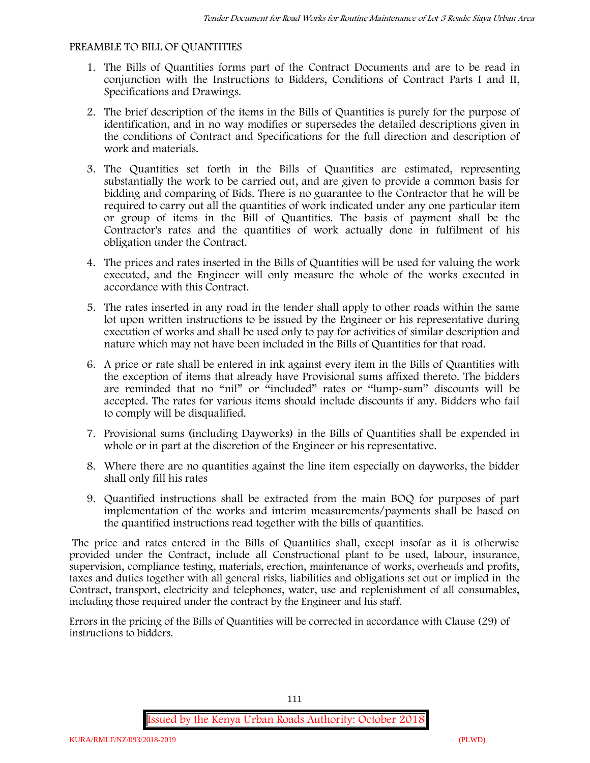#### **PREAMBLE TO BILL OF QUANTITIES**

- 1. The Bills of Quantities forms part of the Contract Documents and are to be read in conjunction with the Instructions to Bidders, Conditions of Contract Parts I and II, Specifications and Drawings.
- 2. The brief description of the items in the Bills of Quantities is purely for the purpose of identification, and in no way modifies or supersedes the detailed descriptions given in the conditions of Contract and Specifications for the full direction and description of work and materials.
- 3. The Quantities set forth in the Bills of Quantities are estimated, representing substantially the work to be carried out, and are given to provide a common basis for bidding and comparing of Bids. There is no guarantee to the Contractor that he will be required to carry out all the quantities of work indicated under any one particular item or group of items in the Bill of Quantities. The basis of payment shall be the Contractor's rates and the quantities of work actually done in fulfilment of his obligation under the Contract.
- 4. The prices and rates inserted in the Bills of Quantities will be used for valuing the work executed, and the Engineer will only measure the whole of the works executed in accordance with this Contract.
- 5. The rates inserted in any road in the tender shall apply to other roads within the same lot upon written instructions to be issued by the Engineer or his representative during execution of works and shall be used only to pay for activities of similar description and nature which may not have been included in the Bills of Quantities for that road.
- 6. A price or rate shall be entered in ink against every item in the Bills of Quantities with the exception of items that already have Provisional sums affixed thereto. The bidders are reminded that no "nil" or "included" rates or "lump-sum" discounts will be accepted. The rates for various items should include discounts if any. Bidders who fail to comply will be disqualified.
- 7. Provisional sums (including Dayworks) in the Bills of Quantities shall be expended in whole or in part at the discretion of the Engineer or his representative.
- 8. Where there are no quantities against the line item especially on dayworks, the bidder shall only fill his rates
- 9. Quantified instructions shall be extracted from the main BOQ for purposes of part implementation of the works and interim measurements/payments shall be based on the quantified instructions read together with the bills of quantities.

The price and rates entered in the Bills of Quantities shall, except insofar as it is otherwise provided under the Contract, include all Constructional plant to be used, labour, insurance, supervision, compliance testing, materials, erection, maintenance of works, overheads and profits, taxes and duties together with all general risks, liabilities and obligations set out or implied in the Contract, transport, electricity and telephones, water, use and replenishment of all consumables, including those required under the contract by the Engineer and his staff.

Errors in the pricing of the Bills of Quantities will be corrected in accordance with Clause (29) of instructions to bidders.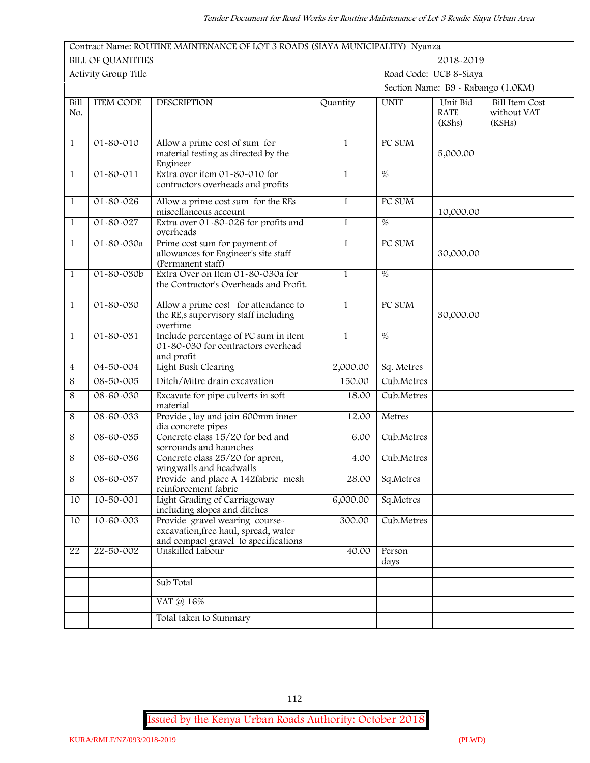*Tender Document for Road Works for Routine Maintenance of Lot 3 Roads: Siaya Urban Area* **Contract Name: ROUTINE MAINTENANCE OF LOT 3 ROADS (SIAYA MUNICIPALITY) Nyanza BILL OF QUANTITIES 2018-2019 Activity Group Title Road Code: UCB 8-Siaya Section Name: B9 - Rabango (1.0KM) Bill ITEM CODE No. ITEM CONDENSIGNATION Quantity UNIT Unit Bid RATE (KShs) Bill Item Cost without VAT (KSHs)** 1 01-80-010 Allow a prime cost of sum for material testing as directed by the Engineer 1 PC SUM 5,000.00 1 01-80-011 Extra over item 01-80-010 for contractors overheads and profits 1 % 1 01-80-026 Allow a prime cost sum for the REs miscellaneous account 1 PC SUM 10,000.00 1 01-80-027 Extra over 01-80-026 for profits and overheads 1 % 1 01-80-030a Prime cost sum for payment of allowances for Engineer's site staff (Permanent staff) 1 PC SUM 30,000.00 1 01-80-030b Extra Over on Item 01-80-030a for the Contractor's Overheads and Profit. 1 % 1 01-80-030 Allow a prime cost for attendance to the RE,s supervisory staff including overtime 1 PC SUM 30,000.00 1 01-80-031 Include percentage of PC sum in item 01-80-030 for contractors overhead and profit 1 % 4 04-50-004 Light Bush Clearing 2,000.00 Sq. Metres 8 08-50-005 Ditch/Mitre drain excavation 150.00 Cub.Metres 8 08-60-030 Excavate for pipe culverts in soft material 18.00 Cub.Metres 8 08-60-033 Provide , lay and join 600mm inner dia concrete pipes 12.00 Metres 8 08-60-035 Concrete class 15/20 for bed and sorrounds and haunches 6.00 Cub.Metres 8 08-60-036 Concrete class 25/20 for apron, wingwalls and headwalls 4.00 Cub.Metres 8 08-60-037 Provide and place A 142fabric mesh reinforcement fabric 28.00 Sq.Metres 10 10-50-001 Light Grading of Carriageway including slopes and ditches 6,000.00 Sq.Metres 10 10-60-003 Provide gravel wearing course excavation,free haul, spread, water 300.00 Cub.Metres

**Issued by the Kenya Urban Roads Authority: October 2018**

and compact gravel to specifications

Sub Total

VAT @ 16%

Total taken to Summary

22 22-50-002 Unskilled Labour 40.00 Person

days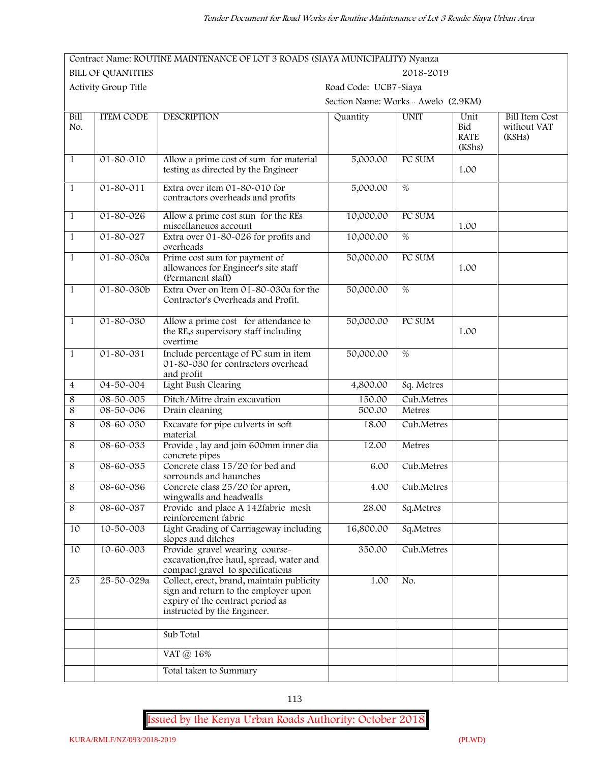|                    |                           | Contract Name: ROUTINE MAINTENANCE OF LOT 3 ROADS (SIAYA MUNICIPALITY) Nyanza                                                                        |                                     |                 |                                      |                                                |  |
|--------------------|---------------------------|------------------------------------------------------------------------------------------------------------------------------------------------------|-------------------------------------|-----------------|--------------------------------------|------------------------------------------------|--|
|                    | <b>BILL OF QUANTITIES</b> |                                                                                                                                                      |                                     | 2018-2019       |                                      |                                                |  |
|                    | Activity Group Title      |                                                                                                                                                      | Road Code: UCB7-Siaya               |                 |                                      |                                                |  |
|                    |                           |                                                                                                                                                      | Section Name: Works - Awelo (2.9KM) |                 |                                      |                                                |  |
| <b>Bill</b><br>No. | <b>ITEM CODE</b>          | <b>DESCRIPTION</b>                                                                                                                                   | Quantity                            | <b>UNIT</b>     | Unit<br>Bid<br><b>RATE</b><br>(KShs) | <b>Bill Item Cost</b><br>without VAT<br>(KSHs) |  |
| $\mathbf{1}$       | $01 - 80 - 010$           | Allow a prime cost of sum for material<br>testing as directed by the Engineer                                                                        | 5,000.00                            | PC SUM          | 1.00                                 |                                                |  |
| $\mathbf{1}$       | $01 - 80 - 011$           | Extra over item 01-80-010 for<br>contractors overheads and profits                                                                                   | 5,000.00                            | $\overline{\%}$ |                                      |                                                |  |
| $\mathbf{1}$       | 01-80-026                 | Allow a prime cost sum for the REs<br>miscellaneuos account                                                                                          | 10,000.00                           | PC SUM          | 1.00                                 |                                                |  |
| $\mathbf{1}$       | $01 - 80 - 027$           | Extra over 01-80-026 for profits and<br>overheads                                                                                                    | 10,000.00                           | $\overline{\%}$ |                                      |                                                |  |
| $\mathbf{1}$       | 01-80-030a                | Prime cost sum for payment of<br>allowances for Engineer's site staff<br>(Permanent staff)                                                           | 50,000.00                           | PC SUM          | 1.00                                 |                                                |  |
| $\mathbf{1}$       | 01-80-030b                | Extra Over on Item 01-80-030a for the<br>Contractor's Overheads and Profit.                                                                          | 50,000.00                           | $\overline{\%}$ |                                      |                                                |  |
| $\mathbf{1}$       | 01-80-030                 | Allow a prime cost for attendance to<br>the RE,s supervisory staff including<br>overtime                                                             | 50,000.00                           | PC SUM          | 1.00                                 |                                                |  |
| $\mathbf{1}$       | 01-80-031                 | Include percentage of PC sum in item<br>01-80-030 for contractors overhead<br>and profit                                                             | 50,000.00                           | %               |                                      |                                                |  |
| $\overline{4}$     | $04 - 50 - 004$           | Light Bush Clearing                                                                                                                                  | 4,800.00                            | Sq. Metres      |                                      |                                                |  |
| 8                  | 08-50-005                 | Ditch/Mitre drain excavation                                                                                                                         | 150.00                              | Cub.Metres      |                                      |                                                |  |
| 8                  | 08-50-006                 | Drain cleaning                                                                                                                                       | 500.00                              | Metres          |                                      |                                                |  |
| 8                  | 08-60-030                 | Excavate for pipe culverts in soft<br>material                                                                                                       | 18.00                               | Cub.Metres      |                                      |                                                |  |
| $\,8\,$            | $08 - 60 - 033$           | Provide, lay and join 600mm inner dia<br>concrete pipes                                                                                              | 12.00                               | Metres          |                                      |                                                |  |
| 8                  | 08-60-035                 | Concrete class 15/20 for bed and<br>sorrounds and haunches                                                                                           | 6.00                                | Cub.Metres      |                                      |                                                |  |
| 8                  | 08-60-036                 | Concrete class 25/20 for apron,<br>wingwalls and headwalls                                                                                           | 4.00                                | Cub.Metres      |                                      |                                                |  |
| 8                  | 08-60-037                 | Provide and place A 142fabric mesh<br>reinforcement fabric                                                                                           | 28.00                               | Sq.Metres       |                                      |                                                |  |
| 10                 | 10-50-003                 | Light Grading of Carriageway including<br>slopes and ditches                                                                                         | 16,800.00                           | Sq.Metres       |                                      |                                                |  |
| 10                 | 10-60-003                 | Provide gravel wearing course-<br>excavation, free haul, spread, water and<br>compact gravel to specifications                                       | 350.00                              | Cub.Metres      |                                      |                                                |  |
| 25                 | 25-50-029a                | Collect, erect, brand, maintain publicity<br>sign and return to the employer upon<br>expiry of the contract period as<br>instructed by the Engineer. | 1.00                                | No.             |                                      |                                                |  |
|                    |                           | Sub Total                                                                                                                                            |                                     |                 |                                      |                                                |  |
|                    |                           | VAT @ 16%                                                                                                                                            |                                     |                 |                                      |                                                |  |
|                    |                           | Total taken to Summary                                                                                                                               |                                     |                 |                                      |                                                |  |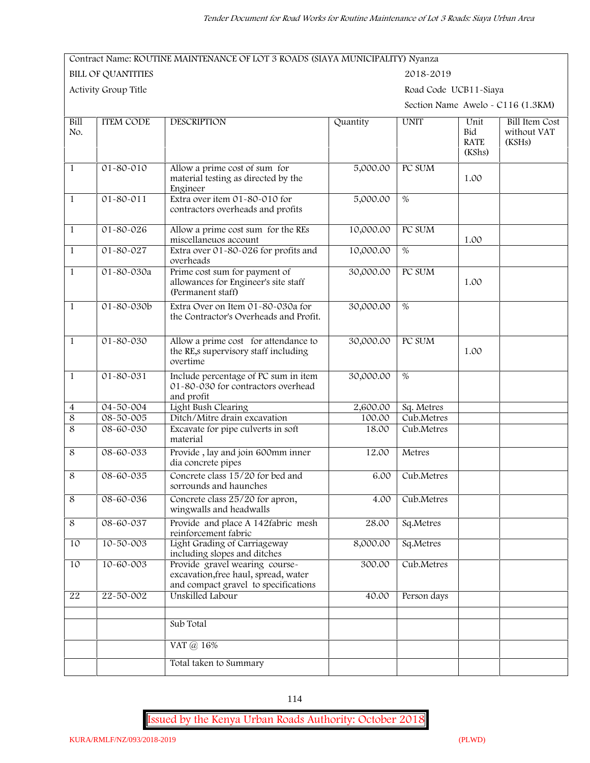#### **Contract Name: ROUTINE MAINTENANCE OF LOT 3 ROADS (SIAYA MUNICIPALITY) Nyanza**

**BILL OF QUANTITIES 2018-2019**

**Activity Group Title Road Code UCB11-Siaya**

**Section Name Awelo - C116 (1.3KM)**

| <b>Bill</b><br>No.      | <b>ITEM CODE</b> | <b>DESCRIPTION</b>                                                                                             | Quantity  | <b>UNIT</b>   | Unit<br>Bid<br><b>RATE</b><br>(KShs) | <b>Bill Item Cost</b><br>without VAT<br>(KSHs) |
|-------------------------|------------------|----------------------------------------------------------------------------------------------------------------|-----------|---------------|--------------------------------------|------------------------------------------------|
| $\mathbf{1}$            | $01 - 80 - 010$  | Allow a prime cost of sum for<br>material testing as directed by the<br>Engineer                               | 5,000.00  | PC SUM        | 1.00                                 |                                                |
| $\mathbf{1}$            | $01 - 80 - 011$  | Extra over item 01-80-010 for<br>contractors overheads and profits                                             | 5,000.00  | $\frac{0}{6}$ |                                      |                                                |
| $\mathbf{1}$            | $01 - 80 - 026$  | Allow a prime cost sum for the REs<br>miscellaneuos account                                                    | 10,000.00 | PC SUM        | 1.00                                 |                                                |
| $\mathbf{1}$            | 01-80-027        | Extra over 01-80-026 for profits and<br>overheads                                                              | 10,000.00 | $\frac{0}{6}$ |                                      |                                                |
| $\mathbf{1}$            | 01-80-030a       | Prime cost sum for payment of<br>allowances for Engineer's site staff<br>(Permanent staff)                     | 30,000.00 | PC SUM        | 1.00                                 |                                                |
| $\mathbf{1}$            | 01-80-030b       | Extra Over on Item 01-80-030a for<br>the Contractor's Overheads and Profit.                                    | 30,000.00 | %             |                                      |                                                |
| $\mathbf{1}$            | $01 - 80 - 030$  | Allow a prime cost for attendance to<br>the RE,s supervisory staff including<br>overtime                       | 30,000.00 | PC SUM        | 1.00                                 |                                                |
| $\mathbf{1}$            | $01 - 80 - 031$  | Include percentage of PC sum in item<br>01-80-030 for contractors overhead<br>and profit                       | 30,000.00 | %             |                                      |                                                |
| $\overline{\mathbf{4}}$ | 04-50-004        | Light Bush Clearing                                                                                            | 2,600.00  | Sq. Metres    |                                      |                                                |
| $\overline{8}$          | 08-50-005        | Ditch/Mitre drain excavation                                                                                   | 100.00    | Cub.Metres    |                                      |                                                |
| $\overline{8}$          | 08-60-030        | Excavate for pipe culverts in soft<br>material                                                                 | 18.00     | Cub.Metres    |                                      |                                                |
| $\,8\,$                 | 08-60-033        | Provide, lay and join 600mm inner<br>dia concrete pipes                                                        | 12.00     | Metres        |                                      |                                                |
| $\,8\,$                 | 08-60-035        | Concrete class 15/20 for bed and<br>sorrounds and haunches                                                     | 6.00      | Cub.Metres    |                                      |                                                |
| $\overline{8}$          | 08-60-036        | Concrete class 25/20 for apron,<br>wingwalls and headwalls                                                     | 4.00      | Cub.Metres    |                                      |                                                |
| $\,8\,$                 | 08-60-037        | Provide and place A 142fabric mesh<br>reinforcement fabric                                                     | 28.00     | Sq.Metres     |                                      |                                                |
| 10                      | 10-50-003        | Light Grading of Carriageway<br>including slopes and ditches                                                   | 8,000.00  | Sq.Metres     |                                      |                                                |
| 10                      | 10-60-003        | Provide gravel wearing course-<br>excavation, free haul, spread, water<br>and compact gravel to specifications | 300.00    | Cub.Metres    |                                      |                                                |
| 22                      | 22-50-002        | Unskilled Labour                                                                                               | 40.00     | Person days   |                                      |                                                |
|                         |                  | Sub Total                                                                                                      |           |               |                                      |                                                |
|                         |                  | VAT @ 16%                                                                                                      |           |               |                                      |                                                |
|                         |                  | Total taken to Summary                                                                                         |           |               |                                      |                                                |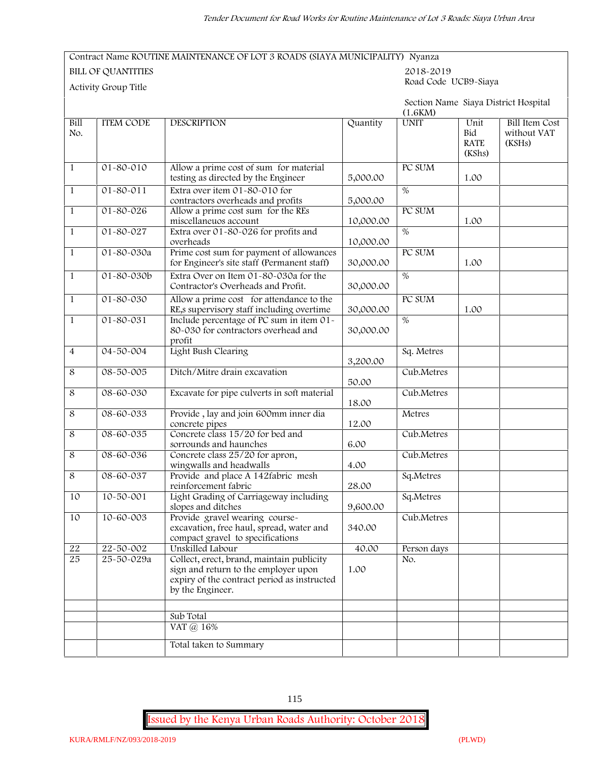#### **Contract Name ROUTINE MAINTENANCE OF LOT 3 ROADS (SIAYA MUNICIPALITY) Nyanza**

**BILL OF QUANTITIES 2018-2019**

**Road Code UCB9-Siaya Activity Group Title**

|                |                  |                                                                                                                                                      |           | (1.6KM)         |                                      | Section Name Siaya District Hospital           |
|----------------|------------------|------------------------------------------------------------------------------------------------------------------------------------------------------|-----------|-----------------|--------------------------------------|------------------------------------------------|
| Bill<br>No.    | <b>ITEM CODE</b> | <b>DESCRIPTION</b>                                                                                                                                   | Quantity  | <b>UNIT</b>     | Unit<br>Bid<br><b>RATE</b><br>(KShs) | <b>Bill Item Cost</b><br>without VAT<br>(KSHs) |
| $\mathbf{1}$   | $01 - 80 - 010$  | Allow a prime cost of sum for material<br>testing as directed by the Engineer                                                                        | 5,000.00  | PC SUM          | 1.00                                 |                                                |
| $\mathbf{1}$   | $01 - 80 - 011$  | Extra over item 01-80-010 for<br>contractors overheads and profits                                                                                   | 5,000.00  | $\overline{\%}$ |                                      |                                                |
| $\mathbf{1}$   | 01-80-026        | Allow a prime cost sum for the REs<br>miscellaneuos account                                                                                          | 10,000.00 | PC SUM          | 1.00                                 |                                                |
| $\mathbf{1}$   | $01 - 80 - 027$  | Extra over 01-80-026 for profits and<br>overheads                                                                                                    | 10,000.00 | $\frac{0}{6}$   |                                      |                                                |
| $\mathbf{1}$   | 01-80-030a       | Prime cost sum for payment of allowances<br>for Engineer's site staff (Permanent staff)                                                              | 30,000.00 | PC SUM          | 1.00                                 |                                                |
| $\mathbf{1}$   | 01-80-030b       | Extra Over on Item 01-80-030a for the<br>Contractor's Overheads and Profit.                                                                          | 30,000.00 | $\overline{\%}$ |                                      |                                                |
| $\mathbf{1}$   | 01-80-030        | Allow a prime cost for attendance to the<br>RE,s supervisory staff including overtime                                                                | 30,000.00 | PC SUM          | 1.00                                 |                                                |
| $\mathbf{1}$   | 01-80-031        | Include percentage of PC sum in item 01-<br>80-030 for contractors overhead and<br>profit                                                            | 30,000.00 | $\overline{\%}$ |                                      |                                                |
| $\overline{4}$ | $04 - 50 - 004$  | Light Bush Clearing                                                                                                                                  | 3,200.00  | Sq. Metres      |                                      |                                                |
| $\,8\,$        | 08-50-005        | Ditch/Mitre drain excavation                                                                                                                         | 50.00     | Cub.Metres      |                                      |                                                |
| $\,8\,$        | 08-60-030        | Excavate for pipe culverts in soft material                                                                                                          | 18.00     | Cub.Metres      |                                      |                                                |
| $\,8\,$        | 08-60-033        | Provide, lay and join 600mm inner dia<br>concrete pipes                                                                                              | 12.00     | Metres          |                                      |                                                |
| $\,8\,$        | 08-60-035        | Concrete class 15/20 for bed and<br>sorrounds and haunches                                                                                           | 6.00      | Cub.Metres      |                                      |                                                |
| $\overline{8}$ | $08 - 60 - 036$  | Concrete class 25/20 for apron,<br>wingwalls and headwalls                                                                                           | 4.00      | Cub.Metres      |                                      |                                                |
| $\,8\,$        | 08-60-037        | Provide and place A 142fabric mesh<br>reinforcement fabric                                                                                           | 28.00     | Sq.Metres       |                                      |                                                |
| 10             | 10-50-001        | Light Grading of Carriageway including<br>slopes and ditches                                                                                         | 9,600.00  | Sq.Metres       |                                      |                                                |
| 10             | 10-60-003        | Provide gravel wearing course-<br>excavation, free haul, spread, water and<br>compact gravel to specifications                                       | 340.00    | Cub.Metres      |                                      |                                                |
| $22\,$         | 22-50-002        | Unskilled Labour                                                                                                                                     | 40.00     | Person days     |                                      |                                                |
| 25             | 25-50-029a       | Collect, erect, brand, maintain publicity<br>sign and return to the employer upon<br>expiry of the contract period as instructed<br>by the Engineer. | 1.00      | No.             |                                      |                                                |
|                |                  |                                                                                                                                                      |           |                 |                                      |                                                |
|                |                  | Sub Total                                                                                                                                            |           |                 |                                      |                                                |
|                |                  | VAT @ 16%                                                                                                                                            |           |                 |                                      |                                                |
|                |                  | Total taken to Summary                                                                                                                               |           |                 |                                      |                                                |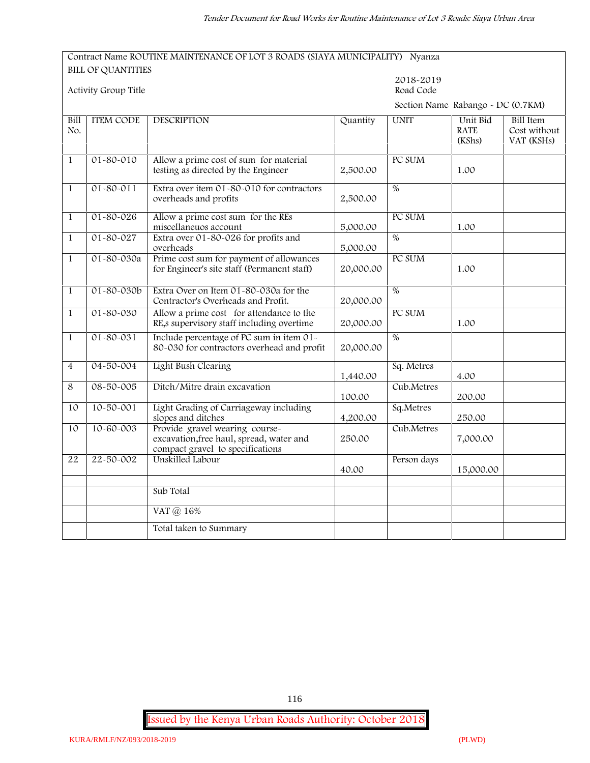#### **Contract Name ROUTINE MAINTENANCE OF LOT 3 ROADS (SIAYA MUNICIPALITY) Nyanza BILL OF QUANTITIES**

|                | Activity Group Title |                                                                                                                |           | 2018-2019<br>Road Code            |                                   |                                                |  |
|----------------|----------------------|----------------------------------------------------------------------------------------------------------------|-----------|-----------------------------------|-----------------------------------|------------------------------------------------|--|
|                |                      |                                                                                                                |           | Section Name Rabango - DC (0.7KM) |                                   |                                                |  |
| Bill<br>No.    | <b>ITEM CODE</b>     | <b>DESCRIPTION</b>                                                                                             | Quantity  | <b>UNIT</b>                       | Unit Bid<br><b>RATE</b><br>(KShs) | <b>Bill Item</b><br>Cost without<br>VAT (KSHs) |  |
| $1\,$          | 01-80-010            | Allow a prime cost of sum for material<br>testing as directed by the Engineer                                  | 2,500.00  | PC SUM                            | 1.00                              |                                                |  |
| $\mathbf{1}$   | $01 - 80 - 011$      | Extra over item 01-80-010 for contractors<br>overheads and profits                                             | 2,500.00  | $\overline{\%}$                   |                                   |                                                |  |
| $\mathbf{1}$   | $01 - 80 - 026$      | Allow a prime cost sum for the REs<br>miscellaneuos account                                                    | 5,000.00  | PC SUM                            | 1.00                              |                                                |  |
| $\mathbf{1}$   | $01 - 80 - 027$      | Extra over 01-80-026 for profits and<br>overheads                                                              | 5,000.00  | $\%$                              |                                   |                                                |  |
| $\mathbf{1}$   | 01-80-030a           | Prime cost sum for payment of allowances<br>for Engineer's site staff (Permanent staff)                        | 20,000.00 | PC SUM                            | 1.00                              |                                                |  |
| $\mathbf{1}$   | $01 - 80 - 030b$     | Extra Over on Item 01-80-030a for the<br>Contractor's Overheads and Profit.                                    | 20,000.00 | $\overline{\%}$                   |                                   |                                                |  |
| $\mathbf{1}$   | 01-80-030            | Allow a prime cost for attendance to the<br>RE, s supervisory staff including overtime                         | 20,000.00 | PC SUM                            | 1.00                              |                                                |  |
| $\mathbf{1}$   | $01 - 80 - 031$      | Include percentage of PC sum in item 01-<br>80-030 for contractors overhead and profit                         | 20,000.00 | $\%$                              |                                   |                                                |  |
| $\overline{4}$ | $04 - 50 - 004$      | Light Bush Clearing                                                                                            | 1,440.00  | Sq. Metres                        | 4.00                              |                                                |  |
| 8              | $08 - 50 - 005$      | Ditch/Mitre drain excavation                                                                                   | 100.00    | Cub.Metres                        | 200.00                            |                                                |  |
| 10             | $10 - 50 - 001$      | Light Grading of Carriageway including<br>slopes and ditches                                                   | 4,200.00  | Sq.Metres                         | 250.00                            |                                                |  |
| 10             | $10 - 60 - 003$      | Provide gravel wearing course-<br>excavation, free haul, spread, water and<br>compact gravel to specifications | 250.00    | Cub.Metres                        | 7,000.00                          |                                                |  |
| 22             | 22-50-002            | Unskilled Labour                                                                                               | 40.00     | Person days                       | 15,000.00                         |                                                |  |
|                |                      | Sub Total                                                                                                      |           |                                   |                                   |                                                |  |
|                |                      | VAT @ 16%                                                                                                      |           |                                   |                                   |                                                |  |
|                |                      | Total taken to Summary                                                                                         |           |                                   |                                   |                                                |  |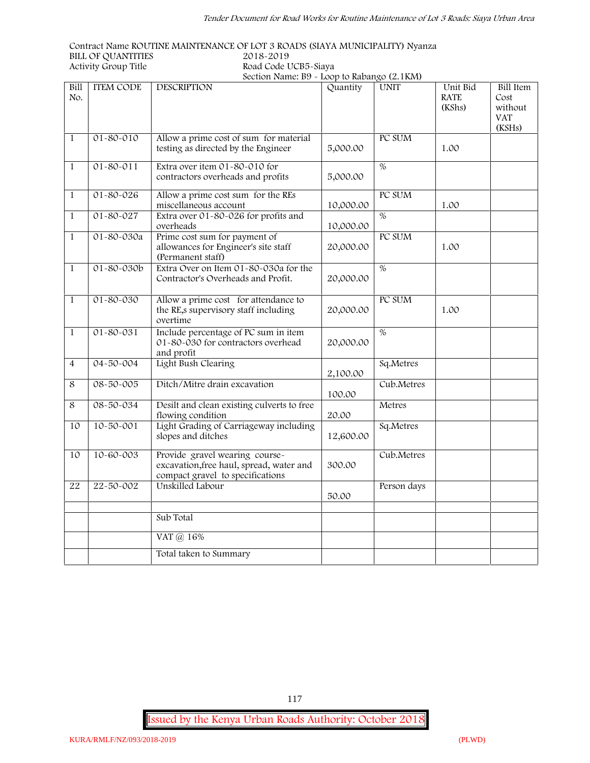**Contract Name ROUTINE MAINTENANCE OF LOT 3 ROADS (SIAYA MUNICIPALITY) Nyanza BILL OF QUANTITIES 2018-2019 Activity Group Title Road Code UCB5-Siaya**

| ity Group Title  |                    | Road Code UCB5-Siava                        |          |             |             |           |  |
|------------------|--------------------|---------------------------------------------|----------|-------------|-------------|-----------|--|
|                  |                    | Section Name: B9 - Loop to Rabango (2.1 KM) |          |             |             |           |  |
| <b>ITEM CODE</b> | <b>DESCRIPTION</b> |                                             | Quantity | <b>UNIT</b> | Unit Bid    | Bill Item |  |
|                  |                    |                                             |          |             | <b>RATE</b> | Cost      |  |
|                  |                    |                                             |          |             | (KShs)      | without   |  |

| No.            |                  |                                                                                                                |           |             | <b>RATE</b><br>(KShs) | Cost<br>without<br><b>VAT</b><br>(KSHs) |
|----------------|------------------|----------------------------------------------------------------------------------------------------------------|-----------|-------------|-----------------------|-----------------------------------------|
| $\mathbf{1}$   | $01 - 80 - 010$  | Allow a prime cost of sum for material<br>testing as directed by the Engineer                                  | 5,000.00  | PC SUM      | 1.00                  |                                         |
| $\mathbf{1}$   | $01 - 80 - 011$  | Extra over item 01-80-010 for<br>contractors overheads and profits                                             | 5,000.00  | $\%$        |                       |                                         |
| $\mathbf{1}$   | $01 - 80 - 026$  | Allow a prime cost sum for the REs<br>miscellaneous account                                                    | 10,000.00 | PC SUM      | 1.00                  |                                         |
| $\mathbf{1}$   | $01 - 80 - 027$  | Extra over 01-80-026 for profits and<br>overheads                                                              | 10,000.00 | $\%$        |                       |                                         |
| $\mathbf{1}$   | 01-80-030a       | Prime cost sum for payment of<br>allowances for Engineer's site staff<br>(Permanent staff)                     | 20,000.00 | PC SUM      | 1.00                  |                                         |
| $\mathbf{1}$   | $01 - 80 - 030b$ | Extra Over on Item 01-80-030a for the<br>Contractor's Overheads and Profit.                                    | 20,000.00 | $\%$        |                       |                                         |
| $\mathbf{1}$   | $01 - 80 - 030$  | Allow a prime cost for attendance to<br>the RE,s supervisory staff including<br>overtime                       | 20,000.00 | PC SUM      | 1.00                  |                                         |
| $\mathbf{1}$   | $01 - 80 - 031$  | Include percentage of PC sum in item<br>01-80-030 for contractors overhead<br>and profit                       | 20,000.00 | $\%$        |                       |                                         |
| $\overline{4}$ | $04 - 50 - 004$  | Light Bush Clearing                                                                                            | 2,100.00  | Sq.Metres   |                       |                                         |
| $\overline{8}$ | $08 - 50 - 005$  | Ditch/Mitre drain excavation                                                                                   | 100.00    | Cub.Metres  |                       |                                         |
| 8              | 08-50-034        | Desilt and clean existing culverts to free<br>flowing condition                                                | 20.00     | Metres      |                       |                                         |
| 10             | $10 - 50 - 001$  | Light Grading of Carriageway including<br>slopes and ditches                                                   | 12,600.00 | Sq.Metres   |                       |                                         |
| 10             | 10-60-003        | Provide gravel wearing course-<br>excavation, free haul, spread, water and<br>compact gravel to specifications | 300.00    | Cub.Metres  |                       |                                         |
| 22             | 22-50-002        | Unskilled Labour                                                                                               | 50.00     | Person days |                       |                                         |
|                |                  | Sub Total                                                                                                      |           |             |                       |                                         |
|                |                  | VAT @ 16%                                                                                                      |           |             |                       |                                         |
|                |                  | Total taken to Summary                                                                                         |           |             |                       |                                         |

**Issued by the Kenya Urban Roads Authority: October 2018**

**Bill**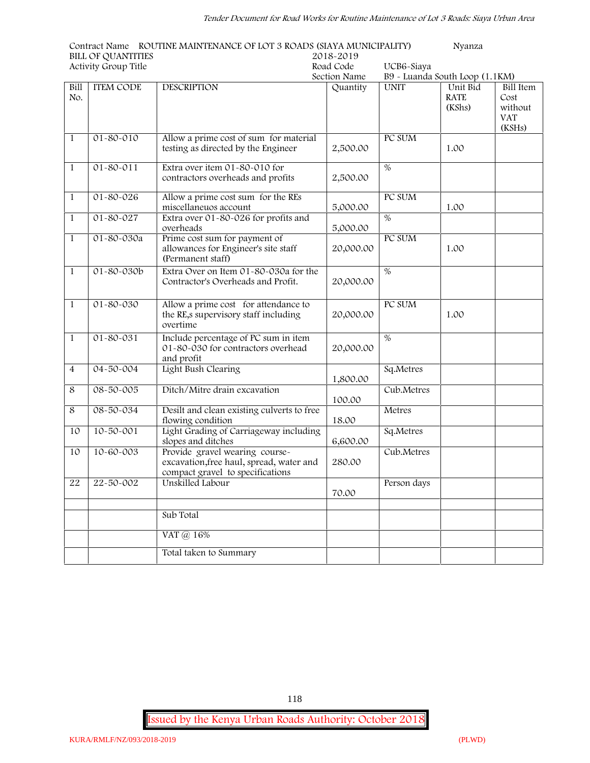**Contract Name ROUTINE MAINTENANCE OF LOT 3 ROADS (SIAYA MUNICIPALITY) Nyanza BILL OF QUANTITIES 2018-2019**

|                | Activity Group Title |                                                                                                                | Road Code | UCB6-Siaya                     |                                   |                                                             |  |
|----------------|----------------------|----------------------------------------------------------------------------------------------------------------|-----------|--------------------------------|-----------------------------------|-------------------------------------------------------------|--|
|                |                      | Section Name                                                                                                   |           | B9 - Luanda South Loop (1.1KM) |                                   |                                                             |  |
| Bill<br>No.    | <b>ITEM CODE</b>     | <b>DESCRIPTION</b>                                                                                             | Quantity  | <b>UNIT</b>                    | Unit Bid<br><b>RATE</b><br>(KShs) | <b>Bill Item</b><br>Cost<br>without<br><b>VAT</b><br>(KSHs) |  |
| $\mathbf{1}$   | 01-80-010            | Allow a prime cost of sum for material<br>testing as directed by the Engineer                                  | 2,500.00  | PC SUM                         | 1.00                              |                                                             |  |
| $\mathbf{1}$   | $01 - 80 - 011$      | Extra over item 01-80-010 for<br>contractors overheads and profits                                             | 2,500.00  | $\%$                           |                                   |                                                             |  |
| $\mathbf{1}$   | 01-80-026            | Allow a prime cost sum for the REs<br>miscellaneuos account                                                    | 5,000.00  | PC SUM                         | 1.00                              |                                                             |  |
| $\mathbf{1}$   | 01-80-027            | Extra over 01-80-026 for profits and<br>overheads                                                              | 5,000.00  | %                              |                                   |                                                             |  |
| $\mathbf{1}$   | 01-80-030a           | Prime cost sum for payment of<br>allowances for Engineer's site staff<br>(Permanent staff)                     | 20,000.00 | PC SUM                         | 1.00                              |                                                             |  |
| $\mathbf{1}$   | $01 - 80 - 030b$     | Extra Over on Item 01-80-030a for the<br>Contractor's Overheads and Profit.                                    | 20,000.00 | $\%$                           |                                   |                                                             |  |
| $\mathbf{1}$   | $01 - 80 - 030$      | Allow a prime cost for attendance to<br>the RE,s supervisory staff including<br>overtime                       | 20,000.00 | PC SUM                         | 1.00                              |                                                             |  |
| $\mathbf{1}$   | $01 - 80 - 031$      | Include percentage of PC sum in item<br>01-80-030 for contractors overhead<br>and profit                       | 20,000.00 | $\%$                           |                                   |                                                             |  |
| $\overline{4}$ | 04-50-004            | Light Bush Clearing                                                                                            | 1,800.00  | Sq.Metres                      |                                   |                                                             |  |
| 8              | 08-50-005            | Ditch/Mitre drain excavation                                                                                   | 100.00    | Cub.Metres                     |                                   |                                                             |  |
| 8              | 08-50-034            | Desilt and clean existing culverts to free<br>flowing condition                                                | 18.00     | Metres                         |                                   |                                                             |  |
| 10             | 10-50-001            | Light Grading of Carriageway including<br>slopes and ditches                                                   | 6,600.00  | Sq.Metres                      |                                   |                                                             |  |
| 10             | $10 - 60 - 003$      | Provide gravel wearing course-<br>excavation, free haul, spread, water and<br>compact gravel to specifications | 280.00    | Cub.Metres                     |                                   |                                                             |  |
| 22             | 22-50-002            | Unskilled Labour                                                                                               | 70.00     | Person days                    |                                   |                                                             |  |
|                |                      | Sub Total                                                                                                      |           |                                |                                   |                                                             |  |
|                |                      | VAT @ 16%                                                                                                      |           |                                |                                   |                                                             |  |
|                |                      | Total taken to Summary                                                                                         |           |                                |                                   |                                                             |  |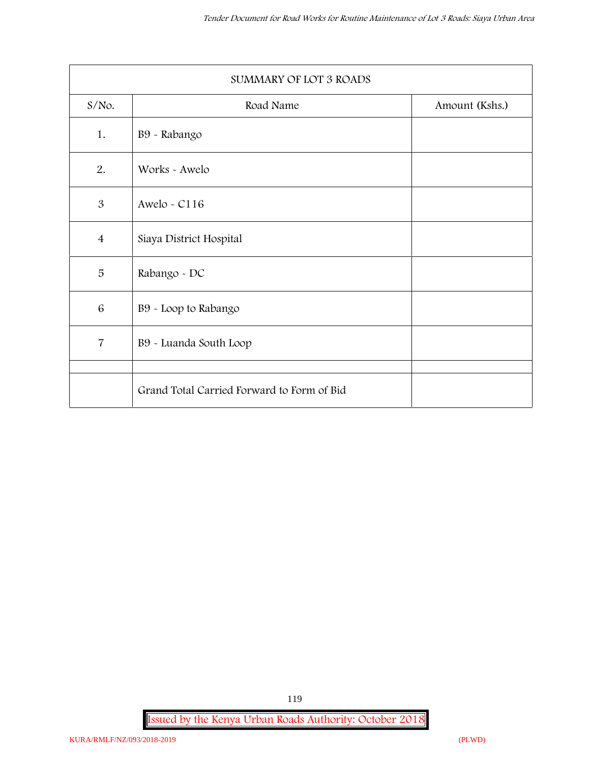| SUMMARY OF LOT 3 ROADS |                                            |                |  |  |
|------------------------|--------------------------------------------|----------------|--|--|
| $S/NO$ .               | Road Name                                  | Amount (Kshs.) |  |  |
| 1.                     | B9 - Rabango                               |                |  |  |
| 2.                     | Works - Awelo                              |                |  |  |
| 3                      | Awelo - $C116$                             |                |  |  |
| $\overline{4}$         | Siaya District Hospital                    |                |  |  |
| 5                      | Rabango - DC                               |                |  |  |
| $\overline{6}$         | B9 - Loop to Rabango                       |                |  |  |
| $\overline{7}$         | B9 - Luanda South Loop                     |                |  |  |
|                        | Grand Total Carried Forward to Form of Bid |                |  |  |

**Issued by the Kenya Urban Roads Authority: October 2018**

119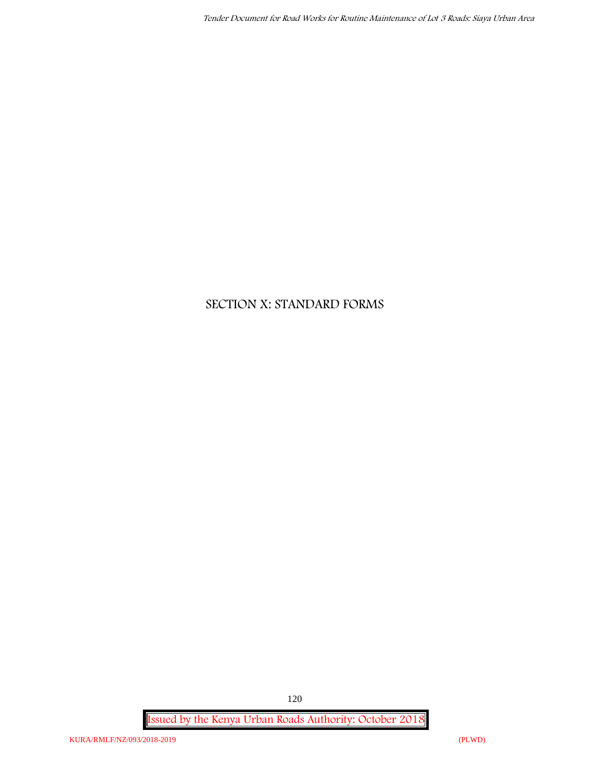# **SECTION X: STANDARD FORMS**

**Issued by the Kenya Urban Roads Authority: October 2018**

120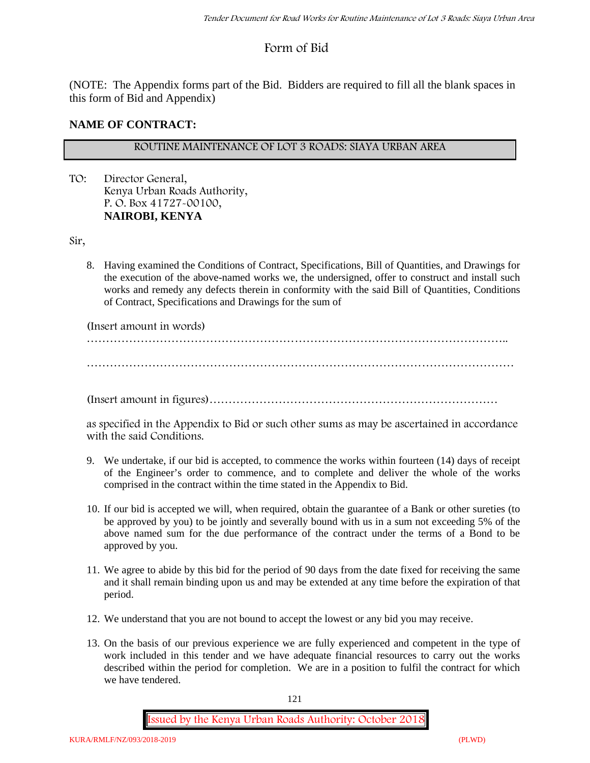# **Form of Bid**

(NOTE: The Appendix forms part of the Bid. Bidders are required to fill all the blank spaces in this form of Bid and Appendix)

#### **NAME OF CONTRACT:**

## **ROUTINE MAINTENANCE OF LOT 3 ROADS: SIAYA URBAN AREA**

TO: Director General, Kenya Urban Roads Authority, P. O. Box 41727-00100, **NAIROBI, KENYA**

Sir,

8. Having examined the Conditions of Contract, Specifications, Bill of Quantities, and Drawings for the execution of the above-named works we, the undersigned, offer to construct and install such works and remedy any defects therein in conformity with the said Bill of Quantities, Conditions of Contract, Specifications and Drawings for the sum of

(Insert amount in words)

………………………………………………………………………………………………..

…………………………………………………………………………………………………

(Insert amount in figures)…………………………………………………………………

as specified in the Appendix to Bid or such other sums as may be ascertained in accordance with the said Conditions.

- 9. We undertake, if our bid is accepted, to commence the works within fourteen (14) days of receipt of the Engineer's order to commence, and to complete and deliver the whole of the works comprised in the contract within the time stated in the Appendix to Bid.
- 10. If our bid is accepted we will, when required, obtain the guarantee of a Bank or other sureties (to be approved by you) to be jointly and severally bound with us in a sum not exceeding 5% of the above named sum for the due performance of the contract under the terms of a Bond to be approved by you.
- 11. We agree to abide by this bid for the period of 90 days from the date fixed for receiving the same and it shall remain binding upon us and may be extended at any time before the expiration of that period.
- 12. We understand that you are not bound to accept the lowest or any bid you may receive.
- 13. On the basis of our previous experience we are fully experienced and competent in the type of work included in this tender and we have adequate financial resources to carry out the works described within the period for completion. We are in a position to fulfil the contract for which we have tendered.

121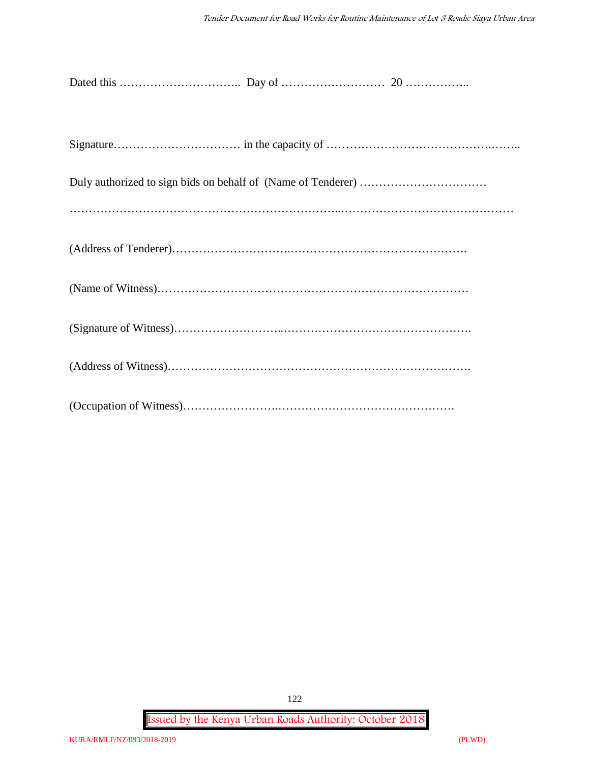**Issued by the Kenya Urban Roads Authority: October 2018**

122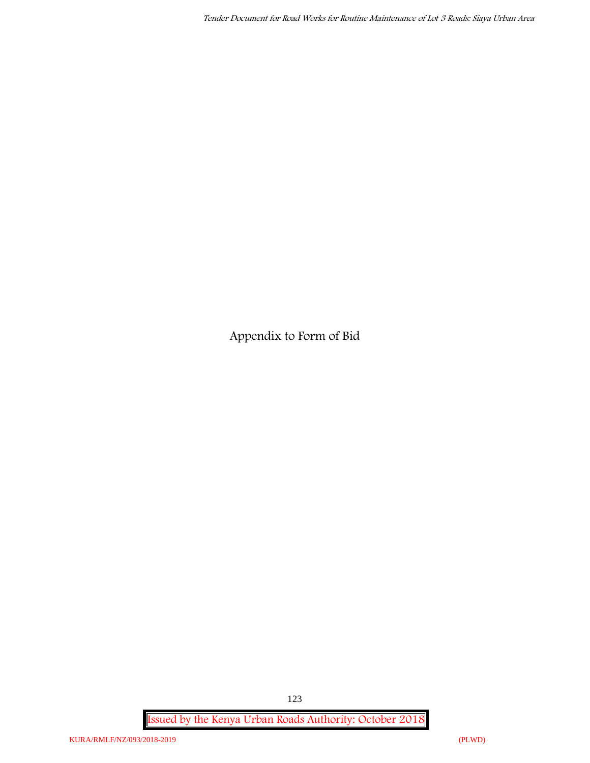**Appendix to Form of Bid**

**Issued by the Kenya Urban Roads Authority: October 2018**

123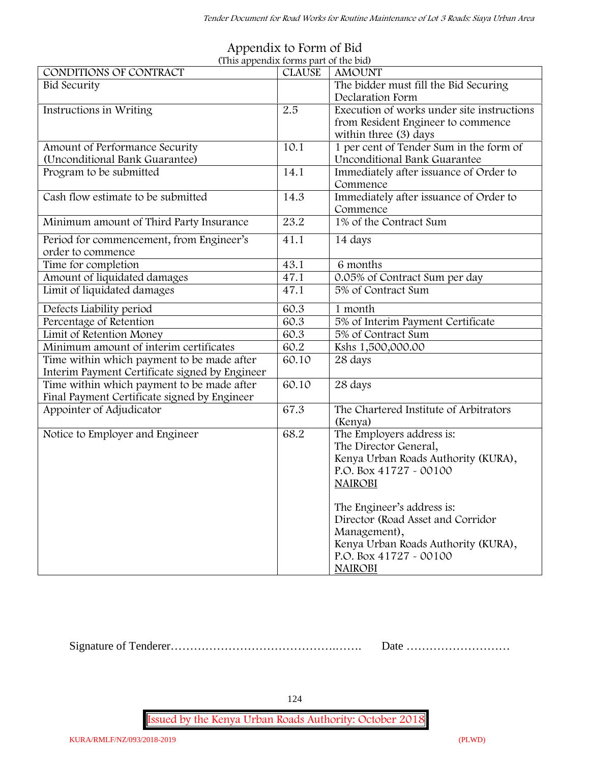| (This appendix forms part of the bid)                                                      |               |                                                                                                                                                                                                                                                                 |
|--------------------------------------------------------------------------------------------|---------------|-----------------------------------------------------------------------------------------------------------------------------------------------------------------------------------------------------------------------------------------------------------------|
| CONDITIONS OF CONTRACT                                                                     | <b>CLAUSE</b> | <b>AMOUNT</b>                                                                                                                                                                                                                                                   |
| <b>Bid Security</b>                                                                        |               | The bidder must fill the Bid Securing<br>Declaration Form                                                                                                                                                                                                       |
| Instructions in Writing                                                                    | 2.5           | Execution of works under site instructions<br>from Resident Engineer to commence<br>within three (3) days                                                                                                                                                       |
| Amount of Performance Security                                                             | 10.1          | 1 per cent of Tender Sum in the form of                                                                                                                                                                                                                         |
| (Unconditional Bank Guarantee)                                                             |               | <b>Unconditional Bank Guarantee</b>                                                                                                                                                                                                                             |
| Program to be submitted                                                                    | 14.1          | Immediately after issuance of Order to                                                                                                                                                                                                                          |
|                                                                                            |               | Commence                                                                                                                                                                                                                                                        |
| Cash flow estimate to be submitted                                                         | 14.3          | Immediately after issuance of Order to<br>Commence                                                                                                                                                                                                              |
| Minimum amount of Third Party Insurance                                                    | 23.2          | 1% of the Contract Sum                                                                                                                                                                                                                                          |
| Period for commencement, from Engineer's<br>order to commence                              | 41.1          | 14 days                                                                                                                                                                                                                                                         |
| Time for completion                                                                        | 43.1          | 6 months                                                                                                                                                                                                                                                        |
| Amount of liquidated damages                                                               | 47.1          | 0.05% of Contract Sum per day                                                                                                                                                                                                                                   |
| Limit of liquidated damages                                                                | 47.1          | 5% of Contract Sum                                                                                                                                                                                                                                              |
| Defects Liability period                                                                   | 60.3          | 1 month                                                                                                                                                                                                                                                         |
| Percentage of Retention                                                                    | 60.3          | 5% of Interim Payment Certificate                                                                                                                                                                                                                               |
| Limit of Retention Money                                                                   | 60.3          | 5% of Contract Sum                                                                                                                                                                                                                                              |
| Minimum amount of interim certificates                                                     | 60.2          | Kshs 1,500,000.00                                                                                                                                                                                                                                               |
| Time within which payment to be made after                                                 | 60.10         | 28 days                                                                                                                                                                                                                                                         |
| Interim Payment Certificate signed by Engineer                                             |               |                                                                                                                                                                                                                                                                 |
| Time within which payment to be made after<br>Final Payment Certificate signed by Engineer | 60.10         | 28 days                                                                                                                                                                                                                                                         |
| Appointer of Adjudicator                                                                   | 67.3          | The Chartered Institute of Arbitrators<br>(Kenya)                                                                                                                                                                                                               |
| Notice to Employer and Engineer                                                            | 68.2          | The Employers address is:<br>The Director General,<br>Kenya Urban Roads Authority (KURA),<br>P.O. Box 41727 - 00100<br><b>NAIROBI</b><br>The Engineer's address is:<br>Director (Road Asset and Corridor<br>Management),<br>Kenya Urban Roads Authority (KURA), |
|                                                                                            |               | P.O. Box 41727 - 00100<br><b>NAIROBI</b>                                                                                                                                                                                                                        |

#### **Appendix to Form of Bid (This appendix forms part of the bid)**

Signature of Tenderer…………………………………….……. Date ………………………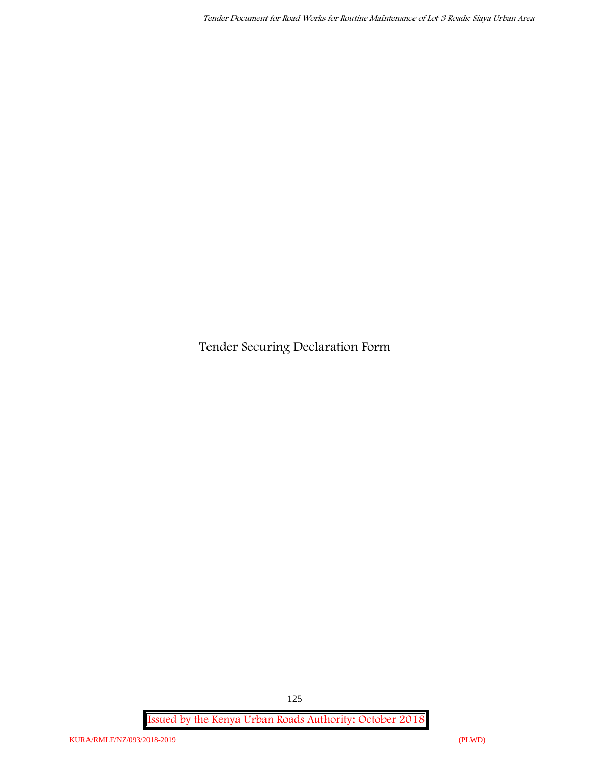**Tender Securing Declaration Form**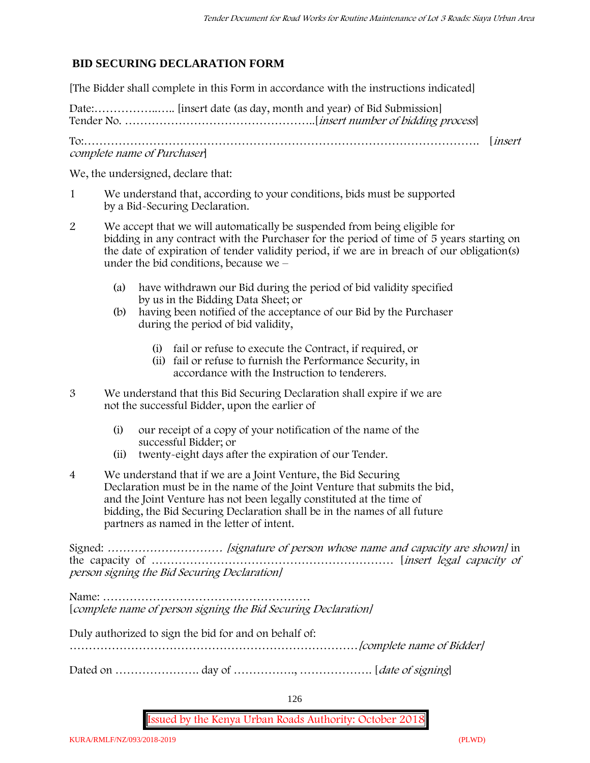# **BID SECURING DECLARATION FORM**

[The Bidder shall complete in this Form in accordance with the instructions indicated]

Date:……………..….. [insert date (as day, month and year) of Bid Submission] Tender No. …………………………………………..[*insert number of bidding process*]

To:…………………………………………………………………………………………. [*insert complete name of Purchaser*]

We, the undersigned, declare that:

- 1 We understand that, according to your conditions, bids must be supported by a Bid-Securing Declaration.
- 2 We accept that we will automatically be suspended from being eligible for bidding in any contract with the Purchaser for the period of time of **5 years** starting on the date of expiration of tender validity period, if we are in breach of our obligation(s) under the bid conditions, because we –
	- (a) have withdrawn our Bid during the period of bid validity specified by us in the Bidding Data Sheet; or
	- (b) having been notified of the acceptance of our Bid by the Purchaser during the period of bid validity,
		- (i) fail or refuse to execute the Contract, if required, or
		- (ii) fail or refuse to furnish the Performance Security, in accordance with the Instruction to tenderers.
- 3 We understand that this Bid Securing Declaration shall expire if we are not the successful Bidder, upon the earlier of
	- (i) our receipt of a copy of your notification of the name of the successful Bidder; or
	- (ii) twenty-eight days after the expiration of our Tender.
- 4 We understand that if we are a Joint Venture, the Bid Securing Declaration must be in the name of the Joint Venture that submits the bid, and the Joint Venture has not been legally constituted at the time of bidding, the Bid Securing Declaration shall be in the names of all future partners as named in the letter of intent.

Signed: *………………………… [signature of person whose name and capacity are shown]* in the capacity of ……………………………………………………… [*insert legal capacity of person signing the Bid Securing Declaration]*

Name: ……………………………………………… [*complete name of person signing the Bid Securing Declaration]*

Duly authorized to sign the bid for and on behalf of:

…………………………………………………………………*[complete name of Bidder]*

Dated on …………………. day of ……………., ………………. [*date of signing*]

126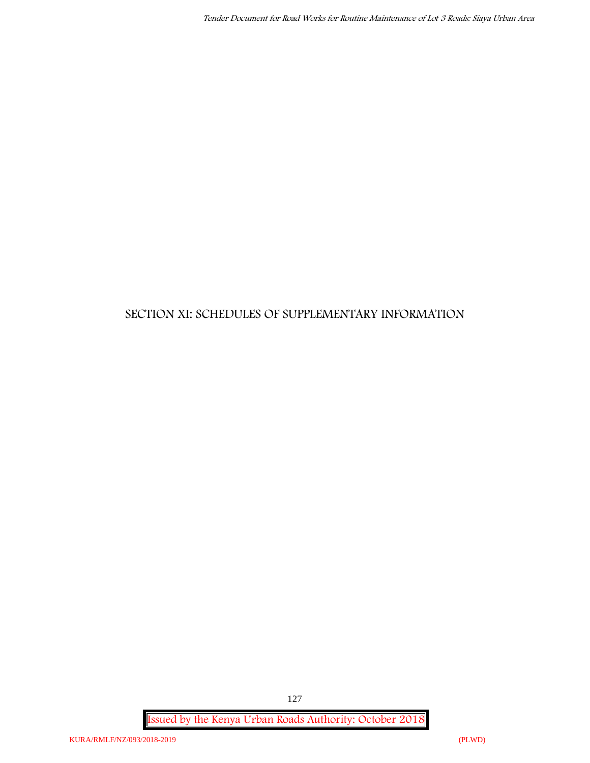# **SECTION XI: SCHEDULES OF SUPPLEMENTARY INFORMATION**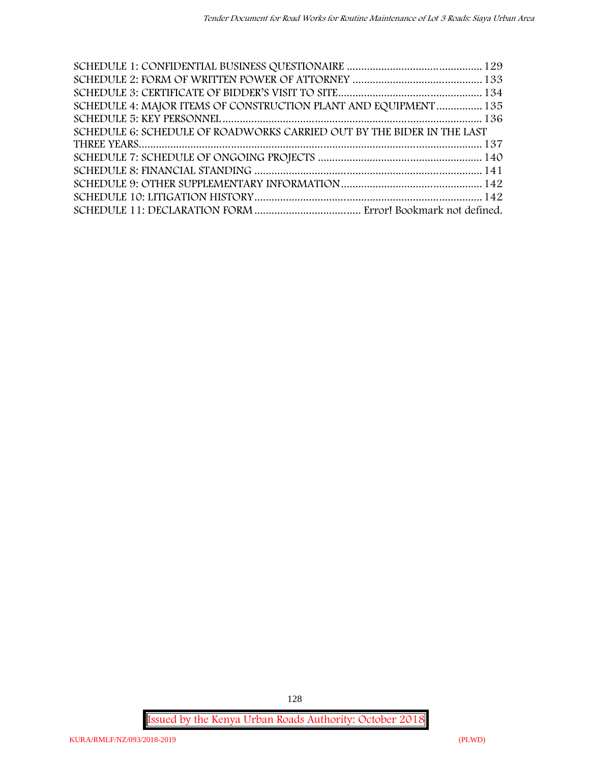| SCHEDULE 4: MAJOR ITEMS OF CONSTRUCTION PLANT AND EQUIPMENT 135        |  |
|------------------------------------------------------------------------|--|
|                                                                        |  |
| SCHEDULE 6: SCHEDULE OF ROADWORKS CARRIED OUT BY THE BIDER IN THE LAST |  |
|                                                                        |  |
|                                                                        |  |
|                                                                        |  |
|                                                                        |  |
|                                                                        |  |
|                                                                        |  |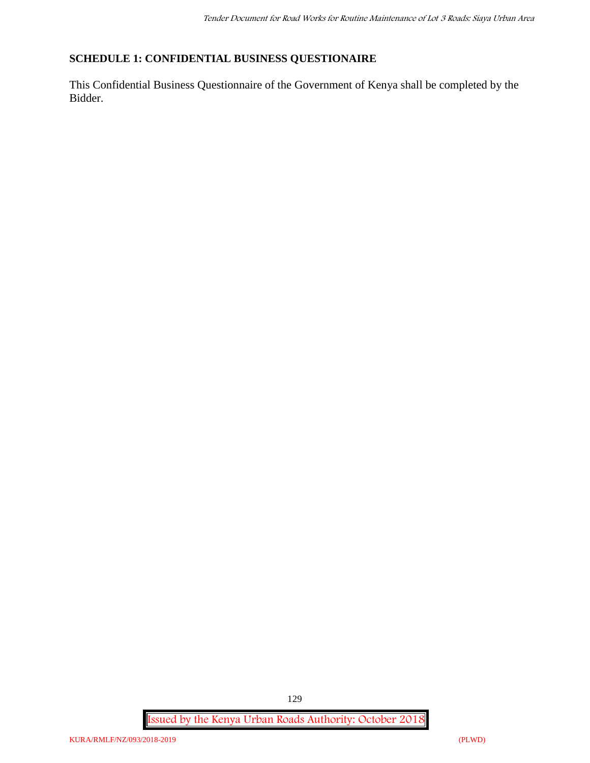## **SCHEDULE 1: CONFIDENTIAL BUSINESS QUESTIONAIRE**

This Confidential Business Questionnaire of the Government of Kenya shall be completed by the Bidder.

**Issued by the Kenya Urban Roads Authority: October 2018**

129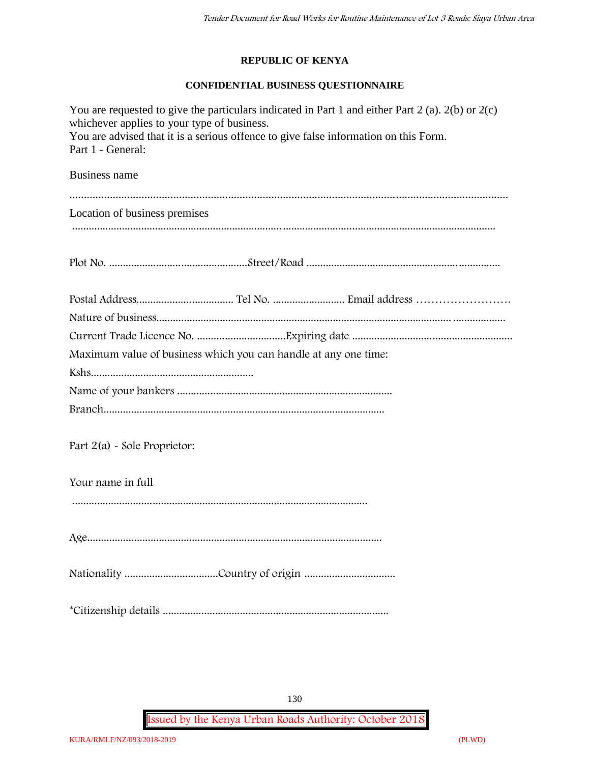#### **REPUBLIC OF KENYA**

## **CONFIDENTIAL BUSINESS QUESTIONNAIRE**

| You are requested to give the particulars indicated in Part 1 and either Part 2 (a). $2(b)$ or $2(c)$<br>whichever applies to your type of business.<br>You are advised that it is a serious offence to give false information on this Form.<br>Part 1 - General: |
|-------------------------------------------------------------------------------------------------------------------------------------------------------------------------------------------------------------------------------------------------------------------|
|                                                                                                                                                                                                                                                                   |
| <b>Business name</b>                                                                                                                                                                                                                                              |
|                                                                                                                                                                                                                                                                   |
| Location of business premises                                                                                                                                                                                                                                     |
|                                                                                                                                                                                                                                                                   |
|                                                                                                                                                                                                                                                                   |
|                                                                                                                                                                                                                                                                   |
|                                                                                                                                                                                                                                                                   |
|                                                                                                                                                                                                                                                                   |
| Maximum value of business which you can handle at any one time:                                                                                                                                                                                                   |
|                                                                                                                                                                                                                                                                   |
|                                                                                                                                                                                                                                                                   |
|                                                                                                                                                                                                                                                                   |
|                                                                                                                                                                                                                                                                   |
| Part $2(a)$ - Sole Proprietor:                                                                                                                                                                                                                                    |
|                                                                                                                                                                                                                                                                   |
| Your name in full                                                                                                                                                                                                                                                 |
|                                                                                                                                                                                                                                                                   |
|                                                                                                                                                                                                                                                                   |
|                                                                                                                                                                                                                                                                   |
|                                                                                                                                                                                                                                                                   |
|                                                                                                                                                                                                                                                                   |
|                                                                                                                                                                                                                                                                   |
|                                                                                                                                                                                                                                                                   |

130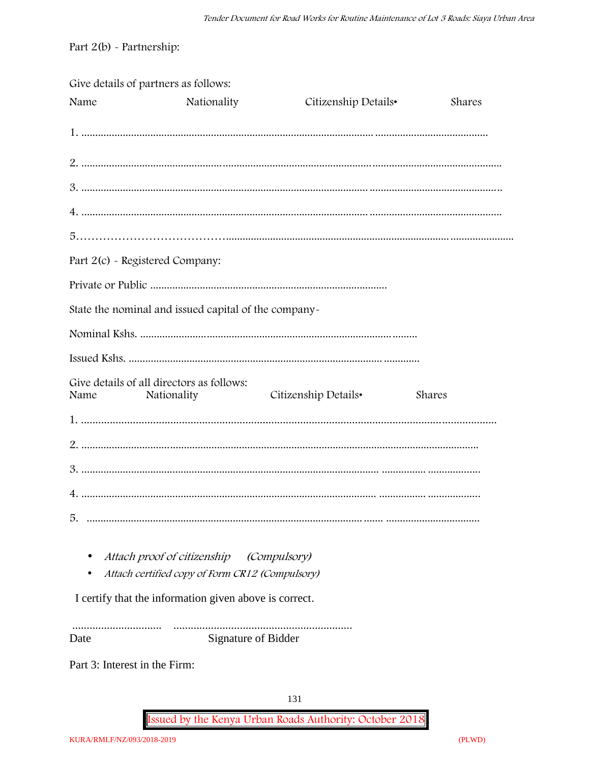Part  $2(b)$  - Partnership:

|                                 | Give details of partners as follows:                     |                      |        |
|---------------------------------|----------------------------------------------------------|----------------------|--------|
| Name                            | Nationality                                              | Citizenship Details• | Shares |
|                                 |                                                          |                      |        |
|                                 |                                                          |                      |        |
|                                 |                                                          |                      |        |
|                                 |                                                          |                      |        |
|                                 |                                                          |                      |        |
| Part 2(c) - Registered Company: |                                                          |                      |        |
|                                 |                                                          |                      |        |
|                                 | State the nominal and issued capital of the company-     |                      |        |
|                                 |                                                          |                      |        |
|                                 |                                                          |                      |        |
| Name                            | Give details of all directors as follows:<br>Nationality | Citizenship Details• | Shares |
|                                 |                                                          |                      |        |
|                                 |                                                          |                      |        |
|                                 |                                                          |                      |        |
|                                 |                                                          |                      |        |
| 5.                              |                                                          |                      |        |
|                                 | Attach proof of citizenship                              | <i>(Compulsory)</i>  |        |
|                                 | Attach certified copy of Form CR12 (Compulsory)          |                      |        |
|                                 | I certify that the information given above is correct.   |                      |        |

Signature of Bidder Date

Part 3: Interest in the Firm: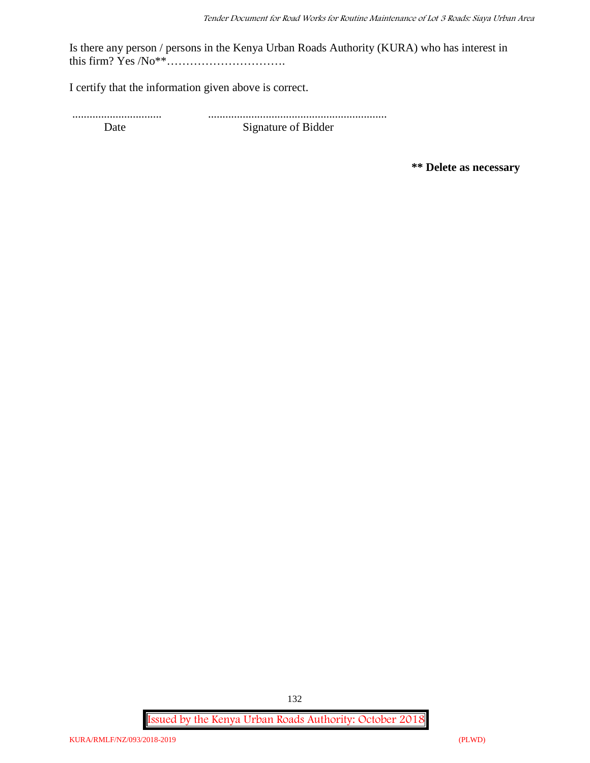Is there any person / persons in the Kenya Urban Roads Authority (KURA) who has interest in this firm? Yes /No\*\*………………………….

I certify that the information given above is correct.

............................... .............................................................. Date Signature of Bidder

**\*\* Delete as necessary**

**Issued by the Kenya Urban Roads Authority: October 2018**

132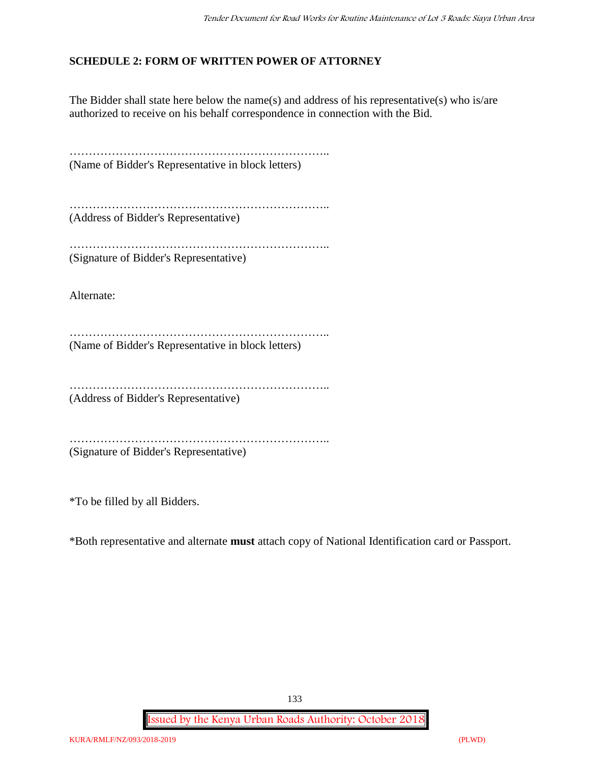# **SCHEDULE 2: FORM OF WRITTEN POWER OF ATTORNEY**

The Bidder shall state here below the name(s) and address of his representative(s) who is/are authorized to receive on his behalf correspondence in connection with the Bid.

………………………………………………………….. (Name of Bidder's Representative in block letters)

………………………………………………………….. (Address of Bidder's Representative)

………………………………………………………………… (Signature of Bidder's Representative)

Alternate:

………………………………………………………….. (Name of Bidder's Representative in block letters)

…………………………………………………………..

(Address of Bidder's Representative)

………………………………………………………….. (Signature of Bidder's Representative)

\*To be filled by all Bidders.

\*Both representative and alternate **must** attach copy of National Identification card or Passport.

133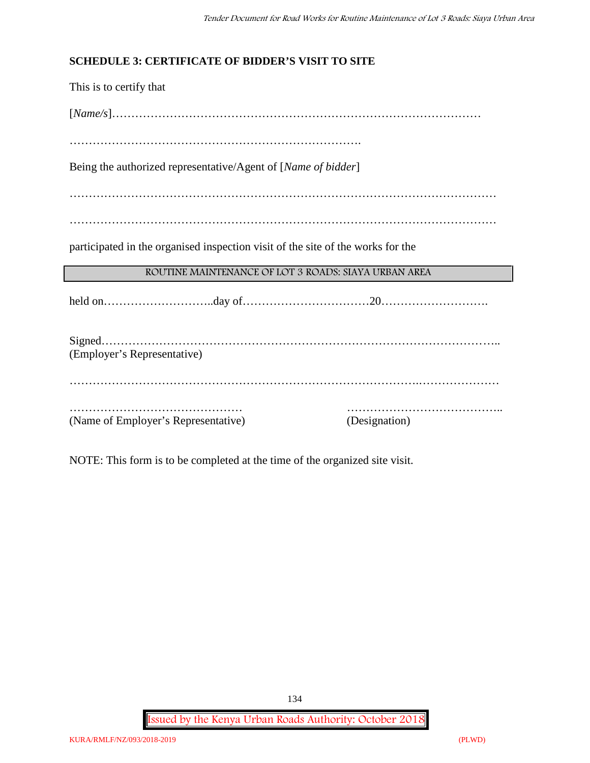## **SCHEDULE 3: CERTIFICATE OF BIDDER'S VISIT TO SITE**

This is to certify that [*Name/s*]…………………………………………………………………………………… …………………………………………………………………. Being the authorized representative/Agent of [*Name of bidder*] ………………………………………………………………………………………………… ………………………………………………………………………………………………… participated in the organised inspection visit of the site of the works for the **ROUTINE MAINTENANCE OF LOT 3 ROADS: SIAYA URBAN AREA** held on………………………..day of……………………………20………………………. Signed………………………………………………………………………………………….. (Employer's Representative) ……………………………………………………………………………….………………… ……………………………………… ………………………………….. (Name of Employer's Representative) (Designation)

NOTE: This form is to be completed at the time of the organized site visit.

**Issued by the Kenya Urban Roads Authority: October 2018**

134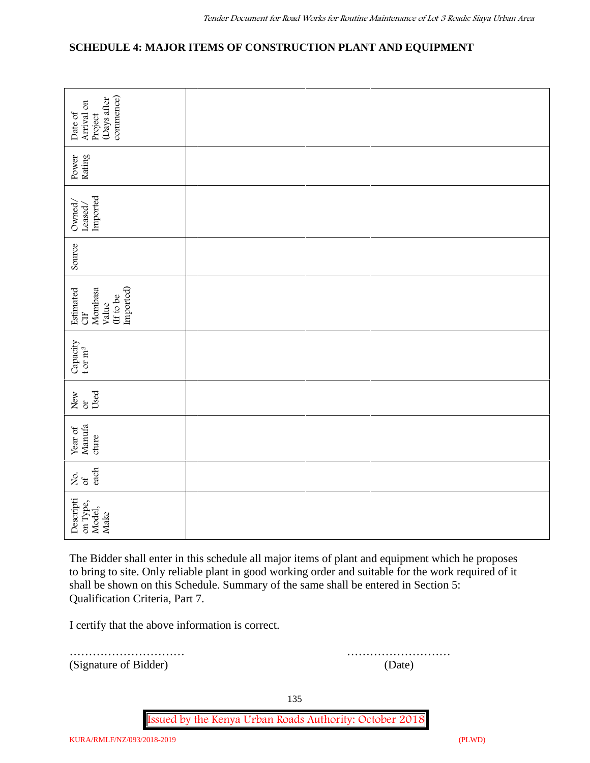# **SCHEDULE 4: MAJOR ITEMS OF CONSTRUCTION PLANT AND EQUIPMENT**

| commence)<br>(Days after<br>Arrival on<br>Date of<br>Project                                                                                                                                                                                                                                                                       |        |  |  |  |  |
|------------------------------------------------------------------------------------------------------------------------------------------------------------------------------------------------------------------------------------------------------------------------------------------------------------------------------------|--------|--|--|--|--|
| Rating<br>Power                                                                                                                                                                                                                                                                                                                    |        |  |  |  |  |
| Imported<br>Owned/<br>Leased/                                                                                                                                                                                                                                                                                                      |        |  |  |  |  |
| Source                                                                                                                                                                                                                                                                                                                             |        |  |  |  |  |
| Imported)<br>Mombasa<br>Estimated<br>(If to be<br>Value<br><b>UH</b>                                                                                                                                                                                                                                                               |        |  |  |  |  |
| Capacity<br>t or $m^3$                                                                                                                                                                                                                                                                                                             |        |  |  |  |  |
| Used<br>New<br>ð                                                                                                                                                                                                                                                                                                                   |        |  |  |  |  |
| Manufa<br>Year of<br>cture                                                                                                                                                                                                                                                                                                         |        |  |  |  |  |
| each<br>δά                                                                                                                                                                                                                                                                                                                         |        |  |  |  |  |
| Descripti<br>on Type,<br>Model,<br>Make                                                                                                                                                                                                                                                                                            |        |  |  |  |  |
| The Bidder shall enter in this schedule all major items of plant and equipment which he proposes<br>to bring to site. Only reliable plant in good working order and suitable for the work required of it<br>shall be shown on this Schedule. Summary of the same shall be entered in Section 5:<br>Qualification Criteria, Part 7. |        |  |  |  |  |
| I certify that the above information is correct.                                                                                                                                                                                                                                                                                   |        |  |  |  |  |
| (Signature of Bidder)                                                                                                                                                                                                                                                                                                              | (Date) |  |  |  |  |

………………………… ………………………

135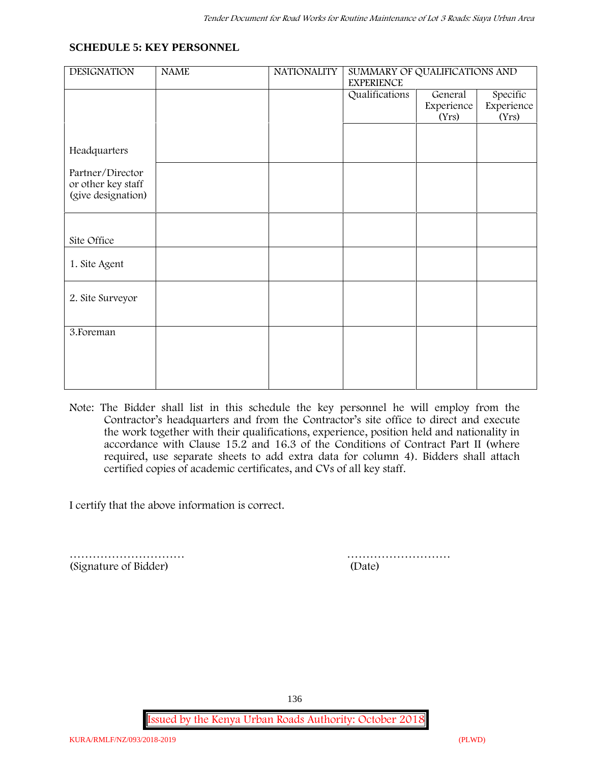#### **SCHEDULE 5: KEY PERSONNEL**

| <b>DESIGNATION</b>                                           | <b>NAME</b> | <b>NATIONALITY</b> | SUMMARY OF QUALIFICATIONS AND<br><b>EXPERIENCE</b> |                       |                        |
|--------------------------------------------------------------|-------------|--------------------|----------------------------------------------------|-----------------------|------------------------|
|                                                              |             |                    | Qualifications                                     | General<br>Experience | Specific<br>Experience |
|                                                              |             |                    |                                                    | (Yrs)                 | (Yrs)                  |
| Headquarters                                                 |             |                    |                                                    |                       |                        |
| Partner/Director<br>or other key staff<br>(give designation) |             |                    |                                                    |                       |                        |
|                                                              |             |                    |                                                    |                       |                        |
| Site Office                                                  |             |                    |                                                    |                       |                        |
| 1. Site Agent                                                |             |                    |                                                    |                       |                        |
| 2. Site Surveyor                                             |             |                    |                                                    |                       |                        |
| 3. Foreman                                                   |             |                    |                                                    |                       |                        |
|                                                              |             |                    |                                                    |                       |                        |
|                                                              |             |                    |                                                    |                       |                        |

**Note:** The Bidder shall list in this schedule the key personnel he will employ from the Contractor's headquarters and from the Contractor's site office to direct and execute the work together with their qualifications, experience, position held and nationality in accordance with Clause 15.2 and 16.3 of the Conditions of Contract Part II (where required, use separate sheets to add extra data for column 4). Bidders shall attach certified copies of academic certificates, and CVs of all key staff.

I certify that the above information is correct.

(Signature of Bidder) (Date)

………………………… ………………………

136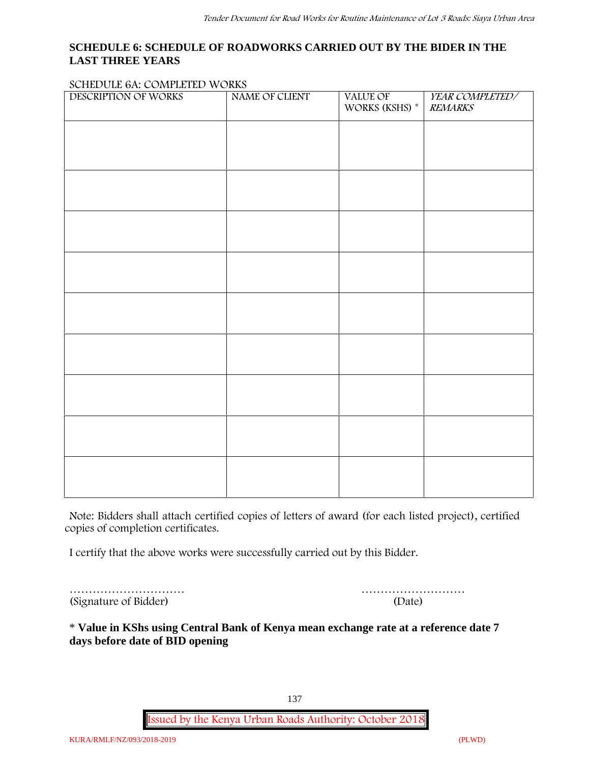### **SCHEDULE 6: SCHEDULE OF ROADWORKS CARRIED OUT BY THE BIDER IN THE LAST THREE YEARS**

#### **SCHEDULE 6A: COMPLETED WORKS**

| DESCRIPTION OF WORKS | NAME OF CLIENT | VALUE OF<br>WORKS (KSHS) * | YEAR COMPLETED/<br><b>REMARKS</b> |
|----------------------|----------------|----------------------------|-----------------------------------|
|                      |                |                            |                                   |
|                      |                |                            |                                   |
|                      |                |                            |                                   |
|                      |                |                            |                                   |
|                      |                |                            |                                   |
|                      |                |                            |                                   |
|                      |                |                            |                                   |
|                      |                |                            |                                   |
|                      |                |                            |                                   |
|                      |                |                            |                                   |
|                      |                |                            |                                   |
|                      |                |                            |                                   |
|                      |                |                            |                                   |
|                      |                |                            |                                   |
|                      |                |                            |                                   |

**Note:** Bidders shall attach certified copies of letters of award (for each listed project), certified copies of completion certificates.

I certify that the above works were successfully carried out by this Bidder.

………………………… (Signature of Bidder)

|  |  | (Date) |  |  |  |  |  |  |  |  |  |
|--|--|--------|--|--|--|--|--|--|--|--|--|

\* **Value in KShs using Central Bank of Kenya mean exchange rate at a reference date 7 days before date of BID opening**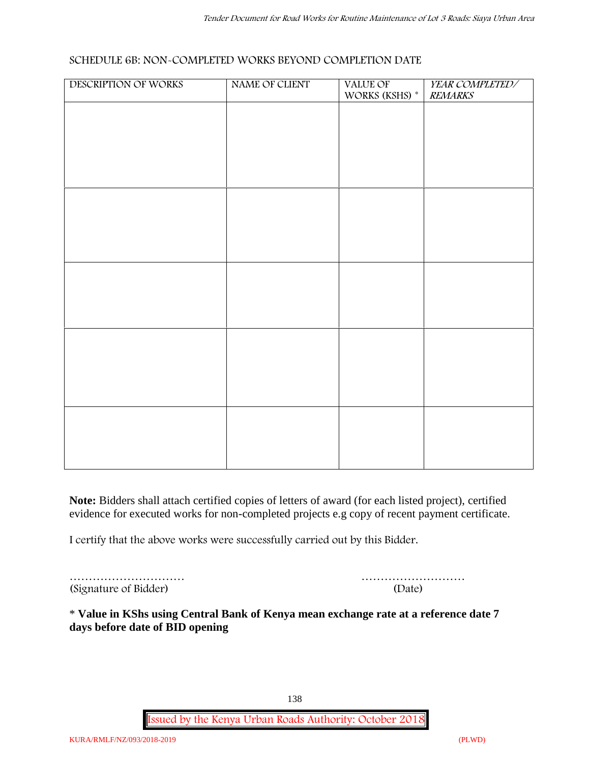#### **SCHEDULE 6B: NON-COMPLETED WORKS BEYOND COMPLETION DATE**

| DESCRIPTION OF WORKS | NAME OF CLIENT | VALUE OF WORKS (KSHS) * | YEAR COMPLETED/<br><b>REMARKS</b> |
|----------------------|----------------|-------------------------|-----------------------------------|
|                      |                |                         |                                   |
|                      |                |                         |                                   |
|                      |                |                         |                                   |
|                      |                |                         |                                   |
|                      |                |                         |                                   |
|                      |                |                         |                                   |
|                      |                |                         |                                   |
|                      |                |                         |                                   |
|                      |                |                         |                                   |
|                      |                |                         |                                   |
|                      |                |                         |                                   |
|                      |                |                         |                                   |
|                      |                |                         |                                   |
|                      |                |                         |                                   |
|                      |                |                         |                                   |
|                      |                |                         |                                   |
|                      |                |                         |                                   |

**Note:** Bidders shall attach certified copies of letters of award (for each listed project), certified evidence for executed works for non-completed projects e.g copy of recent payment certificate.

I certify that the above works were successfully carried out by this Bidder.

| (Signature of Bidder) | (Date) |
|-----------------------|--------|

| (Signature of Bidder) | (Date) |
|-----------------------|--------|

\* **Value in KShs using Central Bank of Kenya mean exchange rate at a reference date 7 days before date of BID opening**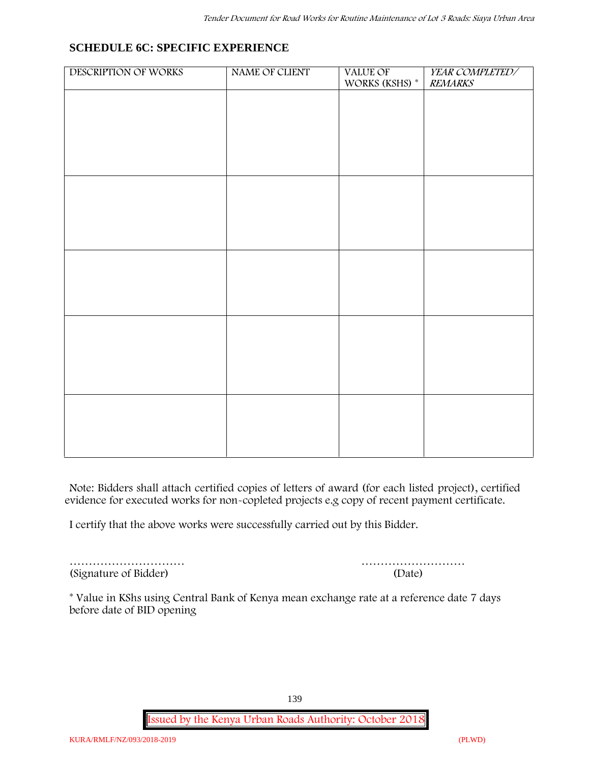# **SCHEDULE 6C: SPECIFIC EXPERIENCE**

| DESCRIPTION OF WORKS | NAME OF CLIENT | VALUE OF<br>WORKS (KSHS) * | YEAR COMPLETED/<br><b>REMARKS</b> |
|----------------------|----------------|----------------------------|-----------------------------------|
|                      |                |                            |                                   |
|                      |                |                            |                                   |
|                      |                |                            |                                   |
|                      |                |                            |                                   |
|                      |                |                            |                                   |
|                      |                |                            |                                   |
|                      |                |                            |                                   |
|                      |                |                            |                                   |
|                      |                |                            |                                   |
|                      |                |                            |                                   |
|                      |                |                            |                                   |
|                      |                |                            |                                   |
|                      |                |                            |                                   |
|                      |                |                            |                                   |
|                      |                |                            |                                   |
|                      |                |                            |                                   |
|                      |                |                            |                                   |
|                      |                |                            |                                   |
|                      |                |                            |                                   |
|                      |                |                            |                                   |
|                      |                |                            |                                   |

**Note:** Bidders shall attach certified copies of letters of award (for each listed project), certified evidence for executed works for non-copleted projects e.g copy of recent payment certificate.

I certify that the above works were successfully carried out by this Bidder.

(Signature of Bidder) (Date)

………………………… ………………………

\* **Value in KShs using Central Bank of Kenya mean exchange rate at a reference date 7 days before date of BID opening**

139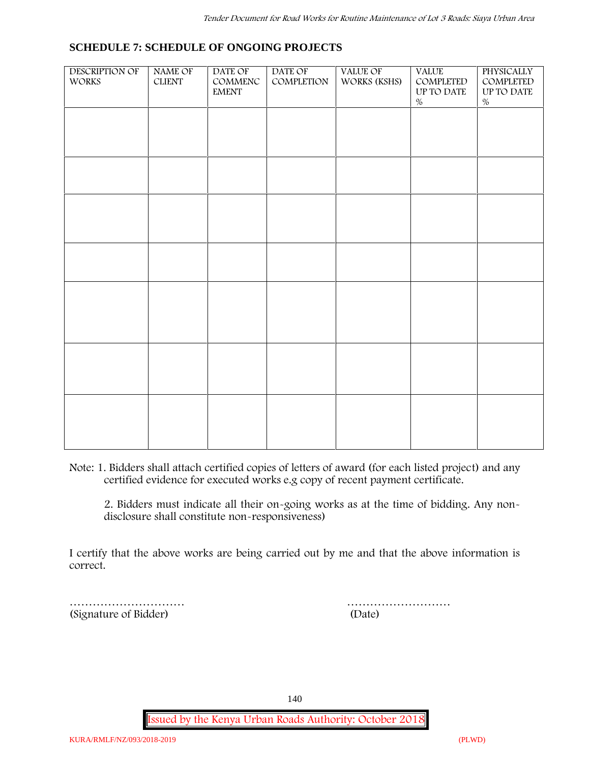#### **SCHEDULE 7: SCHEDULE OF ONGOING PROJECTS**

| DESCRIPTION OF<br>WORKS | NAME OF<br>$CLIENT$ | DATE OF<br>$\mathsf{COMMENC}$<br><b>EMENT</b> | DATE OF<br>COMPLETION | <b>VALUE OF</b><br>WORKS (KSHS) | <b>VALUE</b><br>COMPLETED<br>$\,$ UP TO DATE<br>$\%$ | PHYSICALLY<br>COMPLETED<br>$\,$ UP TO DATE<br>$\%$ |  |
|-------------------------|---------------------|-----------------------------------------------|-----------------------|---------------------------------|------------------------------------------------------|----------------------------------------------------|--|
|                         |                     |                                               |                       |                                 |                                                      |                                                    |  |
|                         |                     |                                               |                       |                                 |                                                      |                                                    |  |
|                         |                     |                                               |                       |                                 |                                                      |                                                    |  |
|                         |                     |                                               |                       |                                 |                                                      |                                                    |  |
|                         |                     |                                               |                       |                                 |                                                      |                                                    |  |
|                         |                     |                                               |                       |                                 |                                                      |                                                    |  |
|                         |                     |                                               |                       |                                 |                                                      |                                                    |  |
|                         |                     |                                               |                       |                                 |                                                      |                                                    |  |
|                         |                     |                                               |                       |                                 |                                                      |                                                    |  |

**Note:** 1. Bidders shall attach certified copies of letters of award (for each listed project) and any certified evidence for executed works e.g copy of recent payment certificate.

2. Bidders must indicate all their on-going works as at the time of bidding. Any non disclosure shall constitute non-responsiveness)

I certify that the above works are being carried out by me and that the above information is correct.

(Signature of Bidder) (Date)

………………………… ………………………

140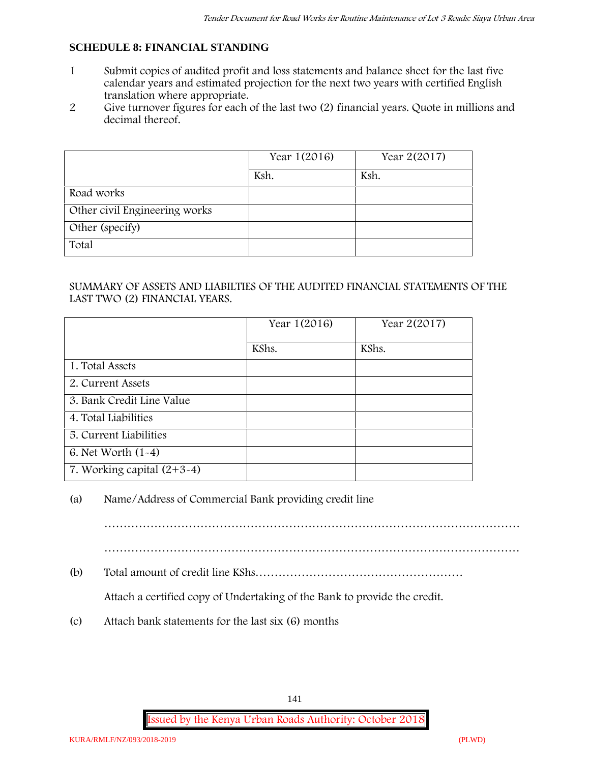## **SCHEDULE 8: FINANCIAL STANDING**

- 1 Submit copies of audited profit and loss statements and balance sheet for the last five calendar years and estimated projection for the next two years with certified English translation where appropriate.
- 2 Give turnover figures for each of the last two (2) financial years. Quote in millions and decimal thereof.

|                               | Year 1(2016) | Year 2(2017) |
|-------------------------------|--------------|--------------|
|                               | Ksh.         | Ksh.         |
| Road works                    |              |              |
| Other civil Engineering works |              |              |
| Other (specify)               |              |              |
| Total                         |              |              |

#### SUMMARY OF ASSETS AND LIABILTIES OF THE AUDITED FINANCIAL STATEMENTS OF THE LAST TWO (2) FINANCIAL YEARS.

|                              | Year 1(2016) | Year 2(2017) |
|------------------------------|--------------|--------------|
|                              | KShs.        | KShs.        |
| 1. Total Assets              |              |              |
| 2. Current Assets            |              |              |
| 3. Bank Credit Line Value    |              |              |
| 4. Total Liabilities         |              |              |
| 5. Current Liabilities       |              |              |
| 6. Net Worth $(1-4)$         |              |              |
| 7. Working capital $(2+3-4)$ |              |              |

#### (a) Name/Address of Commercial Bank providing credit line

………………………………………………………………………………………………

(b) Total amount of credit line KShs………………………………………………

Attach a certified copy of Undertaking of the Bank to provide the credit.

(c) Attach bank statements for the last six (6) months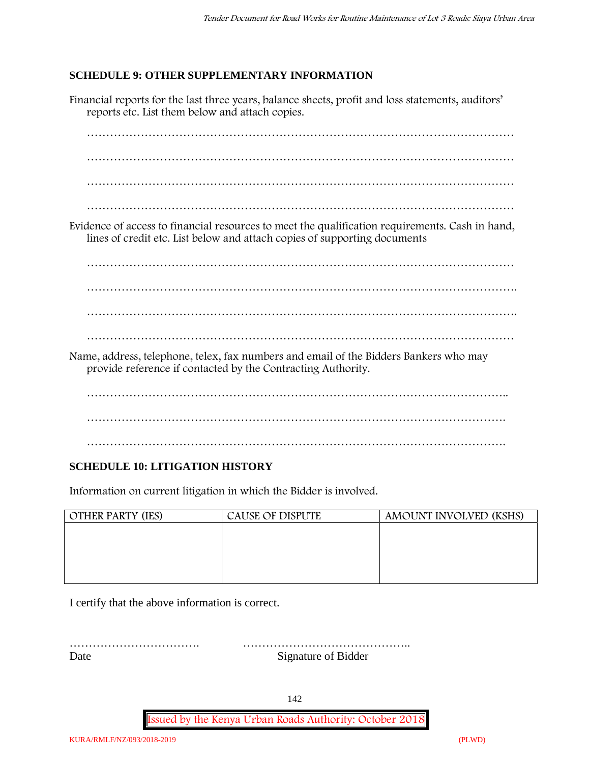## **SCHEDULE 9: OTHER SUPPLEMENTARY INFORMATION**

Financial reports for the last three years, balance sheets, profit and loss statements, auditors' reports etc. List them below and attach copies. ………………………………………………………………………………………………… ………………………………………………………………………………………………… ………………………………………………………………………………………………… ………………………………………………………………………………………………… Evidence of access to financial resources to meet the qualification requirements. Cash in hand, lines of credit etc. List below and attach copies of supporting documents ………………………………………………………………………………………………… …………………………………………………………………………………………………. …………………………………………………………………………………………………. ………………………………………………………………………………………………… Name, address, telephone, telex, fax numbers and email of the Bidders Bankers who may provide reference if contacted by the Contracting Authority. ……………………………………………………………………………………………….. ………………………………………………………………………………………………. ……………………………………………………………………………………………….

# **SCHEDULE 10: LITIGATION HISTORY**

Information on current litigation in which the Bidder is involved.

| <b>OTHER PARTY (IES)</b> | <b>CAUSE OF DISPUTE</b> | AMOUNT INVOLVED (KSHS) |
|--------------------------|-------------------------|------------------------|
|                          |                         |                        |
|                          |                         |                        |
|                          |                         |                        |
|                          |                         |                        |
|                          |                         |                        |

I certify that the above information is correct.

……………………………. …………………………………….. Date Signature of Bidder

142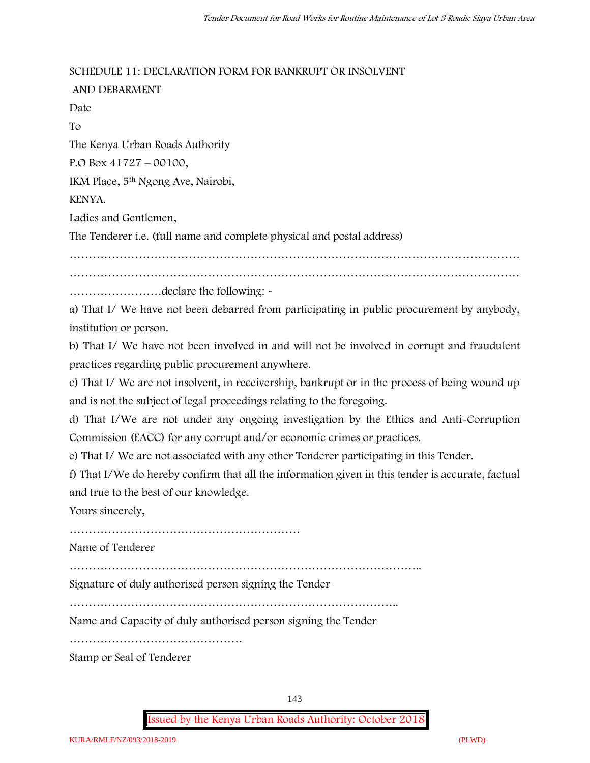#### **SCHEDULE 11: DECLARATION FORM FOR BANKRUPT OR INSOLVENT**

**AND DEBARMENT** Date To The Kenya Urban Roads Authority P.O Box 41727 – 00100, IKM Place, 5th Ngong Ave, Nairobi, KENYA. Ladies and Gentlemen, The Tenderer i.e. (full name and complete physical and postal address) ……………………………………………………………………………………………………… ………………………………………………………………………………………………………

……………………declare the following: -

a) That I/ We have not been debarred from participating in public procurement by anybody, institution or person.

b) That I/ We have not been involved in and will not be involved in corrupt and fraudulent practices regarding public procurement anywhere.

c) That I/ We are not insolvent, in receivership, bankrupt or in the process of being wound up and is not the subject of legal proceedings relating to the foregoing.

d) That I/We are not under any ongoing investigation by the Ethics and Anti-Corruption Commission (EACC) for any corrupt and/or economic crimes or practices.

e) That I/ We are not associated with any other Tenderer participating in this Tender.

f) That I/We do hereby confirm that all the information given in this tender is accurate, factual and true to the best of our knowledge.

Yours sincerely,

……………………………………………………

Name of Tenderer

………………………………………………………………………………..

Signature of duly authorised person signing the Tender

…………………………………………………………………………..

Name and Capacity of duly authorised person signing the Tender

………………………………………

Stamp or Seal of Tenderer

143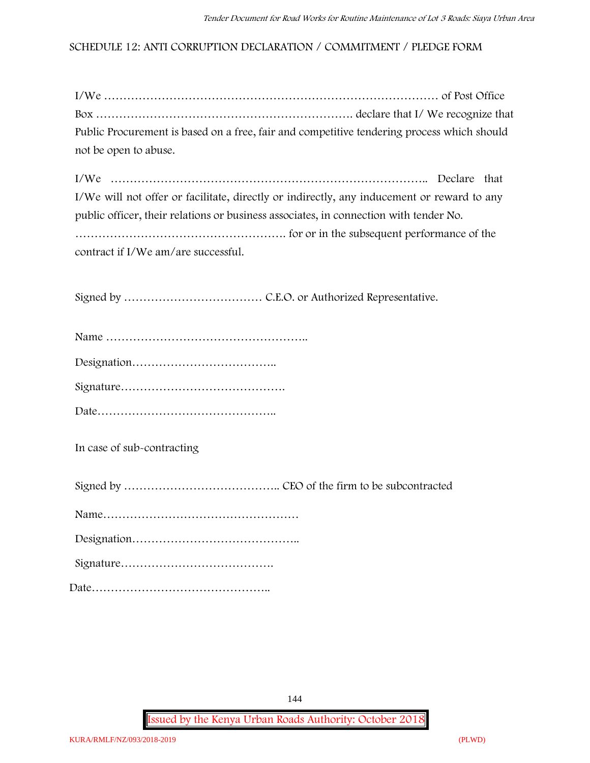#### **SCHEDULE 12: ANTI CORRUPTION DECLARATION / COMMITMENT / PLEDGE FORM**

| Public Procurement is based on a free, fair and competitive tendering process which should |  |
|--------------------------------------------------------------------------------------------|--|
| not be open to abuse.                                                                      |  |

I/We ……………………………………………………………………….. Declare that I/We will not offer or facilitate, directly or indirectly, any inducement or reward to any public officer, their relations or business associates, in connection with tender No. ………………………………………………. for or in the subsequent performance of the contract if I/We am/are successful.

Signed by ……………………………… C.E.O. or Authorized Representative.

**In case of sub-contracting**

Signed by ………………………………….. CEO of the firm to be subcontracted

|--|

Signature………………………………….

Date………………………………………..

144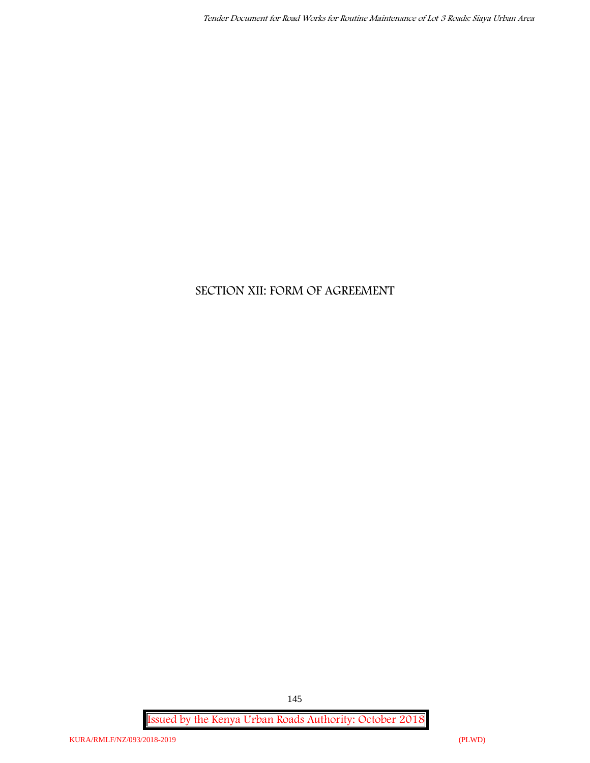# **SECTION XII: FORM OF AGREEMENT**

**Issued by the Kenya Urban Roads Authority: October 2018**

145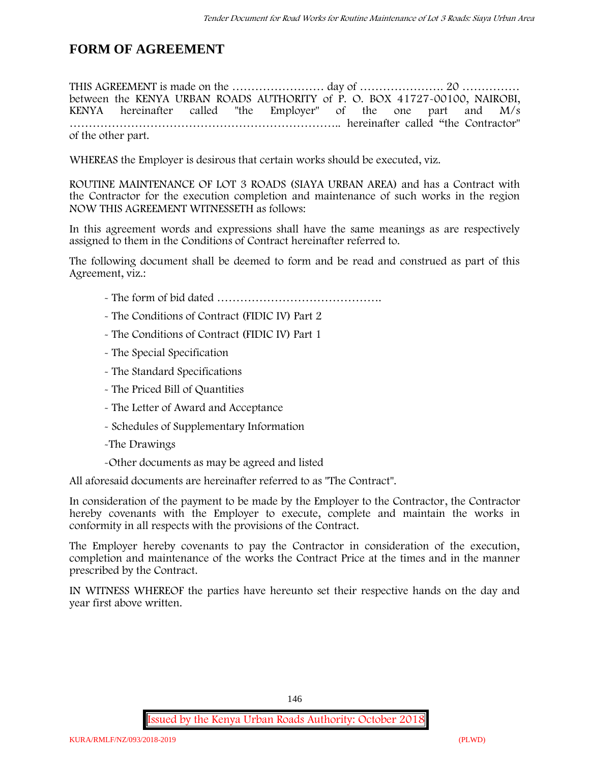## **FORM OF AGREEMENT**

THIS AGREEMENT is made on the …………………… day of …………………. 20 …………… between the **KENYA URBAN ROADS AUTHORITY** of **P. O. BOX 41727-00100, NAIROBI, KENYA** hereinafter called "the Employer" of the one part and **M/s ……………………………………………………………..** hereinafter called "the Contractor" of the other part.

WHEREAS the Employer is desirous that certain works should be executed, viz.

**ROUTINE MAINTENANCE OF LOT 3 ROADS (SIAYA URBAN AREA)** and has a Contract with the Contractor for the execution completion and maintenance of such works in the region NOW THIS AGREEMENT WITNESSETH as follows:

In this agreement words and expressions shall have the same meanings as are respectively assigned to them in the Conditions of Contract hereinafter referred to.

The following document shall be deemed to form and be read and construed as part of this Agreement, viz.:

- The form of bid dated **…………………………………….**
- The Conditions of Contract (FIDIC IV) Part 2
- The Conditions of Contract (FIDIC IV) Part 1
- The Special Specification
- The Standard Specifications
- The Priced Bill of Quantities
- The Letter of Award and Acceptance
- Schedules of Supplementary Information
- -The Drawings
- -Other documents as may be agreed and listed

All aforesaid documents are hereinafter referred to as "The Contract".

In consideration of the payment to be made by the Employer to the Contractor, the Contractor hereby covenants with the Employer to execute, complete and maintain the works in conformity in all respects with the provisions of the Contract.

The Employer hereby covenants to pay the Contractor in consideration of the execution, completion and maintenance of the works the Contract Price at the times and in the manner prescribed by the Contract.

IN WITNESS WHEREOF the parties have hereunto set their respective hands on the day and year first above written.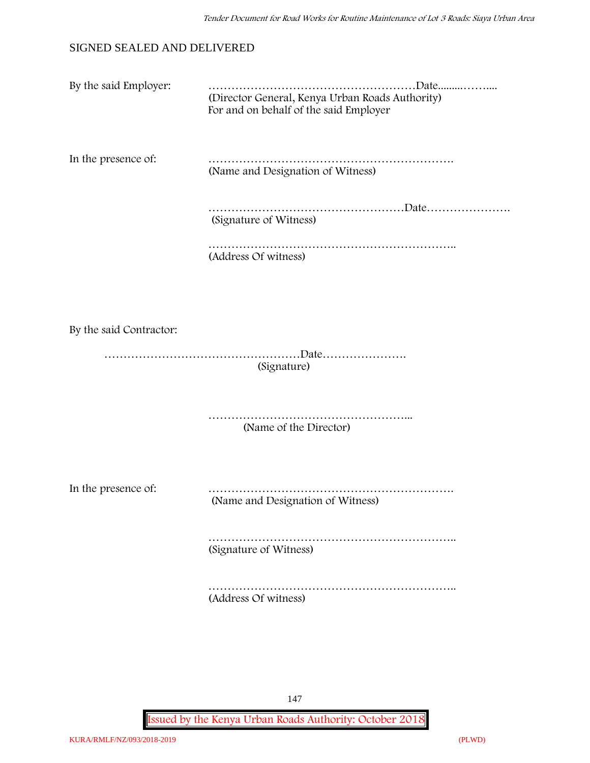### SIGNED SEALED AND DELIVERED

By the said Employer: ………………………………………………Date.........…….... (Director General, Kenya Urban Roads Authority) For and on behalf of the said Employer

In the presence of: ………………………………………………………. (Name and Designation of Witness)

> ……………………………………………………Date………………… (Signature of Witness)

……………………………………………………….. (Address Of witness)

By the said Contractor:

……………………………………………Date…………………. (Signature)

> …………………………………………………………… (Name of the Director)

In the presence of: ………………………………………………………. (Name and Designation of Witness)

> ……………………………………………………………………………… (Signature of Witness)

> …………………………………………………………………………………… (Address Of witness)

> > 147